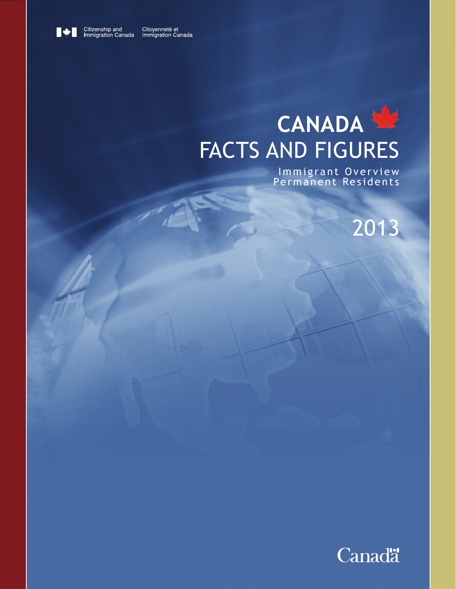

Citoyenneté et<br>Immigration Canada

# **CANADA** FACTS AND FIGURES

Immigrant Overview Permanent Residents

2013

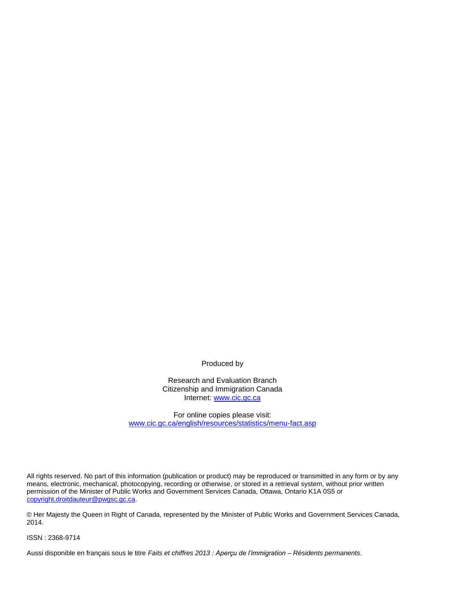Produced by

Research and Evaluation Branch Citizenship and Immigration Canada Internet: www.cic.gc.ca

For online copies please visit: www.cic.gc.ca/english/resources/statistics/menu-fact.asp

All rights reserved. No part of this information (publication or product) may be reproduced or transmitted in any form or by any means, electronic, mechanical, photocopying, recording or otherwise, or stored in a retrieval system, without prior written permission of the Minister of Public Works and Government Services Canada, Ottawa, Ontario K1A 0S5 or copyright.droitdauteur@pwgsc.gc.ca.

© Her Majesty the Queen in Right of Canada, represented by the Minister of Public Works and Government Services Canada, 2014.

ISSN : 2368-9714

Aussi disponible en français sous le titre *Faits et chiffres 2013 : Aperçu de l'immigration – Résidents permanents*.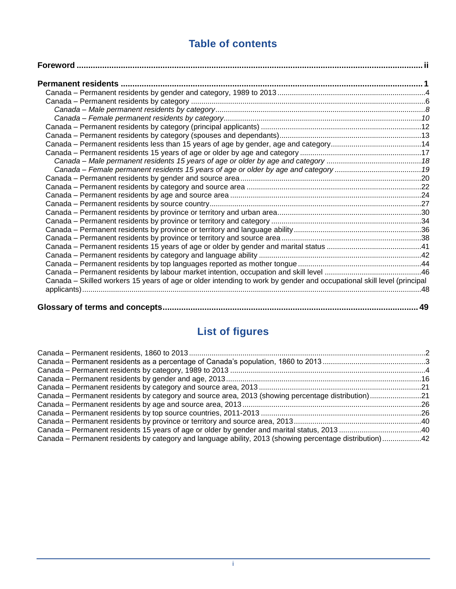## **Table of contents**

| Canada – Female permanent residents 15 years of age or older by age and category 19                                   |    |
|-----------------------------------------------------------------------------------------------------------------------|----|
|                                                                                                                       |    |
|                                                                                                                       |    |
|                                                                                                                       |    |
|                                                                                                                       |    |
|                                                                                                                       |    |
|                                                                                                                       |    |
|                                                                                                                       |    |
|                                                                                                                       |    |
|                                                                                                                       |    |
|                                                                                                                       |    |
|                                                                                                                       |    |
|                                                                                                                       |    |
| Canada – Skilled workers 15 years of age or older intending to work by gender and occupational skill level (principal |    |
|                                                                                                                       |    |
|                                                                                                                       |    |
|                                                                                                                       | 49 |

## **List of figures**

| Canada – Permanent residents by category and source area, 2013 (showing percentage distribution)21      |  |
|---------------------------------------------------------------------------------------------------------|--|
|                                                                                                         |  |
|                                                                                                         |  |
|                                                                                                         |  |
|                                                                                                         |  |
| Canada – Permanent residents by category and language ability, 2013 (showing percentage distribution)42 |  |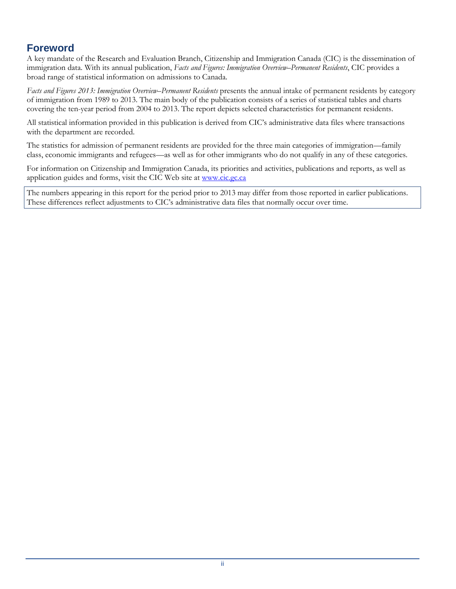## <span id="page-3-0"></span>**Foreword**

A key mandate of the Research and Evaluation Branch, Citizenship and Immigration Canada (CIC) is the dissemination of immigration data. With its annual publication, *Facts and Figures: Immigration Overview–Permanent Residents*, CIC provides a broad range of statistical information on admissions to Canada.

*Facts and Figures 2013: Immigration Overview–Permanent Residents* presents the annual intake of permanent residents by category of immigration from 1989 to 2013. The main body of the publication consists of a series of statistical tables and charts covering the ten-year period from 2004 to 2013. The report depicts selected characteristics for permanent residents.

All statistical information provided in this publication is derived from CIC's administrative data files where transactions with the department are recorded.

The statistics for admission of permanent residents are provided for the three main categories of immigration—family class, economic immigrants and refugees—as well as for other immigrants who do not qualify in any of these categories.

For information on Citizenship and Immigration Canada, its priorities and activities, publications and reports, as well as application guides and forms, visit the CIC Web site at [www.cic.gc.ca](http://www.cic.gc.ca/)

The numbers appearing in this report for the period prior to 2013 may differ from those reported in earlier publications. These differences reflect adjustments to CIC's administrative data files that normally occur over time.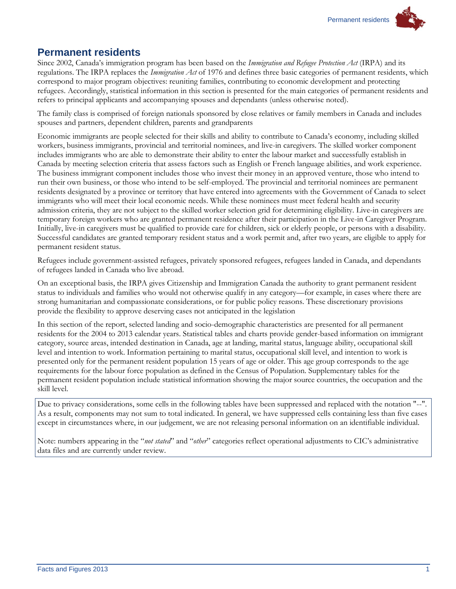### <span id="page-4-0"></span>**Permanent residents**

Since 2002, Canada's immigration program has been based on the *Immigration and Refugee Protection Act* (IRPA) and its regulations. The IRPA replaces the *Immigration Act* of 1976 and defines three basic categories of permanent residents, which correspond to major program objectives: reuniting families, contributing to economic development and protecting refugees. Accordingly, statistical information in this section is presented for the main categories of permanent residents and refers to principal applicants and accompanying spouses and dependants (unless otherwise noted).

The family class is comprised of foreign nationals sponsored by close relatives or family members in Canada and includes spouses and partners, dependent children, parents and grandparents

Economic immigrants are people selected for their skills and ability to contribute to Canada's economy, including skilled workers, business immigrants, provincial and territorial nominees, and live-in caregivers. The skilled worker component includes immigrants who are able to demonstrate their ability to enter the labour market and successfully establish in Canada by meeting selection criteria that assess factors such as English or French language abilities, and work experience. The business immigrant component includes those who invest their money in an approved venture, those who intend to run their own business, or those who intend to be self-employed. The provincial and territorial nominees are permanent residents designated by a province or territory that have entered into agreements with the Government of Canada to select immigrants who will meet their local economic needs. While these nominees must meet federal health and security admission criteria, they are not subject to the skilled worker selection grid for determining eligibility. Live-in caregivers are temporary foreign workers who are granted permanent residence after their participation in the Live-in Caregiver Program. Initially, live-in caregivers must be qualified to provide care for children, sick or elderly people, or persons with a disability. Successful candidates are granted temporary resident status and a work permit and, after two years, are eligible to apply for permanent resident status.

Refugees include government-assisted refugees, privately sponsored refugees, refugees landed in Canada, and dependants of refugees landed in Canada who live abroad.

On an exceptional basis, the IRPA gives Citizenship and Immigration Canada the authority to grant permanent resident status to individuals and families who would not otherwise qualify in any category—for example, in cases where there are strong humanitarian and compassionate considerations, or for public policy reasons. These discretionary provisions provide the flexibility to approve deserving cases not anticipated in the legislation

In this section of the report, selected landing and socio-demographic characteristics are presented for all permanent residents for the 2004 to 2013 calendar years. Statistical tables and charts provide gender-based information on immigrant category, source areas, intended destination in Canada, age at landing, marital status, language ability, occupational skill level and intention to work. Information pertaining to marital status, occupational skill level, and intention to work is presented only for the permanent resident population 15 years of age or older. This age group corresponds to the age requirements for the labour force population as defined in the Census of Population. Supplementary tables for the permanent resident population include statistical information showing the major source countries, the occupation and the skill level.

Due to privacy considerations, some cells in the following tables have been suppressed and replaced with the notation "--". As a result, components may not sum to total indicated. In general, we have suppressed cells containing less than five cases except in circumstances where, in our judgement, we are not releasing personal information on an identifiable individual.

Note: numbers appearing in the "*not stated*" and "*other*" categories reflect operational adjustments to CIC's administrative data files and are currently under review.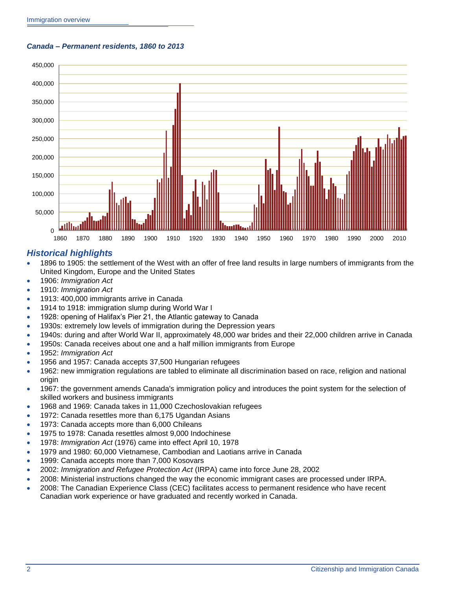<span id="page-5-0"></span>*Canada – Permanent residents, 1860 to 2013*



#### *Historical highlights*

- 1896 to 1905: the settlement of the West with an offer of free land results in large numbers of immigrants from the United Kingdom, Europe and the United States
- 1906: *Immigration Act*
- 1910: *Immigration Act*
- 1913: 400,000 immigrants arrive in Canada
- 1914 to 1918: immigration slump during World War I
- 1928: opening of Halifax's Pier 21, the Atlantic gateway to Canada
- 1930s: extremely low levels of immigration during the Depression years
- 1940s: during and after World War II, approximately 48,000 war brides and their 22,000 children arrive in Canada
- 1950s: Canada receives about one and a half million immigrants from Europe
- 1952: *Immigration Act*
- 1956 and 1957: Canada accepts 37,500 Hungarian refugees
- 1962: new immigration regulations are tabled to eliminate all discrimination based on race, religion and national origin
- 1967: the government amends Canada's immigration policy and introduces the point system for the selection of skilled workers and business immigrants
- 1968 and 1969: Canada takes in 11,000 Czechoslovakian refugees
- 1972: Canada resettles more than 6,175 Ugandan Asians
- 1973: Canada accepts more than 6,000 Chileans
- 1975 to 1978: Canada resettles almost 9,000 Indochinese
- 1978: *Immigration Act* (1976) came into effect April 10, 1978
- 1979 and 1980: 60,000 Vietnamese, Cambodian and Laotians arrive in Canada
- 1999: Canada accepts more than 7,000 Kosovars
- 2002: *Immigration and Refugee Protection Act* (IRPA) came into force June 28, 2002
- 2008: Ministerial instructions changed the way the economic immigrant cases are processed under IRPA.
- 2008: The Canadian Experience Class (CEC) facilitates access to permanent residence who have recent Canadian work experience or have graduated and recently worked in Canada.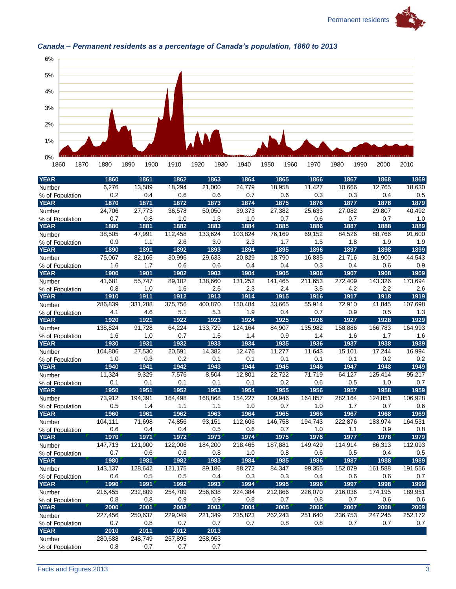



### <span id="page-6-0"></span>*Canada – Permanent residents as a percentage of Canada's population, 1860 to 2013*

| <b>YEAR</b>     | 1860    | 1861    | 1862    | 1863    | 1864    | 1865    | 1866    | 1867    | 1868    | 1869    |
|-----------------|---------|---------|---------|---------|---------|---------|---------|---------|---------|---------|
| Number          | 6,276   | 13,589  | 18,294  | 21,000  | 24,779  | 18,958  | 11.427  | 10,666  | 12,765  | 18,630  |
| % of Population | 0.2     | 0.4     | 0.6     | 0.6     | 0.7     | 0.6     | 0.3     | 0.3     | 0.4     | 0.5     |
| <b>YEAR</b>     | 1870    | 1871    | 1872    | 1873    | 1874    | 1875    | 1876    | 1877    | 1878    | 1879    |
| Number          | 24,706  | 27,773  | 36,578  | 50,050  | 39,373  | 27,382  | 25,633  | 27,082  | 29,807  | 40,492  |
| % of Population | 0.7     | 0.8     | 1.0     | 1.3     | 1.0     | 0.7     | 0.6     | 0.7     | 0.7     | 1.0     |
| <b>YEAR</b>     | 1880    | 1881    | 1882    | 1883    | 1884    | 1885    | 1886    | 1887    | 1888    | 1889    |
| Number          | 38,505  | 47,991  | 112,458 | 133,624 | 103,824 | 76,169  | 69,152  | 84,526  | 88,766  | 91,600  |
| % of Population | 0.9     | 1.1     | 2.6     | 3.0     | 2.3     | 1.7     | 1.5     | 1.8     | 1.9     | 1.9     |
| <b>YEAR</b>     | 1890    | 1891    | 1892    | 1893    | 1894    | 1895    | 1896    | 1897    | 1898    | 1899    |
| <b>Number</b>   | 75,067  | 82,165  | 30,996  | 29,633  | 20,829  | 18,790  | 16,835  | 21,716  | 31,900  | 44,543  |
| % of Population | 1.6     | 1.7     | 0.6     | 0.6     | 0.4     | 0.4     | 0.3     | 0.4     | 0.6     | 0.9     |
| <b>YEAR</b>     | 1900    | 1901    | 1902    | 1903    | 1904    | 1905    | 1906    | 1907    | 1908    | 1909    |
| Number          | 41.681  | 55,747  | 89,102  | 138,660 | 131,252 | 141,465 | 211.653 | 272,409 | 143,326 | 173,694 |
| % of Population | 0.8     | 1.0     | 1.6     | 2.5     | 2.3     | 2.4     | 3.5     | 4.2     | 2.2     | 2.6     |
| <b>YEAR</b>     | 1910    | 1911    | 1912    | 1913    | 1914    | 1915    | 1916    | 1917    | 1918    | 1919    |
| Number          | 286,839 | 331,288 | 375,756 | 400,870 | 150,484 | 33,665  | 55,914  | 72,910  | 41,845  | 107,698 |
| % of Population | 4.1     | 4.6     | 5.1     | 5.3     | 1.9     | 0.4     | 0.7     | 0.9     | 0.5     | 1.3     |
| <b>YEAR</b>     | 1920    | 1921    | 1922    | 1923    | 1924    | 1925    | 1926    | 1927    | 1928    | 1929    |
| <b>Number</b>   | 138,824 | 91,728  | 64,224  | 133,729 | 124,164 | 84,907  | 135,982 | 158,886 | 166,783 | 164,993 |
| % of Population | 1.6     | 1.0     | 0.7     | 1.5     | 1.4     | 0.9     | 1.4     | 1.6     | 1.7     | 1.6     |
| <b>YEAR</b>     | 1930    | 1931    | 1932    | 1933    | 1934    | 1935    | 1936    | 1937    | 1938    | 1939    |
| Number          | 104,806 | 27,530  | 20,591  | 14,382  | 12,476  | 11,277  | 11,643  | 15,101  | 17,244  | 16,994  |
| % of Population | 1.0     | 0.3     | 0.2     | 0.1     | 0.1     | 0.1     | 0.1     | 0.1     | 0.2     | 0.2     |
| <b>YEAR</b>     | 1940    | 1941    | 1942    | 1943    | 1944    | 1945    | 1946    | 1947    | 1948    | 1949    |
| Number          | 11,324  | 9,329   | 7,576   | 8,504   | 12,801  | 22.722  | 71,719  | 64,127  | 125,414 | 95,217  |
| % of Population | 0.1     | 0.1     | 0.1     | 0.1     | 0.1     | 0.2     | 0.6     | 0.5     | 1.0     | 0.7     |
| <b>YEAR</b>     | 1950    | 1951    | 1952    | 1953    | 1954    | 1955    | 1956    | 1957    | 1958    | 1959    |
| Number          | 73,912  | 194,391 | 164,498 | 168,868 | 154,227 | 109,946 | 164,857 | 282,164 | 124,851 | 106,928 |
| % of Population | 0.5     | 1.4     | 1.1     | 1.1     | 1.0     | 0.7     | 1.0     | 1.7     | 0.7     | 0.6     |
| <b>YEAR</b>     | 1960    | 1961    | 1962    | 1963    | 1964    | 1965    | 1966    | 1967    | 1968    | 1969    |
| Number          | 104,111 | 71,698  | 74,856  | 93,151  | 112,606 | 146,758 | 194,743 | 222,876 | 183,974 | 164,531 |
| % of Population | 0.6     | 0.4     | 0.4     | 0.5     | 0.6     | 0.7     | 1.0     | 1.1     | 0.9     | 0.8     |
| <b>YEAR</b>     | 1970    | 1971    | 1972    | 1973    | 1974    | 1975    | 1976    | 1977    | 1978    | 1979    |
| Number          | 147,713 | 121,900 | 122,006 | 184,200 | 218,465 | 187,881 | 149,429 | 114,914 | 86,313  | 112,093 |
| % of Population | 0.7     | 0.6     | 0.6     | 0.8     | 1.0     | 0.8     | 0.6     | 0.5     | 0.4     | 0.5     |
| <b>YEAR</b>     | 1980    | 1981    | 1982    | 1983    | 1984    | 1985    | 1986    | 1987    | 1988    | 1989    |
| Number          | 143,137 | 128,642 | 121,175 | 89,186  | 88,272  | 84,347  | 99,355  | 152,079 | 161,588 | 191,556 |
| % of Population | 0.6     | 0.5     | 0.5     | 0.4     | 0.3     | 0.3     | 0.4     | 0.6     | 0.6     | 0.7     |
| <b>YEAR</b>     | 1990    | 1991    | 1992    | 1993    | 1994    | 1995    | 1996    | 1997    | 1998    | 1999    |
| Number          | 216,455 | 232,809 | 254,789 | 256,638 | 224,384 | 212,866 | 226,070 | 216,036 | 174,195 | 189,951 |
| % of Population | 0.8     | 0.8     | 0.9     | 0.9     | 0.8     | 0.7     | 0.8     | 0.7     | 0.6     | 0.6     |
| <b>YEAR</b>     | 2000    | 2001    | 2002    | 2003    | 2004    | 2005    | 2006    | 2007    | 2008    | 2009    |
| Number          | 227,456 | 250.637 | 229.049 | 221,349 | 235,823 | 262,243 | 251,640 | 236,753 | 247,245 | 252,172 |
| % of Population | 0.7     | 0.8     | 0.7     | 0.7     | 0.7     | 0.8     | 0.8     | 0.7     | 0.7     | 0.7     |
| <b>YEAR</b>     | 2010    | 2011    | 2012    | 2013    |         |         |         |         |         |         |
| Number          | 280.688 | 248.749 | 257,895 | 258,953 |         |         |         |         |         |         |
| % of Population | 0.8     | 0.7     | 0.7     | 0.7     |         |         |         |         |         |         |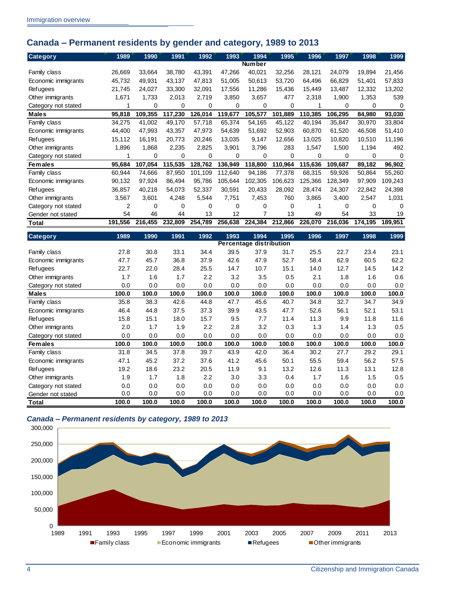## <span id="page-7-0"></span>**Canada – Permanent residents by gender and category, 1989 to 2013**

| <b>Category</b>     | 1989           | 1990    | 1991     | 1992    | 1993     | 1994          | 1995        | 1996     | 1997    | 1998     | 1999     |
|---------------------|----------------|---------|----------|---------|----------|---------------|-------------|----------|---------|----------|----------|
|                     |                |         |          |         |          | <b>Number</b> |             |          |         |          |          |
| Family class        | 26,669         | 33,664  | 38,780   | 43,391  | 47,266   | 40,021        | 32,256      | 28,121   | 24,079  | 19,894   | 21,456   |
| Economic immigrants | 45,732         | 49.931  | 43,137   | 47,813  | 51,005   | 50,613        | 53,720      | 64,496   | 66,829  | 51,401   | 57,833   |
| Refugees            | 21,745         | 24,027  | 33,300   | 32,091  | 17,556   | 11,286        | 15,436      | 15,449   | 13,487  | 12,332   | 13,202   |
| Other immigrants    | 1,671          | 1,733   | 2,013    | 2,719   | 3,850    | 3,657         | 477         | 2,318    | 1,900   | 1,353    | 539      |
| Category not stated |                | 0       | 0        | 0       | 0        | 0             | 0           |          | 0       | 0        | $\Omega$ |
| <b>Males</b>        | 95,818         | 109,355 | 117,230  | 126,014 | 119,677  | 105,577       | .889<br>101 | 110.385  | 106,295 | 84,980   | 93,030   |
| Family class        | 34,275         | 41,002  | 49,170   | 57,718  | 65,374   | 54,165        | 45,122      | 40,194   | 35,847  | 30,970   | 33,804   |
| Economic immigrants | 44,400         | 47.993  | 43,357   | 47,973  | 54,639   | 51,692        | 52,903      | 60,870   | 61.520  | 46,508   | 51,410   |
| Refugees            | 15,112         | 16.191  | 20,773   | 20,246  | 13,035   | 9,147         | 12,656      | 13,025   | 10,820  | 10,510   | 11,196   |
| Other immigrants    | 1,896          | 1,868   | 2,235    | 2,825   | 3,901    | 3,796         | 283         | 1,547    | 1,500   | 1,194    | 492      |
| Category not stated |                | 0       | $\Omega$ | 0       | 0        | 0             | 0           | $\Omega$ | 0       | 0        | $\Omega$ |
| <b>Females</b>      | 95,684         | 107,054 | 115,535  | 128,762 | 136,949  | 118,800       | 110,964     | 115,636  | 109,687 | 89,182   | 96,902   |
| Family class        | 60,944         | 74,666  | 87,950   | 101,109 | 112.640  | 94,186        | 77,378      | 68,315   | 59,926  | 50,864   | 55,260   |
| Economic immigrants | 90,132         | 97.924  | 86,494   | 95,786  | 105.644  | 102,305       | 106.623     | 125,366  | 128.349 | 97,909   | 109,243  |
| Refugees            | 36,857         | 40,218  | 54,073   | 52,337  | 30,591   | 20,433        | 28,092      | 28,474   | 24,307  | 22,842   | 24,398   |
| Other immigrants    | 3,567          | 3,601   | 4,248    | 5,544   | 7,751    | 7,453         | 760         | 3,865    | 3,400   | 2,547    | 1,031    |
| Category not stated | $\overline{2}$ | 0       | $\Omega$ | 0       | $\Omega$ | 0             | $\Omega$    |          | 0       | $\Omega$ | ∩        |
| Gender not stated   | 54             | 46      | 44       | 13      | 12       | 7             | 13          | 49       | 54      | 33       | 19       |
| Total               | 191,556        | 216.455 | 232,809  | 254,789 | 256,638  | 224,384       | 212,866     | 226,070  | 216,036 | 174,195  | 189,951  |

| <b>Category</b>     | 1989  | 1990  | 1991  | 1992  | 1993                           | 1994  | 1995  | 1996  | 1997  | 1998  | 1999  |
|---------------------|-------|-------|-------|-------|--------------------------------|-------|-------|-------|-------|-------|-------|
|                     |       |       |       |       | <b>Percentage distribution</b> |       |       |       |       |       |       |
| Family class        | 27.8  | 30.8  | 33.1  | 34.4  | 39.5                           | 37.9  | 31.7  | 25.5  | 22.7  | 23.4  | 23.1  |
| Economic immigrants | 47.7  | 45.7  | 36.8  | 37.9  | 42.6                           | 47.9  | 52.7  | 58.4  | 62.9  | 60.5  | 62.2  |
| Refugees            | 22.7  | 22.0  | 28.4  | 25.5  | 14.7                           | 10.7  | 15.1  | 14.0  | 12.7  | 14.5  | 14.2  |
| Other immigrants    | 1.7   | 1.6   | 1.7   | 2.2   | 3.2                            | 3.5   | 0.5   | 2.1   | 1.8   | 1.6   | 0.6   |
| Category not stated | 0.0   | 0.0   | 0.0   | 0.0   | 0.0                            | 0.0   | 0.0   | 0.0   | 0.0   | 0.0   | 0.0   |
| <b>Males</b>        | 100.0 | 100.0 | 100.0 | 100.0 | 100.0                          | 100.0 | 100.0 | 100.0 | 100.0 | 100.0 | 100.0 |
| Family class        | 35.8  | 38.3  | 42.6  | 44.8  | 47.7                           | 45.6  | 40.7  | 34.8  | 32.7  | 34.7  | 34.9  |
| Economic immigrants | 46.4  | 44.8  | 37.5  | 37.3  | 39.9                           | 43.5  | 47.7  | 52.6  | 56.1  | 52.1  | 53.1  |
| Refugees            | 15.8  | 15.1  | 18.0  | 15.7  | 9.5                            | 7.7   | 11.4  | 11.3  | 9.9   | 11.8  | 11.6  |
| Other immigrants    | 2.0   | 1.7   | 1.9   | 2.2   | 2.8                            | 3.2   | 0.3   | 1.3   | 1.4   | 1.3   | 0.5   |
| Category not stated | 0.0   | 0.0   | 0.0   | 0.0   | 0.0                            | 0.0   | 0.0   | 0.0   | 0.0   | 0.0   | 0.0   |
| <b>Females</b>      | 100.0 | 100.0 | 100.0 | 100.0 | 100.0                          | 100.0 | 100.0 | 100.0 | 100.0 | 100.0 | 100.0 |
| Family class        | 31.8  | 34.5  | 37.8  | 39.7  | 43.9                           | 42.0  | 36.4  | 30.2  | 27.7  | 29.2  | 29.1  |
| Economic immigrants | 47.1  | 45.2  | 37.2  | 37.6  | 41.2                           | 45.6  | 50.1  | 55.5  | 59.4  | 56.2  | 57.5  |
| Refugees            | 19.2  | 18.6  | 23.2  | 20.5  | 11.9                           | 9.1   | 13.2  | 12.6  | 11.3  | 13.1  | 12.8  |
| Other immigrants    | 1.9   | 1.7   | 1.8   | 2.2   | 3.0                            | 3.3   | 0.4   | 1.7   | 1.6   | 1.5   | 0.5   |
| Category not stated | 0.0   | 0.0   | 0.0   | 0.0   | 0.0                            | 0.0   | 0.0   | 0.0   | 0.0   | 0.0   | 0.0   |
| Gender not stated   | 0.0   | 0.0   | 0.0   | 0.0   | 0.0                            | 0.0   | 0.0   | 0.0   | 0.0   | 0.0   | 0.0   |
| Total               | 100.0 | 100.0 | 100.0 | 100.0 | 100.0                          | 100.0 | 100.0 | 100.0 | 100.0 | 100.0 | 100.0 |

<span id="page-7-1"></span>

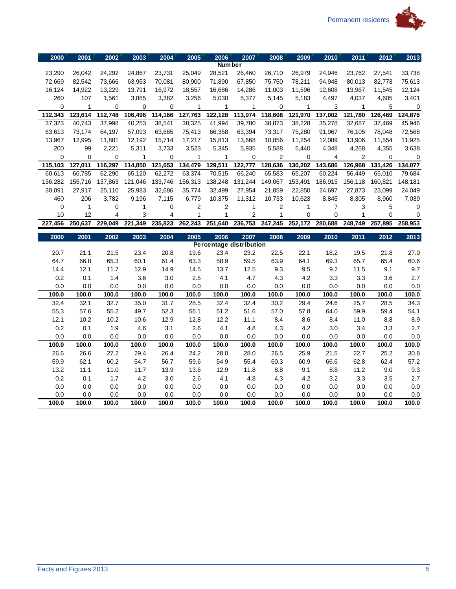



| 2000        | 2001         | 2002           | 2003             | 2004    | 2005    | 2006          | 2007                           | 2008                    | 2009           | 2010           | 2011    | 2012        | 2013         |
|-------------|--------------|----------------|------------------|---------|---------|---------------|--------------------------------|-------------------------|----------------|----------------|---------|-------------|--------------|
|             |              |                |                  |         |         | <b>Number</b> |                                |                         |                |                |         |             |              |
| 23,290      | 26,042       | 24,292         | 24,867           | 23,731  | 25,049  | 28,521        | 26,460                         | 26,710                  | 26,979         | 24,946         | 23,762  | 27,541      | 33,738       |
| 72,669      | 82,542       | 73,666         | 63,953           | 70,081  | 80,900  | 71,890        | 67,850                         | 75,750                  | 78,211         | 94,948         | 80,013  | 82,773      | 75,613       |
| 16,124      | 14,922       | 13,229         | 13,791           | 16,972  | 18,557  | 16,686        | 14,286                         | 11,003                  | 11,596         | 12,608         | 13,967  | 11,545      | 12,124       |
| 260         | 107          | 1,561          | 3,885            | 3,382   | 3,256   | 5,030         | 5,377                          | 5,145                   | 5,183          | 4,497          | 4,037   | 4,605       | 3,401        |
| $\mathbf 0$ | 1            | 0              | 0                | 0       | 1       | 1             | 1                              | $\mathbf 0$             | 1              | 3              | 1       | 5           | 0            |
| 112,343     | 123,614      | 112,748        | 106,496          | 114,166 | 127,763 | 122,128       | 113,974                        | 118,608                 | 121,970        | 137,002        | 121,780 | 126,469     | 124,876      |
| 37,323      | 40,743       | 37,998         | 40,253           | 38,541  | 38,325  | 41,994        | 39,780                         | 38,873                  | 38,228         | 35,278         | 32,687  | 37,469      | 45,946       |
| 63,613      | 73,174       | 64,197         | 57,093           | 63,665  | 75,413  | 66,358        | 63,394                         | 73,317                  | 75,280         | 91,967         | 76,105  | 78,048      | 72,568       |
| 13,967      | 12,995       | 11,881         | 12,192           | 15,714  | 17,217  | 15,813        | 13,668                         | 10,856                  | 11,254         | 12,089         | 13,906  | 11,554      | 11,925       |
| 200         | 99           | 2,221          | 5,311            | 3,733   | 3,523   | 5,345         | 5,935                          | 5,588                   | 5,440          | 4,348          | 4,268   | 4,355       | 3,638        |
| 0           | 0            | 0              | 1                | 0       | 1       | 1             | 0                              | $\overline{2}$          | $\mathbf 0$    | 4              | 2       | $\mathbf 0$ | 0            |
| 115,103     | 127,011      | 116,297        | 114,850          | 121,653 | 134,479 | 129,511       | 122,777                        | 128,636                 | 130,202        | 143,686        | 126,968 | 131,426     | 134,077      |
| 60,613      | 66.785       | 62,290         | 65,120           | 62,272  | 63,374  | 70,515        | 66,240                         | 65,583                  | 65,207         | 60,224         | 56,449  | 65,010      | 79,684       |
| 136,282     | 155,716      | 137,863        | 121,046          | 133,746 | 156,313 | 138,248       | 131,244                        | 149,067                 | 153,491        | 186,915        | 156,118 | 160,821     | 148,181      |
| 30,091      | 27,917       | 25,110         | 25,983           | 32,686  | 35,774  | 32,499        | 27,954                         | 21,859                  | 22,850         | 24,697         | 27,873  | 23,099      | 24,049       |
| 460         | 206          | 3,782          | 9,196            | 7,115   | 6,779   | 10,375        | 11,312                         | 10,733                  | 10,623         | 8,845          | 8,305   | 8,960       | 7,039        |
| 0           | $\mathbf{1}$ | 0              | 1                | 0       | 2       | 2             | $\mathbf{1}$                   | $\overline{\mathbf{c}}$ | 1              | $\overline{7}$ | 3       | 5           | 0            |
| 10          | 12           | $\overline{4}$ | 3                | 4       | 1       | $\mathbf{1}$  | $\overline{c}$                 | $\mathbf{1}$            | $\overline{0}$ | 0              | 1       | $\Omega$    | $\mathbf 0$  |
| 227,456     | 250,637      | 229,049        | 221,349          | 235,823 | 262,243 | 251,640       | 236,753                        | 247,245                 | 252,172        | 280,688        | 248,749 | 257,895     | 258,953      |
|             |              |                |                  |         |         |               |                                |                         |                |                |         |             |              |
| 2000        | 2001         | 2002           | $\frac{2003}{ }$ | 2004    | 2005    | 2006          | 2007                           | 2008                    | 2009           | 2010           | 2011    | 2012        |              |
|             |              |                |                  |         |         |               | <b>Percentage distribution</b> |                         |                |                |         |             | 2013         |
| 20.7        | 21.1         | 21.5           | 23.4             | 20.8    | 19.6    | 23.4          | 23.2                           | 22.5                    | 22.1           | 18.2           | 19.5    | 21.8        | 27.0         |
| 64.7        | 66.8         | 65.3           | 60.1             | 61.4    | 63.3    | 58.9          | 59.5                           | 63.9                    | 64.1           | 69.3           | 65.7    | 65.4        | 60.6         |
| 14.4        | 12.1         | 11.7           | 12.9             | 14.9    | 14.5    | 13.7          | 12.5                           | 9.3                     | 9.5            | 9.2            | 11.5    | 9.1         | 9.7          |
| 0.2         | 0.1          | 1.4            | 3.6              | 3.0     | 2.5     | 4.1           | 4.7                            | 4.3                     | 4.2            | 3.3            | 3.3     | 3.6         | 2.7          |
| 0.0         | 0.0          | 0.0            | 0.0              | 0.0     | 0.0     | 0.0           | 0.0                            | 0.0                     | 0.0            | 0.0            | 0.0     | 0.0         | 0.0          |
| 100.0       | 100.0        | 100.0          | 100.0            | 100.0   | 100.0   | 100.0         | 100.0                          | 100.0                   | 100.0          | 100.0          | 100.0   | 100.0       | 100.0        |
| 32.4        | 32.1         | 32.7           | 35.0             | 31.7    | 28.5    | 32.4          | 32.4                           | 30.2                    | 29.4           | 24.6           | 25.7    | 28.5        | 34.3         |
| 55.3        | 57.6         | 55.2           | 49.7             | 52.3    | 56.1    | 51.2          | 51.6                           | 57.0                    | 57.8           | 64.0           | 59.9    | 59.4        | 54.1         |
| 12.1        | 10.2         | 10.2           | 10.6             | 12.9    | 12.8    | 12.2          | 11.1                           | 8.4                     | 8.6            | 8.4            | 11.0    | 8.8         | 8.9          |
| 0.2         | 0.1          | 1.9            | 4.6              | 3.1     | 2.6     | 4.1           | 4.8                            | 4.3                     | 4.2            | 3.0            | 3.4     | 3.3         | 2.7          |
| 0.0         | 0.0          | 0.0            | 0.0              | 0.0     | 0.0     | 0.0           | 0.0                            | 0.0                     | 0.0            | 0.0            | 0.0     | 0.0         | 0.0          |
| 100.0       | 100.0        | 100.0          | 100.0            | 100.0   | 100.0   | 100.0         | 100.0                          | 100.0                   | 100.0          | 100.0          | 100.0   | 100.0       | 100.0        |
| 26.6        | 26.6         | 27.2           | 29.4             | 26.4    | 24.2    | 28.0          | 28.0                           | 26.5                    | 25.9           | 21.5           | 22.7    | 25.2        | 30.8         |
| 59.9        | 62.1         | 60.2           | 54.7             | 56.7    | 59.6    | 54.9          | 55.4                           | 60.3                    | 60.9           | 66.6           | 62.8    | 62.4        | 57.2         |
| 13.2        | 11.1         | 11.0           | 11.7             | 13.9    | 13.6    | 12.9          | 11.8                           | 8.8                     | 9.1            | 8.8            | 11.2    | 9.0         | 9.3          |
| 0.2         | 0.1          | 1.7            | 4.2              | 3.0     | 2.6     | 4.1           | 4.8                            | 4.3                     | 4.2            | 3.2            | 3.3     | 3.5         | 2.7          |
| 0.0         | 0.0          | 0.0            | 0.0              | 0.0     | 0.0     | 0.0           | 0.0                            | 0.0                     | 0.0            | 0.0            | 0.0     | 0.0         | 0.0          |
| 0.0         | 0.0          | 0.0<br>100.0   | 0.0              | 0.0     | 0.0     | 0.0           | 0.0                            | 0.0<br>100.0            | 0.0            | 0.0            | 0.0     | 0.0         | 0.0<br>100.0 |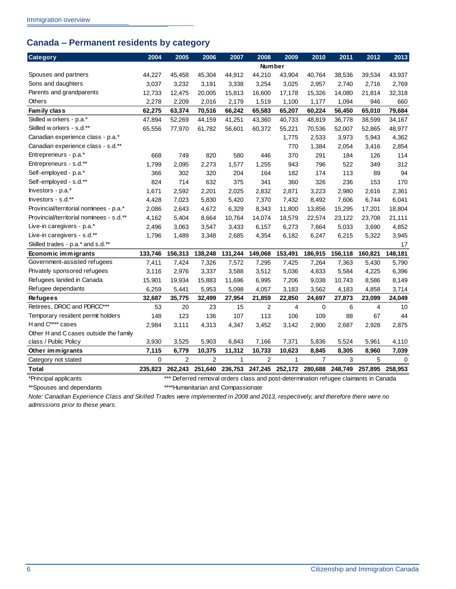## <span id="page-9-0"></span>**Canada – Permanent residents by category**

| Category                                 | 2004    | 2005                                                                                 | 2006    | 2007         | 2008            | 2009    | 2010                    | 2011    | 2012           | 2013     |
|------------------------------------------|---------|--------------------------------------------------------------------------------------|---------|--------------|-----------------|---------|-------------------------|---------|----------------|----------|
|                                          |         |                                                                                      |         |              | Number          |         |                         |         |                |          |
| Spouses and partners                     | 44,227  | 45,458                                                                               | 45,304  | 44,912       | 44,210          | 43,904  | 40,764                  | 38,536  | 39,534         | 43,937   |
| Sons and daughters                       | 3,037   | 3,232                                                                                | 3,191   | 3,338        | 3,254           | 3,025   | 2,957                   | 2,740   | 2,716          | 2,769    |
| Parents and grandparents                 | 12,733  | 12,475                                                                               | 20,005  | 15,813       | 16,600          | 17,178  | 15,326                  | 14,080  | 21,814         | 32,318   |
| <b>Others</b>                            | 2,278   | 2,209                                                                                | 2,016   | 2,179        | 1,519           | 1,100   | 1,177                   | 1,094   | 946            | 660      |
| Family class                             | 62,275  | 63,374                                                                               | 70,516  | 66,242       | 65,583          | 65,207  | 60,224                  | 56,450  | 65,010         | 79,684   |
| Skilled w orkers - p.a.*                 | 47,894  | 52,269                                                                               | 44,159  | 41,251       | 43,360          | 40,733  | 48,819                  | 36,778  | 38,599         | 34,167   |
| Skilled w orkers - s.d.**                | 65,556  | 77,970                                                                               | 61,782  | 56,601       | 60,372          | 55,221  | 70,536                  | 52,007  | 52,865         | 48,977   |
| Canadian experience class - p.a.*        |         |                                                                                      |         |              |                 | 1,775   | 2,533                   | 3,973   | 5,943          | 4,362    |
| Canadian experience class - s.d.**       |         |                                                                                      |         |              |                 | 770     | 1,384                   | 2,054   | 3,416          | 2,854    |
| Entrepreneurs - p.a.*                    | 668     | 749                                                                                  | 820     | 580          | 446             | 370     | 291                     | 184     | 126            | 114      |
| Entrepreneurs - s.d.**                   | 1,799   | 2,095                                                                                | 2,273   | 1,577        | 1,255           | 943     | 796                     | 522     | 349            | 312      |
| Self-employed - p.a.*                    | 366     | 302                                                                                  | 320     | 204          | 164             | 182     | 174                     | 113     | 89             | 94       |
| Self-employed - s.d.**                   | 824     | 714                                                                                  | 632     | 375          | 341             | 360     | 326                     | 236     | 153            | 170      |
| Investors - p.a.*                        | 1,671   | 2,592                                                                                | 2,201   | 2,025        | 2,832           | 2,871   | 3,223                   | 2,980   | 2,616          | 2,361    |
| Investors - s.d.**                       | 4,428   | 7,023                                                                                | 5,830   | 5,420        | 7,370           | 7,432   | 8,492                   | 7,606   | 6,744          | 6,041    |
| Provincial/territorial nominees - p.a.*  | 2,086   | 2,643                                                                                | 4,672   | 6,329        | 8,343           | 11,800  | 13,856                  | 15,295  | 17,201         | 18,804   |
| Provincial/territorial nominees - s.d.** | 4,162   | 5,404                                                                                | 8,664   | 10,764       | 14,074          | 18,579  | 22,574                  | 23,122  | 23,708         | 21,111   |
| Live-in caregivers - p.a.*               | 2,496   | 3,063                                                                                | 3,547   | 3,433        | 6,157           | 6,273   | 7,664                   | 5,033   | 3,690          | 4,852    |
| Live-in caregivers - s.d.**              | 1,796   | 1,489                                                                                | 3,348   | 2,685        | 4,354           | 6,182   | 6,247                   | 6,215   | 5,322          | 3,945    |
| Skilled trades - p.a.* and s.d.**        |         |                                                                                      |         |              |                 |         |                         |         |                | 17       |
| Economic immigrants                      | 133,746 | 156,313                                                                              | 138,248 | 131,244      | 149,068         | 153,491 | 186,915                 | 156,118 | 160,821        | 148,181  |
| Government-assisted refugees             | 7,411   | 7,424                                                                                | 7,326   | 7,572        | 7,295           | 7,425   | 7,264                   | 7,363   | 5,430          | 5,790    |
| Privately sponsored refugees             | 3,116   | 2,976                                                                                | 3,337   | 3,588        | 3,512           | 5,036   | 4,833                   | 5,584   | 4,225          | 6,396    |
| Refugees landed in Canada                | 15,901  | 19,934                                                                               | 15,883  | 11,696       | 6,995           | 7,206   | 9,038                   | 10,743  | 8,586          | 8,149    |
| Refugee dependants                       | 6,259   | 5,441                                                                                | 5,953   | 5,098        | 4,057           | 3,183   | 3,562                   | 4,183   | 4,858          | 3,714    |
| <b>Refugees</b>                          | 32,687  | 35,775                                                                               | 32,499  | 27,954       | 21,859          | 22,850  | 24,697                  | 27,873  | 23,099         | 24,049   |
| Retirees, DROC and PDRCC***              | 53      | 20                                                                                   | 23      | 15           | 2               | 4       | 0                       | 6       | $\overline{4}$ | 10       |
| Temporary resident permit holders        | 148     | 123                                                                                  | 136     | 107          | 113             | 106     | 109                     | 88      | 67             | 44       |
| H and C**** cases                        | 2,984   | 3,111                                                                                | 4,313   | 4,347        | 3,452           | 3,142   | 2,900                   | 2,687   | 2,928          | 2,875    |
| Other H and C cases outside the family   |         |                                                                                      |         |              |                 |         |                         |         |                |          |
| class / Public Policy                    | 3,930   | 3,525                                                                                | 5,903   | 6,843        | 7,166           | 7,371   | 5,836                   | 5,524   | 5,961          | 4,110    |
| Other immigrants                         | 7,115   | 6,779                                                                                | 10,375  | 11,312       | 10,733          | 10,623  | 8,845                   | 8,305   | 8,960          | 7,039    |
| Category not stated                      | 0       | 2                                                                                    | 2       | $\mathbf{1}$ | 2               | 1       | $\overline{7}$          | 3       | 5              | $\Omega$ |
| <b>Total</b>                             | 235,823 | 262,243                                                                              | 251,640 |              | 236,753 247,245 |         | 252,172 280,688 248,749 |         | 257,895        | 258,953  |
| *Principal applicants                    |         | *** Deferred removal orders class and post-determination refugee claimants in Canada |         |              |                 |         |                         |         |                |          |

\*\*Spouses and dependants \*\*\*\*Humanitarian and Compassionate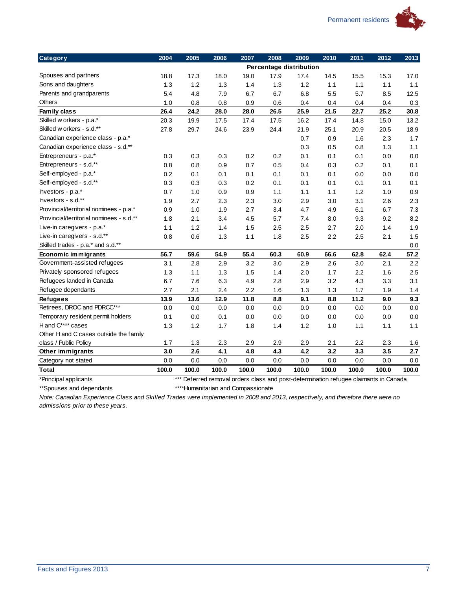

| <b>Category</b>                          | 2004  | 2005  | 2006  | 2007  | 2008                                                                             | 2009  | 2010  | 2011  | 2012  | 2013    |
|------------------------------------------|-------|-------|-------|-------|----------------------------------------------------------------------------------|-------|-------|-------|-------|---------|
|                                          |       |       |       |       | Percentage distribution                                                          |       |       |       |       |         |
| Spouses and partners                     | 18.8  | 17.3  | 18.0  | 19.0  | 17.9                                                                             | 17.4  | 14.5  | 15.5  | 15.3  | 17.0    |
| Sons and daughters                       | 1.3   | 1.2   | 1.3   | 1.4   | 1.3                                                                              | 1.2   | $1.1$ | 1.1   | 1.1   | $1.1$   |
| Parents and grandparents                 | 5.4   | 4.8   | 7.9   | 6.7   | 6.7                                                                              | 6.8   | 5.5   | 5.7   | 8.5   | 12.5    |
| Others                                   | 1.0   | 0.8   | 0.8   | 0.9   | 0.6                                                                              | 0.4   | 0.4   | 0.4   | 0.4   | 0.3     |
| Family class                             | 26.4  | 24.2  | 28.0  | 28.0  | 26.5                                                                             | 25.9  | 21.5  | 22.7  | 25.2  | 30.8    |
| Skilled w orkers - p.a.*                 | 20.3  | 19.9  | 17.5  | 17.4  | 17.5                                                                             | 16.2  | 17.4  | 14.8  | 15.0  | 13.2    |
| Skilled w orkers - s.d.**                | 27.8  | 29.7  | 24.6  | 23.9  | 24.4                                                                             | 21.9  | 25.1  | 20.9  | 20.5  | 18.9    |
| Canadian experience class - p.a.*        |       |       |       |       |                                                                                  | 0.7   | 0.9   | 1.6   | 2.3   | 1.7     |
| Canadian experience class - s.d.**       |       |       |       |       |                                                                                  | 0.3   | 0.5   | 0.8   | 1.3   | 1.1     |
| Entrepreneurs - p.a.*                    | 0.3   | 0.3   | 0.3   | 0.2   | 0.2                                                                              | 0.1   | 0.1   | 0.1   | 0.0   | $0.0\,$ |
| Entrepreneurs - s.d.**                   | 0.8   | 0.8   | 0.9   | 0.7   | 0.5                                                                              | 0.4   | 0.3   | 0.2   | 0.1   | 0.1     |
| Self-employed - p.a.*                    | 0.2   | 0.1   | 0.1   | 0.1   | 0.1                                                                              | 0.1   | 0.1   | 0.0   | 0.0   | 0.0     |
| Self-employed - s.d.**                   | 0.3   | 0.3   | 0.3   | 0.2   | 0.1                                                                              | 0.1   | 0.1   | 0.1   | 0.1   | 0.1     |
| Investors - p.a.*                        | 0.7   | 1.0   | 0.9   | 0.9   | 1.1                                                                              | 1.1   | $1.1$ | 1.2   | 1.0   | 0.9     |
| Investors - s.d.**                       | 1.9   | 2.7   | 2.3   | 2.3   | 3.0                                                                              | 2.9   | 3.0   | 3.1   | 2.6   | 2.3     |
| Provincial/territorial nominees - p.a.*  | 0.9   | 1.0   | 1.9   | 2.7   | 3.4                                                                              | 4.7   | 4.9   | 6.1   | 6.7   | 7.3     |
| Provincial/territorial nominees - s.d.** | 1.8   | 2.1   | 3.4   | 4.5   | 5.7                                                                              | 7.4   | 8.0   | 9.3   | 9.2   | 8.2     |
| Live-in caregivers - p.a.*               | 1.1   | 1.2   | 1.4   | 1.5   | 2.5                                                                              | 2.5   | 2.7   | 2.0   | 1.4   | 1.9     |
| Live-in caregivers - s.d.**              | 0.8   | 0.6   | 1.3   | 1.1   | 1.8                                                                              | 2.5   | 2.2   | 2.5   | 2.1   | 1.5     |
| Skilled trades - p.a.* and s.d.**        |       |       |       |       |                                                                                  |       |       |       |       | 0.0     |
| Economic immigrants                      | 56.7  | 59.6  | 54.9  | 55.4  | 60.3                                                                             | 60.9  | 66.6  | 62.8  | 62.4  | 57.2    |
| Government-assisted refugees             | 3.1   | 2.8   | 2.9   | 3.2   | 3.0                                                                              | 2.9   | 2.6   | 3.0   | 2.1   | 2.2     |
| Privately sponsored refugees             | 1.3   | 1.1   | 1.3   | 1.5   | 1.4                                                                              | 2.0   | 1.7   | 2.2   | 1.6   | 2.5     |
| Refugees landed in Canada                | 6.7   | 7.6   | 6.3   | 4.9   | 2.8                                                                              | 2.9   | 3.2   | 4.3   | 3.3   | 3.1     |
| Refugee dependants                       | 2.7   | 2.1   | 2.4   | 2.2   | 1.6                                                                              | 1.3   | 1.3   | 1.7   | 1.9   | 1.4     |
| <b>Refugees</b>                          | 13.9  | 13.6  | 12.9  | 11.8  | 8.8                                                                              | 9.1   | 8.8   | 11.2  | 9.0   | 9.3     |
| Retirees, DROC and PDRCC***              | 0.0   | 0.0   | 0.0   | 0.0   | 0.0                                                                              | 0.0   | 0.0   | 0.0   | 0.0   | 0.0     |
| Temporary resident permit holders        | 0.1   | 0.0   | 0.1   | 0.0   | 0.0                                                                              | 0.0   | 0.0   | 0.0   | 0.0   | $0.0\,$ |
| H and C**** cases                        | 1.3   | 1.2   | 1.7   | 1.8   | 1.4                                                                              | 1.2   | 1.0   | 1.1   | 1.1   | 1.1     |
| Other H and C cases outside the family   |       |       |       |       |                                                                                  |       |       |       |       |         |
| class / Public Policy                    | 1.7   | 1.3   | 2.3   | 2.9   | 2.9                                                                              | 2.9   | 2.1   | 2.2   | 2.3   | 1.6     |
| Other immigrants                         | 3.0   | 2.6   | 4.1   | 4.8   | 4.3                                                                              | 4.2   | 3.2   | 3.3   | 3.5   | 2.7     |
| Category not stated                      | 0.0   | 0.0   | 0.0   | 0.0   | 0.0                                                                              | 0.0   | 0.0   | 0.0   | 0.0   | 0.0     |
| <b>Total</b>                             | 100.0 | 100.0 | 100.0 | 100.0 | 100.0                                                                            | 100.0 | 100.0 | 100.0 | 100.0 | 100.0   |
| *Principal applicants                    |       | $***$ |       |       | Deferred removal orders class and post-determination refugee claimants in Canada |       |       |       |       |         |

\*\*Spouses and dependants **\*\*\*\*\***Humanitarian and Compassionate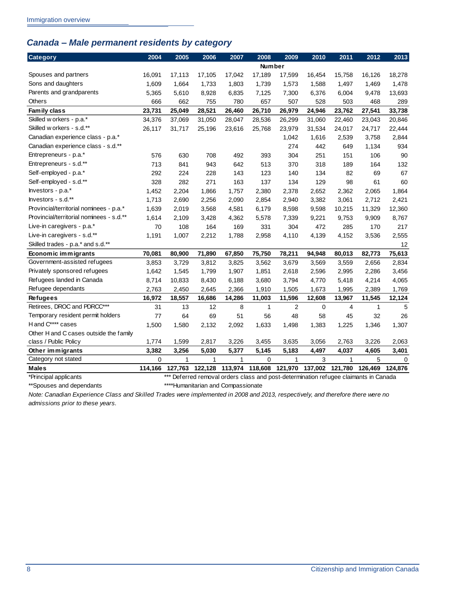## <span id="page-11-0"></span>*Canada – Male permanent residents by category*

| <b>Category</b>                          | 2004        | 2005                                                                                 | 2006         | 2007   | 2008            | 2009           | 2010            | 2011    | 2012    | 2013    |
|------------------------------------------|-------------|--------------------------------------------------------------------------------------|--------------|--------|-----------------|----------------|-----------------|---------|---------|---------|
|                                          |             |                                                                                      |              |        | <b>Number</b>   |                |                 |         |         |         |
| Spouses and partners                     | 16,091      | 17,113                                                                               | 17,105       | 17,042 | 17,189          | 17,599         | 16,454          | 15,758  | 16,126  | 18,278  |
| Sons and daughters                       | 1.609       | 1,664                                                                                | 1,733        | 1,803  | 1,739           | 1,573          | 1,588           | 1,497   | 1,469   | 1,478   |
| Parents and grandparents                 | 5,365       | 5,610                                                                                | 8,928        | 6,835  | 7,125           | 7,300          | 6,376           | 6,004   | 9,478   | 13,693  |
| <b>Others</b>                            | 666         | 662                                                                                  | 755          | 780    | 657             | 507            | 528             | 503     | 468     | 289     |
| Family class                             | 23,731      | 25,049                                                                               | 28,521       | 26,460 | 26,710          | 26,979         | 24,946          | 23,762  | 27,541  | 33,738  |
| Skilled w orkers - p.a.*                 | 34,376      | 37,069                                                                               | 31,050       | 28,047 | 28,536          | 26,299         | 31,060          | 22,460  | 23,043  | 20,846  |
| Skilled w orkers - s.d.**                | 26,117      | 31,717                                                                               | 25,196       | 23,616 | 25,768          | 23,979         | 31,534          | 24,017  | 24,717  | 22,444  |
| Canadian experience class - p.a.*        |             |                                                                                      |              |        |                 | 1,042          | 1,616           | 2,539   | 3,758   | 2,844   |
| Canadian experience class - s.d.**       |             |                                                                                      |              |        |                 | 274            | 442             | 649     | 1,134   | 934     |
| Entrepreneurs - p.a.*                    | 576         | 630                                                                                  | 708          | 492    | 393             | 304            | 251             | 151     | 106     | 90      |
| Entrepreneurs - s.d.**                   | 713         | 841                                                                                  | 943          | 642    | 513             | 370            | 318             | 189     | 164     | 132     |
| Self-employed - p.a.*                    | 292         | 224                                                                                  | 228          | 143    | 123             | 140            | 134             | 82      | 69      | 67      |
| Self-employed - s.d.**                   | 328         | 282                                                                                  | 271          | 163    | 137             | 134            | 129             | 98      | 61      | 60      |
| Investors - p.a.*                        | 1,452       | 2,204                                                                                | 1,866        | 1,757  | 2,380           | 2,378          | 2,652           | 2,362   | 2,065   | 1,864   |
| Investors - s.d.**                       | 1,713       | 2,690                                                                                | 2,256        | 2,090  | 2,854           | 2,940          | 3,382           | 3,061   | 2,712   | 2,421   |
| Provincial/territorial nominees - p.a.*  | 1,639       | 2,019                                                                                | 3,568        | 4,581  | 6,179           | 8,598          | 9,598           | 10,215  | 11,329  | 12,360  |
| Provincial/territorial nominees - s.d.** | 1,614       | 2,109                                                                                | 3,428        | 4,362  | 5,578           | 7,339          | 9,221           | 9,753   | 9,909   | 8,767   |
| Live-in caregivers - p.a.*               | 70          | 108                                                                                  | 164          | 169    | 331             | 304            | 472             | 285     | 170     | 217     |
| Live-in caregivers - s.d.**              | 1,191       | 1,007                                                                                | 2,212        | 1,788  | 2,958           | 4,110          | 4,139           | 4,152   | 3,536   | 2,555   |
| Skilled trades - p.a.* and s.d.**        |             |                                                                                      |              |        |                 |                |                 |         |         | 12      |
| Economic immigrants                      | 70,081      | 80,900                                                                               | 71,890       | 67,850 | 75,750          | 78,211         | 94,948          | 80,013  | 82,773  | 75,613  |
| Government-assisted refugees             | 3,853       | 3,729                                                                                | 3,812        | 3,825  | 3,562           | 3,679          | 3,569           | 3,559   | 2,656   | 2,834   |
| Privately sponsored refugees             | 1,642       | 1,545                                                                                | 1,799        | 1,907  | 1,851           | 2,618          | 2,596           | 2,995   | 2,286   | 3,456   |
| Refugees landed in Canada                | 8,714       | 10,833                                                                               | 8,430        | 6,188  | 3,680           | 3,794          | 4,770           | 5,418   | 4,214   | 4,065   |
| Refugee dependants                       | 2,763       | 2,450                                                                                | 2,645        | 2,366  | 1,910           | 1,505          | 1,673           | 1,995   | 2,389   | 1,769   |
| <b>Refugees</b>                          | 16,972      | 18,557                                                                               | 16,686       | 14,286 | 11,003          | 11,596         | 12,608          | 13,967  | 11,545  | 12,124  |
| Retirees, DROC and PDRCC***              | 31          | 13                                                                                   | 12           | 8      | 1               | $\overline{2}$ | 0               | 4       | 1       | 5       |
| Temporary resident permit holders        | 77          | 64                                                                                   | 69           | 51     | 56              | 48             | 58              | 45      | 32      | 26      |
| H and C**** cases                        | 1,500       | 1,580                                                                                | 2,132        | 2,092  | 1,633           | 1,498          | 1,383           | 1,225   | 1,346   | 1,307   |
| Other H and C cases outside the family   |             |                                                                                      |              |        |                 |                |                 |         |         |         |
| class / Public Policy                    | 1,774       | 1,599                                                                                | 2,817        | 3,226  | 3,455           | 3,635          | 3,056           | 2,763   | 3,226   | 2,063   |
| Other immigrants                         | 3,382       | 3,256                                                                                | 5,030        | 5,377  | 5,145           | 5,183          | 4,497           | 4,037   | 4,605   | 3,401   |
| Category not stated                      | $\mathbf 0$ | 1                                                                                    | $\mathbf{1}$ | 1      | 0               | 1              | 3               | 1       | 5       | 0       |
| <b>Males</b>                             | 114,166     | 127,763                                                                              | 122,128      |        | 113,974 118,608 |                | 121,970 137,002 | 121,780 | 126,469 | 124,876 |
| *Principal applicants                    |             | *** Deferred removal orders class and post-determination refugee claimants in Canada |              |        |                 |                |                 |         |         |         |

\*\*Spouses and dependants \*\*\*\*Humanitarian and Compassionate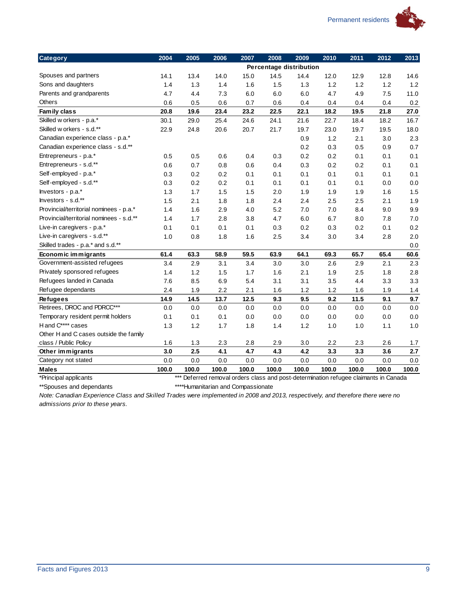

| <b>Category</b>                          | 2004  | 2005  | 2006  | 2007  | 2008                                                                             | 2009    | 2010  | 2011  | 2012  | 2013    |
|------------------------------------------|-------|-------|-------|-------|----------------------------------------------------------------------------------|---------|-------|-------|-------|---------|
|                                          |       |       |       |       | Percentage distribution                                                          |         |       |       |       |         |
| Spouses and partners                     | 14.1  | 13.4  | 14.0  | 15.0  | 14.5                                                                             | 14.4    | 12.0  | 12.9  | 12.8  | 14.6    |
| Sons and daughters                       | 1.4   | 1.3   | 1.4   | 1.6   | 1.5                                                                              | 1.3     | 1.2   | 1.2   | 1.2   | 1.2     |
| Parents and grandparents                 | 4.7   | 4.4   | 7.3   | 6.0   | 6.0                                                                              | 6.0     | 4.7   | 4.9   | 7.5   | 11.0    |
| Others                                   | 0.6   | 0.5   | 0.6   | 0.7   | 0.6                                                                              | 0.4     | 0.4   | 0.4   | 0.4   | 0.2     |
| Family class                             | 20.8  | 19.6  | 23.4  | 23.2  | 22.5                                                                             | 22.1    | 18.2  | 19.5  | 21.8  | 27.0    |
| Skilled w orkers - p.a.*                 | 30.1  | 29.0  | 25.4  | 24.6  | 24.1                                                                             | 21.6    | 22.7  | 18.4  | 18.2  | 16.7    |
| Skilled w orkers - s.d.**                | 22.9  | 24.8  | 20.6  | 20.7  | 21.7                                                                             | 19.7    | 23.0  | 19.7  | 19.5  | 18.0    |
| Canadian experience class - p.a.*        |       |       |       |       |                                                                                  | 0.9     | 1.2   | 2.1   | 3.0   | 2.3     |
| Canadian experience class - s.d.**       |       |       |       |       |                                                                                  | 0.2     | 0.3   | 0.5   | 0.9   | 0.7     |
| Entrepreneurs - p.a.*                    | 0.5   | 0.5   | 0.6   | 0.4   | 0.3                                                                              | 0.2     | 0.2   | 0.1   | 0.1   | 0.1     |
| Entrepreneurs - s.d.**                   | 0.6   | 0.7   | 0.8   | 0.6   | 0.4                                                                              | 0.3     | 0.2   | 0.2   | 0.1   | 0.1     |
| Self-employed - p.a.*                    | 0.3   | 0.2   | 0.2   | 0.1   | 0.1                                                                              | 0.1     | 0.1   | 0.1   | 0.1   | 0.1     |
| Self-employed - s.d.**                   | 0.3   | 0.2   | 0.2   | 0.1   | 0.1                                                                              | 0.1     | 0.1   | 0.1   | 0.0   | $0.0\,$ |
| Investors - p.a.*                        | 1.3   | 1.7   | 1.5   | 1.5   | 2.0                                                                              | 1.9     | 1.9   | 1.9   | 1.6   | 1.5     |
| Investors - s.d.**                       | 1.5   | 2.1   | 1.8   | 1.8   | 2.4                                                                              | 2.4     | 2.5   | 2.5   | 2.1   | 1.9     |
| Provincial/territorial nominees - p.a.*  | 1.4   | 1.6   | 2.9   | 4.0   | 5.2                                                                              | 7.0     | 7.0   | 8.4   | 9.0   | 9.9     |
| Provincial/territorial nominees - s.d.** | 1.4   | 1.7   | 2.8   | 3.8   | 4.7                                                                              | 6.0     | 6.7   | 8.0   | 7.8   | 7.0     |
| Live-in caregivers - p.a.*               | 0.1   | 0.1   | 0.1   | 0.1   | 0.3                                                                              | 0.2     | 0.3   | 0.2   | 0.1   | 0.2     |
| Live-in caregivers - s.d.**              | 1.0   | 0.8   | 1.8   | 1.6   | 2.5                                                                              | 3.4     | 3.0   | 3.4   | 2.8   | 2.0     |
| Skilled trades - p.a.* and s.d.**        |       |       |       |       |                                                                                  |         |       |       |       | 0.0     |
| Economic immigrants                      | 61.4  | 63.3  | 58.9  | 59.5  | 63.9                                                                             | 64.1    | 69.3  | 65.7  | 65.4  | 60.6    |
| Government-assisted refugees             | 3.4   | 2.9   | 3.1   | 3.4   | 3.0                                                                              | 3.0     | 2.6   | 2.9   | 2.1   | 2.3     |
| Privately sponsored refugees             | 1.4   | 1.2   | 1.5   | 1.7   | 1.6                                                                              | 2.1     | 1.9   | 2.5   | 1.8   | 2.8     |
| Refugees landed in Canada                | 7.6   | 8.5   | 6.9   | 5.4   | 3.1                                                                              | 3.1     | 3.5   | 4.4   | 3.3   | 3.3     |
| Refugee dependants                       | 2.4   | 1.9   | 2.2   | 2.1   | 1.6                                                                              | 1.2     | 1.2   | 1.6   | 1.9   | 1.4     |
| <b>Refugees</b>                          | 14.9  | 14.5  | 13.7  | 12.5  | 9.3                                                                              | 9.5     | 9.2   | 11.5  | 9.1   | 9.7     |
| Retirees, DROC and PDRCC***              | 0.0   | 0.0   | 0.0   | 0.0   | 0.0                                                                              | 0.0     | 0.0   | 0.0   | 0.0   | 0.0     |
| Temporary resident permit holders        | 0.1   | 0.1   | 0.1   | 0.0   | 0.0                                                                              | $0.0\,$ | 0.0   | 0.0   | 0.0   | $0.0\,$ |
| H and C**** cases                        | 1.3   | 1.2   | 1.7   | 1.8   | 1.4                                                                              | 1.2     | 1.0   | 1.0   | 1.1   | 1.0     |
| Other H and C cases outside the family   |       |       |       |       |                                                                                  |         |       |       |       |         |
| class / Public Policy                    | 1.6   | 1.3   | 2.3   | 2.8   | 2.9                                                                              | 3.0     | 2.2   | 2.3   | 2.6   | 1.7     |
| Other immigrants                         | 3.0   | 2.5   | 4.1   | 4.7   | 4.3                                                                              | 4.2     | 3.3   | 3.3   | 3.6   | $2.7\,$ |
| Category not stated                      | 0.0   | 0.0   | 0.0   | 0.0   | 0.0                                                                              | 0.0     | 0.0   | 0.0   | 0.0   | 0.0     |
| <b>Males</b>                             | 100.0 | 100.0 | 100.0 | 100.0 | 100.0                                                                            | 100.0   | 100.0 | 100.0 | 100.0 | 100.0   |
| *Principal applicants                    |       | $***$ |       |       | Deferred removal orders class and post-determination refugee claimants in Canada |         |       |       |       |         |

\*\*Spouses and dependants \*\*\*\*Humanitarian and Compassionate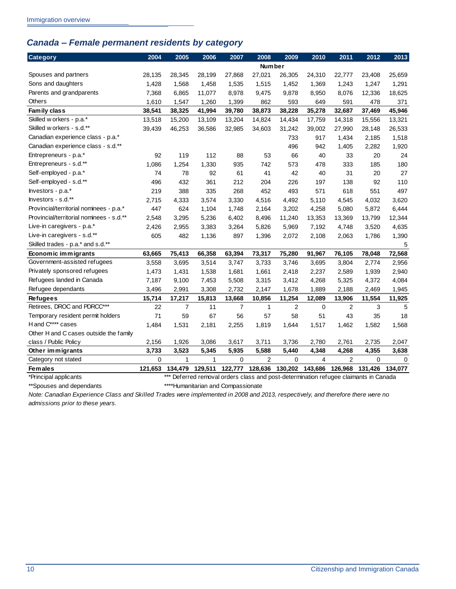## <span id="page-13-0"></span>*Canada – Female permanent residents by category*

| <b>Category</b>                          | 2004    | 2005    | 2006         | 2007    | 2008                                                                                 | 2009   | 2010            | 2011           | 2012            | 2013   |
|------------------------------------------|---------|---------|--------------|---------|--------------------------------------------------------------------------------------|--------|-----------------|----------------|-----------------|--------|
|                                          |         |         |              |         | <b>Number</b>                                                                        |        |                 |                |                 |        |
| Spouses and partners                     | 28,135  | 28,345  | 28,199       | 27,868  | 27,021                                                                               | 26,305 | 24,310          | 22,777         | 23,408          | 25,659 |
| Sons and daughters                       | 1,428   | 1,568   | 1,458        | 1,535   | 1,515                                                                                | 1,452  | 1,369           | 1,243          | 1,247           | 1,291  |
| Parents and grandparents                 | 7,368   | 6,865   | 11,077       | 8,978   | 9,475                                                                                | 9,878  | 8,950           | 8,076          | 12,336          | 18,625 |
| <b>Others</b>                            | 1,610   | 1,547   | 1,260        | 1,399   | 862                                                                                  | 593    | 649             | 591            | 478             | 371    |
| Family class                             | 38,541  | 38,325  | 41,994       | 39,780  | 38,873                                                                               | 38,228 | 35,278          | 32,687         | 37,469          | 45,946 |
| Skilled w orkers - p.a.*                 | 13,518  | 15,200  | 13,109       | 13,204  | 14,824                                                                               | 14,434 | 17,759          | 14,318         | 15,556          | 13,321 |
| Skilled w orkers - s.d.**                | 39,439  | 46,253  | 36,586       | 32,985  | 34,603                                                                               | 31,242 | 39,002          | 27,990         | 28,148          | 26,533 |
| Canadian experience class - p.a.*        |         |         |              |         |                                                                                      | 733    | 917             | 1,434          | 2,185           | 1,518  |
| Canadian experience class - s.d.**       |         |         |              |         |                                                                                      | 496    | 942             | 1,405          | 2,282           | 1,920  |
| Entrepreneurs - p.a.*                    | 92      | 119     | 112          | 88      | 53                                                                                   | 66     | 40              | 33             | 20              | 24     |
| Entrepreneurs - s.d.**                   | 1,086   | 1,254   | 1,330        | 935     | 742                                                                                  | 573    | 478             | 333            | 185             | 180    |
| Self-employed - p.a.*                    | 74      | 78      | 92           | 61      | 41                                                                                   | 42     | 40              | 31             | 20              | 27     |
| Self-employed - s.d.**                   | 496     | 432     | 361          | 212     | 204                                                                                  | 226    | 197             | 138            | 92              | 110    |
| Investors - p.a.*                        | 219     | 388     | 335          | 268     | 452                                                                                  | 493    | 571             | 618            | 551             | 497    |
| Investors - s.d.**                       | 2,715   | 4,333   | 3,574        | 3,330   | 4,516                                                                                | 4,492  | 5,110           | 4,545          | 4,032           | 3,620  |
| Provincial/territorial nominees - p.a.*  | 447     | 624     | 1,104        | 1,748   | 2,164                                                                                | 3,202  | 4,258           | 5,080          | 5,872           | 6,444  |
| Provincial/territorial nominees - s.d.** | 2,548   | 3,295   | 5,236        | 6,402   | 8,496                                                                                | 11,240 | 13,353          | 13,369         | 13,799          | 12,344 |
| Live-in caregivers - p.a.*               | 2,426   | 2,955   | 3,383        | 3,264   | 5,826                                                                                | 5,969  | 7,192           | 4,748          | 3,520           | 4,635  |
| Live-in caregivers - s.d.**              | 605     | 482     | 1,136        | 897     | 1,396                                                                                | 2,072  | 2,108           | 2,063          | 1,786           | 1,390  |
| Skilled trades - p.a.* and s.d.**        |         |         |              |         |                                                                                      |        |                 |                |                 | 5      |
| Economic immigrants                      | 63,665  | 75,413  | 66,358       | 63,394  | 73,317                                                                               | 75,280 | 91,967          | 76,105         | 78,048          | 72,568 |
| Government-assisted refugees             | 3,558   | 3,695   | 3,514        | 3,747   | 3,733                                                                                | 3,746  | 3,695           | 3,804          | 2,774           | 2,956  |
| Privately sponsored refugees             | 1,473   | 1,431   | 1,538        | 1,681   | 1,661                                                                                | 2,418  | 2,237           | 2,589          | 1,939           | 2,940  |
| Refugees landed in Canada                | 7,187   | 9,100   | 7,453        | 5,508   | 3,315                                                                                | 3,412  | 4,268           | 5,325          | 4,372           | 4,084  |
| Refugee dependants                       | 3,496   | 2,991   | 3,308        | 2,732   | 2,147                                                                                | 1,678  | 1,889           | 2,188          | 2,469           | 1,945  |
| <b>Refugees</b>                          | 15,714  | 17,217  | 15,813       | 13,668  | 10,856                                                                               | 11,254 | 12,089          | 13,906         | 11,554          | 11,925 |
| Retirees, DROC and PDRCC***              | 22      | 7       | 11           | 7       | $\mathbf 1$                                                                          | 2      | 0               | 2              | 3               | 5      |
| Temporary resident permit holders        | 71      | 59      | 67           | 56      | 57                                                                                   | 58     | 51              | 43             | 35              | 18     |
| H and C**** cases                        | 1,484   | 1,531   | 2,181        | 2,255   | 1,819                                                                                | 1,644  | 1,517           | 1,462          | 1,582           | 1,568  |
| Other H and C cases outside the family   |         |         |              |         |                                                                                      |        |                 |                |                 |        |
| class / Public Policy                    | 2,156   | 1,926   | 3,086        | 3,617   | 3,711                                                                                | 3,736  | 2,780           | 2,761          | 2,735           | 2,047  |
| Other immigrants                         | 3,733   | 3,523   | 5,345        | 5,935   | 5,588                                                                                | 5,440  | 4,348           | 4,268          | 4,355           | 3,638  |
| Category not stated                      | 0       | 1       | $\mathbf{1}$ | 0       | $\overline{2}$                                                                       | 0      | 4               | $\overline{c}$ | 0               | 0      |
| <b>Females</b>                           | 121,653 | 134,479 | 129,511      | 122,777 | 128,636                                                                              |        | 130,202 143,686 | 126,968        | 131,426 134,077 |        |
| *Principal applicants                    |         |         |              |         | *** Deferred removal orders class and post-determination refugee claimants in Canada |        |                 |                |                 |        |

\*\*Spouses and dependants \*\*\*\*Humanitarian and Compassionate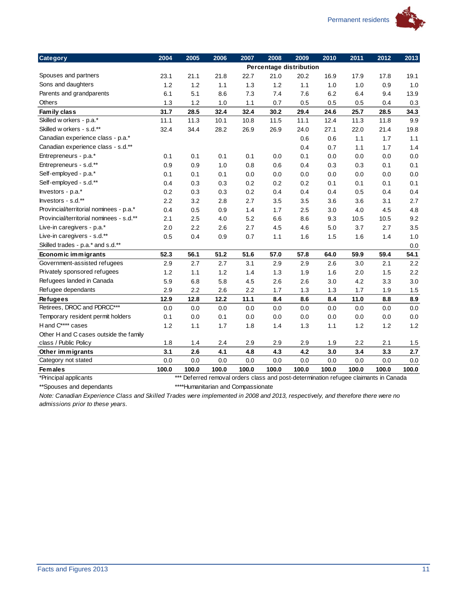

| <b>Category</b>                          | 2004  | 2005  | 2006  | 2007  | 2008                                                                                 | 2009  | 2010  | 2011  | 2012  | 2013    |
|------------------------------------------|-------|-------|-------|-------|--------------------------------------------------------------------------------------|-------|-------|-------|-------|---------|
|                                          |       |       |       |       | Percentage distribution                                                              |       |       |       |       |         |
| Spouses and partners                     | 23.1  | 21.1  | 21.8  | 22.7  | 21.0                                                                                 | 20.2  | 16.9  | 17.9  | 17.8  | 19.1    |
| Sons and daughters                       | 1.2   | 1.2   | 1.1   | 1.3   | 1.2                                                                                  | 1.1   | 1.0   | 1.0   | 0.9   | 1.0     |
| Parents and grandparents                 | 6.1   | 5.1   | 8.6   | 7.3   | 7.4                                                                                  | 7.6   | 6.2   | 6.4   | 9.4   | 13.9    |
| <b>Others</b>                            | 1.3   | 1.2   | 1.0   | 1.1   | 0.7                                                                                  | 0.5   | 0.5   | 0.5   | 0.4   | 0.3     |
| Family class                             | 31.7  | 28.5  | 32.4  | 32.4  | 30.2                                                                                 | 29.4  | 24.6  | 25.7  | 28.5  | 34.3    |
| Skilled w orkers - p.a.*                 | 11.1  | 11.3  | 10.1  | 10.8  | 11.5                                                                                 | 11.1  | 12.4  | 11.3  | 11.8  | 9.9     |
| Skilled w orkers - s.d.**                | 32.4  | 34.4  | 28.2  | 26.9  | 26.9                                                                                 | 24.0  | 27.1  | 22.0  | 21.4  | 19.8    |
| Canadian experience class - p.a.*        |       |       |       |       |                                                                                      | 0.6   | 0.6   | 1.1   | 1.7   | 1.1     |
| Canadian experience class - s.d.**       |       |       |       |       |                                                                                      | 0.4   | 0.7   | 1.1   | 1.7   | 1.4     |
| Entrepreneurs - p.a.*                    | 0.1   | 0.1   | 0.1   | 0.1   | 0.0                                                                                  | 0.1   | 0.0   | 0.0   | 0.0   | 0.0     |
| Entrepreneurs - s.d.**                   | 0.9   | 0.9   | 1.0   | 0.8   | 0.6                                                                                  | 0.4   | 0.3   | 0.3   | 0.1   | 0.1     |
| Self-employed - p.a.*                    | 0.1   | 0.1   | 0.1   | 0.0   | 0.0                                                                                  | 0.0   | 0.0   | 0.0   | 0.0   | 0.0     |
| Self-employed - s.d.**                   | 0.4   | 0.3   | 0.3   | 0.2   | 0.2                                                                                  | 0.2   | 0.1   | 0.1   | 0.1   | 0.1     |
| Investors - p.a.*                        | 0.2   | 0.3   | 0.3   | 0.2   | 0.4                                                                                  | 0.4   | 0.4   | 0.5   | 0.4   | 0.4     |
| Investors - s.d.**                       | 2.2   | 3.2   | 2.8   | 2.7   | 3.5                                                                                  | 3.5   | 3.6   | 3.6   | 3.1   | 2.7     |
| Provincial/territorial nominees - p.a.*  | 0.4   | 0.5   | 0.9   | 1.4   | 1.7                                                                                  | 2.5   | 3.0   | 4.0   | 4.5   | 4.8     |
| Provincial/territorial nominees - s.d.** | 2.1   | 2.5   | 4.0   | 5.2   | 6.6                                                                                  | 8.6   | 9.3   | 10.5  | 10.5  | 9.2     |
| Live-in caregivers - p.a.*               | 2.0   | 2.2   | 2.6   | 2.7   | 4.5                                                                                  | 4.6   | 5.0   | 3.7   | 2.7   | 3.5     |
| Live-in caregivers - s.d.**              | 0.5   | 0.4   | 0.9   | 0.7   | 1.1                                                                                  | 1.6   | 1.5   | 1.6   | 1.4   | 1.0     |
| Skilled trades - p.a.* and s.d.**        |       |       |       |       |                                                                                      |       |       |       |       | 0.0     |
| Economic immigrants                      | 52.3  | 56.1  | 51.2  | 51.6  | 57.0                                                                                 | 57.8  | 64.0  | 59.9  | 59.4  | 54.1    |
| Government-assisted refugees             | 2.9   | 2.7   | 2.7   | 3.1   | 2.9                                                                                  | 2.9   | 2.6   | 3.0   | 2.1   | 2.2     |
| Privately sponsored refugees             | 1.2   | $1.1$ | 1.2   | 1.4   | 1.3                                                                                  | 1.9   | 1.6   | 2.0   | 1.5   | 2.2     |
| Refugees landed in Canada                | 5.9   | 6.8   | 5.8   | 4.5   | 2.6                                                                                  | 2.6   | 3.0   | 4.2   | 3.3   | 3.0     |
| Refugee dependants                       | 2.9   | 2.2   | 2.6   | 2.2   | 1.7                                                                                  | 1.3   | 1.3   | 1.7   | 1.9   | 1.5     |
| <b>Refugees</b>                          | 12.9  | 12.8  | 12.2  | 11.1  | 8.4                                                                                  | 8.6   | 8.4   | 11.0  | 8.8   | 8.9     |
| Retirees, DROC and PDRCC***              | 0.0   | 0.0   | 0.0   | 0.0   | 0.0                                                                                  | 0.0   | 0.0   | 0.0   | 0.0   | 0.0     |
| Temporary resident permit holders        | 0.1   | 0.0   | 0.1   | 0.0   | 0.0                                                                                  | 0.0   | 0.0   | 0.0   | 0.0   | 0.0     |
| H and C**** cases                        | 1.2   | 1.1   | 1.7   | 1.8   | 1.4                                                                                  | 1.3   | 1.1   | 1.2   | 1.2   | 1.2     |
| Other H and C cases outside the family   |       |       |       |       |                                                                                      |       |       |       |       |         |
| class / Public Policy                    | 1.8   | 1.4   | 2.4   | 2.9   | 2.9                                                                                  | 2.9   | 1.9   | 2.2   | 2.1   | 1.5     |
| Other immigrants                         | 3.1   | 2.6   | 4.1   | 4.8   | 4.3                                                                                  | 4.2   | 3.0   | 3.4   | 3.3   | $2.7\,$ |
| Category not stated                      | 0.0   | 0.0   | 0.0   | 0.0   | 0.0                                                                                  | 0.0   | 0.0   | 0.0   | 0.0   | 0.0     |
| <b>Females</b>                           | 100.0 | 100.0 | 100.0 | 100.0 | 100.0                                                                                | 100.0 | 100.0 | 100.0 | 100.0 | 100.0   |
| *Principal applicants                    |       |       |       |       | *** Deferred removal orders class and post-determination refugee claimants in Canada |       |       |       |       |         |

\*\*Spouses and dependants \*\*\*\*Humanitarian and Compassionate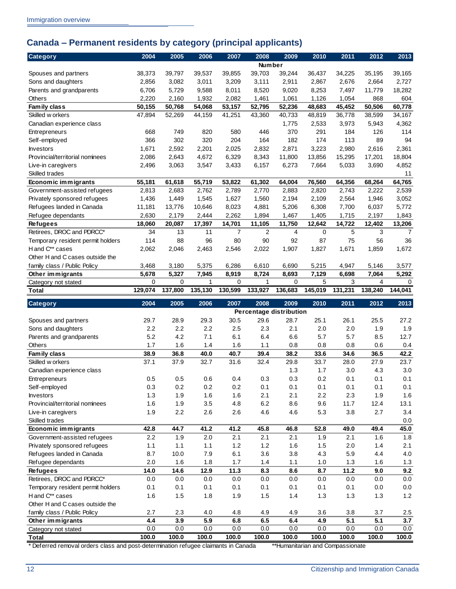## <span id="page-15-0"></span>**Canada – Permanent residents by category (principal applicants)**

| <b>Category</b>                   | 2004         | 2005         | 2006         | 2007           | 2008                      | 2009         | 2010         | 2011         | 2012         | 2013           |
|-----------------------------------|--------------|--------------|--------------|----------------|---------------------------|--------------|--------------|--------------|--------------|----------------|
|                                   |              |              |              |                | <b>Number</b>             |              |              |              |              |                |
| Spouses and partners              | 38,373       | 39,797       | 39,537       | 39,855         | 39,703                    | 39,244       | 36,437       | 34,225       | 35,195       | 39,165         |
| Sons and daughters                | 2,856        | 3,082        | 3,011        | 3,209          | 3,111                     | 2,911        | 2,867        | 2,676        | 2,664        | 2,727          |
| Parents and grandparents          | 6,706        | 5,729        | 9,588        | 8,011          | 8,520                     | 9,020        | 8,253        | 7,497        | 11,779       | 18,282         |
| Others                            | 2,220        | 2,160        | 1,932        | 2,082          | 1,461                     | 1,061        | 1,126        | 1,054        | 868          | 604            |
| Family class                      | 50,155       | 50,768       | 54,068       | 53,157         | 52,795                    | 52,236       | 48,683       | 45,452       | 50,506       | 60,778         |
| Skilled w orkers                  | 47,894       | 52,269       | 44,159       | 41,251         | 43,360                    | 40,733       | 48,819       | 36,778       | 38,599       | 34,167         |
| Canadian experience class         |              |              |              |                |                           | 1,775        | 2,533        | 3,973        | 5,943        | 4,362          |
| Entrepreneurs                     | 668          | 749          | 820          | 580            | 446                       | 370          | 291          | 184          | 126          | 114            |
| Self-employed                     | 366          | 302          | 320          | 204            | 164                       | 182          | 174          | 113          | 89           | 94             |
| <b>Investors</b>                  | 1,671        | 2,592        | 2,201        | 2,025          | 2,832                     | 2,871        | 3,223        | 2,980        | 2,616        | 2,361          |
| Provincial/territorial nominees   | 2,086        | 2,643        | 4,672        | 6,329          | 8,343                     | 11,800       | 13,856       | 15,295       | 17,201       | 18,804         |
| Live-in caregivers                | 2,496        | 3,063        | 3,547        | 3,433          | 6,157                     | 6,273        | 7,664        | 5,033        | 3,690        | 4,852          |
| Skilled trades                    |              |              |              |                |                           |              |              |              |              | 11             |
| Economic immigrants               | 55,181       | 61,618       | 55,719       | 53,822         | 61,302                    | 64,004       | 76,560       | 64,356       | 68,264       | 64,765         |
| Government-assisted refugees      | 2,813        | 2,683        | 2,762        | 2,789          | 2,770                     | 2,883        | 2,820        | 2,743        | 2,222        | 2,539          |
| Privately sponsored refugees      | 1,436        | 1,449        | 1,545        | 1,627          | 1,560                     | 2,194        | 2,109        | 2,564        | 1,946        | 3,052          |
| Refugees landed in Canada         | 11,181       | 13,776       | 10,646       | 8,023          | 4,881                     | 5,206        | 6,308        | 7,700        | 6,037        | 5,772          |
| Refugee dependants                | 2,630        | 2,179        | 2,444        | 2,262          | 1,894                     | 1,467        | 1,405        | 1,715        | 2,197        | 1,843          |
| <b>Refugees</b>                   | 18,060       | 20,087       | 17,397       | 14,701         | 11,105                    | 11,750       | 12,642       | 14,722       | 12,402       | 13,206         |
| Retirees, DROC and PDRCC*         | 34           | 13           | 11           | $\overline{7}$ | 2                         | 4            | 0            | 5            | 3            | $\overline{7}$ |
| Temporary resident permit holders | 114          | 88           | 96           | 80             | 90                        | 92           | 87           | 75           | 56           | 36             |
| H and C** cases                   | 2,062        | 2,046        | 2,463        | 2,546          | 2.022                     | 1,907        | 1,827        | 1,671        | 1,859        | 1,672          |
| Other H and C cases outside the   |              |              |              |                |                           |              |              |              |              |                |
| family class / Public Policy      | 3,468        | 3,180        | 5,375        | 6,286          | 6,610                     | 6,690        | 5,215        | 4,947        | 5,146        | 3,577          |
| Other immigrants                  | 5,678        | 5,327        | 7,945        | 8,919          | 8,724                     | 8,693        | 7,129        | 6,698        | 7,064        | 5,292          |
| Category not stated               | 0            | 0            | 1            | 0              | 1                         | 0            | 5            | 3            | 4            | $\mathbf 0$    |
| Total                             | 129,074      | 137,800      | 135,130      | 130,599        | 133,927                   | 136,683      | 145,019      | 131,231      | 138,240      | 144,041        |
|                                   |              |              |              |                |                           |              |              |              |              |                |
| Category                          | 2004         | 2005         | 2006         | 2007           | 2008                      | 2009         | 2010         | 2011         | 2012         | 2013           |
|                                   |              |              |              |                | Percentage distribution   |              |              |              |              |                |
| Spouses and partners              | 29.7         | 28.9         | 29.3         | 30.5           | 29.6                      | 28.7         | 25.1         | 26.1         | 25.5         | 27.2           |
| Sons and daughters                | 2.2          | 2.2          | 2.2          | 2.5            | 2.3                       | 2.1          | 2.0          | 2.0          | 1.9          | 1.9            |
| Parents and grandparents          | 5.2          | 4.2          | 7.1          | 6.1            | 6.4                       | 6.6          | 5.7          | 5.7          | 8.5          | 12.7           |
| Others                            | 1.7          | 1.6          | 1.4          | 1.6            | 1.1                       | 0.8          | 0.8          | 0.8          | 0.6          | 0.4            |
| Family class                      | 38.9         | 36.8         | 40.0         | 40.7           | 39.4                      | 38.2         | 33.6         | 34.6         | 36.5         | 42.2           |
| Skilled w orkers                  | 37.1         | 37.9         | 32.7         | 31.6           | 32.4                      | 29.8         | 33.7         | 28.0         | 27.9         | 23.7           |
| Canadian experience class         |              |              |              |                |                           | 1.3          | 1.7          | 3.0          | 4.3          | 3.0            |
| <b>Entrepreneurs</b>              | 0.5          | 0.5          | 0.6          | 0.4            | 0.3                       | 0.3          | 0.2          | 0.1          | 0.1          | 0.1            |
| Self-employed                     | $0.3\,$      | 0.2          | 0.2          | 0.2            | 0.1                       | 0.1          | 0.1          | 0.1          | 0.1          | 0.1            |
| <b>Investors</b>                  | 1.3          | 1.9          | 1.6          | 1.6            | 2.1                       | 2.1          | 2.2          | 2.3          | 1.9          | 1.6            |
| Provincial/territorial nominees   | 1.6          | 1.9          | 3.5          | 4.8            | 6.2                       | 8.6          | 9.6          | 11.7         | 12.4         | 13.1           |
| Live-in caregivers                | 1.9          | 2.2          | 2.6          | 2.6            | 4.6                       | 4.6          | 5.3          | 3.8          | 2.7          | 3.4            |
| Skilled trades                    |              |              |              |                |                           |              |              |              |              | $0.0\,$        |
| Economic immigrants               | 42.8         | 44.7         | 41.2         | 41.2           | 45.8                      | 46.8         | 52.8         | 49.0         | 49.4         | 45.0           |
| Government-assisted refugees      | 2.2          | 1.9          | 2.0          | 2.1            | 2.1                       | 2.1          | 1.9          | 2.1          | 1.6          | 1.8            |
| Privately sponsored refugees      | 1.1          | 1.1          | 1.1          | 1.2            | 1.2                       | 1.6          | $1.5$        | 2.0          | 1.4          | 2.1            |
| Refugees landed in Canada         | 8.7          | 10.0         | 7.9          | 6.1            | 3.6                       | 3.8          | 4.3          | 5.9          | 4.4          | $4.0\,$        |
| Refugee dependants                | 2.0          | 1.6          | 1.8          | 1.7            | 1.4                       | 1.1          | 1.0          | 1.3          | 1.6          | 1.3            |
| <b>Refugees</b>                   | 14.0         | 14.6         | 12.9         | 11.3           | 8.3                       | 8.6          | 8.7          | 11.2         | 9.0          | 9.2            |
| Retirees, DROC and PDRCC*         | $0.0\,$      | $0.0\,$      | $0.0\,$      | 0.0            | $0.0\,$                   | 0.0          | 0.0          | 0.0          | 0.0          | 0.0            |
| Temporary resident permit holders | 0.1          | 0.1          | 0.1          | 0.1            | 0.1                       | 0.1          | 0.1          | 0.1          | $0.0\,$      | $0.0\,$        |
| H and C** cases                   | 1.6          | 1.5          | 1.8          | 1.9            | 1.5                       | 1.4          | $1.3$        | $1.3$        | $1.3$        | $1.2$          |
| Other H and C cases outside the   |              |              |              |                |                           |              |              |              |              |                |
| family class / Public Policy      | 2.7          | 2.3          | 4.0          | 4.8            | 4.9                       | 4.9          | 3.6          | 3.8          | 3.7          | $2.5\,$        |
| Other immigrants                  | 4.4          | 3.9          | 5.9          | 6.8            | 6.5                       | 6.4          | 4.9          | 5.1          | 5.1          | 3.7            |
| Category not stated               | 0.0<br>100.0 | 0.0<br>100.0 | 0.0<br>100.0 | 0.0<br>100.0   | 0.0<br>$\overline{100.0}$ | 0.0<br>100.0 | 0.0<br>100.0 | 0.0<br>100.0 | 0.0<br>100.0 | 0.0<br>100.0   |

\* Deferred removal orders class and post-determination refugee claimants in Canada \*\*Humanitarian and Compassionate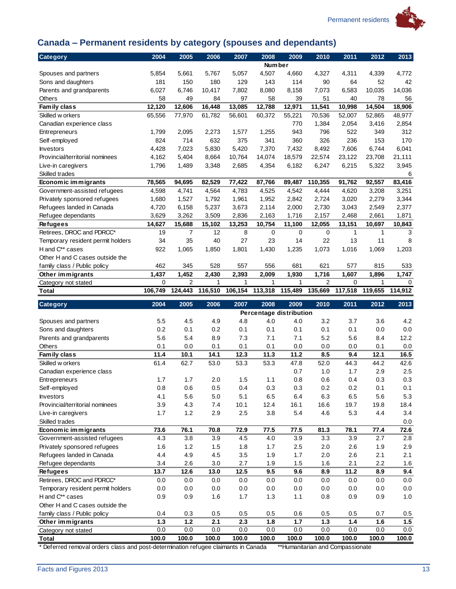

## <span id="page-16-0"></span>**Canada – Permanent residents by category (spouses and dependants)**

| <b>Category</b>                   | 2004    | 2005           | 2006    | 2007    | 2008                           | 2009    | 2010           | 2011         | 2012         | 2013    |
|-----------------------------------|---------|----------------|---------|---------|--------------------------------|---------|----------------|--------------|--------------|---------|
|                                   |         |                |         |         | <b>Number</b>                  |         |                |              |              |         |
| Spouses and partners              | 5,854   | 5,661          | 5,767   | 5,057   | 4,507                          | 4,660   | 4,327          | 4,311        | 4,339        | 4,772   |
| Sons and daughters                | 181     | 150            | 180     | 129     | 143                            | 114     | 90             | 64           | 52           | 42      |
| Parents and grandparents          | 6,027   | 6,746          | 10,417  | 7,802   | 8,080                          | 8,158   | 7,073          | 6,583        | 10,035       | 14,036  |
| <b>Others</b>                     | 58      | 49             | 84      | 97      | 58                             | 39      | 51             | 40           | 78           | 56      |
| Family class                      | 12,120  | 12,606         | 16,448  | 13,085  | 12,788                         | 12,971  | 11,541         | 10,998       | 14,504       | 18.906  |
| Skilled w orkers                  | 65,556  | 77,970         | 61,782  | 56,601  | 60,372                         | 55,221  | 70,536         | 52,007       | 52,865       | 48,977  |
| Canadian experience class         |         |                |         |         |                                | 770     | 1,384          | 2,054        | 3,416        | 2,854   |
| Entrepreneurs                     | 1,799   | 2,095          | 2,273   | 1,577   | 1,255                          | 943     | 796            | 522          | 349          | 312     |
| Self-employed                     | 824     | 714            | 632     | 375     | 341                            | 360     | 326            | 236          | 153          | 170     |
| <b>Investors</b>                  | 4,428   | 7,023          | 5,830   | 5,420   | 7,370                          | 7,432   | 8,492          | 7,606        | 6,744        | 6,041   |
| Provincial/territorial nominees   | 4,162   | 5.404          | 8,664   | 10,764  | 14,074                         | 18,579  | 22,574         | 23,122       | 23,708       | 21,111  |
| Live-in caregivers                | 1,796   | 1,489          | 3,348   | 2,685   | 4,354                          | 6,182   | 6,247          | 6,215        | 5,322        | 3,945   |
| Skilled trades                    |         |                |         |         |                                |         |                |              |              | 6       |
| Economic immigrants               | 78,565  | 94,695         | 82,529  | 77,422  | 87,766                         | 89,487  | 110,355        | 91,762       | 92,557       | 83,416  |
| Government-assisted refugees      | 4,598   | 4,741          | 4,564   | 4,783   | 4,525                          | 4,542   | 4,444          | 4,620        | 3,208        | 3,251   |
| Privately sponsored refugees      | 1,680   | 1,527          | 1,792   | 1,961   | 1,952                          | 2,842   | 2,724          | 3,020        | 2,279        | 3,344   |
| Refugees landed in Canada         | 4,720   | 6,158          | 5,237   | 3,673   | 2,114                          | 2,000   | 2,730          | 3,043        | 2,549        | 2,377   |
| Refugee dependants                | 3,629   | 3,262          | 3,509   | 2,836   | 2,163                          | 1,716   | 2,157          | 2,468        | 2,661        | 1,871   |
| <b>Refugees</b>                   | 14,627  | 15,688         | 15,102  | 13,253  | 10,754                         | 11,100  | 12,055         | 13,151       | 10,697       | 10,843  |
| Retirees, DROC and PDRCC*         | 19      | 7              | 12      | 8       | $\mathbf 0$                    | 0       | $\mathbf 0$    | $\mathbf{1}$ | $\mathbf{1}$ | 3       |
| Temporary resident permit holders | 34      | 35             | 40      | 27      | 23                             | 14      | 22             | 13           | 11           | 8       |
| H and C** cases                   | 922     | 1,065          | 1,850   | 1,801   | 1,430                          | 1,235   | 1,073          | 1,016        | 1,069        | 1,203   |
| Other H and C cases outside the   |         |                |         |         |                                |         |                |              |              |         |
| family class / Public policy      | 462     | 345            | 528     | 557     | 556                            | 681     | 621            | 577          | 815          | 533     |
| Other immigrants                  | 1,437   | 1,452          | 2,430   | 2,393   | 2,009                          | 1,930   | 1,716          | 1,607        | 1,896        | 1,747   |
| Category not stated               | 0       | $\overline{2}$ | 1       | 1       | 1                              | 1       | $\overline{2}$ | 0            | 1            | 0       |
| Total                             | 106,749 | 124,443        | 116,510 | 106,154 | 113,318                        | 115,489 | 135,669        | 117,518      | 119,655      | 114,912 |
|                                   |         |                |         |         |                                |         |                |              |              |         |
| Category                          | 2004    | 2005           | 2006    | 2007    | 2008                           | 2009    | 2010           | 2011         | 2012         | 2013    |
|                                   |         |                |         |         |                                |         |                |              |              |         |
| Spouses and partners              | 5.5     | 4.5            | 4.9     | 4.8     | Percentage distribution<br>4.0 | 4.0     | 3.2            | 3.7          | 3.6          | 4.2     |
| Sons and daughters                | 0.2     | 0.1            | 0.2     | 0.1     | 0.1                            | 0.1     | 0.1            | 0.1          | 0.0          | 0.0     |
| Parents and grandparents          | 5.6     | 5.4            | 8.9     | 7.3     | 7.1                            | 7.1     | 5.2            | 5.6          | 8.4          | 12.2    |
| Others                            | 0.1     | 0.0            | 0.1     | 0.1     | 0.1                            | 0.0     | 0.0            | 0.0          | 0.1          | 0.0     |
| Family class                      | 11.4    | 10.1           | 14.1    | 12.3    | 11.3                           | 11.2    | 8.5            | 9.4          | 12.1         | 16.5    |
| Skilled w orkers                  | 61.4    | 62.7           | 53.0    | 53.3    | 53.3                           | 47.8    | 52.0           | 44.3         | 44.2         | 42.6    |
| Canadian experience class         |         |                |         |         |                                | 0.7     | 1.0            | 1.7          | 2.9          | 2.5     |
| <b>Entrepreneurs</b>              | 1.7     | 1.7            | 2.0     | 1.5     | 1.1                            | 0.8     | 0.6            | 0.4          | 0.3          | 0.3     |
| Self-employed                     | 0.8     | 0.6            | 0.5     | 0.4     | 0.3                            | 0.3     | 0.2            | 0.2          | 0.1          | 0.1     |
| <b>Investors</b>                  | 4.1     | 5.6            | 5.0     | 5.1     | 6.5                            | 6.4     | 6.3            | 6.5          | 5.6          | 5.3     |
| Provincial/territorial nominees   | 3.9     | 4.3            | 7.4     | 10.1    | 12.4                           | 16.1    | 16.6           | 19.7         | 19.8         | 18.4    |
| Live-in caregivers                | 1.7     | $1.2$          | 2.9     | 2.5     | 3.8                            | 5.4     | 4.6            | 5.3          | 4.4          | 3.4     |
| Skilled trades                    |         |                |         |         |                                |         |                |              |              | $0.0\,$ |
| Economic immigrants               | 73.6    | 76.1           | 70.8    | 72.9    | 77.5                           | 77.5    | 81.3           | 78.1         | 77.4         | 72.6    |
| Government-assisted refugees      | 4.3     | 3.8            | 3.9     | 4.5     | 4.0                            | 3.9     | 3.3            | 3.9          | 2.7          | 2.8     |
| Privately sponsored refugees      | 1.6     | 1.2            | 1.5     | 1.8     | 1.7                            | 2.5     | 2.0            | 2.6          | 1.9          | 2.9     |
| Refugees landed in Canada         | 4.4     | 4.9            | 4.5     | 3.5     | 1.9                            | 1.7     | 2.0            | 2.6          | 2.1          | 2.1     |
| Refugee dependants                | 3.4     | 2.6            | 3.0     | 2.7     | 1.9                            | 1.5     | 1.6            | 2.1          | 2.2          | $1.6$   |
| <b>Refugees</b>                   | 13.7    | 12.6           | 13.0    | 12.5    | 9.5                            | 9.6     | 8.9            | 11.2         | 8.9          | 9.4     |
| Retirees, DROC and PDRCC*         | 0.0     | 0.0            | $0.0\,$ | $0.0\,$ | $0.0\,$                        | 0.0     | $0.0\,$        | 0.0          | 0.0          | 0.0     |
| Temporary resident permit holders | 0.0     | 0.0            | $0.0\,$ | $0.0\,$ | $0.0\,$                        | 0.0     | 0.0            | 0.0          | 0.0          | 0.0     |
| H and C** cases                   | 0.9     | 0.9            | 1.6     | 1.7     | 1.3                            | $1.1$   | 0.8            | 0.9          | 0.9          | 1.0     |
| Other H and C cases outside the   |         |                |         |         |                                |         |                |              |              |         |
| family class / Public policy      | 0.4     | 0.3            | 0.5     | 0.5     | 0.5                            | $0.6\,$ | 0.5            | 0.5          | 0.7          | 0.5     |
| Other immigrants                  | 1.3     | 1.2            | 2.1     | 2.3     | 1.8                            | $1.7$   | 1.3            | 1.4          | 1.6          | 1.5     |
| Category not stated               | 0.0     | 0.0            | 0.0     | 0.0     | 0.0<br>$\overline{1}00.0$      | 0.0     | 0.0            | 0.0          | 0.0          | 0.0     |

\* Deferred removal orders class and post-determination refugee claimants in Canada \*\*Humanitarian and Compassionate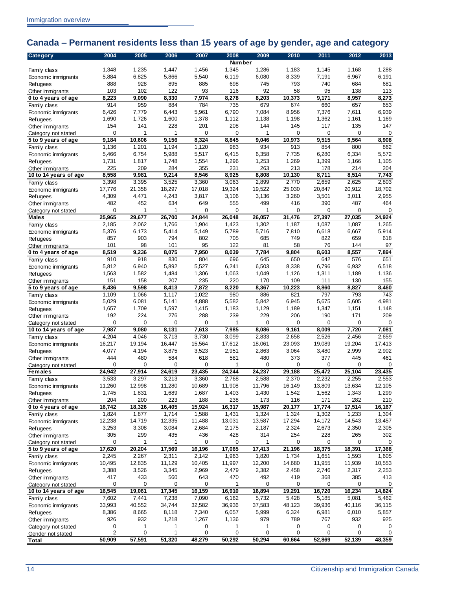## <span id="page-17-0"></span>**Canada – Permanent residents less than 15 years of age by gender, age and category**

| <b>Number</b><br>1,348<br>1,235<br>1,345<br>1,286<br>1,183<br>1,145<br>1,168<br>1,288<br>1,447<br>1,456<br>Family class<br>5,884<br>6,825<br>5,866<br>5,540<br>6,119<br>6,080<br>8,339<br>7,191<br>6,967<br>6,191<br>Economic immigrants<br>928<br>698<br>681<br>888<br>895<br>885<br>745<br>793<br>740<br>684<br><b>Refugees</b><br>103<br>102<br>122<br>93<br>92<br>58<br>95<br>138<br>113<br>116<br>Other immigrants<br>8,223<br>9,090<br>8,330<br>7,974<br>8,278<br>8,203<br>10,373<br>9,171<br>8,957<br>8,273<br>0 to 4 years of age<br>784<br>735<br>653<br>914<br>959<br>884<br>679<br>674<br>660<br>657<br>Family class<br>5,961<br>8,956<br>7,376<br>6,939<br>6,426<br>7,779<br>6,443<br>6,790<br>7,084<br>7,611<br>Economic immigrants<br>1,690<br>1,726<br>1,600<br>1,378<br>1,112<br>1,138<br>1,198<br>1,362<br>1,161<br>1,169<br><b>Refugees</b><br>154<br>228<br>201<br>208<br>117<br>135<br>147<br>141<br>144<br>145<br>Other immigrants<br>$\mathbf 0$<br>0<br>0<br>0<br>0<br>$\Omega$<br>0<br>1<br>1<br>1<br>Category not stated<br>9,515<br>9,184<br>10,606<br>9,156<br>8,324<br>8,845<br>9,046<br>10,973<br>9,564<br>8,908<br>5 to 9 years of age<br>1,201<br>1,194<br>1,120<br>983<br>934<br>800<br>862<br>1,136<br>913<br>854<br>Family class<br>5,466<br>6,754<br>5,988<br>5,517<br>6,415<br>6,358<br>7,735<br>6,280<br>6,334<br>5,572<br>Economic immigrants<br>1,731<br>1,817<br>1,748<br>1,554<br>1,296<br>1,253<br>1,269<br>1,399<br>1,166<br>1,105<br><b>Refugees</b><br>225<br>209<br>284<br>355<br>231<br>263<br>213<br>178<br>214<br>204<br>Other immigrants<br>8,558<br>9,214<br>8,546<br>8,925<br>8,711<br>8,514<br>7,743<br>9,981<br>8,808<br>10,130<br>10 to 14 years of age<br>3,398<br>3,525<br>2,899<br>2,770<br>2,659<br>2,625<br>2,803<br>3,395<br>3,360<br>3,063<br>Family class<br>17,776<br>18,297<br>17,018<br>19,324<br>25,030<br>20,847<br>20,912<br>18,702<br>21,358<br>19,522<br>Economic immigrants<br>4,309<br>4,471<br>4,243<br>3,817<br>3,106<br>3,136<br>3,260<br>3,501<br>3,011<br>2,955<br><b>Refugees</b><br>482<br>452<br>634<br>499<br>416<br>390<br>487<br>464<br>649<br>555<br>Other immigrants<br>$\mathbf 0$<br>1<br>1<br>0<br>0<br>1<br>0<br>0<br>0<br>0<br>Category not stated<br>29,677<br>26,700<br>26,048<br>31,476<br>27,397<br>27,035<br>24,924<br><b>Males</b><br>25,965<br>24,844<br>26,057<br>1,766<br>1,423<br>1,265<br>2,185<br>2,062<br>1,904<br>1,302<br>1,187<br>1,087<br>1,087<br>Family class<br>5,914<br>5,376<br>6,173<br>5,414<br>5,149<br>5,789<br>5,716<br>7,810<br>6,618<br>6,667<br>Economic immigrants<br>618<br>857<br>903<br>794<br>802<br>705<br>685<br>749<br>822<br>659<br><b>Refugees</b><br>122<br>81<br>97<br>101<br>98<br>101<br>95<br>58<br>76<br>144<br>Other immigrants<br>8,519<br>8,075<br>8,557<br>9,236<br>7,950<br>8,039<br>7,784<br>9,804<br>8,603<br>7,894<br>0 to 4 years of age<br>910<br>918<br>830<br>804<br>696<br>645<br>650<br>642<br>576<br>651<br>Family class<br>5,812<br>6,940<br>5,892<br>5,527<br>6,241<br>6,503<br>8,338<br>6,796<br>6,932<br>6,518<br>Economic immigrants<br>1,563<br>1,582<br>1,484<br>1,306<br>1,063<br>1,126<br>1,311<br>1,189<br>1,136<br>1,049<br><b>Refugees</b><br>151<br>158<br>207<br>235<br>220<br>170<br>109<br>130<br>155<br>111<br>Other immigrants<br>8,436<br>9,598<br>7,872<br>8,220<br>8,413<br>8,367<br>10,223<br>8,860<br>8,827<br>8,460<br>5 to 9 years of age<br>980<br>793<br>743<br>1,109<br>1,066<br>1,117<br>1,022<br>886<br>821<br>797<br>Family class<br>5,675<br>5,029<br>6,081<br>5,141<br>5,582<br>6,945<br>5,605<br>4,981<br>4,888<br>5,842<br>Economic immigrants<br>1,657<br>1,709<br>1,597<br>1,183<br>1,129<br>1,347<br>1,151<br>1,148<br>1,415<br>1,189<br><b>Refugees</b><br>224<br>209<br>192<br>276<br>288<br>239<br>229<br>206<br>190<br>171<br>Other immigrants<br>0<br>0<br>0<br>$\mathbf 0$<br>0<br>0<br>0<br>0<br>0<br>1<br>Category not stated<br>8,131<br>7,987<br>9,080<br>7,613<br>7,985<br>8,086<br>9,161<br>8,009<br>7,720<br>7,081<br>10 to 14 years of age<br>3,730<br>4,204<br>4,046<br>3,713<br>3,099<br>2,833<br>2,658<br>2,526<br>2,456<br>2,659<br>Family class<br>16,217<br>19,194<br>16,447<br>15,564<br>17,612<br>18,061<br>23,093<br>19,089<br>19,204<br>17,413<br>Economic immigrants<br>4,077<br>4,194<br>3,875<br>3,523<br>2,951<br>3,064<br>2,999<br>2,902<br>2,863<br>3,480<br><b>Refugees</b><br>444<br>480<br>584<br>618<br>581<br>480<br>373<br>377<br>445<br>461<br>Other immigrants<br>$\Omega$<br>0<br>0<br>0<br>0<br>0<br>0<br>$\Omega$<br>0<br>Category not stated<br>25,104<br>24,942<br>27,914<br>24,619<br>23,435<br>24,244<br>24,237<br>29,188<br>25,472<br>23,435<br><b>Females</b><br>2.553<br>3,297<br>3,360<br>2,768<br>2,370<br>2,232<br>3,533<br>3,213<br>2,588<br>2,255<br>Family class<br>Economic immigrants<br>11,260<br>12,998<br>11,280<br>10,689<br>11,908<br>11,796<br>16,149<br>13,809<br>13,634<br>12,105<br>1,745<br>1,831<br>1,689<br>1,687<br>1,403<br>1,430<br>1,542<br>1,562<br>1,343<br>1,299<br><b>Refugees</b><br>204<br>200<br>223<br>188<br>238<br>173<br>116<br>171<br>282<br>210<br>Other immigrants<br>16,742<br>18,326<br>16,405<br>15,924<br>17,774<br>17,514<br>16,317<br>15,987<br>20,177<br>16,167<br>0 to 4 years of age<br>1,304<br>1,824<br>1,877<br>1,714<br>1,588<br>1,431<br>1,324<br>1,324<br>1,302<br>1,233<br>Family class<br>13,587<br>14,543<br>13,457<br>12,238<br>14,719<br>12,335<br>11,488<br>13,031<br>17,294<br>14,172<br>Economic immigrants<br>3,253<br>3,308<br>3,084<br>2,684<br>2,175<br>2,187<br>2,324<br>2,673<br>2,350<br>2,305<br><b>Refugees</b><br>305<br>299<br>436<br>428<br>314<br>265<br>302<br>435<br>254<br>228<br>Other immigrants<br>0<br>1<br>1<br>0<br>0<br>0<br>0<br>0<br>0<br>1<br>Category not stated<br>17,620<br>20,204<br>17,569<br>16,196<br>17,065<br>17,413<br>21,196<br>18,375<br>18,391<br>17,368<br>5 to 9 years of age<br>1,734<br>1,605<br>2,245<br>2,267<br>2,311<br>2,142<br>1,963<br>1,820<br>1,651<br>1,593<br>Family class<br>11,129<br>11,997<br>10,553<br>10,495<br>12,835<br>10,405<br>12,200<br>14,680<br>11,955<br>11,939<br>Economic immigrants<br>3,388<br>3,526<br>3,345<br>2,969<br>2,746<br>2,317<br>2,479<br>2,382<br>2,458<br>2,253<br><b>Refugees</b><br>417<br>433<br>560<br>643<br>470<br>492<br>368<br>385<br>413<br>419<br>Other immigrants<br>0<br>0<br>0<br>0<br>0<br>0<br>0<br>0<br>1<br>0<br>Category not stated<br>16,545<br>17,345<br>19,061<br>16,159<br>16,910<br>16,894<br>19,291<br>16,720<br>16,234<br>14,824<br>10 to 14 years of age<br>7,238<br>7,090<br>5,081<br>7,602<br>7,441<br>6,162<br>5,732<br>5,428<br>5,185<br>5,462<br>Family class<br>33,993<br>40,552<br>34,744<br>32,582<br>36,936<br>37,583<br>48,123<br>39,936<br>40,116<br>36,115<br>Economic immigrants<br>8,118<br>7,340<br>6,324<br>6,981<br>6,010<br>5,857<br>8,386<br>8,665<br>6,057<br>5,999<br><b>Refugees</b><br>926<br>932<br>1,218<br>1,267<br>1,136<br>979<br>932<br>925<br>789<br>767<br>Other immigrants<br>0<br>0<br>1<br>1<br>1<br>0<br>0<br>0<br>1<br>0<br>Category not stated<br>$\overline{2}$<br>0<br>1<br>0<br>0<br>0<br>0<br>0<br>0<br>0<br>Gender not stated | Category     | 2004   | 2005   | 2006   | 2007   | 2008   | 2009   | 2010   | 2011   | 2012   | 2013   |
|----------------------------------------------------------------------------------------------------------------------------------------------------------------------------------------------------------------------------------------------------------------------------------------------------------------------------------------------------------------------------------------------------------------------------------------------------------------------------------------------------------------------------------------------------------------------------------------------------------------------------------------------------------------------------------------------------------------------------------------------------------------------------------------------------------------------------------------------------------------------------------------------------------------------------------------------------------------------------------------------------------------------------------------------------------------------------------------------------------------------------------------------------------------------------------------------------------------------------------------------------------------------------------------------------------------------------------------------------------------------------------------------------------------------------------------------------------------------------------------------------------------------------------------------------------------------------------------------------------------------------------------------------------------------------------------------------------------------------------------------------------------------------------------------------------------------------------------------------------------------------------------------------------------------------------------------------------------------------------------------------------------------------------------------------------------------------------------------------------------------------------------------------------------------------------------------------------------------------------------------------------------------------------------------------------------------------------------------------------------------------------------------------------------------------------------------------------------------------------------------------------------------------------------------------------------------------------------------------------------------------------------------------------------------------------------------------------------------------------------------------------------------------------------------------------------------------------------------------------------------------------------------------------------------------------------------------------------------------------------------------------------------------------------------------------------------------------------------------------------------------------------------------------------------------------------------------------------------------------------------------------------------------------------------------------------------------------------------------------------------------------------------------------------------------------------------------------------------------------------------------------------------------------------------------------------------------------------------------------------------------------------------------------------------------------------------------------------------------------------------------------------------------------------------------------------------------------------------------------------------------------------------------------------------------------------------------------------------------------------------------------------------------------------------------------------------------------------------------------------------------------------------------------------------------------------------------------------------------------------------------------------------------------------------------------------------------------------------------------------------------------------------------------------------------------------------------------------------------------------------------------------------------------------------------------------------------------------------------------------------------------------------------------------------------------------------------------------------------------------------------------------------------------------------------------------------------------------------------------------------------------------------------------------------------------------------------------------------------------------------------------------------------------------------------------------------------------------------------------------------------------------------------------------------------------------------------------------------------------------------------------------------------------------------------------------------------------------------------------------------------------------------------------------------------------------------------------------------------------------------------------------------------------------------------------------------------------------------------------------------------------------------------------------------------------------------------------------------------------------------------------------------------------------------------------------------------------------------------------------------------------------------------------------------------------------------------------------------------------------------------------------------------------------------------------------------------------------------------------------------------------------------------------------------------------------------------------------------------------------------------------------------------------------------------------------------------------------------------------------------------------------------------------------------------------------------------------------------------------------------------------------------------------------------------------------------------------------------------------------------------------------------------------------------------------------------------------------------------------------------------------------------------------------------------------------------------------------------------------------------------------------------------------------------------------------------------------------------------------------------------------------------------------------------------------------------------------------------------------------------------------------------------------------------------------------------------|--------------|--------|--------|--------|--------|--------|--------|--------|--------|--------|--------|
|                                                                                                                                                                                                                                                                                                                                                                                                                                                                                                                                                                                                                                                                                                                                                                                                                                                                                                                                                                                                                                                                                                                                                                                                                                                                                                                                                                                                                                                                                                                                                                                                                                                                                                                                                                                                                                                                                                                                                                                                                                                                                                                                                                                                                                                                                                                                                                                                                                                                                                                                                                                                                                                                                                                                                                                                                                                                                                                                                                                                                                                                                                                                                                                                                                                                                                                                                                                                                                                                                                                                                                                                                                                                                                                                                                                                                                                                                                                                                                                                                                                                                                                                                                                                                                                                                                                                                                                                                                                                                                                                                                                                                                                                                                                                                                                                                                                                                                                                                                                                                                                                                                                                                                                                                                                                                                                                                                                                                                                                                                                                                                                                                                                                                                                                                                                                                                                                                                                                                                                                                                                                                                                                                                                                                                                                                                                                                                                                                                                                                                                                                                                                                                                                                                                                                                                                                                                                                                                                                                                                                                                                                                                                                                                                    |              |        |        |        |        |        |        |        |        |        |        |
|                                                                                                                                                                                                                                                                                                                                                                                                                                                                                                                                                                                                                                                                                                                                                                                                                                                                                                                                                                                                                                                                                                                                                                                                                                                                                                                                                                                                                                                                                                                                                                                                                                                                                                                                                                                                                                                                                                                                                                                                                                                                                                                                                                                                                                                                                                                                                                                                                                                                                                                                                                                                                                                                                                                                                                                                                                                                                                                                                                                                                                                                                                                                                                                                                                                                                                                                                                                                                                                                                                                                                                                                                                                                                                                                                                                                                                                                                                                                                                                                                                                                                                                                                                                                                                                                                                                                                                                                                                                                                                                                                                                                                                                                                                                                                                                                                                                                                                                                                                                                                                                                                                                                                                                                                                                                                                                                                                                                                                                                                                                                                                                                                                                                                                                                                                                                                                                                                                                                                                                                                                                                                                                                                                                                                                                                                                                                                                                                                                                                                                                                                                                                                                                                                                                                                                                                                                                                                                                                                                                                                                                                                                                                                                                                    |              |        |        |        |        |        |        |        |        |        |        |
|                                                                                                                                                                                                                                                                                                                                                                                                                                                                                                                                                                                                                                                                                                                                                                                                                                                                                                                                                                                                                                                                                                                                                                                                                                                                                                                                                                                                                                                                                                                                                                                                                                                                                                                                                                                                                                                                                                                                                                                                                                                                                                                                                                                                                                                                                                                                                                                                                                                                                                                                                                                                                                                                                                                                                                                                                                                                                                                                                                                                                                                                                                                                                                                                                                                                                                                                                                                                                                                                                                                                                                                                                                                                                                                                                                                                                                                                                                                                                                                                                                                                                                                                                                                                                                                                                                                                                                                                                                                                                                                                                                                                                                                                                                                                                                                                                                                                                                                                                                                                                                                                                                                                                                                                                                                                                                                                                                                                                                                                                                                                                                                                                                                                                                                                                                                                                                                                                                                                                                                                                                                                                                                                                                                                                                                                                                                                                                                                                                                                                                                                                                                                                                                                                                                                                                                                                                                                                                                                                                                                                                                                                                                                                                                                    |              |        |        |        |        |        |        |        |        |        |        |
|                                                                                                                                                                                                                                                                                                                                                                                                                                                                                                                                                                                                                                                                                                                                                                                                                                                                                                                                                                                                                                                                                                                                                                                                                                                                                                                                                                                                                                                                                                                                                                                                                                                                                                                                                                                                                                                                                                                                                                                                                                                                                                                                                                                                                                                                                                                                                                                                                                                                                                                                                                                                                                                                                                                                                                                                                                                                                                                                                                                                                                                                                                                                                                                                                                                                                                                                                                                                                                                                                                                                                                                                                                                                                                                                                                                                                                                                                                                                                                                                                                                                                                                                                                                                                                                                                                                                                                                                                                                                                                                                                                                                                                                                                                                                                                                                                                                                                                                                                                                                                                                                                                                                                                                                                                                                                                                                                                                                                                                                                                                                                                                                                                                                                                                                                                                                                                                                                                                                                                                                                                                                                                                                                                                                                                                                                                                                                                                                                                                                                                                                                                                                                                                                                                                                                                                                                                                                                                                                                                                                                                                                                                                                                                                                    |              |        |        |        |        |        |        |        |        |        |        |
|                                                                                                                                                                                                                                                                                                                                                                                                                                                                                                                                                                                                                                                                                                                                                                                                                                                                                                                                                                                                                                                                                                                                                                                                                                                                                                                                                                                                                                                                                                                                                                                                                                                                                                                                                                                                                                                                                                                                                                                                                                                                                                                                                                                                                                                                                                                                                                                                                                                                                                                                                                                                                                                                                                                                                                                                                                                                                                                                                                                                                                                                                                                                                                                                                                                                                                                                                                                                                                                                                                                                                                                                                                                                                                                                                                                                                                                                                                                                                                                                                                                                                                                                                                                                                                                                                                                                                                                                                                                                                                                                                                                                                                                                                                                                                                                                                                                                                                                                                                                                                                                                                                                                                                                                                                                                                                                                                                                                                                                                                                                                                                                                                                                                                                                                                                                                                                                                                                                                                                                                                                                                                                                                                                                                                                                                                                                                                                                                                                                                                                                                                                                                                                                                                                                                                                                                                                                                                                                                                                                                                                                                                                                                                                                                    |              |        |        |        |        |        |        |        |        |        |        |
|                                                                                                                                                                                                                                                                                                                                                                                                                                                                                                                                                                                                                                                                                                                                                                                                                                                                                                                                                                                                                                                                                                                                                                                                                                                                                                                                                                                                                                                                                                                                                                                                                                                                                                                                                                                                                                                                                                                                                                                                                                                                                                                                                                                                                                                                                                                                                                                                                                                                                                                                                                                                                                                                                                                                                                                                                                                                                                                                                                                                                                                                                                                                                                                                                                                                                                                                                                                                                                                                                                                                                                                                                                                                                                                                                                                                                                                                                                                                                                                                                                                                                                                                                                                                                                                                                                                                                                                                                                                                                                                                                                                                                                                                                                                                                                                                                                                                                                                                                                                                                                                                                                                                                                                                                                                                                                                                                                                                                                                                                                                                                                                                                                                                                                                                                                                                                                                                                                                                                                                                                                                                                                                                                                                                                                                                                                                                                                                                                                                                                                                                                                                                                                                                                                                                                                                                                                                                                                                                                                                                                                                                                                                                                                                                    |              |        |        |        |        |        |        |        |        |        |        |
|                                                                                                                                                                                                                                                                                                                                                                                                                                                                                                                                                                                                                                                                                                                                                                                                                                                                                                                                                                                                                                                                                                                                                                                                                                                                                                                                                                                                                                                                                                                                                                                                                                                                                                                                                                                                                                                                                                                                                                                                                                                                                                                                                                                                                                                                                                                                                                                                                                                                                                                                                                                                                                                                                                                                                                                                                                                                                                                                                                                                                                                                                                                                                                                                                                                                                                                                                                                                                                                                                                                                                                                                                                                                                                                                                                                                                                                                                                                                                                                                                                                                                                                                                                                                                                                                                                                                                                                                                                                                                                                                                                                                                                                                                                                                                                                                                                                                                                                                                                                                                                                                                                                                                                                                                                                                                                                                                                                                                                                                                                                                                                                                                                                                                                                                                                                                                                                                                                                                                                                                                                                                                                                                                                                                                                                                                                                                                                                                                                                                                                                                                                                                                                                                                                                                                                                                                                                                                                                                                                                                                                                                                                                                                                                                    |              |        |        |        |        |        |        |        |        |        |        |
|                                                                                                                                                                                                                                                                                                                                                                                                                                                                                                                                                                                                                                                                                                                                                                                                                                                                                                                                                                                                                                                                                                                                                                                                                                                                                                                                                                                                                                                                                                                                                                                                                                                                                                                                                                                                                                                                                                                                                                                                                                                                                                                                                                                                                                                                                                                                                                                                                                                                                                                                                                                                                                                                                                                                                                                                                                                                                                                                                                                                                                                                                                                                                                                                                                                                                                                                                                                                                                                                                                                                                                                                                                                                                                                                                                                                                                                                                                                                                                                                                                                                                                                                                                                                                                                                                                                                                                                                                                                                                                                                                                                                                                                                                                                                                                                                                                                                                                                                                                                                                                                                                                                                                                                                                                                                                                                                                                                                                                                                                                                                                                                                                                                                                                                                                                                                                                                                                                                                                                                                                                                                                                                                                                                                                                                                                                                                                                                                                                                                                                                                                                                                                                                                                                                                                                                                                                                                                                                                                                                                                                                                                                                                                                                                    |              |        |        |        |        |        |        |        |        |        |        |
|                                                                                                                                                                                                                                                                                                                                                                                                                                                                                                                                                                                                                                                                                                                                                                                                                                                                                                                                                                                                                                                                                                                                                                                                                                                                                                                                                                                                                                                                                                                                                                                                                                                                                                                                                                                                                                                                                                                                                                                                                                                                                                                                                                                                                                                                                                                                                                                                                                                                                                                                                                                                                                                                                                                                                                                                                                                                                                                                                                                                                                                                                                                                                                                                                                                                                                                                                                                                                                                                                                                                                                                                                                                                                                                                                                                                                                                                                                                                                                                                                                                                                                                                                                                                                                                                                                                                                                                                                                                                                                                                                                                                                                                                                                                                                                                                                                                                                                                                                                                                                                                                                                                                                                                                                                                                                                                                                                                                                                                                                                                                                                                                                                                                                                                                                                                                                                                                                                                                                                                                                                                                                                                                                                                                                                                                                                                                                                                                                                                                                                                                                                                                                                                                                                                                                                                                                                                                                                                                                                                                                                                                                                                                                                                                    |              |        |        |        |        |        |        |        |        |        |        |
|                                                                                                                                                                                                                                                                                                                                                                                                                                                                                                                                                                                                                                                                                                                                                                                                                                                                                                                                                                                                                                                                                                                                                                                                                                                                                                                                                                                                                                                                                                                                                                                                                                                                                                                                                                                                                                                                                                                                                                                                                                                                                                                                                                                                                                                                                                                                                                                                                                                                                                                                                                                                                                                                                                                                                                                                                                                                                                                                                                                                                                                                                                                                                                                                                                                                                                                                                                                                                                                                                                                                                                                                                                                                                                                                                                                                                                                                                                                                                                                                                                                                                                                                                                                                                                                                                                                                                                                                                                                                                                                                                                                                                                                                                                                                                                                                                                                                                                                                                                                                                                                                                                                                                                                                                                                                                                                                                                                                                                                                                                                                                                                                                                                                                                                                                                                                                                                                                                                                                                                                                                                                                                                                                                                                                                                                                                                                                                                                                                                                                                                                                                                                                                                                                                                                                                                                                                                                                                                                                                                                                                                                                                                                                                                                    |              |        |        |        |        |        |        |        |        |        |        |
|                                                                                                                                                                                                                                                                                                                                                                                                                                                                                                                                                                                                                                                                                                                                                                                                                                                                                                                                                                                                                                                                                                                                                                                                                                                                                                                                                                                                                                                                                                                                                                                                                                                                                                                                                                                                                                                                                                                                                                                                                                                                                                                                                                                                                                                                                                                                                                                                                                                                                                                                                                                                                                                                                                                                                                                                                                                                                                                                                                                                                                                                                                                                                                                                                                                                                                                                                                                                                                                                                                                                                                                                                                                                                                                                                                                                                                                                                                                                                                                                                                                                                                                                                                                                                                                                                                                                                                                                                                                                                                                                                                                                                                                                                                                                                                                                                                                                                                                                                                                                                                                                                                                                                                                                                                                                                                                                                                                                                                                                                                                                                                                                                                                                                                                                                                                                                                                                                                                                                                                                                                                                                                                                                                                                                                                                                                                                                                                                                                                                                                                                                                                                                                                                                                                                                                                                                                                                                                                                                                                                                                                                                                                                                                                                    |              |        |        |        |        |        |        |        |        |        |        |
|                                                                                                                                                                                                                                                                                                                                                                                                                                                                                                                                                                                                                                                                                                                                                                                                                                                                                                                                                                                                                                                                                                                                                                                                                                                                                                                                                                                                                                                                                                                                                                                                                                                                                                                                                                                                                                                                                                                                                                                                                                                                                                                                                                                                                                                                                                                                                                                                                                                                                                                                                                                                                                                                                                                                                                                                                                                                                                                                                                                                                                                                                                                                                                                                                                                                                                                                                                                                                                                                                                                                                                                                                                                                                                                                                                                                                                                                                                                                                                                                                                                                                                                                                                                                                                                                                                                                                                                                                                                                                                                                                                                                                                                                                                                                                                                                                                                                                                                                                                                                                                                                                                                                                                                                                                                                                                                                                                                                                                                                                                                                                                                                                                                                                                                                                                                                                                                                                                                                                                                                                                                                                                                                                                                                                                                                                                                                                                                                                                                                                                                                                                                                                                                                                                                                                                                                                                                                                                                                                                                                                                                                                                                                                                                                    |              |        |        |        |        |        |        |        |        |        |        |
|                                                                                                                                                                                                                                                                                                                                                                                                                                                                                                                                                                                                                                                                                                                                                                                                                                                                                                                                                                                                                                                                                                                                                                                                                                                                                                                                                                                                                                                                                                                                                                                                                                                                                                                                                                                                                                                                                                                                                                                                                                                                                                                                                                                                                                                                                                                                                                                                                                                                                                                                                                                                                                                                                                                                                                                                                                                                                                                                                                                                                                                                                                                                                                                                                                                                                                                                                                                                                                                                                                                                                                                                                                                                                                                                                                                                                                                                                                                                                                                                                                                                                                                                                                                                                                                                                                                                                                                                                                                                                                                                                                                                                                                                                                                                                                                                                                                                                                                                                                                                                                                                                                                                                                                                                                                                                                                                                                                                                                                                                                                                                                                                                                                                                                                                                                                                                                                                                                                                                                                                                                                                                                                                                                                                                                                                                                                                                                                                                                                                                                                                                                                                                                                                                                                                                                                                                                                                                                                                                                                                                                                                                                                                                                                                    |              |        |        |        |        |        |        |        |        |        |        |
|                                                                                                                                                                                                                                                                                                                                                                                                                                                                                                                                                                                                                                                                                                                                                                                                                                                                                                                                                                                                                                                                                                                                                                                                                                                                                                                                                                                                                                                                                                                                                                                                                                                                                                                                                                                                                                                                                                                                                                                                                                                                                                                                                                                                                                                                                                                                                                                                                                                                                                                                                                                                                                                                                                                                                                                                                                                                                                                                                                                                                                                                                                                                                                                                                                                                                                                                                                                                                                                                                                                                                                                                                                                                                                                                                                                                                                                                                                                                                                                                                                                                                                                                                                                                                                                                                                                                                                                                                                                                                                                                                                                                                                                                                                                                                                                                                                                                                                                                                                                                                                                                                                                                                                                                                                                                                                                                                                                                                                                                                                                                                                                                                                                                                                                                                                                                                                                                                                                                                                                                                                                                                                                                                                                                                                                                                                                                                                                                                                                                                                                                                                                                                                                                                                                                                                                                                                                                                                                                                                                                                                                                                                                                                                                                    |              |        |        |        |        |        |        |        |        |        |        |
|                                                                                                                                                                                                                                                                                                                                                                                                                                                                                                                                                                                                                                                                                                                                                                                                                                                                                                                                                                                                                                                                                                                                                                                                                                                                                                                                                                                                                                                                                                                                                                                                                                                                                                                                                                                                                                                                                                                                                                                                                                                                                                                                                                                                                                                                                                                                                                                                                                                                                                                                                                                                                                                                                                                                                                                                                                                                                                                                                                                                                                                                                                                                                                                                                                                                                                                                                                                                                                                                                                                                                                                                                                                                                                                                                                                                                                                                                                                                                                                                                                                                                                                                                                                                                                                                                                                                                                                                                                                                                                                                                                                                                                                                                                                                                                                                                                                                                                                                                                                                                                                                                                                                                                                                                                                                                                                                                                                                                                                                                                                                                                                                                                                                                                                                                                                                                                                                                                                                                                                                                                                                                                                                                                                                                                                                                                                                                                                                                                                                                                                                                                                                                                                                                                                                                                                                                                                                                                                                                                                                                                                                                                                                                                                                    |              |        |        |        |        |        |        |        |        |        |        |
|                                                                                                                                                                                                                                                                                                                                                                                                                                                                                                                                                                                                                                                                                                                                                                                                                                                                                                                                                                                                                                                                                                                                                                                                                                                                                                                                                                                                                                                                                                                                                                                                                                                                                                                                                                                                                                                                                                                                                                                                                                                                                                                                                                                                                                                                                                                                                                                                                                                                                                                                                                                                                                                                                                                                                                                                                                                                                                                                                                                                                                                                                                                                                                                                                                                                                                                                                                                                                                                                                                                                                                                                                                                                                                                                                                                                                                                                                                                                                                                                                                                                                                                                                                                                                                                                                                                                                                                                                                                                                                                                                                                                                                                                                                                                                                                                                                                                                                                                                                                                                                                                                                                                                                                                                                                                                                                                                                                                                                                                                                                                                                                                                                                                                                                                                                                                                                                                                                                                                                                                                                                                                                                                                                                                                                                                                                                                                                                                                                                                                                                                                                                                                                                                                                                                                                                                                                                                                                                                                                                                                                                                                                                                                                                                    |              |        |        |        |        |        |        |        |        |        |        |
|                                                                                                                                                                                                                                                                                                                                                                                                                                                                                                                                                                                                                                                                                                                                                                                                                                                                                                                                                                                                                                                                                                                                                                                                                                                                                                                                                                                                                                                                                                                                                                                                                                                                                                                                                                                                                                                                                                                                                                                                                                                                                                                                                                                                                                                                                                                                                                                                                                                                                                                                                                                                                                                                                                                                                                                                                                                                                                                                                                                                                                                                                                                                                                                                                                                                                                                                                                                                                                                                                                                                                                                                                                                                                                                                                                                                                                                                                                                                                                                                                                                                                                                                                                                                                                                                                                                                                                                                                                                                                                                                                                                                                                                                                                                                                                                                                                                                                                                                                                                                                                                                                                                                                                                                                                                                                                                                                                                                                                                                                                                                                                                                                                                                                                                                                                                                                                                                                                                                                                                                                                                                                                                                                                                                                                                                                                                                                                                                                                                                                                                                                                                                                                                                                                                                                                                                                                                                                                                                                                                                                                                                                                                                                                                                    |              |        |        |        |        |        |        |        |        |        |        |
|                                                                                                                                                                                                                                                                                                                                                                                                                                                                                                                                                                                                                                                                                                                                                                                                                                                                                                                                                                                                                                                                                                                                                                                                                                                                                                                                                                                                                                                                                                                                                                                                                                                                                                                                                                                                                                                                                                                                                                                                                                                                                                                                                                                                                                                                                                                                                                                                                                                                                                                                                                                                                                                                                                                                                                                                                                                                                                                                                                                                                                                                                                                                                                                                                                                                                                                                                                                                                                                                                                                                                                                                                                                                                                                                                                                                                                                                                                                                                                                                                                                                                                                                                                                                                                                                                                                                                                                                                                                                                                                                                                                                                                                                                                                                                                                                                                                                                                                                                                                                                                                                                                                                                                                                                                                                                                                                                                                                                                                                                                                                                                                                                                                                                                                                                                                                                                                                                                                                                                                                                                                                                                                                                                                                                                                                                                                                                                                                                                                                                                                                                                                                                                                                                                                                                                                                                                                                                                                                                                                                                                                                                                                                                                                                    |              |        |        |        |        |        |        |        |        |        |        |
|                                                                                                                                                                                                                                                                                                                                                                                                                                                                                                                                                                                                                                                                                                                                                                                                                                                                                                                                                                                                                                                                                                                                                                                                                                                                                                                                                                                                                                                                                                                                                                                                                                                                                                                                                                                                                                                                                                                                                                                                                                                                                                                                                                                                                                                                                                                                                                                                                                                                                                                                                                                                                                                                                                                                                                                                                                                                                                                                                                                                                                                                                                                                                                                                                                                                                                                                                                                                                                                                                                                                                                                                                                                                                                                                                                                                                                                                                                                                                                                                                                                                                                                                                                                                                                                                                                                                                                                                                                                                                                                                                                                                                                                                                                                                                                                                                                                                                                                                                                                                                                                                                                                                                                                                                                                                                                                                                                                                                                                                                                                                                                                                                                                                                                                                                                                                                                                                                                                                                                                                                                                                                                                                                                                                                                                                                                                                                                                                                                                                                                                                                                                                                                                                                                                                                                                                                                                                                                                                                                                                                                                                                                                                                                                                    |              |        |        |        |        |        |        |        |        |        |        |
|                                                                                                                                                                                                                                                                                                                                                                                                                                                                                                                                                                                                                                                                                                                                                                                                                                                                                                                                                                                                                                                                                                                                                                                                                                                                                                                                                                                                                                                                                                                                                                                                                                                                                                                                                                                                                                                                                                                                                                                                                                                                                                                                                                                                                                                                                                                                                                                                                                                                                                                                                                                                                                                                                                                                                                                                                                                                                                                                                                                                                                                                                                                                                                                                                                                                                                                                                                                                                                                                                                                                                                                                                                                                                                                                                                                                                                                                                                                                                                                                                                                                                                                                                                                                                                                                                                                                                                                                                                                                                                                                                                                                                                                                                                                                                                                                                                                                                                                                                                                                                                                                                                                                                                                                                                                                                                                                                                                                                                                                                                                                                                                                                                                                                                                                                                                                                                                                                                                                                                                                                                                                                                                                                                                                                                                                                                                                                                                                                                                                                                                                                                                                                                                                                                                                                                                                                                                                                                                                                                                                                                                                                                                                                                                                    |              |        |        |        |        |        |        |        |        |        |        |
|                                                                                                                                                                                                                                                                                                                                                                                                                                                                                                                                                                                                                                                                                                                                                                                                                                                                                                                                                                                                                                                                                                                                                                                                                                                                                                                                                                                                                                                                                                                                                                                                                                                                                                                                                                                                                                                                                                                                                                                                                                                                                                                                                                                                                                                                                                                                                                                                                                                                                                                                                                                                                                                                                                                                                                                                                                                                                                                                                                                                                                                                                                                                                                                                                                                                                                                                                                                                                                                                                                                                                                                                                                                                                                                                                                                                                                                                                                                                                                                                                                                                                                                                                                                                                                                                                                                                                                                                                                                                                                                                                                                                                                                                                                                                                                                                                                                                                                                                                                                                                                                                                                                                                                                                                                                                                                                                                                                                                                                                                                                                                                                                                                                                                                                                                                                                                                                                                                                                                                                                                                                                                                                                                                                                                                                                                                                                                                                                                                                                                                                                                                                                                                                                                                                                                                                                                                                                                                                                                                                                                                                                                                                                                                                                    |              |        |        |        |        |        |        |        |        |        |        |
|                                                                                                                                                                                                                                                                                                                                                                                                                                                                                                                                                                                                                                                                                                                                                                                                                                                                                                                                                                                                                                                                                                                                                                                                                                                                                                                                                                                                                                                                                                                                                                                                                                                                                                                                                                                                                                                                                                                                                                                                                                                                                                                                                                                                                                                                                                                                                                                                                                                                                                                                                                                                                                                                                                                                                                                                                                                                                                                                                                                                                                                                                                                                                                                                                                                                                                                                                                                                                                                                                                                                                                                                                                                                                                                                                                                                                                                                                                                                                                                                                                                                                                                                                                                                                                                                                                                                                                                                                                                                                                                                                                                                                                                                                                                                                                                                                                                                                                                                                                                                                                                                                                                                                                                                                                                                                                                                                                                                                                                                                                                                                                                                                                                                                                                                                                                                                                                                                                                                                                                                                                                                                                                                                                                                                                                                                                                                                                                                                                                                                                                                                                                                                                                                                                                                                                                                                                                                                                                                                                                                                                                                                                                                                                                                    |              |        |        |        |        |        |        |        |        |        |        |
|                                                                                                                                                                                                                                                                                                                                                                                                                                                                                                                                                                                                                                                                                                                                                                                                                                                                                                                                                                                                                                                                                                                                                                                                                                                                                                                                                                                                                                                                                                                                                                                                                                                                                                                                                                                                                                                                                                                                                                                                                                                                                                                                                                                                                                                                                                                                                                                                                                                                                                                                                                                                                                                                                                                                                                                                                                                                                                                                                                                                                                                                                                                                                                                                                                                                                                                                                                                                                                                                                                                                                                                                                                                                                                                                                                                                                                                                                                                                                                                                                                                                                                                                                                                                                                                                                                                                                                                                                                                                                                                                                                                                                                                                                                                                                                                                                                                                                                                                                                                                                                                                                                                                                                                                                                                                                                                                                                                                                                                                                                                                                                                                                                                                                                                                                                                                                                                                                                                                                                                                                                                                                                                                                                                                                                                                                                                                                                                                                                                                                                                                                                                                                                                                                                                                                                                                                                                                                                                                                                                                                                                                                                                                                                                                    |              |        |        |        |        |        |        |        |        |        |        |
|                                                                                                                                                                                                                                                                                                                                                                                                                                                                                                                                                                                                                                                                                                                                                                                                                                                                                                                                                                                                                                                                                                                                                                                                                                                                                                                                                                                                                                                                                                                                                                                                                                                                                                                                                                                                                                                                                                                                                                                                                                                                                                                                                                                                                                                                                                                                                                                                                                                                                                                                                                                                                                                                                                                                                                                                                                                                                                                                                                                                                                                                                                                                                                                                                                                                                                                                                                                                                                                                                                                                                                                                                                                                                                                                                                                                                                                                                                                                                                                                                                                                                                                                                                                                                                                                                                                                                                                                                                                                                                                                                                                                                                                                                                                                                                                                                                                                                                                                                                                                                                                                                                                                                                                                                                                                                                                                                                                                                                                                                                                                                                                                                                                                                                                                                                                                                                                                                                                                                                                                                                                                                                                                                                                                                                                                                                                                                                                                                                                                                                                                                                                                                                                                                                                                                                                                                                                                                                                                                                                                                                                                                                                                                                                                    |              |        |        |        |        |        |        |        |        |        |        |
|                                                                                                                                                                                                                                                                                                                                                                                                                                                                                                                                                                                                                                                                                                                                                                                                                                                                                                                                                                                                                                                                                                                                                                                                                                                                                                                                                                                                                                                                                                                                                                                                                                                                                                                                                                                                                                                                                                                                                                                                                                                                                                                                                                                                                                                                                                                                                                                                                                                                                                                                                                                                                                                                                                                                                                                                                                                                                                                                                                                                                                                                                                                                                                                                                                                                                                                                                                                                                                                                                                                                                                                                                                                                                                                                                                                                                                                                                                                                                                                                                                                                                                                                                                                                                                                                                                                                                                                                                                                                                                                                                                                                                                                                                                                                                                                                                                                                                                                                                                                                                                                                                                                                                                                                                                                                                                                                                                                                                                                                                                                                                                                                                                                                                                                                                                                                                                                                                                                                                                                                                                                                                                                                                                                                                                                                                                                                                                                                                                                                                                                                                                                                                                                                                                                                                                                                                                                                                                                                                                                                                                                                                                                                                                                                    |              |        |        |        |        |        |        |        |        |        |        |
|                                                                                                                                                                                                                                                                                                                                                                                                                                                                                                                                                                                                                                                                                                                                                                                                                                                                                                                                                                                                                                                                                                                                                                                                                                                                                                                                                                                                                                                                                                                                                                                                                                                                                                                                                                                                                                                                                                                                                                                                                                                                                                                                                                                                                                                                                                                                                                                                                                                                                                                                                                                                                                                                                                                                                                                                                                                                                                                                                                                                                                                                                                                                                                                                                                                                                                                                                                                                                                                                                                                                                                                                                                                                                                                                                                                                                                                                                                                                                                                                                                                                                                                                                                                                                                                                                                                                                                                                                                                                                                                                                                                                                                                                                                                                                                                                                                                                                                                                                                                                                                                                                                                                                                                                                                                                                                                                                                                                                                                                                                                                                                                                                                                                                                                                                                                                                                                                                                                                                                                                                                                                                                                                                                                                                                                                                                                                                                                                                                                                                                                                                                                                                                                                                                                                                                                                                                                                                                                                                                                                                                                                                                                                                                                                    |              |        |        |        |        |        |        |        |        |        |        |
|                                                                                                                                                                                                                                                                                                                                                                                                                                                                                                                                                                                                                                                                                                                                                                                                                                                                                                                                                                                                                                                                                                                                                                                                                                                                                                                                                                                                                                                                                                                                                                                                                                                                                                                                                                                                                                                                                                                                                                                                                                                                                                                                                                                                                                                                                                                                                                                                                                                                                                                                                                                                                                                                                                                                                                                                                                                                                                                                                                                                                                                                                                                                                                                                                                                                                                                                                                                                                                                                                                                                                                                                                                                                                                                                                                                                                                                                                                                                                                                                                                                                                                                                                                                                                                                                                                                                                                                                                                                                                                                                                                                                                                                                                                                                                                                                                                                                                                                                                                                                                                                                                                                                                                                                                                                                                                                                                                                                                                                                                                                                                                                                                                                                                                                                                                                                                                                                                                                                                                                                                                                                                                                                                                                                                                                                                                                                                                                                                                                                                                                                                                                                                                                                                                                                                                                                                                                                                                                                                                                                                                                                                                                                                                                                    |              |        |        |        |        |        |        |        |        |        |        |
|                                                                                                                                                                                                                                                                                                                                                                                                                                                                                                                                                                                                                                                                                                                                                                                                                                                                                                                                                                                                                                                                                                                                                                                                                                                                                                                                                                                                                                                                                                                                                                                                                                                                                                                                                                                                                                                                                                                                                                                                                                                                                                                                                                                                                                                                                                                                                                                                                                                                                                                                                                                                                                                                                                                                                                                                                                                                                                                                                                                                                                                                                                                                                                                                                                                                                                                                                                                                                                                                                                                                                                                                                                                                                                                                                                                                                                                                                                                                                                                                                                                                                                                                                                                                                                                                                                                                                                                                                                                                                                                                                                                                                                                                                                                                                                                                                                                                                                                                                                                                                                                                                                                                                                                                                                                                                                                                                                                                                                                                                                                                                                                                                                                                                                                                                                                                                                                                                                                                                                                                                                                                                                                                                                                                                                                                                                                                                                                                                                                                                                                                                                                                                                                                                                                                                                                                                                                                                                                                                                                                                                                                                                                                                                                                    |              |        |        |        |        |        |        |        |        |        |        |
|                                                                                                                                                                                                                                                                                                                                                                                                                                                                                                                                                                                                                                                                                                                                                                                                                                                                                                                                                                                                                                                                                                                                                                                                                                                                                                                                                                                                                                                                                                                                                                                                                                                                                                                                                                                                                                                                                                                                                                                                                                                                                                                                                                                                                                                                                                                                                                                                                                                                                                                                                                                                                                                                                                                                                                                                                                                                                                                                                                                                                                                                                                                                                                                                                                                                                                                                                                                                                                                                                                                                                                                                                                                                                                                                                                                                                                                                                                                                                                                                                                                                                                                                                                                                                                                                                                                                                                                                                                                                                                                                                                                                                                                                                                                                                                                                                                                                                                                                                                                                                                                                                                                                                                                                                                                                                                                                                                                                                                                                                                                                                                                                                                                                                                                                                                                                                                                                                                                                                                                                                                                                                                                                                                                                                                                                                                                                                                                                                                                                                                                                                                                                                                                                                                                                                                                                                                                                                                                                                                                                                                                                                                                                                                                                    |              |        |        |        |        |        |        |        |        |        |        |
|                                                                                                                                                                                                                                                                                                                                                                                                                                                                                                                                                                                                                                                                                                                                                                                                                                                                                                                                                                                                                                                                                                                                                                                                                                                                                                                                                                                                                                                                                                                                                                                                                                                                                                                                                                                                                                                                                                                                                                                                                                                                                                                                                                                                                                                                                                                                                                                                                                                                                                                                                                                                                                                                                                                                                                                                                                                                                                                                                                                                                                                                                                                                                                                                                                                                                                                                                                                                                                                                                                                                                                                                                                                                                                                                                                                                                                                                                                                                                                                                                                                                                                                                                                                                                                                                                                                                                                                                                                                                                                                                                                                                                                                                                                                                                                                                                                                                                                                                                                                                                                                                                                                                                                                                                                                                                                                                                                                                                                                                                                                                                                                                                                                                                                                                                                                                                                                                                                                                                                                                                                                                                                                                                                                                                                                                                                                                                                                                                                                                                                                                                                                                                                                                                                                                                                                                                                                                                                                                                                                                                                                                                                                                                                                                    |              |        |        |        |        |        |        |        |        |        |        |
|                                                                                                                                                                                                                                                                                                                                                                                                                                                                                                                                                                                                                                                                                                                                                                                                                                                                                                                                                                                                                                                                                                                                                                                                                                                                                                                                                                                                                                                                                                                                                                                                                                                                                                                                                                                                                                                                                                                                                                                                                                                                                                                                                                                                                                                                                                                                                                                                                                                                                                                                                                                                                                                                                                                                                                                                                                                                                                                                                                                                                                                                                                                                                                                                                                                                                                                                                                                                                                                                                                                                                                                                                                                                                                                                                                                                                                                                                                                                                                                                                                                                                                                                                                                                                                                                                                                                                                                                                                                                                                                                                                                                                                                                                                                                                                                                                                                                                                                                                                                                                                                                                                                                                                                                                                                                                                                                                                                                                                                                                                                                                                                                                                                                                                                                                                                                                                                                                                                                                                                                                                                                                                                                                                                                                                                                                                                                                                                                                                                                                                                                                                                                                                                                                                                                                                                                                                                                                                                                                                                                                                                                                                                                                                                                    |              |        |        |        |        |        |        |        |        |        |        |
|                                                                                                                                                                                                                                                                                                                                                                                                                                                                                                                                                                                                                                                                                                                                                                                                                                                                                                                                                                                                                                                                                                                                                                                                                                                                                                                                                                                                                                                                                                                                                                                                                                                                                                                                                                                                                                                                                                                                                                                                                                                                                                                                                                                                                                                                                                                                                                                                                                                                                                                                                                                                                                                                                                                                                                                                                                                                                                                                                                                                                                                                                                                                                                                                                                                                                                                                                                                                                                                                                                                                                                                                                                                                                                                                                                                                                                                                                                                                                                                                                                                                                                                                                                                                                                                                                                                                                                                                                                                                                                                                                                                                                                                                                                                                                                                                                                                                                                                                                                                                                                                                                                                                                                                                                                                                                                                                                                                                                                                                                                                                                                                                                                                                                                                                                                                                                                                                                                                                                                                                                                                                                                                                                                                                                                                                                                                                                                                                                                                                                                                                                                                                                                                                                                                                                                                                                                                                                                                                                                                                                                                                                                                                                                                                    |              |        |        |        |        |        |        |        |        |        |        |
|                                                                                                                                                                                                                                                                                                                                                                                                                                                                                                                                                                                                                                                                                                                                                                                                                                                                                                                                                                                                                                                                                                                                                                                                                                                                                                                                                                                                                                                                                                                                                                                                                                                                                                                                                                                                                                                                                                                                                                                                                                                                                                                                                                                                                                                                                                                                                                                                                                                                                                                                                                                                                                                                                                                                                                                                                                                                                                                                                                                                                                                                                                                                                                                                                                                                                                                                                                                                                                                                                                                                                                                                                                                                                                                                                                                                                                                                                                                                                                                                                                                                                                                                                                                                                                                                                                                                                                                                                                                                                                                                                                                                                                                                                                                                                                                                                                                                                                                                                                                                                                                                                                                                                                                                                                                                                                                                                                                                                                                                                                                                                                                                                                                                                                                                                                                                                                                                                                                                                                                                                                                                                                                                                                                                                                                                                                                                                                                                                                                                                                                                                                                                                                                                                                                                                                                                                                                                                                                                                                                                                                                                                                                                                                                                    |              |        |        |        |        |        |        |        |        |        |        |
|                                                                                                                                                                                                                                                                                                                                                                                                                                                                                                                                                                                                                                                                                                                                                                                                                                                                                                                                                                                                                                                                                                                                                                                                                                                                                                                                                                                                                                                                                                                                                                                                                                                                                                                                                                                                                                                                                                                                                                                                                                                                                                                                                                                                                                                                                                                                                                                                                                                                                                                                                                                                                                                                                                                                                                                                                                                                                                                                                                                                                                                                                                                                                                                                                                                                                                                                                                                                                                                                                                                                                                                                                                                                                                                                                                                                                                                                                                                                                                                                                                                                                                                                                                                                                                                                                                                                                                                                                                                                                                                                                                                                                                                                                                                                                                                                                                                                                                                                                                                                                                                                                                                                                                                                                                                                                                                                                                                                                                                                                                                                                                                                                                                                                                                                                                                                                                                                                                                                                                                                                                                                                                                                                                                                                                                                                                                                                                                                                                                                                                                                                                                                                                                                                                                                                                                                                                                                                                                                                                                                                                                                                                                                                                                                    |              |        |        |        |        |        |        |        |        |        |        |
|                                                                                                                                                                                                                                                                                                                                                                                                                                                                                                                                                                                                                                                                                                                                                                                                                                                                                                                                                                                                                                                                                                                                                                                                                                                                                                                                                                                                                                                                                                                                                                                                                                                                                                                                                                                                                                                                                                                                                                                                                                                                                                                                                                                                                                                                                                                                                                                                                                                                                                                                                                                                                                                                                                                                                                                                                                                                                                                                                                                                                                                                                                                                                                                                                                                                                                                                                                                                                                                                                                                                                                                                                                                                                                                                                                                                                                                                                                                                                                                                                                                                                                                                                                                                                                                                                                                                                                                                                                                                                                                                                                                                                                                                                                                                                                                                                                                                                                                                                                                                                                                                                                                                                                                                                                                                                                                                                                                                                                                                                                                                                                                                                                                                                                                                                                                                                                                                                                                                                                                                                                                                                                                                                                                                                                                                                                                                                                                                                                                                                                                                                                                                                                                                                                                                                                                                                                                                                                                                                                                                                                                                                                                                                                                                    |              |        |        |        |        |        |        |        |        |        |        |
|                                                                                                                                                                                                                                                                                                                                                                                                                                                                                                                                                                                                                                                                                                                                                                                                                                                                                                                                                                                                                                                                                                                                                                                                                                                                                                                                                                                                                                                                                                                                                                                                                                                                                                                                                                                                                                                                                                                                                                                                                                                                                                                                                                                                                                                                                                                                                                                                                                                                                                                                                                                                                                                                                                                                                                                                                                                                                                                                                                                                                                                                                                                                                                                                                                                                                                                                                                                                                                                                                                                                                                                                                                                                                                                                                                                                                                                                                                                                                                                                                                                                                                                                                                                                                                                                                                                                                                                                                                                                                                                                                                                                                                                                                                                                                                                                                                                                                                                                                                                                                                                                                                                                                                                                                                                                                                                                                                                                                                                                                                                                                                                                                                                                                                                                                                                                                                                                                                                                                                                                                                                                                                                                                                                                                                                                                                                                                                                                                                                                                                                                                                                                                                                                                                                                                                                                                                                                                                                                                                                                                                                                                                                                                                                                    |              |        |        |        |        |        |        |        |        |        |        |
|                                                                                                                                                                                                                                                                                                                                                                                                                                                                                                                                                                                                                                                                                                                                                                                                                                                                                                                                                                                                                                                                                                                                                                                                                                                                                                                                                                                                                                                                                                                                                                                                                                                                                                                                                                                                                                                                                                                                                                                                                                                                                                                                                                                                                                                                                                                                                                                                                                                                                                                                                                                                                                                                                                                                                                                                                                                                                                                                                                                                                                                                                                                                                                                                                                                                                                                                                                                                                                                                                                                                                                                                                                                                                                                                                                                                                                                                                                                                                                                                                                                                                                                                                                                                                                                                                                                                                                                                                                                                                                                                                                                                                                                                                                                                                                                                                                                                                                                                                                                                                                                                                                                                                                                                                                                                                                                                                                                                                                                                                                                                                                                                                                                                                                                                                                                                                                                                                                                                                                                                                                                                                                                                                                                                                                                                                                                                                                                                                                                                                                                                                                                                                                                                                                                                                                                                                                                                                                                                                                                                                                                                                                                                                                                                    |              |        |        |        |        |        |        |        |        |        |        |
|                                                                                                                                                                                                                                                                                                                                                                                                                                                                                                                                                                                                                                                                                                                                                                                                                                                                                                                                                                                                                                                                                                                                                                                                                                                                                                                                                                                                                                                                                                                                                                                                                                                                                                                                                                                                                                                                                                                                                                                                                                                                                                                                                                                                                                                                                                                                                                                                                                                                                                                                                                                                                                                                                                                                                                                                                                                                                                                                                                                                                                                                                                                                                                                                                                                                                                                                                                                                                                                                                                                                                                                                                                                                                                                                                                                                                                                                                                                                                                                                                                                                                                                                                                                                                                                                                                                                                                                                                                                                                                                                                                                                                                                                                                                                                                                                                                                                                                                                                                                                                                                                                                                                                                                                                                                                                                                                                                                                                                                                                                                                                                                                                                                                                                                                                                                                                                                                                                                                                                                                                                                                                                                                                                                                                                                                                                                                                                                                                                                                                                                                                                                                                                                                                                                                                                                                                                                                                                                                                                                                                                                                                                                                                                                                    |              |        |        |        |        |        |        |        |        |        |        |
|                                                                                                                                                                                                                                                                                                                                                                                                                                                                                                                                                                                                                                                                                                                                                                                                                                                                                                                                                                                                                                                                                                                                                                                                                                                                                                                                                                                                                                                                                                                                                                                                                                                                                                                                                                                                                                                                                                                                                                                                                                                                                                                                                                                                                                                                                                                                                                                                                                                                                                                                                                                                                                                                                                                                                                                                                                                                                                                                                                                                                                                                                                                                                                                                                                                                                                                                                                                                                                                                                                                                                                                                                                                                                                                                                                                                                                                                                                                                                                                                                                                                                                                                                                                                                                                                                                                                                                                                                                                                                                                                                                                                                                                                                                                                                                                                                                                                                                                                                                                                                                                                                                                                                                                                                                                                                                                                                                                                                                                                                                                                                                                                                                                                                                                                                                                                                                                                                                                                                                                                                                                                                                                                                                                                                                                                                                                                                                                                                                                                                                                                                                                                                                                                                                                                                                                                                                                                                                                                                                                                                                                                                                                                                                                                    |              |        |        |        |        |        |        |        |        |        |        |
|                                                                                                                                                                                                                                                                                                                                                                                                                                                                                                                                                                                                                                                                                                                                                                                                                                                                                                                                                                                                                                                                                                                                                                                                                                                                                                                                                                                                                                                                                                                                                                                                                                                                                                                                                                                                                                                                                                                                                                                                                                                                                                                                                                                                                                                                                                                                                                                                                                                                                                                                                                                                                                                                                                                                                                                                                                                                                                                                                                                                                                                                                                                                                                                                                                                                                                                                                                                                                                                                                                                                                                                                                                                                                                                                                                                                                                                                                                                                                                                                                                                                                                                                                                                                                                                                                                                                                                                                                                                                                                                                                                                                                                                                                                                                                                                                                                                                                                                                                                                                                                                                                                                                                                                                                                                                                                                                                                                                                                                                                                                                                                                                                                                                                                                                                                                                                                                                                                                                                                                                                                                                                                                                                                                                                                                                                                                                                                                                                                                                                                                                                                                                                                                                                                                                                                                                                                                                                                                                                                                                                                                                                                                                                                                                    |              |        |        |        |        |        |        |        |        |        |        |
|                                                                                                                                                                                                                                                                                                                                                                                                                                                                                                                                                                                                                                                                                                                                                                                                                                                                                                                                                                                                                                                                                                                                                                                                                                                                                                                                                                                                                                                                                                                                                                                                                                                                                                                                                                                                                                                                                                                                                                                                                                                                                                                                                                                                                                                                                                                                                                                                                                                                                                                                                                                                                                                                                                                                                                                                                                                                                                                                                                                                                                                                                                                                                                                                                                                                                                                                                                                                                                                                                                                                                                                                                                                                                                                                                                                                                                                                                                                                                                                                                                                                                                                                                                                                                                                                                                                                                                                                                                                                                                                                                                                                                                                                                                                                                                                                                                                                                                                                                                                                                                                                                                                                                                                                                                                                                                                                                                                                                                                                                                                                                                                                                                                                                                                                                                                                                                                                                                                                                                                                                                                                                                                                                                                                                                                                                                                                                                                                                                                                                                                                                                                                                                                                                                                                                                                                                                                                                                                                                                                                                                                                                                                                                                                                    |              |        |        |        |        |        |        |        |        |        |        |
|                                                                                                                                                                                                                                                                                                                                                                                                                                                                                                                                                                                                                                                                                                                                                                                                                                                                                                                                                                                                                                                                                                                                                                                                                                                                                                                                                                                                                                                                                                                                                                                                                                                                                                                                                                                                                                                                                                                                                                                                                                                                                                                                                                                                                                                                                                                                                                                                                                                                                                                                                                                                                                                                                                                                                                                                                                                                                                                                                                                                                                                                                                                                                                                                                                                                                                                                                                                                                                                                                                                                                                                                                                                                                                                                                                                                                                                                                                                                                                                                                                                                                                                                                                                                                                                                                                                                                                                                                                                                                                                                                                                                                                                                                                                                                                                                                                                                                                                                                                                                                                                                                                                                                                                                                                                                                                                                                                                                                                                                                                                                                                                                                                                                                                                                                                                                                                                                                                                                                                                                                                                                                                                                                                                                                                                                                                                                                                                                                                                                                                                                                                                                                                                                                                                                                                                                                                                                                                                                                                                                                                                                                                                                                                                                    |              |        |        |        |        |        |        |        |        |        |        |
|                                                                                                                                                                                                                                                                                                                                                                                                                                                                                                                                                                                                                                                                                                                                                                                                                                                                                                                                                                                                                                                                                                                                                                                                                                                                                                                                                                                                                                                                                                                                                                                                                                                                                                                                                                                                                                                                                                                                                                                                                                                                                                                                                                                                                                                                                                                                                                                                                                                                                                                                                                                                                                                                                                                                                                                                                                                                                                                                                                                                                                                                                                                                                                                                                                                                                                                                                                                                                                                                                                                                                                                                                                                                                                                                                                                                                                                                                                                                                                                                                                                                                                                                                                                                                                                                                                                                                                                                                                                                                                                                                                                                                                                                                                                                                                                                                                                                                                                                                                                                                                                                                                                                                                                                                                                                                                                                                                                                                                                                                                                                                                                                                                                                                                                                                                                                                                                                                                                                                                                                                                                                                                                                                                                                                                                                                                                                                                                                                                                                                                                                                                                                                                                                                                                                                                                                                                                                                                                                                                                                                                                                                                                                                                                                    |              |        |        |        |        |        |        |        |        |        |        |
|                                                                                                                                                                                                                                                                                                                                                                                                                                                                                                                                                                                                                                                                                                                                                                                                                                                                                                                                                                                                                                                                                                                                                                                                                                                                                                                                                                                                                                                                                                                                                                                                                                                                                                                                                                                                                                                                                                                                                                                                                                                                                                                                                                                                                                                                                                                                                                                                                                                                                                                                                                                                                                                                                                                                                                                                                                                                                                                                                                                                                                                                                                                                                                                                                                                                                                                                                                                                                                                                                                                                                                                                                                                                                                                                                                                                                                                                                                                                                                                                                                                                                                                                                                                                                                                                                                                                                                                                                                                                                                                                                                                                                                                                                                                                                                                                                                                                                                                                                                                                                                                                                                                                                                                                                                                                                                                                                                                                                                                                                                                                                                                                                                                                                                                                                                                                                                                                                                                                                                                                                                                                                                                                                                                                                                                                                                                                                                                                                                                                                                                                                                                                                                                                                                                                                                                                                                                                                                                                                                                                                                                                                                                                                                                                    |              |        |        |        |        |        |        |        |        |        |        |
|                                                                                                                                                                                                                                                                                                                                                                                                                                                                                                                                                                                                                                                                                                                                                                                                                                                                                                                                                                                                                                                                                                                                                                                                                                                                                                                                                                                                                                                                                                                                                                                                                                                                                                                                                                                                                                                                                                                                                                                                                                                                                                                                                                                                                                                                                                                                                                                                                                                                                                                                                                                                                                                                                                                                                                                                                                                                                                                                                                                                                                                                                                                                                                                                                                                                                                                                                                                                                                                                                                                                                                                                                                                                                                                                                                                                                                                                                                                                                                                                                                                                                                                                                                                                                                                                                                                                                                                                                                                                                                                                                                                                                                                                                                                                                                                                                                                                                                                                                                                                                                                                                                                                                                                                                                                                                                                                                                                                                                                                                                                                                                                                                                                                                                                                                                                                                                                                                                                                                                                                                                                                                                                                                                                                                                                                                                                                                                                                                                                                                                                                                                                                                                                                                                                                                                                                                                                                                                                                                                                                                                                                                                                                                                                                    |              |        |        |        |        |        |        |        |        |        |        |
|                                                                                                                                                                                                                                                                                                                                                                                                                                                                                                                                                                                                                                                                                                                                                                                                                                                                                                                                                                                                                                                                                                                                                                                                                                                                                                                                                                                                                                                                                                                                                                                                                                                                                                                                                                                                                                                                                                                                                                                                                                                                                                                                                                                                                                                                                                                                                                                                                                                                                                                                                                                                                                                                                                                                                                                                                                                                                                                                                                                                                                                                                                                                                                                                                                                                                                                                                                                                                                                                                                                                                                                                                                                                                                                                                                                                                                                                                                                                                                                                                                                                                                                                                                                                                                                                                                                                                                                                                                                                                                                                                                                                                                                                                                                                                                                                                                                                                                                                                                                                                                                                                                                                                                                                                                                                                                                                                                                                                                                                                                                                                                                                                                                                                                                                                                                                                                                                                                                                                                                                                                                                                                                                                                                                                                                                                                                                                                                                                                                                                                                                                                                                                                                                                                                                                                                                                                                                                                                                                                                                                                                                                                                                                                                                    |              |        |        |        |        |        |        |        |        |        |        |
|                                                                                                                                                                                                                                                                                                                                                                                                                                                                                                                                                                                                                                                                                                                                                                                                                                                                                                                                                                                                                                                                                                                                                                                                                                                                                                                                                                                                                                                                                                                                                                                                                                                                                                                                                                                                                                                                                                                                                                                                                                                                                                                                                                                                                                                                                                                                                                                                                                                                                                                                                                                                                                                                                                                                                                                                                                                                                                                                                                                                                                                                                                                                                                                                                                                                                                                                                                                                                                                                                                                                                                                                                                                                                                                                                                                                                                                                                                                                                                                                                                                                                                                                                                                                                                                                                                                                                                                                                                                                                                                                                                                                                                                                                                                                                                                                                                                                                                                                                                                                                                                                                                                                                                                                                                                                                                                                                                                                                                                                                                                                                                                                                                                                                                                                                                                                                                                                                                                                                                                                                                                                                                                                                                                                                                                                                                                                                                                                                                                                                                                                                                                                                                                                                                                                                                                                                                                                                                                                                                                                                                                                                                                                                                                                    |              |        |        |        |        |        |        |        |        |        |        |
|                                                                                                                                                                                                                                                                                                                                                                                                                                                                                                                                                                                                                                                                                                                                                                                                                                                                                                                                                                                                                                                                                                                                                                                                                                                                                                                                                                                                                                                                                                                                                                                                                                                                                                                                                                                                                                                                                                                                                                                                                                                                                                                                                                                                                                                                                                                                                                                                                                                                                                                                                                                                                                                                                                                                                                                                                                                                                                                                                                                                                                                                                                                                                                                                                                                                                                                                                                                                                                                                                                                                                                                                                                                                                                                                                                                                                                                                                                                                                                                                                                                                                                                                                                                                                                                                                                                                                                                                                                                                                                                                                                                                                                                                                                                                                                                                                                                                                                                                                                                                                                                                                                                                                                                                                                                                                                                                                                                                                                                                                                                                                                                                                                                                                                                                                                                                                                                                                                                                                                                                                                                                                                                                                                                                                                                                                                                                                                                                                                                                                                                                                                                                                                                                                                                                                                                                                                                                                                                                                                                                                                                                                                                                                                                                    |              |        |        |        |        |        |        |        |        |        |        |
|                                                                                                                                                                                                                                                                                                                                                                                                                                                                                                                                                                                                                                                                                                                                                                                                                                                                                                                                                                                                                                                                                                                                                                                                                                                                                                                                                                                                                                                                                                                                                                                                                                                                                                                                                                                                                                                                                                                                                                                                                                                                                                                                                                                                                                                                                                                                                                                                                                                                                                                                                                                                                                                                                                                                                                                                                                                                                                                                                                                                                                                                                                                                                                                                                                                                                                                                                                                                                                                                                                                                                                                                                                                                                                                                                                                                                                                                                                                                                                                                                                                                                                                                                                                                                                                                                                                                                                                                                                                                                                                                                                                                                                                                                                                                                                                                                                                                                                                                                                                                                                                                                                                                                                                                                                                                                                                                                                                                                                                                                                                                                                                                                                                                                                                                                                                                                                                                                                                                                                                                                                                                                                                                                                                                                                                                                                                                                                                                                                                                                                                                                                                                                                                                                                                                                                                                                                                                                                                                                                                                                                                                                                                                                                                                    |              |        |        |        |        |        |        |        |        |        |        |
|                                                                                                                                                                                                                                                                                                                                                                                                                                                                                                                                                                                                                                                                                                                                                                                                                                                                                                                                                                                                                                                                                                                                                                                                                                                                                                                                                                                                                                                                                                                                                                                                                                                                                                                                                                                                                                                                                                                                                                                                                                                                                                                                                                                                                                                                                                                                                                                                                                                                                                                                                                                                                                                                                                                                                                                                                                                                                                                                                                                                                                                                                                                                                                                                                                                                                                                                                                                                                                                                                                                                                                                                                                                                                                                                                                                                                                                                                                                                                                                                                                                                                                                                                                                                                                                                                                                                                                                                                                                                                                                                                                                                                                                                                                                                                                                                                                                                                                                                                                                                                                                                                                                                                                                                                                                                                                                                                                                                                                                                                                                                                                                                                                                                                                                                                                                                                                                                                                                                                                                                                                                                                                                                                                                                                                                                                                                                                                                                                                                                                                                                                                                                                                                                                                                                                                                                                                                                                                                                                                                                                                                                                                                                                                                                    |              |        |        |        |        |        |        |        |        |        |        |
|                                                                                                                                                                                                                                                                                                                                                                                                                                                                                                                                                                                                                                                                                                                                                                                                                                                                                                                                                                                                                                                                                                                                                                                                                                                                                                                                                                                                                                                                                                                                                                                                                                                                                                                                                                                                                                                                                                                                                                                                                                                                                                                                                                                                                                                                                                                                                                                                                                                                                                                                                                                                                                                                                                                                                                                                                                                                                                                                                                                                                                                                                                                                                                                                                                                                                                                                                                                                                                                                                                                                                                                                                                                                                                                                                                                                                                                                                                                                                                                                                                                                                                                                                                                                                                                                                                                                                                                                                                                                                                                                                                                                                                                                                                                                                                                                                                                                                                                                                                                                                                                                                                                                                                                                                                                                                                                                                                                                                                                                                                                                                                                                                                                                                                                                                                                                                                                                                                                                                                                                                                                                                                                                                                                                                                                                                                                                                                                                                                                                                                                                                                                                                                                                                                                                                                                                                                                                                                                                                                                                                                                                                                                                                                                                    |              |        |        |        |        |        |        |        |        |        |        |
|                                                                                                                                                                                                                                                                                                                                                                                                                                                                                                                                                                                                                                                                                                                                                                                                                                                                                                                                                                                                                                                                                                                                                                                                                                                                                                                                                                                                                                                                                                                                                                                                                                                                                                                                                                                                                                                                                                                                                                                                                                                                                                                                                                                                                                                                                                                                                                                                                                                                                                                                                                                                                                                                                                                                                                                                                                                                                                                                                                                                                                                                                                                                                                                                                                                                                                                                                                                                                                                                                                                                                                                                                                                                                                                                                                                                                                                                                                                                                                                                                                                                                                                                                                                                                                                                                                                                                                                                                                                                                                                                                                                                                                                                                                                                                                                                                                                                                                                                                                                                                                                                                                                                                                                                                                                                                                                                                                                                                                                                                                                                                                                                                                                                                                                                                                                                                                                                                                                                                                                                                                                                                                                                                                                                                                                                                                                                                                                                                                                                                                                                                                                                                                                                                                                                                                                                                                                                                                                                                                                                                                                                                                                                                                                                    |              |        |        |        |        |        |        |        |        |        |        |
|                                                                                                                                                                                                                                                                                                                                                                                                                                                                                                                                                                                                                                                                                                                                                                                                                                                                                                                                                                                                                                                                                                                                                                                                                                                                                                                                                                                                                                                                                                                                                                                                                                                                                                                                                                                                                                                                                                                                                                                                                                                                                                                                                                                                                                                                                                                                                                                                                                                                                                                                                                                                                                                                                                                                                                                                                                                                                                                                                                                                                                                                                                                                                                                                                                                                                                                                                                                                                                                                                                                                                                                                                                                                                                                                                                                                                                                                                                                                                                                                                                                                                                                                                                                                                                                                                                                                                                                                                                                                                                                                                                                                                                                                                                                                                                                                                                                                                                                                                                                                                                                                                                                                                                                                                                                                                                                                                                                                                                                                                                                                                                                                                                                                                                                                                                                                                                                                                                                                                                                                                                                                                                                                                                                                                                                                                                                                                                                                                                                                                                                                                                                                                                                                                                                                                                                                                                                                                                                                                                                                                                                                                                                                                                                                    |              |        |        |        |        |        |        |        |        |        |        |
|                                                                                                                                                                                                                                                                                                                                                                                                                                                                                                                                                                                                                                                                                                                                                                                                                                                                                                                                                                                                                                                                                                                                                                                                                                                                                                                                                                                                                                                                                                                                                                                                                                                                                                                                                                                                                                                                                                                                                                                                                                                                                                                                                                                                                                                                                                                                                                                                                                                                                                                                                                                                                                                                                                                                                                                                                                                                                                                                                                                                                                                                                                                                                                                                                                                                                                                                                                                                                                                                                                                                                                                                                                                                                                                                                                                                                                                                                                                                                                                                                                                                                                                                                                                                                                                                                                                                                                                                                                                                                                                                                                                                                                                                                                                                                                                                                                                                                                                                                                                                                                                                                                                                                                                                                                                                                                                                                                                                                                                                                                                                                                                                                                                                                                                                                                                                                                                                                                                                                                                                                                                                                                                                                                                                                                                                                                                                                                                                                                                                                                                                                                                                                                                                                                                                                                                                                                                                                                                                                                                                                                                                                                                                                                                                    |              |        |        |        |        |        |        |        |        |        |        |
|                                                                                                                                                                                                                                                                                                                                                                                                                                                                                                                                                                                                                                                                                                                                                                                                                                                                                                                                                                                                                                                                                                                                                                                                                                                                                                                                                                                                                                                                                                                                                                                                                                                                                                                                                                                                                                                                                                                                                                                                                                                                                                                                                                                                                                                                                                                                                                                                                                                                                                                                                                                                                                                                                                                                                                                                                                                                                                                                                                                                                                                                                                                                                                                                                                                                                                                                                                                                                                                                                                                                                                                                                                                                                                                                                                                                                                                                                                                                                                                                                                                                                                                                                                                                                                                                                                                                                                                                                                                                                                                                                                                                                                                                                                                                                                                                                                                                                                                                                                                                                                                                                                                                                                                                                                                                                                                                                                                                                                                                                                                                                                                                                                                                                                                                                                                                                                                                                                                                                                                                                                                                                                                                                                                                                                                                                                                                                                                                                                                                                                                                                                                                                                                                                                                                                                                                                                                                                                                                                                                                                                                                                                                                                                                                    |              |        |        |        |        |        |        |        |        |        |        |
|                                                                                                                                                                                                                                                                                                                                                                                                                                                                                                                                                                                                                                                                                                                                                                                                                                                                                                                                                                                                                                                                                                                                                                                                                                                                                                                                                                                                                                                                                                                                                                                                                                                                                                                                                                                                                                                                                                                                                                                                                                                                                                                                                                                                                                                                                                                                                                                                                                                                                                                                                                                                                                                                                                                                                                                                                                                                                                                                                                                                                                                                                                                                                                                                                                                                                                                                                                                                                                                                                                                                                                                                                                                                                                                                                                                                                                                                                                                                                                                                                                                                                                                                                                                                                                                                                                                                                                                                                                                                                                                                                                                                                                                                                                                                                                                                                                                                                                                                                                                                                                                                                                                                                                                                                                                                                                                                                                                                                                                                                                                                                                                                                                                                                                                                                                                                                                                                                                                                                                                                                                                                                                                                                                                                                                                                                                                                                                                                                                                                                                                                                                                                                                                                                                                                                                                                                                                                                                                                                                                                                                                                                                                                                                                                    |              |        |        |        |        |        |        |        |        |        |        |
|                                                                                                                                                                                                                                                                                                                                                                                                                                                                                                                                                                                                                                                                                                                                                                                                                                                                                                                                                                                                                                                                                                                                                                                                                                                                                                                                                                                                                                                                                                                                                                                                                                                                                                                                                                                                                                                                                                                                                                                                                                                                                                                                                                                                                                                                                                                                                                                                                                                                                                                                                                                                                                                                                                                                                                                                                                                                                                                                                                                                                                                                                                                                                                                                                                                                                                                                                                                                                                                                                                                                                                                                                                                                                                                                                                                                                                                                                                                                                                                                                                                                                                                                                                                                                                                                                                                                                                                                                                                                                                                                                                                                                                                                                                                                                                                                                                                                                                                                                                                                                                                                                                                                                                                                                                                                                                                                                                                                                                                                                                                                                                                                                                                                                                                                                                                                                                                                                                                                                                                                                                                                                                                                                                                                                                                                                                                                                                                                                                                                                                                                                                                                                                                                                                                                                                                                                                                                                                                                                                                                                                                                                                                                                                                                    |              |        |        |        |        |        |        |        |        |        |        |
|                                                                                                                                                                                                                                                                                                                                                                                                                                                                                                                                                                                                                                                                                                                                                                                                                                                                                                                                                                                                                                                                                                                                                                                                                                                                                                                                                                                                                                                                                                                                                                                                                                                                                                                                                                                                                                                                                                                                                                                                                                                                                                                                                                                                                                                                                                                                                                                                                                                                                                                                                                                                                                                                                                                                                                                                                                                                                                                                                                                                                                                                                                                                                                                                                                                                                                                                                                                                                                                                                                                                                                                                                                                                                                                                                                                                                                                                                                                                                                                                                                                                                                                                                                                                                                                                                                                                                                                                                                                                                                                                                                                                                                                                                                                                                                                                                                                                                                                                                                                                                                                                                                                                                                                                                                                                                                                                                                                                                                                                                                                                                                                                                                                                                                                                                                                                                                                                                                                                                                                                                                                                                                                                                                                                                                                                                                                                                                                                                                                                                                                                                                                                                                                                                                                                                                                                                                                                                                                                                                                                                                                                                                                                                                                                    |              |        |        |        |        |        |        |        |        |        |        |
|                                                                                                                                                                                                                                                                                                                                                                                                                                                                                                                                                                                                                                                                                                                                                                                                                                                                                                                                                                                                                                                                                                                                                                                                                                                                                                                                                                                                                                                                                                                                                                                                                                                                                                                                                                                                                                                                                                                                                                                                                                                                                                                                                                                                                                                                                                                                                                                                                                                                                                                                                                                                                                                                                                                                                                                                                                                                                                                                                                                                                                                                                                                                                                                                                                                                                                                                                                                                                                                                                                                                                                                                                                                                                                                                                                                                                                                                                                                                                                                                                                                                                                                                                                                                                                                                                                                                                                                                                                                                                                                                                                                                                                                                                                                                                                                                                                                                                                                                                                                                                                                                                                                                                                                                                                                                                                                                                                                                                                                                                                                                                                                                                                                                                                                                                                                                                                                                                                                                                                                                                                                                                                                                                                                                                                                                                                                                                                                                                                                                                                                                                                                                                                                                                                                                                                                                                                                                                                                                                                                                                                                                                                                                                                                                    |              |        |        |        |        |        |        |        |        |        |        |
|                                                                                                                                                                                                                                                                                                                                                                                                                                                                                                                                                                                                                                                                                                                                                                                                                                                                                                                                                                                                                                                                                                                                                                                                                                                                                                                                                                                                                                                                                                                                                                                                                                                                                                                                                                                                                                                                                                                                                                                                                                                                                                                                                                                                                                                                                                                                                                                                                                                                                                                                                                                                                                                                                                                                                                                                                                                                                                                                                                                                                                                                                                                                                                                                                                                                                                                                                                                                                                                                                                                                                                                                                                                                                                                                                                                                                                                                                                                                                                                                                                                                                                                                                                                                                                                                                                                                                                                                                                                                                                                                                                                                                                                                                                                                                                                                                                                                                                                                                                                                                                                                                                                                                                                                                                                                                                                                                                                                                                                                                                                                                                                                                                                                                                                                                                                                                                                                                                                                                                                                                                                                                                                                                                                                                                                                                                                                                                                                                                                                                                                                                                                                                                                                                                                                                                                                                                                                                                                                                                                                                                                                                                                                                                                                    |              |        |        |        |        |        |        |        |        |        |        |
|                                                                                                                                                                                                                                                                                                                                                                                                                                                                                                                                                                                                                                                                                                                                                                                                                                                                                                                                                                                                                                                                                                                                                                                                                                                                                                                                                                                                                                                                                                                                                                                                                                                                                                                                                                                                                                                                                                                                                                                                                                                                                                                                                                                                                                                                                                                                                                                                                                                                                                                                                                                                                                                                                                                                                                                                                                                                                                                                                                                                                                                                                                                                                                                                                                                                                                                                                                                                                                                                                                                                                                                                                                                                                                                                                                                                                                                                                                                                                                                                                                                                                                                                                                                                                                                                                                                                                                                                                                                                                                                                                                                                                                                                                                                                                                                                                                                                                                                                                                                                                                                                                                                                                                                                                                                                                                                                                                                                                                                                                                                                                                                                                                                                                                                                                                                                                                                                                                                                                                                                                                                                                                                                                                                                                                                                                                                                                                                                                                                                                                                                                                                                                                                                                                                                                                                                                                                                                                                                                                                                                                                                                                                                                                                                    |              |        |        |        |        |        |        |        |        |        |        |
|                                                                                                                                                                                                                                                                                                                                                                                                                                                                                                                                                                                                                                                                                                                                                                                                                                                                                                                                                                                                                                                                                                                                                                                                                                                                                                                                                                                                                                                                                                                                                                                                                                                                                                                                                                                                                                                                                                                                                                                                                                                                                                                                                                                                                                                                                                                                                                                                                                                                                                                                                                                                                                                                                                                                                                                                                                                                                                                                                                                                                                                                                                                                                                                                                                                                                                                                                                                                                                                                                                                                                                                                                                                                                                                                                                                                                                                                                                                                                                                                                                                                                                                                                                                                                                                                                                                                                                                                                                                                                                                                                                                                                                                                                                                                                                                                                                                                                                                                                                                                                                                                                                                                                                                                                                                                                                                                                                                                                                                                                                                                                                                                                                                                                                                                                                                                                                                                                                                                                                                                                                                                                                                                                                                                                                                                                                                                                                                                                                                                                                                                                                                                                                                                                                                                                                                                                                                                                                                                                                                                                                                                                                                                                                                                    |              |        |        |        |        |        |        |        |        |        |        |
|                                                                                                                                                                                                                                                                                                                                                                                                                                                                                                                                                                                                                                                                                                                                                                                                                                                                                                                                                                                                                                                                                                                                                                                                                                                                                                                                                                                                                                                                                                                                                                                                                                                                                                                                                                                                                                                                                                                                                                                                                                                                                                                                                                                                                                                                                                                                                                                                                                                                                                                                                                                                                                                                                                                                                                                                                                                                                                                                                                                                                                                                                                                                                                                                                                                                                                                                                                                                                                                                                                                                                                                                                                                                                                                                                                                                                                                                                                                                                                                                                                                                                                                                                                                                                                                                                                                                                                                                                                                                                                                                                                                                                                                                                                                                                                                                                                                                                                                                                                                                                                                                                                                                                                                                                                                                                                                                                                                                                                                                                                                                                                                                                                                                                                                                                                                                                                                                                                                                                                                                                                                                                                                                                                                                                                                                                                                                                                                                                                                                                                                                                                                                                                                                                                                                                                                                                                                                                                                                                                                                                                                                                                                                                                                                    |              |        |        |        |        |        |        |        |        |        |        |
|                                                                                                                                                                                                                                                                                                                                                                                                                                                                                                                                                                                                                                                                                                                                                                                                                                                                                                                                                                                                                                                                                                                                                                                                                                                                                                                                                                                                                                                                                                                                                                                                                                                                                                                                                                                                                                                                                                                                                                                                                                                                                                                                                                                                                                                                                                                                                                                                                                                                                                                                                                                                                                                                                                                                                                                                                                                                                                                                                                                                                                                                                                                                                                                                                                                                                                                                                                                                                                                                                                                                                                                                                                                                                                                                                                                                                                                                                                                                                                                                                                                                                                                                                                                                                                                                                                                                                                                                                                                                                                                                                                                                                                                                                                                                                                                                                                                                                                                                                                                                                                                                                                                                                                                                                                                                                                                                                                                                                                                                                                                                                                                                                                                                                                                                                                                                                                                                                                                                                                                                                                                                                                                                                                                                                                                                                                                                                                                                                                                                                                                                                                                                                                                                                                                                                                                                                                                                                                                                                                                                                                                                                                                                                                                                    |              |        |        |        |        |        |        |        |        |        |        |
|                                                                                                                                                                                                                                                                                                                                                                                                                                                                                                                                                                                                                                                                                                                                                                                                                                                                                                                                                                                                                                                                                                                                                                                                                                                                                                                                                                                                                                                                                                                                                                                                                                                                                                                                                                                                                                                                                                                                                                                                                                                                                                                                                                                                                                                                                                                                                                                                                                                                                                                                                                                                                                                                                                                                                                                                                                                                                                                                                                                                                                                                                                                                                                                                                                                                                                                                                                                                                                                                                                                                                                                                                                                                                                                                                                                                                                                                                                                                                                                                                                                                                                                                                                                                                                                                                                                                                                                                                                                                                                                                                                                                                                                                                                                                                                                                                                                                                                                                                                                                                                                                                                                                                                                                                                                                                                                                                                                                                                                                                                                                                                                                                                                                                                                                                                                                                                                                                                                                                                                                                                                                                                                                                                                                                                                                                                                                                                                                                                                                                                                                                                                                                                                                                                                                                                                                                                                                                                                                                                                                                                                                                                                                                                                                    | <b>Total</b> | 50,909 | 57,591 | 51,320 | 48,279 | 50,292 | 50,294 | 60,664 | 52,869 | 52,139 | 48,359 |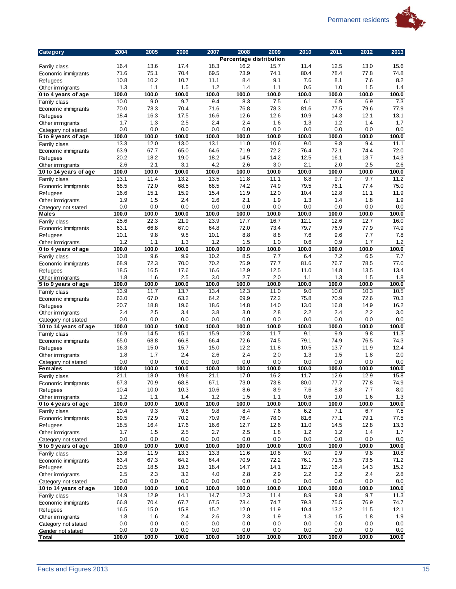

| <b>Category</b>                         | 2004          | 2005         | 2006         | 2007         | 2008         | 2009                    | 2010         | 2011         | 2012         | 2013         |
|-----------------------------------------|---------------|--------------|--------------|--------------|--------------|-------------------------|--------------|--------------|--------------|--------------|
|                                         |               |              |              |              |              | Percentage distribution |              |              |              |              |
| Family class                            | 16.4          | 13.6         | 17.4         | 18.3         | 16.2         | 15.7                    | 11.4         | 12.5         | 13.0         | 15.6         |
| Economic immigrants                     | 71.6          | 75.1         | 70.4         | 69.5         | 73.9         | 74.1                    | 80.4         | 78.4         | 77.8         | 74.8         |
| Refugees                                | 10.8          | 10.2         | 10.7         | 11.1         | 8.4          | 9.1                     | 7.6          | 8.1          | 7.6          | 8.2          |
| Other immigrants                        | 1.3           | 1.1          | 1.5          | 1.2          | 1.4          | 1.1                     | 0.6          | 1.0          | 1.5          | 1.4          |
| 0 to 4 years of age                     | 100.0         | 100.0        | 100.0        | 100.0        | 100.0        | 100.0                   | 100.0        | 100.0        | 100.0        | 100.0        |
| Family class                            | 10.0          | 9.0          | 9.7          | 9.4          | 8.3          | 7.5                     | 6.1          | 6.9          | 6.9          | 7.3<br>77.9  |
| Economic immigrants                     | 70.0<br>18.4  | 73.3<br>16.3 | 70.4<br>17.5 | 71.6<br>16.6 | 76.8<br>12.6 | 78.3<br>12.6            | 81.6<br>10.9 | 77.5<br>14.3 | 79.6<br>12.1 | 13.1         |
| Refugees                                | 1.7           | 1.3          | 2.5          | 2.4          | 2.4          | 1.6                     | 1.3          | 1.2          | 1.4          | 1.7          |
| Other immigrants<br>Category not stated | 0.0           | 0.0          | 0.0          | 0.0          | 0.0          | 0.0                     | 0.0          | 0.0          | 0.0          | 0.0          |
| 5 to 9 years of age                     | 100.0         | 100.0        | 100.0        | 100.0        | 100.0        | 100.0                   | 100.0        | 100.0        | 100.0        | 100.0        |
| Family class                            | 13.3          | 12.0         | 13.0         | 13.1         | 11.0         | 10.6                    | 9.0          | 9.8          | 9.4          | 11.1         |
| Economic immigrants                     | 63.9          | 67.7         | 65.0         | 64.6         | 71.9         | 72.2                    | 76.4         | 72.1         | 74.4         | 72.0         |
| Refugees                                | 20.2          | 18.2         | 19.0         | 18.2         | 14.5         | 14.2                    | 12.5         | 16.1         | 13.7         | 14.3         |
| Other immigrants                        | 2.6           | 2.1          | 3.1          | 4.2          | 2.6          | 3.0                     | 2.1          | 2.0          | 2.5          | 2.6          |
| 10 to 14 years of age                   | 100.0         | 100.0        | 100.0        | 100.0        | 100.0        | 100.0                   | 100.0        | 100.0        | 100.0        | 100.0        |
| Family class                            | 13.1          | 11.4         | 13.2         | 13.5         | 11.8         | 11.1                    | 8.8          | 9.7          | 9.7          | 11.2         |
| Economic immigrants                     | 68.5          | 72.0         | 68.5         | 68.5         | 74.2         | 74.9                    | 79.5         | 76.1         | 77.4         | 75.0         |
| Refugees                                | 16.6          | 15.1         | 15.9         | 15.4         | 11.9         | 12.0                    | 10.4         | 12.8         | 11.1         | 11.9         |
| Other immigrants                        | 1.9           | 1.5          | 2.4          | 2.6          | 2.1          | 1.9                     | 1.3          | 1.4          | 1.8          | 1.9          |
| Category not stated                     | 0.0           | 0.0          | 0.0          | 0.0          | 0.0          | 0.0                     | 0.0          | 0.0          | 0.0          | 0.0          |
| <b>Males</b>                            | 100.0         | 100.0        | 100.0        | 100.0        | 100.0        | 100.0                   | 100.0        | 100.0        | 100.0        | 100.0        |
| Family class                            | 25.6          | 22.3         | 21.9         | 23.9         | 17.7         | 16.7                    | 12.1         | 12.6         | 12.7         | 16.0         |
| Economic immigrants                     | 63.1          | 66.8         | 67.0         | 64.8         | 72.0         | 73.4                    | 79.7         | 76.9         | 77.9         | 74.9         |
| Refugees                                | 10.1          | 9.8          | 9.8          | 10.1         | 8.8          | 8.8                     | 7.6          | 9.6          | 7.7          | 7.8          |
| Other immigrants                        | 1.2           | 1.1          | 1.3          | 1.2          | 1.5          | 1.0                     | 0.6          | 0.9          | 1.7          | 1.2          |
| 0 to 4 years of age                     | 100.0         | 100.0        | 100.0        | 100.0        | 100.0        | 100.0                   | 100.0        | 100.0        | 100.0        | 100.0        |
| Family class                            | 10.8          | 9.6          | 9.9          | 10.2         | 8.5          | 7.7                     | 6.4          | 7.2          | 6.5          | 7.7          |
| Economic immigrants                     | 68.9          | 72.3         | 70.0         | 70.2         | 75.9         | 77.7                    | 81.6         | 76.7         | 78.5         | 77.0<br>13.4 |
| Refugees                                | 18.5<br>1.8   | 16.5<br>1.6  | 17.6<br>2.5  | 16.6<br>3.0  | 12.9<br>2.7  | 12.5<br>2.0             | 11.0<br>1.1  | 14.8<br>1.3  | 13.5<br>1.5  | 1.8          |
| Other immigrants<br>5 to 9 years of age | 100.0         | 100.0        | 100.0        | 100.0        | 100.0        | 100.0                   | 100.0        | 100.0        | 100.0        | 100.0        |
| Family class                            | 13.9          | 11.7         | 13.7         | 13.4         | 12.3         | 11.0                    | 9.0          | 10.0         | 10.3         | 10.5         |
| Economic immigrants                     | 63.0          | 67.0         | 63.2         | 64.2         | 69.9         | 72.2                    | 75.8         | 70.9         | 72.6         | 70.3         |
| Refugees                                | 20.7          | 18.8         | 19.6         | 18.6         | 14.8         | 14.0                    | 13.0         | 16.8         | 14.9         | 16.2         |
| Other immigrants                        | 2.4           | 2.5          | 3.4          | 3.8          | 3.0          | 2.8                     | 2.2          | 2.4          | 2.2          | 3.0          |
| Category not stated                     | 0.0           | 0.0          | 0.0          | 0.0          | 0.0          | 0.0                     | 0.0          | 0.0          | 0.0          | 0.0          |
| 10 to 14 years of age                   | 100.0         | 100.0        | 100.0        | 100.0        | 100.0        | 100.0                   | 100.0        | 100.0        | 100.0        | 100.0        |
| Family class                            | 16.9          | 14.5         | 15.1         | 15.9         | 12.8         | 11.7                    | 9.1          | 9.9          | 9.8          | 11.3         |
| Economic immigrants                     | 65.0          | 68.8         | 66.8         | 66.4         | 72.6         | 74.5                    | 79.1         | 74.9         | 76.5         | 74.3         |
| Refugees                                | 16.3          | 15.0         | 15.7         | 15.0         | 12.2         | 11.8                    | 10.5         | 13.7         | 11.9         | 12.4         |
| Other immigrants                        | 1.8           | 1.7          | 2.4          | 2.6          | 2.4          | 2.0                     | 1.3          | 1.5          | 1.8          | 2.0          |
| Category not stated                     | 0.0           | 0.0          | 0.0          | 0.0          | 0.0          | 0.0                     | 0.0          | 0.0          | 0.0          | 0.0          |
| <b>Females</b>                          | 100.0         | 100.0        | 100.0        | 100.0        | 100.0        | 100.0                   | 100.0        | 100.0        | 100.0        | 100.0        |
| Family class                            | 21.1          | 18.0         | 19.6         | 21.1         | 17.0         | 16.2                    | 11.7         | 12.6         | 12.9         | 15.8         |
| Economic immigrants                     | 67.3          | 70.9         | 68.8         | 67.1         | 73.0         | 73.8                    | 80.0         | 77.7         | 77.8         | 74.9         |
| Refugees                                | 10.4          | 10.0         | 10.3         | 10.6         | 8.6          | 8.9                     | 7.6          | 8.8          | 7.7          | 8.0          |
| Other immigrants                        | 1.2           | 1.1          | 1.4          | 1.2          | 1.5          | 1.1                     | 0.6          | 1.0          | 1.6          | 1.3          |
| 0 to 4 years of age                     | 100.0<br>10.4 | 100.0<br>9.3 | 100.0<br>9.8 | 100.0<br>9.8 | 100.0<br>8.4 | 100.0<br>7.6            | 100.0<br>6.2 | 100.0        | 100.0<br>6.7 | 100.0<br>7.5 |
| Family class                            | 69.5          | 72.9         | 70.2         | 70.9         | 76.4         | 78.0                    | 81.6         | 7.1<br>77.1  | 79.1         | 77.5         |
| Economic immigrants                     | 18.5          | 16.4         | 17.6         | 16.6         | 12.7         | 12.6                    | 11.0         | 14.5         | 12.8         | 13.3         |
| Refugees<br>Other immigrants            | 1.7           | 1.5          | 2.5          | 2.7          | 2.5          | 1.8                     | 1.2          | 1.2          | 1.4          | 1.7          |
| Category not stated                     | 0.0           | 0.0          | $0.0\,$      | 0.0          | 0.0          | 0.0                     | 0.0          | 0.0          | 0.0          | $0.0\,$      |
| 5 to 9 years of age                     | 100.0         | 100.0        | 100.0        | 100.0        | 100.0        | 100.0                   | 100.0        | 100.0        | 100.0        | 100.0        |
| Family class                            | 13.6          | 11.9         | 13.3         | 13.3         | 11.6         | 10.8                    | 9.0          | 9.9          | 9.8          | 10.8         |
| Economic immigrants                     | 63.4          | 67.3         | 64.2         | 64.4         | 70.9         | 72.2                    | 76.1         | 71.5         | 73.5         | 71.2         |
| Refugees                                | 20.5          | 18.5         | 19.3         | 18.4         | 14.7         | 14.1                    | 12.7         | 16.4         | 14.3         | 15.2         |
| Other immigrants                        | 2.5           | 2.3          | 3.2          | 4.0          | 2.8          | 2.9                     | 2.2          | 2.2          | 2.4          | $2.8\,$      |
| Category not stated                     | 0.0           | 0.0          | 0.0          | 0.0          | 0.0          | 0.0                     | 0.0          | 0.0          | 0.0          | $0.0\,$      |
| 10 to 14 years of age                   | 100.0         | 100.0        | 100.0        | 100.0        | 100.0        | 100.0                   | 100.0        | 100.0        | 100.0        | 100.0        |
| Family class                            | 14.9          | 12.9         | 14.1         | 14.7         | 12.3         | 11.4                    | 8.9          | 9.8          | 9.7          | 11.3         |
| Economic immigrants                     | 66.8          | 70.4         | 67.7         | 67.5         | 73.4         | 74.7                    | 79.3         | 75.5         | 76.9         | 74.7         |
| Refugees                                | 16.5          | 15.0         | 15.8         | 15.2         | 12.0         | 11.9                    | 10.4         | 13.2         | 11.5         | 12.1         |
| Other immigrants                        | 1.8           | 1.6          | 2.4          | 2.6          | 2.3          | 1.9                     | 1.3          | 1.5          | 1.8          | 1.9          |
| Category not stated                     | 0.0           | 0.0          | 0.0          | 0.0          | 0.0          | 0.0                     | 0.0          | 0.0          | 0.0          | 0.0          |
| Gender not stated                       | 0.0           | 0.0          | 0.0          | 0.0          | 0.0          | 0.0                     | 0.0          | 0.0          | 0.0          | 0.0          |
| Total                                   | 100.0         | 100.0        | 100.0        | 100.0        | 100.0        | 100.0                   | 100.0        | 100.0        | 100.0        | 100.0        |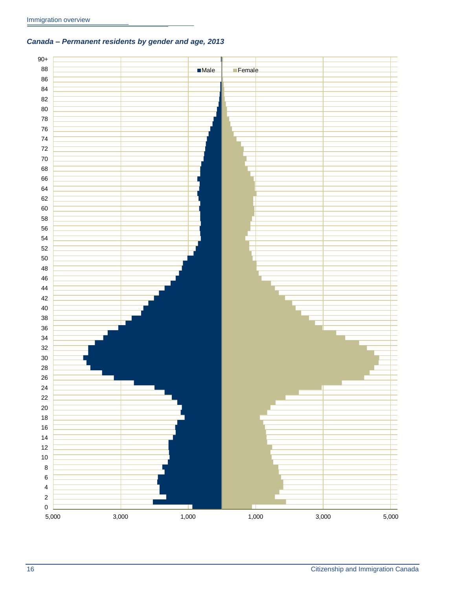### <span id="page-19-0"></span>*Canada – Permanent residents by gender and age, 2013*

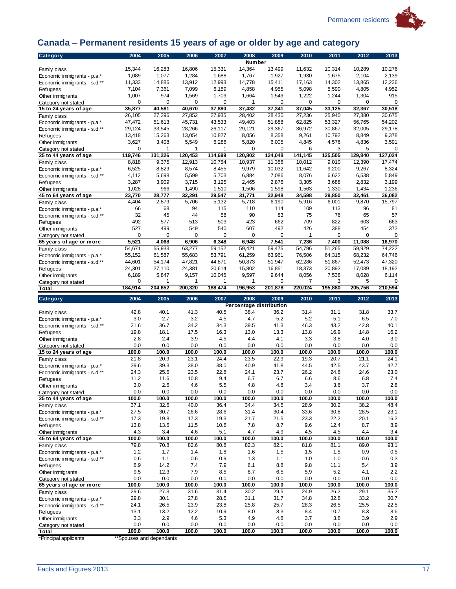

## 大学

## <span id="page-20-0"></span>**Canada – Permanent residents 15 years of age or older by age and category**

| <b>Category</b>                     | 2004             | 2005         | 2006            | 2007            | 2008                    | 2009               | 2010         | 2011               | 2012         | 2013            |
|-------------------------------------|------------------|--------------|-----------------|-----------------|-------------------------|--------------------|--------------|--------------------|--------------|-----------------|
|                                     |                  |              |                 |                 | Number                  |                    |              |                    |              |                 |
| Family class                        | 15,344           | 16,283       | 16,806          | 15,331          | 14,364                  | 13,499             | 11,632       | 10,314             | 10,289       | 10,276          |
| Economic immigrants - p.a.*         | 1,089            | 1,077        | 1,284           | 1,688           | 1,767                   | 1,927              | 1,930        | 1,675              | 2,104        | 2,139           |
| Economic immigrants - s.d.**        | 11,333           | 14,886       | 13,912          | 12,993          | 14,778                  | 15,411             | 17,163       | 14,302             | 13,865       | 12,236          |
| Refugees                            | 7,104            | 7,361        | 7,099           | 6,159           | 4,858                   | 4,955              | 5,098        | 5,590              | 4,805        | 4,952           |
| Other immigrants                    | 1,007            | 974          | 1,569           | 1,709           | 1,664                   | 1,549              | 1,222        | 1,244              | 1,304        | 915             |
| Category not stated                 | 0                | 0            | 0               | 0               | 1                       | $\mathbf 0$        | 0            | 0                  | 0            | $\mathbf 0$     |
| 15 to 24 years of age               | 35,877           | 40,581       | 40,670          | 37,880          | 37,432                  | 37,341             | 37,045       | 33,125             | 32,367       | 30,518          |
| Family class                        | 26,105           | 27,396       | 27,852          | 27,935          | 28,402                  | 28,430             | 27,236       | 25,940             | 27,380       | 30,675          |
| Economic immigrants - p.a.*         | 47,472           | 51,613       | 45,731          | 43,533          | 49,403                  | 51,888             | 62,825       | 53,327             | 56,765       | 54,202          |
| Economic immigrants - s.d.**        | 29,124           | 33,545       | 28,266          | 26,117          | 29,121                  | 29,367             | 36,972       | 30,867             | 32,005       | 29,178          |
| Refugees                            | 13,418           | 15,263       | 13,054          | 10,827          | 8,056                   | 8,358              | 9,261        | 10,792             | 8,849        | 9,378           |
| Other immigrants                    | 3,627            | 3,408        | 5,549           | 6,286           | 5,820                   | 6,005              | 4,845        | 4,576              | 4,836        | 3,591           |
| Category not stated                 | 0                | 1            | 1               | 1               | 0                       | 0                  | 6            | 3                  | 5            | 0               |
| 25 to 44 years of age               | 119,746          | 131,226      | 120,453         | 114.699         | 120,802                 | 124,048            | 141,145      | 125,505            | 129,840      | 127,024         |
| Family class                        | 8,818            | 9,375        | 12,913          | 10,754          | 10,937                  | 11,356             | 10,012       | 9,010              | 12,390       | 17,474          |
| Economic immigrants - p.a.*         | 6,525            | 8,829        | 8,574           | 8,455           | 9,979                   | 10,032             | 11,642       | 9,200              | 9,267        | 8,324           |
| Economic immigrants - s.d.**        | 4,112            | 5,698        | 5,599           | 5,703           | 6,884                   | 7,086              | 8,076        | 6,622              | 6,538        | 5,849           |
| Refugees                            | 3,287            | 3,909        | 3,715           | 3,125           | 2,465                   | 2,876              | 3,305        | 3,688              | 2,832        | 3,199           |
| Other immigrants                    | 1,028            | 966          | 1,490           | 1,510           | 1,506                   | 1,598              | 1,563        | 1,330              | 1,434        | 1,236           |
| 45 to 64 years of age               | 23,770           | 28,777       | 32,291          | 29,547          | 31,771                  | 32,948             | 34,598       | 29,850             | 32,461       | 36.082          |
| Family class                        | 4,404            | 2,879        | 5,706           | 5,132           | 5,718                   | 6,190              | 5,916        | 6,001              | 9,870        | 15,797          |
| Economic immigrants - p.a.*         | 66<br>32         | 68<br>45     | 94              | 115             | 110<br>90               | 114                | 109<br>75    | 113<br>76          | 96<br>65     | 81<br>57        |
| Economic immigrants - s.d.**        |                  |              | 44              | 58              |                         | 83                 |              |                    |              |                 |
| Refugees                            | 492              | 577          | 513             | 503             | 423                     | 662                | 709          | 822                | 603          | 663<br>372      |
| Other immigrants                    | 527<br>0         | 499<br>0     | 549<br>$\Omega$ | 540<br>$\Omega$ | 607<br>0                | 492<br>$\mathbf 0$ | 426          | 388<br>$\mathbf 0$ | 454<br>0     | $\mathbf 0$     |
| Category not stated                 |                  |              |                 |                 |                         |                    | 1<br>7,236   |                    |              |                 |
| 65 years of age or more             | 5,521            | 4,068        | 6,906           | 6,348           | 6,948                   | 7,541              |              | 7,400              | 11,088       | 16,970          |
| Family class                        | 54,671<br>55,152 | 55,933       | 63,277          | 59,152          | 59,421                  | 59,475<br>63.961   | 54,796       | 51,265             | 59,929       | 74,222          |
| Economic immigrants - p.a.*         |                  | 61,587       | 55,683          | 53,791          | 61,259                  |                    | 76,506       | 64,315             | 68,232       | 64,746          |
| Economic immigrants - s.d.**        | 44,601           | 54,174       | 47,821          | 44,871          | 50,873                  | 51,947             | 62,286       | 51,867             | 52,473       | 47,320          |
| Refugees                            | 24,301           | 27,110       | 24,381          | 20,614          | 15,802<br>9,597         | 16,851             | 18,373       | 20,892             | 17,089       | 18,192<br>6,114 |
| Other immigrants                    | 6,189<br>0       | 5,847<br>1   | 9,157<br>1      | 10,045<br>1     | 1                       | 9,644<br>0         | 8,056<br>7   | 7,538<br>3         | 8,028<br>5   | 0               |
| Category not stated<br><b>Total</b> | 184,914          | 204,652      | 200,320         | 188,474         | 196,953                 | 201,878            | 220,024      | 195,880            | 205,756      | 210,594         |
|                                     |                  |              |                 |                 |                         |                    |              |                    |              |                 |
|                                     |                  |              |                 |                 |                         |                    |              |                    |              |                 |
| <b>Category</b>                     | 2004             | 2005         | 2006            | 2007            | 2008                    | 2009               | 2010         | 2011               | 2012         | 2013            |
|                                     |                  |              |                 |                 | Percentage distribution |                    |              |                    |              |                 |
| Family class                        | 42.8             | 40.1         | 41.3            | 40.5            | 38.4                    | 36.2               | 31.4         | 31.1               | 31.8         | 33.7            |
| Economic immigrants - p.a.*         | 3.0              | 2.7          | 3.2             | 4.5             | 4.7                     | 5.2                | 5.2          | 5.1                | 6.5          | 7.0             |
| Economic immigrants - s.d.**        | 31.6             | 36.7         | 34.2            | 34.3            | 39.5                    | 41.3               | 46.3         | 43.2               | 42.8         | 40.1            |
| Refugees                            | 19.8             | 18.1         | 17.5            | 16.3            | 13.0                    | 13.3               | 13.8         | 16.9               | 14.8         | 16.2            |
| Other immigrants                    | 2.8              | 2.4          | 3.9             | 4.5             | 4.4                     | 4.1                | 3.3          | 3.8                | 4.0          | 3.0             |
| Category not stated                 | 0.0              | 0.0          | 0.0             | 0.0             | 0.0                     | 0.0                | 0.0          | 0.0                | 0.0          | 0.0             |
| 15 to 24 years of age               | 100.0            | 100.0        | 100.0           | 100.0           | 100.0                   | 100.0              | 100.0        | 100.0              | 100.0        | 100.0           |
| Family class                        | 21.8             | 20.9         | 23.1            | 24.4            | 23.5                    | 22.9               | 19.3         | 20.7               | 21.1         | 24.1            |
| Economic immigrants - p.a.*         | 39.6             | 39.3         | 38.0            | 38.0            | 40.9                    | 41.8               | 44.5         | 42.5               | 43.7         | 42.7            |
| Economic immigrants - s.d.**        | 24.3             | 25.6         | 23.5            | 22.8            | 24.1                    | 23.7               | 26.2         | 24.6               | 24.6         | 23.0            |
| Refugees                            | 11.2             | 11.6         | 10.8            | 9.4             | 6.7                     | 6.7                | 6.6          | 8.6                | 6.8          | 7.4             |
| Other immigrants                    | 3.0              | 2.6          | 4.6             | 5.5             | 4.8                     | 4.8                | 3.4          | 3.6                | 3.7          | 2.8             |
| Category not stated                 | 0.0              | 0.0          | 0.0             | 0.0             | 0.0                     | 0.0                | 0.0          | 0.0                | 0.0          | 0.0             |
| 25 to 44 years of age               | 100.0            | 100.0        | 100.0           | 100.0           | 100.0                   | 100.0              | 100.0        | 100.0              | 100.0        | 100.0           |
| Family class                        | 37.1             | 32.6         | 40.0            | 36.4            | 34.4                    | 34.5               | 28.9         | 30.2               | 38.2         | 48.4            |
| Economic immigrants - p.a.*         | 27.5             | 30.7         | 26.6            | 28.6            | 31.4                    | 30.4               | 33.6         | 30.8               | 28.5         | 23.1            |
| Economic immigrants - s.d.**        | 17.3             | 19.8         | 17.3            | 19.3            | 21.7                    | 21.5               | 23.3         | 22.2               | 20.1         | 16.2            |
| Refugees                            | 13.8             | 13.6         | 11.5            | 10.6            | 7.8                     | 8.7                | 9.6          | 12.4               | 8.7          | 8.9             |
| Other immigrants                    | 4.3              | 3.4          | 4.6             | 5.1             | 4.7                     | 4.9                | 4.5          | 4.5                | 4.4          | 3.4             |
| 45 to 64 years of age               | 100.0            | 100.0        | 100.0           | 100.0           | 100.0                   | 100.0              | 100.0        | 100.0              | 100.0        | 100.0           |
| Family class                        | 79.8             | 70.8         | 82.6            | 80.8            | 82.3                    | 82.1               | 81.8         | 81.1               | 89.0         | 93.1            |
| Economic immigrants - p.a.*         | $1.2$<br>0.6     | 1.7<br>1.1   | 1.4<br>0.6      | 1.8<br>0.9      | 1.6<br>1.3              | 1.5<br>1.1         | 1.5<br>1.0   | 1.5<br>1.0         | 0.9<br>0.6   | 0.5<br>0.3      |
| Economic immigrants - s.d.**        | 8.9              | 14.2         | 7.4             | 7.9             | 6.1                     | 8.8                | 9.8          | 11.1               | 5.4          |                 |
| Refugees<br>Other immigrants        | 9.5              | 12.3         | 7.9             | 8.5             | 8.7                     | 6.5                | 5.9          | 5.2                | 4.1          | 3.9<br>2.2      |
| Category not stated                 | 0.0              | 0.0          | 0.0             | 0.0             | 0.0                     | 0.0                | 0.0          | 0.0                | 0.0          | 0.0             |
| 65 years of age or more             | 100.0            | 100.0        | 100.0           | 100.0           | 100.0                   | 100.0              | 100.0        | 100.0              | 100.0        | 100.0           |
| Family class                        | 29.6             | 27.3         | 31.6            | 31.4            | 30.2                    | 29.5               | 24.9         | 26.2               | 29.1         | 35.2            |
| Economic immigrants - p.a.*         | 29.8             | 30.1         | 27.8            | 28.5            | 31.1                    | 31.7               | 34.8         | 32.8               | 33.2         | 30.7            |
| Economic immigrants - s.d.**        | 24.1             | 26.5         | 23.9            | 23.8            | 25.8                    | 25.7               | 28.3         | 26.5               | 25.5         | 22.5            |
| Refugees                            | 13.1             | 13.2         | 12.2            | 10.9            | 8.0                     | 8.3                | 8.4          | 10.7               | 8.3          | 8.6             |
| Other immigrants                    | 3.3              | 2.9          | 4.6             | 5.3             | 4.9                     | 4.8                | 3.7          | 3.8                | 3.9          | 2.9             |
| Category not stated<br><b>Total</b> | 0.0<br>100.0     | 0.0<br>100.0 | 0.0<br>100.0    | 0.0<br>100.0    | 0.0<br>100.0            | 0.0<br>100.0       | 0.0<br>100.0 | 0.0<br>100.0       | 0.0<br>100.0 | 0.0<br>100.0    |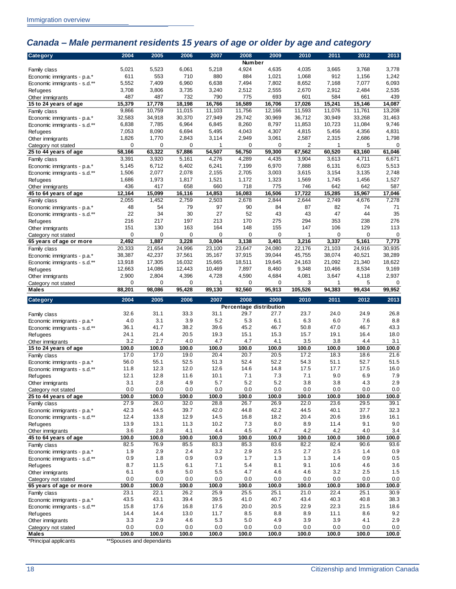## <span id="page-21-0"></span>*Canada – Male permanent residents 15 years of age or older by age and category*

| <b>Category</b>                                 | 2004         | 2005         | 2006         | 2007         | 2008                    | 2009         | 2010         | 2011         | 2012         | 2013         |
|-------------------------------------------------|--------------|--------------|--------------|--------------|-------------------------|--------------|--------------|--------------|--------------|--------------|
|                                                 |              |              |              |              | Number                  |              |              |              |              |              |
| Family class                                    | 5,021        | 5,523        | 6,061        | 5,218        | 4,924                   | 4,635        | 4,035        | 3,665        | 3,768        | 3,778        |
| Economic immigrants - p.a.*                     | 611          | 553          | 710          | 880          | 884                     | 1,021        | 1,068        | 912          | 1,156        | 1,242        |
| Economic immigrants - s.d.**                    | 5,552        | 7,409        | 6,960        | 6,638        | 7,494                   | 7,802        | 8,652        | 7,168        | 7,077        | 6,093        |
| <b>Refugees</b>                                 | 3,708        | 3,806        | 3,735        | 3,240        | 2,512                   | 2,555        | 2,670        | 2,912        | 2,484        | 2,535        |
| Other immigrants                                | 487          | 487          | 732          | 790          | 775                     | 693          | 601          | 584          | 661          | 439          |
| 15 to 24 years of age                           | 15,379       | 17,778       | 18,198       | 16,766       | 16,589                  | 16,706       | 17,026       | 15,241       | 15,146       | 14,087       |
| Family class                                    | 9,866        | 10,759       | 11,015       | 11,103       | 11,756                  | 12,166       | 11,593       | 11,076       | 11,761       | 13,208       |
| Economic immigrants - p.a.*                     | 32,583       | 34,918       | 30,370       | 27,949       | 29,742                  | 30,969       | 36,712       | 30,949       | 33,268       | 31,463       |
| Economic immigrants - s.d.**                    | 6,838        | 7,785        | 6,964        | 6,845        | 8,260                   | 8,797        | 11,853       | 10,723       | 11,084       | 9,746        |
| <b>Refugees</b>                                 | 7,053        | 8,090        | 6,694        | 5,495        | 4,043                   | 4,307        | 4,815        | 5,456        | 4,356        | 4,831        |
| Other immigrants                                | 1,826        | 1,770        | 2,843        | 3,114        | 2,949                   | 3,061        | 2,587        | 2,315        | 2,686        | 1,798        |
| Category not stated                             | 0            | 0            | 0            | 1            | 0                       | 0            | 2            | 1            | 5            | 0            |
| 25 to 44 years of age                           | 58,166       | 63,322       | 57,886       | 54,507       | 56,750                  | 59,300       | 67,562       | 60,520       | 63,160       | 61,046       |
| Family class                                    | 3,391        | 3,920        | 5,161        | 4,276        | 4,289                   | 4,435        | 3,904        | 3,613        | 4,711        | 6,671        |
| Economic immigrants - p.a.*                     | 5,145        | 6,712        | 6,402        | 6,241        | 7,199                   | 6,970        | 7,888        | 6,131        | 6,023        | 5,513        |
| Economic immigrants - s.d.**                    | 1,506        | 2,077        | 2,078        | 2,155        | 2,705                   | 3,003        | 3,615        | 3,154        | 3,135        | 2,748        |
| <b>Refugees</b>                                 | 1,686        | 1,973        | 1,817        | 1,521        | 1,172                   | 1,323        | 1,569        | 1,745        | 1,456        | 1,527        |
| Other immigrants                                | 436          | 417          | 658          | 660          | 718                     | 775          | 746          | 642          | 642          | 587          |
| 45 to 64 years of age                           | 12,164       | 15,099       | 16,116       | 14,853       | 16,083                  | 16,506       | 17,722       | 15,285       | 15,967       | 17,046       |
| Family class                                    | 2,055        | 1,452        | 2,759        | 2,503        | 2,678                   | 2,844        | 2,644        | 2,749        | 4,676        | 7,278        |
| Economic immigrants - p.a.*                     | 48           | 54           | 79           | 97           | 90                      | 84           | 87           | 82           | 74           | 71           |
| Economic immigrants - s.d.**                    | 22           | 34           | 30           | 27           | 52                      | 43           | 43           | 47           | 44           | 35           |
| <b>Refugees</b>                                 | 216          | 217          | 197          | 213          | 170                     | 275          | 294          | 353          | 238          | 276          |
| Other immigrants                                | 151          | 130          | 163          | 164          | 148                     | 155          | 147          | 106          | 129          | 113          |
| Category not stated                             | 0            | 0            | 0            | 0            | $\mathbf 0$             | 0            | 1            | 0            | 0            | $\mathbf 0$  |
| 65 years of age or more                         | 2,492        | 1,887        | 3,228        | 3,004        | 3,138                   | 3,401        | 3,216        | 3,337        | 5,161        | 7,773        |
| Family class                                    | 20,333       | 21,654       | 24,996       | 23,100       | 23,647                  | 24,080       | 22,176       | 21,103       | 24,916       | 30,935       |
|                                                 | 38,387       | 42,237       | 37,561       | 35,167       | 37,915                  | 39,044       | 45,755       | 38,074       | 40,521       | 38,289       |
| Economic immigrants - p.a.*                     | 13,918       | 17,305       | 16,032       | 15,665       | 18,511                  | 19,645       | 24,163       | 21,092       | 21,340       | 18,622       |
| Economic immigrants - s.d.**                    | 12,663       | 14,086       | 12,443       | 10,469       | 7,897                   | 8,460        | 9,348        | 10,466       | 8,534        | 9,169        |
| <b>Refugees</b>                                 | 2,900        | 2,804        |              |              | 4,590                   | 4,684        | 4,081        |              |              | 2,937        |
| Other immigrants                                | 0            | $\mathbf 0$  | 4,396        | 4,728<br>1   |                         | $\mathbf 0$  | 3            | 3,647        | 4,118        |              |
| Category not stated<br><b>Males</b>             | 88,201       | 98,086       | 0<br>95,428  | 89,130       | 0<br>92,560             | 95,913       | 105,526      | 1<br>94,383  | 5<br>99,434  | 0<br>99,952  |
|                                                 |              |              |              |              |                         |              |              |              |              |              |
|                                                 |              |              |              |              |                         |              |              |              |              |              |
| <b>Category</b>                                 | 2004         | 2005         | 2006         | 2007         | 2008                    | 2009         | 2010         | 2011         | 2012         | 2013         |
|                                                 |              |              |              |              | Percentage distribution |              |              |              |              |              |
| Family class                                    | 32.6         | 31.1         | 33.3         | 31.1         | 29.7                    | 27.7         | 23.7         | 24.0         | 24.9         | 26.8         |
| Economic immigrants - p.a.*                     | 4.0          | 3.1          | 3.9          | 5.2          | 5.3                     | 6.1          | 6.3          | 6.0          | 7.6          | 8.8          |
| Economic immigrants - s.d.**                    | 36.1         | 41.7         | 38.2         | 39.6         | 45.2                    | 46.7         | 50.8         | 47.0         | 46.7         | 43.3         |
| <b>Refugees</b>                                 | 24.1         | 21.4         | 20.5         | 19.3         | 15.1                    | 15.3         | 15.7         | 19.1         | 16.4         | 18.0         |
| Other immigrants                                | 3.2          | 2.7          | 4.0          | 4.7          | 4.7                     | 4.1          | 3.5          | 3.8          | 4.4          | 3.1          |
| 15 to 24 years of age                           | 100.0        | 100.0        | 100.0        | 100.0        | 100.0                   | 100.0        | 100.0        | 100.0        | 100.0        | 100.0        |
| Family class                                    | 17.0         | 17.0         | 19.0         | 20.4         | 20.7                    | 20.5         | 17.2         | 18.3         | 18.6         | 21.6         |
| Economic immigrants - p.a.*                     | 56.0         | 55.1         | 52.5         | 51.3         | 52.4                    | 52.2         | 54.3         | 51.1         | 52.7         | 51.5         |
| Economic immigrants - s.d.**                    | 11.8         | 12.3         | 12.0         | 12.6         | 14.6                    | 14.8         | 17.5         | 17.7         | 17.5         | 16.0         |
| <b>Refugees</b>                                 | 12.1         | 12.8         | 11.6         | 10.1         | 7.1                     | 7.3          | 7.1          | 9.0          | 6.9          | 7.9          |
| Other immigrants                                | 3.1          | 2.8          | 4.9          | 5.7          | 5.2                     | 5.2          | 3.8          | 3.8          | 4.3          | 2.9          |
| Category not stated                             | 0.0          | 0.0          | 0.0          | 0.0          | 0.0                     | 0.0          | 0.0          | 0.0          | 0.0          | 0.0          |
| 25 to 44 years of age                           | 100.0        | 100.0        | 100.0        | 100.0        | 100.0                   | 100.0        | 100.0        | 100.0        | 100.0        | 100.0        |
| Family class                                    | 27.9         | 26.0         | 32.0         | 28.8         | 26.7                    | 26.9         | 22.0         | 23.6         | 29.5         | 39.1         |
| Economic immigrants - p.a.*                     | 42.3         | 44.5         | 39.7         | 42.0         | 44.8                    | 42.2         | 44.5         | 40.1         | 37.7         | 32.3         |
|                                                 | 12.4         | 13.8         | 12.9         | 14.5         | 16.8                    | 18.2         | 20.4         | 20.6         | 19.6         | 16.1         |
| Economic immigrants - s.d.**<br><b>Refugees</b> | 13.9         | 13.1         | 11.3         | 10.2         | 7.3                     | 8.0          | 8.9          | 11.4         | 9.1          | 9.0          |
|                                                 | 3.6          | 2.8          | 4.1          | 4.4          | 4.5                     | 4.7          | 4.2          | 4.2          | 4.0          | 3.4          |
| Other immigrants<br>45 to 64 years of age       | 100.0        | 100.0        | 100.0        | 100.0        | 100.0                   | 100.0        | 100.0        | 100.0        | 100.0        | 100.0        |
|                                                 |              |              |              |              |                         |              |              |              |              |              |
| Family class                                    | 82.5         | 76.9         | 85.5         | 83.3         | 85.3                    | 83.6         | 82.2         | 82.4         | 90.6         | 93.6         |
| Economic immigrants - p.a.*                     | 1.9          | 2.9          | 2.4          | 3.2          | 2.9                     | 2.5          | 2.7          | 2.5          | 1.4          | 0.9          |
| Economic immigrants - s.d.**                    | 0.9          | 1.8          | 0.9          | 0.9          | 1.7                     | 1.3          | 1.3          | 1.4          | 0.9          | 0.5          |
| <b>Refugees</b>                                 | 8.7          | 11.5         | 6.1          | 7.1          | 5.4                     | 8.1          | 9.1          | 10.6         | 4.6          | 3.6          |
| Other immigrants                                | 6.1          | 6.9          | 5.0          | 5.5          | 4.7                     | 4.6          | 4.6          | 3.2          | 2.5          | 1.5          |
| Category not stated                             | 0.0          | 0.0          | 0.0          | 0.0          | 0.0                     | 0.0          | 0.0          | 0.0          | 0.0          | 0.0          |
| 65 years of age or more                         | 100.0        | 100.0        | 100.0        | 100.0        | 100.0                   | 100.0        | 100.0        | 100.0        | 100.0        | 100.0        |
| Family class                                    | 23.1         | 22.1         | 26.2         | 25.9         | 25.5                    | 25.1         | 21.0         | 22.4         | 25.1         | 30.9         |
| Economic immigrants - p.a.*                     | 43.5         | 43.1         | 39.4         | 39.5         | 41.0                    | 40.7         | 43.4         | 40.3         | 40.8         | 38.3         |
| Economic immigrants - s.d.**                    | 15.8         | 17.6         | 16.8         | 17.6         | 20.0                    | 20.5         | 22.9         | 22.3         | 21.5         | 18.6         |
| <b>Refugees</b>                                 | 14.4         | 14.4         | 13.0         | 11.7         | 8.5                     | 8.8          | 8.9          | 11.1         | 8.6          | 9.2          |
| Other immigrants                                | 3.3          | 2.9          | 4.6          | 5.3          | 5.0                     | 4.9          | 3.9          | 3.9          | 4.1          | 2.9          |
| Category not stated<br><b>Males</b>             | 0.0<br>100.0 | 0.0<br>100.0 | 0.0<br>100.0 | 0.0<br>100.0 | 0.0<br>100.0            | 0.0<br>100.0 | 0.0<br>100.0 | 0.0<br>100.0 | 0.0<br>100.0 | 0.0<br>100.0 |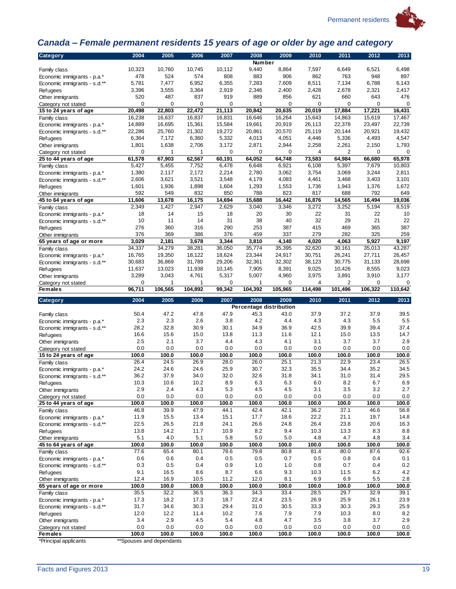

## <span id="page-22-0"></span>*Canada – Female permanent residents 15 years of age or older by age and category*

| Category                                                    | 2004         | 2005         | 2006         | 2007         | 2008<br>Number          | 2009         | 2010         | 2011           | 2012         | 2013         |
|-------------------------------------------------------------|--------------|--------------|--------------|--------------|-------------------------|--------------|--------------|----------------|--------------|--------------|
|                                                             | 10,323       | 10,760       | 10,745       | 10,112       | 9,440                   | 8,864        | 7,597        | 6,649          | 6,521        | 6,498        |
| Family class                                                | 478          | 524          | 574          | 808          | 883                     | 906          | 862          | 763            | 948          | 897          |
| Economic immigrants - p.a.*                                 | 5,781        | 7,477        | 6,952        | 6,355        | 7,283                   | 7,609        | 8,511        | 7,134          | 6,788        | 6,143        |
| Economic immigrants - s.d.**<br><b>Refugees</b>             | 3,396        | 3,555        | 3,364        | 2,919        | 2,346                   | 2,400        | 2,428        | 2,678          | 2,321        | 2,417        |
| Other immigrants                                            | 520          | 487          | 837          | 919          | 889                     | 856          | 621          | 660            | 643          | 476          |
| Category not stated                                         | 0            | 0            | 0            | 0            | 1                       | $\mathbf 0$  | 0            | 0              | 0            | 0            |
| 15 to 24 years of age                                       | 20,498       | 22,803       | 22,472       | 21,113       | 20,842                  | 20,635       | 20,019       | 17,884         | 17,221       | 16,431       |
| Family class                                                | 16,238       | 16,637       | 16,837       | 16,831       | 16,646                  | 16,264       | 15,643       | 14,863         | 15,619       | 17,467       |
| Economic immigrants - p.a.*                                 | 14,889       | 16,695       | 15,361       | 15,584       | 19,661                  | 20,919       | 26,113       | 22,378         | 23,497       | 22,739       |
| Economic immigrants - s.d.**                                | 22,286       | 25,760       | 21,302       | 19,272       | 20,861                  | 20,570       | 25,119       | 20,144         | 20,921       | 19,432       |
| Refugees                                                    | 6,364        | 7,172        | 6,360        | 5,332        | 4,013                   | 4,051        | 4,446        | 5,336          | 4,493        | 4,547        |
| Other immigrants                                            | 1,801        | 1,638        | 2,706        | 3,172        | 2,871                   | 2,944        | 2,258        | 2,261          | 2,150        | 1,793        |
| Category not stated                                         | 0            | 1            | 1            | $\mathbf 0$  | $\mathbf 0$             | $\mathbf 0$  | 4            | $\overline{2}$ | $\mathbf 0$  | 0            |
| 25 to 44 years of age                                       | 61,578       | 67,903       | 62,567       | 60,191       | 64,052                  | 64,748       | 73,583       | 64,984         | 66,680       | 65,978       |
| Family class                                                | 5,427        | 5,455        | 7,752        | 6,478        | 6,648                   | 6,921        | 6,108        | 5,397          | 7,679        | 10,803       |
| Economic immigrants - p.a.*                                 | 1,380        | 2,117        | 2,172        | 2,214        | 2,780                   | 3,062        | 3,754        | 3,069          | 3,244        | 2,811        |
| Economic immigrants - s.d.**                                | 2,606        | 3,621        | 3,521        | 3,548        | 4,179                   | 4,083        | 4,461        | 3,468          | 3,403        | 3,101        |
| Refugees                                                    | 1,601        | 1,936        | 1,898        | 1,604        | 1,293                   | 1,553        | 1,736        | 1,943          | 1,376        | 1,672        |
| Other immigrants                                            | 592          | 549          | 832          | 850          | 788                     | 823          | 817          | 688            | 792          | 649          |
| 45 to 64 years of age                                       | 11,606       | 13,678       | 16,175       | 14,694       | 15,688                  | 16,442       | 16,876       | 14,565         | 16,494       | 19,036       |
| Family class                                                | 2,349        | 1,427        | 2,947        | 2,629        | 3,040                   | 3,346        | 3,272        | 3,252          | 5,194        | 8,519        |
| Economic immigrants - p.a.*                                 | 18           | 14           | 15           | 18           | 20                      | 30           | 22           | 31             | 22           | 10           |
| Economic immigrants - s.d.**                                | 10           | 11           | 14           | 31           | 38                      | 40           | 32           | 29             | 21           | 22           |
| Refugees                                                    | 276          | 360          | 316          | 290          | 253                     | 387          | 415          | 469            | 365          | 387          |
| Other immigrants                                            | 376          | 369          | 386          | 376          | 459                     | 337          | 279          | 282            | 325          | 259          |
| 65 years of age or more                                     | 3,029        | 2,181        | 3,678        | 3,344        | 3,810                   | 4,140        | 4,020        | 4,063          | 5,927        | 9,197        |
| Family class                                                | 34,337       | 34,279       | 38,281       | 36,050       | 35,774                  | 35,395       | 32,620       | 30,161         | 35,013       | 43,287       |
| Economic immigrants - p.a.*                                 | 16,765       | 19,350       | 18,122       | 18,624       | 23,344                  | 24,917       | 30,751       | 26,241         | 27,711       | 26,457       |
| Economic immigrants - s.d.**                                | 30,683       | 36,869       | 31,789       | 29,206       | 32,361                  | 32,302       | 38,123       | 30,775         | 31,133       | 28,698       |
| Refugees                                                    | 11,637       | 13,023       | 11,938       | 10,145       | 7,905                   | 8,391        | 9,025        | 10,426         | 8,555        | 9,023        |
| Other immigrants                                            | 3,289        | 3,043        | 4,761        | 5,317        | 5,007                   | 4,960        | 3,975        | 3,891          | 3,910        | 3,177        |
| Category not stated                                         | 0            | 1            | 1            | 0            | 1                       | 0            | 4            | 2              | 0            | 0            |
| <b>Females</b>                                              | 96,711       | 106,565      | 104,892      | 99,342       | 104,392                 | 105,965      | 114,498      | 101,496        | 106,322      | 110,642      |
|                                                             |              |              |              |              |                         |              |              |                |              |              |
|                                                             |              |              |              |              |                         |              |              |                |              |              |
| Category                                                    | 2004         | 2005         | 2006         | 2007         | 2008                    | 2009         | 2010         | 2011           | 2012         | 2013         |
|                                                             |              |              |              |              | Percentage distribution |              |              |                |              |              |
| Family class                                                | 50.4         | 47.2         | 47.8         | 47.9         | 45.3                    | 43.0         | 37.9         | 37.2           | 37.9         | 39.5         |
| Economic immigrants - p.a.*                                 | 2.3          | 2.3          | 2.6          | 3.8          | 4.2                     | 4.4          | 4.3          | 4.3            | 5.5          | 5.5          |
| Economic immigrants - s.d.**                                | 28.2         | 32.8         | 30.9         | 30.1         | 34.9                    | 36.9         | 42.5         | 39.9           | 39.4         | 37.4         |
| Refugees                                                    | 16.6         | 15.6         | 15.0         | 13.8         | 11.3                    | 11.6<br>4.1  | 12.1<br>3.1  | 15.0<br>3.7    | 13.5<br>3.7  | 14.7         |
| Other immigrants                                            | 2.5<br>0.0   | 2.1<br>0.0   | 3.7<br>0.0   | 4.4<br>0.0   | 4.3<br>0.0              | 0.0          | 0.0          | 0.0            | 0.0          | 2.9<br>0.0   |
| Category not stated                                         | 100.0        | 100.0        | 100.0        | 100.0        | 100.0                   | 100.0        | 100.0        | 100.0          | 100.0        | 100.0        |
| 15 to 24 years of age                                       | 26.4         | 24.5         | 26.9         | 28.0         | 26.0                    | 25.1         | 21.3         | 22.9           | 23.4         | 26.5         |
| Family class                                                | 24.2         | 24.6         | 24.6         | 25.9         | 30.7                    | 32.3         | 35.5         | 34.4           | 35.2         | 34.5         |
| Economic immigrants - p.a.*<br>Economic immigrants - s.d.** | 36.2         | 37.9         | 34.0         | 32.0         | 32.6                    | 31.8         | 34.1         | 31.0           | 31.4         | 29.5         |
|                                                             | 10.3         | 10.6         | 10.2         | 8.9          | 6.3                     | 6.3          | 6.0          | 8.2            | 6.7          | 6.9          |
| Refugees<br>Other immigrants                                | 2.9          | 2.4          | 4.3          | 5.3          | 4.5                     | 4.5          | 3.1          | 3.5            | 3.2          | 2.7          |
| Category not stated                                         | 0.0          | 0.0          | 0.0          | 0.0          | 0.0                     | 0.0          | 0.0          | 0.0            | 0.0          | 0.0          |
| 25 to 44 years of age                                       | 100.0        | 100.0        | 100.0        | 100.0        | 100.0                   | 100.0        | 100.0        | 100.0          | 100.0        | 100.0        |
| Family class                                                | 46.8         | 39.9         | 47.9         | 44.1         | 42.4                    | 42.1         | 36.2         | 37.1           | 46.6         | 56.8         |
| Economic immigrants - p.a.*                                 | 11.9         | 15.5         | 13.4         | 15.1         | 17.7                    | 18.6         | 22.2         | 21.1           | 19.7         | 14.8         |
| Economic immigrants - s.d.**                                | 22.5         | 26.5         | 21.8         | 24.1         | 26.6                    | 24.8         | 26.4         | 23.8           | 20.6         | 16.3         |
| Refugees                                                    | 13.8         | 14.2         | 11.7         | 10.9         | 8.2                     | 9.4          | 10.3         | 13.3           | 8.3          | 8.8          |
| Other immigrants                                            | 5.1          | 4.0          | 5.1          | 5.8          | $5.0\,$                 | $5.0\,$      | 4.8          | 4.7            | 4.8          | 3.4          |
| 45 to 64 years of age                                       | 100.0        | 100.0        | 100.0        | 100.0        | 100.0                   | 100.0        | 100.0        | 100.0          | 100.0        | 100.0        |
| Family class                                                | 77.6         | 65.4         | 80.1         | 78.6         | 79.8                    | 80.8         | 81.4         | 80.0           | 87.6         | 92.6         |
| Economic immigrants - p.a.*                                 | 0.6          | 0.6          | 0.4          | 0.5          | 0.5                     | 0.7          | 0.5          | 0.8            | 0.4          | 0.1          |
| Economic immigrants - s.d.**                                | 0.3          | 0.5          | 0.4          | 0.9          | 1.0                     | 1.0          | 0.8          | 0.7            | 0.4          | 0.2          |
| Refugees                                                    | 9.1          | 16.5         | 8.6          | 8.7          | 6.6                     | 9.3          | 10.3         | 11.5           | 6.2          | 4.2          |
| Other immigrants                                            | 12.4         | 16.9         | 10.5         | 11.2         | 12.0                    | 8.1          | 6.9          | 6.9            | 5.5          | 2.8          |
| 65 years of age or more                                     | 100.0        | 100.0        | 100.0        | 100.0        | 100.0                   | 100.0        | 100.0        | 100.0          | 100.0        | 100.0        |
| Family class                                                | 35.5         | 32.2         | 36.5         | 36.3         | 34.3                    | 33.4         | 28.5         | 29.7           | 32.9         | 39.1         |
| Economic immigrants - p.a.*                                 | 17.3         | 18.2         | 17.3         | 18.7         | 22.4                    | 23.5         | 26.9         | 25.9           | 26.1         | 23.9         |
| Economic immigrants - s.d.**                                | 31.7         | 34.6         | 30.3         | 29.4         | 31.0                    | 30.5         | 33.3         | 30.3           | 29.3         | 25.9         |
| Refugees                                                    | 12.0         | 12.2         | 11.4         | 10.2         | 7.6                     | 7.9          | 7.9          | 10.3           | 8.0          | 8.2          |
| Other immigrants                                            | 3.4          | 2.9          | 4.5          | 5.4          | 4.8                     | 4.7          | 3.5          | 3.8            | 3.7          | 2.9          |
| Category not stated<br><b>Females</b>                       | 0.0<br>100.0 | 0.0<br>100.0 | 0.0<br>100.0 | 0.0<br>100.0 | 0.0<br>100.0            | 0.0<br>100.0 | 0.0<br>100.0 | 0.0<br>100.0   | 0.0<br>100.0 | 0.0<br>100.0 |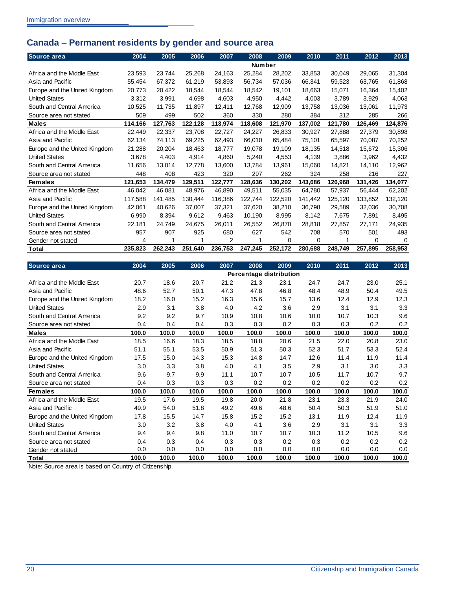## <span id="page-23-0"></span>**Canada – Permanent residents by gender and source area**

| Source area                   | 2004    | 2005    | 2006    | 2007    | 2008          | 2009    | 2010    | 2011    | 2012    | 2013    |
|-------------------------------|---------|---------|---------|---------|---------------|---------|---------|---------|---------|---------|
|                               |         |         |         |         | <b>Number</b> |         |         |         |         |         |
| Africa and the Middle East    | 23,593  | 23,744  | 25,268  | 24,163  | 25,284        | 28,202  | 33,853  | 30,049  | 29,065  | 31,304  |
| Asia and Pacific              | 55,454  | 67,372  | 61,219  | 53,893  | 56,734        | 57,036  | 66.341  | 59.523  | 63,765  | 61,868  |
| Europe and the United Kingdom | 20,773  | 20,422  | 18,544  | 18,544  | 18,542        | 19,101  | 18,663  | 15,071  | 16,364  | 15,402  |
| <b>United States</b>          | 3,312   | 3,991   | 4,698   | 4,603   | 4,950         | 4,442   | 4,003   | 3,789   | 3,929   | 4,063   |
| South and Central America     | 10,525  | 11,735  | 11,897  | 12,411  | 12,768        | 12,909  | 13,758  | 13,036  | 13,061  | 11,973  |
| Source area not stated        | 509     | 499     | 502     | 360     | 330           | 280     | 384     | 312     | 285     | 266     |
| <b>Males</b>                  | 114,166 | 127,763 | 122,128 | 113,974 | 118,608       | 121,970 | 137,002 | 121,780 | 126,469 | 124,876 |
| Africa and the Middle East    | 22.449  | 22,337  | 23,708  | 22,727  | 24,227        | 26.833  | 30.927  | 27.888  | 27,379  | 30,898  |
| Asia and Pacific              | 62,134  | 74,113  | 69,225  | 62,493  | 66,010        | 65,484  | 75,101  | 65.597  | 70,087  | 70,252  |
| Europe and the United Kingdom | 21,288  | 20,204  | 18,463  | 18,777  | 19,078        | 19,109  | 18,135  | 14,518  | 15,672  | 15,306  |
| <b>United States</b>          | 3.678   | 4,403   | 4,914   | 4,860   | 5,240         | 4.553   | 4,139   | 3,886   | 3,962   | 4,432   |
| South and Central America     | 11,656  | 13,014  | 12,778  | 13,600  | 13,784        | 13,961  | 15,060  | 14,821  | 14,110  | 12,962  |
| Source area not stated        | 448     | 408     | 423     | 320     | 297           | 262     | 324     | 258     | 216     | 227     |
| <b>Females</b>                | 121,653 | 134,479 | 129,511 | 122,777 | 128,636       | 130,202 | 143,686 | 126,968 | 131,426 | 134,077 |
| Africa and the Middle East    | 46.042  | 46.081  | 48.976  | 46.890  | 49,511        | 55.035  | 64.780  | 57,937  | 56,444  | 62,202  |
| Asia and Pacific              | 117,588 | 141,485 | 130,444 | 116,386 | 122,744       | 122,520 | 141,442 | 125,120 | 133,852 | 132,120 |
| Europe and the United Kingdom | 42.061  | 40,626  | 37,007  | 37,321  | 37,620        | 38.210  | 36.798  | 29,589  | 32,036  | 30,708  |
| <b>United States</b>          | 6,990   | 8,394   | 9,612   | 9,463   | 10,190        | 8,995   | 8,142   | 7,675   | 7,891   | 8,495   |
| South and Central America     | 22,181  | 24.749  | 24.675  | 26,011  | 26.552        | 26,870  | 28,818  | 27.857  | 27,171  | 24,935  |
| Source area not stated        | 957     | 907     | 925     | 680     | 627           | 542     | 708     | 570     | 501     | 493     |
| Gender not stated             | 4       | 1       |         | 2       |               | 0       | 0       |         | 0       | 0       |
| Total                         | 235,823 | 262,243 | 251,640 | 236,753 | 247,245       | 252,172 | 280,688 | 248,749 | 257,895 | 258,953 |
| Source area                   | 200A    | 2005    | 2006    | 2007    | 2008          | 2000    | 2010    | 2011    | 2012    | 2013    |

| Source area                   | 2004  | 2005  | 2006  | 2007  | 2008  | 2009                    | 2010  | 2011  | 2012  | 2013  |
|-------------------------------|-------|-------|-------|-------|-------|-------------------------|-------|-------|-------|-------|
|                               |       |       |       |       |       | Percentage distribution |       |       |       |       |
| Africa and the Middle East    | 20.7  | 18.6  | 20.7  | 21.2  | 21.3  | 23.1                    | 24.7  | 24.7  | 23.0  | 25.1  |
| Asia and Pacific              | 48.6  | 52.7  | 50.1  | 47.3  | 47.8  | 46.8                    | 48.4  | 48.9  | 50.4  | 49.5  |
| Europe and the United Kingdom | 18.2  | 16.0  | 15.2  | 16.3  | 15.6  | 15.7                    | 13.6  | 12.4  | 12.9  | 12.3  |
| <b>United States</b>          | 2.9   | 3.1   | 3.8   | 4.0   | 4.2   | 3.6                     | 2.9   | 3.1   | 3.1   | 3.3   |
| South and Central America     | 9.2   | 9.2   | 9.7   | 10.9  | 10.8  | 10.6                    | 10.0  | 10.7  | 10.3  | 9.6   |
| Source area not stated        | 0.4   | 0.4   | 0.4   | 0.3   | 0.3   | 0.2                     | 0.3   | 0.3   | 0.2   | 0.2   |
| Males                         | 100.0 | 100.0 | 100.0 | 100.0 | 100.0 | 100.0                   | 100.0 | 100.0 | 100.0 | 100.0 |
| Africa and the Middle East    | 18.5  | 16.6  | 18.3  | 18.5  | 18.8  | 20.6                    | 21.5  | 22.0  | 20.8  | 23.0  |
| Asia and Pacific              | 51.1  | 55.1  | 53.5  | 50.9  | 51.3  | 50.3                    | 52.3  | 51.7  | 53.3  | 52.4  |
| Europe and the United Kingdom | 17.5  | 15.0  | 14.3  | 15.3  | 14.8  | 14.7                    | 12.6  | 11.4  | 11.9  | 11.4  |
| <b>United States</b>          | 3.0   | 3.3   | 3.8   | 4.0   | 4.1   | 3.5                     | 2.9   | 3.1   | 3.0   | 3.3   |
| South and Central America     | 9.6   | 9.7   | 9.9   | 11.1  | 10.7  | 10.7                    | 10.5  | 11.7  | 10.7  | 9.7   |
| Source area not stated        | 0.4   | 0.3   | 0.3   | 0.3   | 0.2   | 0.2                     | 0.2   | 0.2   | 0.2   | 0.2   |
| <b>Females</b>                | 100.0 | 100.0 | 100.0 | 100.0 | 100.0 | 100.0                   | 100.0 | 100.0 | 100.0 | 100.0 |
| Africa and the Middle East    | 19.5  | 17.6  | 19.5  | 19.8  | 20.0  | 21.8                    | 23.1  | 23.3  | 21.9  | 24.0  |
| Asia and Pacific              | 49.9  | 54.0  | 51.8  | 49.2  | 49.6  | 48.6                    | 50.4  | 50.3  | 51.9  | 51.0  |
| Europe and the United Kingdom | 17.8  | 15.5  | 14.7  | 15.8  | 15.2  | 15.2                    | 13.1  | 11.9  | 12.4  | 11.9  |
| <b>United States</b>          | 3.0   | 3.2   | 3.8   | 4.0   | 4.1   | 3.6                     | 2.9   | 3.1   | 3.1   | 3.3   |
| South and Central America     | 9.4   | 9.4   | 9.8   | 11.0  | 10.7  | 10.7                    | 10.3  | 11.2  | 10.5  | 9.6   |
| Source area not stated        | 0.4   | 0.3   | 0.4   | 0.3   | 0.3   | 0.2                     | 0.3   | 0.2   | 0.2   | 0.2   |
| Gender not stated             | 0.0   | 0.0   | 0.0   | 0.0   | 0.0   | 0.0                     | 0.0   | 0.0   | 0.0   | 0.0   |
| Total                         | 100.0 | 100.0 | 100.0 | 100.0 | 100.0 | 100.0                   | 100.0 | 100.0 | 100.0 | 100.0 |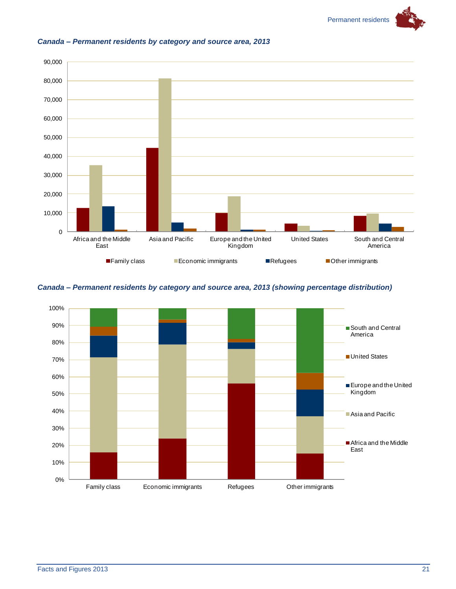



#### <span id="page-24-0"></span>*Canada – Permanent residents by category and source area, 2013*

#### <span id="page-24-1"></span>*Canada – Permanent residents by category and source area, 2013 (showing percentage distribution)*

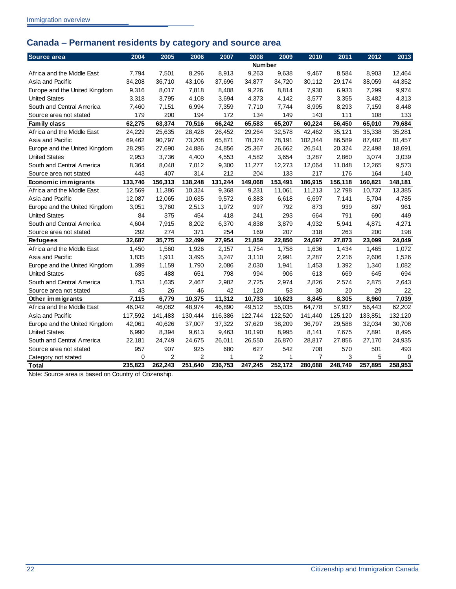## <span id="page-25-0"></span>**Canada – Permanent residents by category and source area**

| Source area                   | 2004     | 2005           | 2006    | 2007    | 2008           | 2009    | 2010    | 2011    | 2012    | 2013     |
|-------------------------------|----------|----------------|---------|---------|----------------|---------|---------|---------|---------|----------|
|                               |          |                |         |         | <b>Number</b>  |         |         |         |         |          |
| Africa and the Middle East    | 7.794    | 7,501          | 8,296   | 8,913   | 9,263          | 9,638   | 9,467   | 8,584   | 8,903   | 12,464   |
| Asia and Pacific              | 34,208   | 36,710         | 43,106  | 37,696  | 34,877         | 34,720  | 30,112  | 29,174  | 38,059  | 44,352   |
| Europe and the United Kingdom | 9.316    | 8.017          | 7,818   | 8,408   | 9,226          | 8,814   | 7,930   | 6,933   | 7,299   | 9,974    |
| <b>United States</b>          | 3,318    | 3,795          | 4,108   | 3,694   | 4,373          | 4,142   | 3,577   | 3,355   | 3,482   | 4,313    |
| South and Central America     | 7,460    | 7,151          | 6,994   | 7,359   | 7,710          | 7,744   | 8,995   | 8,293   | 7,159   | 8,448    |
| Source area not stated        | 179      | 200            | 194     | 172     | 134            | 149     | 143     | 111     | 108     | 133      |
| Family class                  | 62,275   | 63,374         | 70,516  | 66,242  | 65,583         | 65,207  | 60,224  | 56,450  | 65,010  | 79,684   |
| Africa and the Middle East    | 24,229   | 25,635         | 28,428  | 26,452  | 29,264         | 32,578  | 42,462  | 35,121  | 35,338  | 35,281   |
| Asia and Pacific              | 69,462   | 90,797         | 73,208  | 65,871  | 78,374         | 78,191  | 102,344 | 86,589  | 87,482  | 81,457   |
| Europe and the United Kingdom | 28,295   | 27,690         | 24,886  | 24,856  | 25,367         | 26,662  | 26,541  | 20,324  | 22,498  | 18,691   |
| <b>United States</b>          | 2,953    | 3,736          | 4,400   | 4,553   | 4,582          | 3,654   | 3,287   | 2,860   | 3,074   | 3,039    |
| South and Central America     | 8,364    | 8,048          | 7,012   | 9,300   | 11,277         | 12,273  | 12,064  | 11,048  | 12,265  | 9,573    |
| Source area not stated        | 443      | 407            | 314     | 212     | 204            | 133     | 217     | 176     | 164     | 140      |
| Economic immigrants           | 133,746  | 156,313        | 138,248 | 131,244 | 149,068        | 153,491 | 186,915 | 156,118 | 160,821 | 148,181  |
| Africa and the Middle East    | 12,569   | 11,386         | 10,324  | 9,368   | 9,231          | 11,061  | 11,213  | 12,798  | 10,737  | 13,385   |
| Asia and Pacific              | 12,087   | 12,065         | 10,635  | 9,572   | 6,383          | 6,618   | 6,697   | 7,141   | 5,704   | 4,785    |
| Europe and the United Kingdom | 3,051    | 3,760          | 2,513   | 1,972   | 997            | 792     | 873     | 939     | 897     | 961      |
| <b>United States</b>          | 84       | 375            | 454     | 418     | 241            | 293     | 664     | 791     | 690     | 449      |
| South and Central America     | 4,604    | 7,915          | 8,202   | 6,370   | 4,838          | 3,879   | 4,932   | 5,941   | 4,871   | 4,271    |
| Source area not stated        | 292      | 274            | 371     | 254     | 169            | 207     | 318     | 263     | 200     | 198      |
| <b>Refugees</b>               | 32,687   | 35,775         | 32,499  | 27,954  | 21,859         | 22,850  | 24,697  | 27,873  | 23,099  | 24,049   |
| Africa and the Middle East    | 1,450    | 1,560          | 1,926   | 2,157   | 1,754          | 1,758   | 1,636   | 1,434   | 1,465   | 1,072    |
| Asia and Pacific              | 1,835    | 1,911          | 3,495   | 3,247   | 3,110          | 2,991   | 2,287   | 2,216   | 2,606   | 1,526    |
| Europe and the United Kingdom | 1,399    | 1,159          | 1,790   | 2,086   | 2,030          | 1,941   | 1,453   | 1,392   | 1,340   | 1,082    |
| <b>United States</b>          | 635      | 488            | 651     | 798     | 994            | 906     | 613     | 669     | 645     | 694      |
| South and Central America     | 1,753    | 1,635          | 2,467   | 2,982   | 2,725          | 2,974   | 2,826   | 2,574   | 2,875   | 2,643    |
| Source area not stated        | 43       | 26             | 46      | 42      | 120            | 53      | 30      | 20      | 29      | 22       |
| Other immigrants              | 7,115    | 6,779          | 10,375  | 11,312  | 10,733         | 10,623  | 8,845   | 8,305   | 8,960   | 7,039    |
| Africa and the Middle East    | 46,042   | 46.082         | 48,974  | 46,890  | 49,512         | 55,035  | 64.778  | 57,937  | 56,443  | 62,202   |
| Asia and Pacific              | 117,592  | 141,483        | 130,444 | 116,386 | 122.744        | 122,520 | 141,440 | 125,120 | 133,851 | 132,120  |
| Europe and the United Kingdom | 42,061   | 40,626         | 37,007  | 37,322  | 37,620         | 38,209  | 36,797  | 29,588  | 32,034  | 30,708   |
| <b>United States</b>          | 6,990    | 8,394          | 9,613   | 9,463   | 10,190         | 8,995   | 8,141   | 7,675   | 7,891   | 8,495    |
| South and Central America     | 22,181   | 24,749         | 24,675  | 26,011  | 26,550         | 26,870  | 28,817  | 27,856  | 27,170  | 24,935   |
| Source area not stated        | 957      | 907            | 925     | 680     | 627            | 542     | 708     | 570     | 501     | 493      |
| Category not stated           | $\Omega$ | $\overline{2}$ | 2       | 1       | $\overline{2}$ | 1       | 7       | 3       | 5       | $\Omega$ |
| Total                         | 235,823  | 262,243        | 251,640 | 236,753 | 247,245        | 252,172 | 280,688 | 248,749 | 257,895 | 258.953  |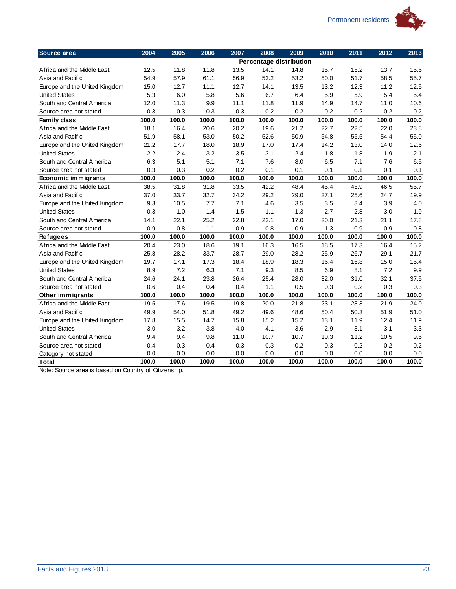

| Source area                   | 2004  | 2005  | 2006  | 2007  | 2008  | 2009                           | 2010  | 2011  | 2012  | 2013  |
|-------------------------------|-------|-------|-------|-------|-------|--------------------------------|-------|-------|-------|-------|
|                               |       |       |       |       |       | <b>Percentage distribution</b> |       |       |       |       |
| Africa and the Middle East    | 12.5  | 11.8  | 11.8  | 13.5  | 14.1  | 14.8                           | 15.7  | 15.2  | 13.7  | 15.6  |
| Asia and Pacific              | 54.9  | 57.9  | 61.1  | 56.9  | 53.2  | 53.2                           | 50.0  | 51.7  | 58.5  | 55.7  |
| Europe and the United Kingdom | 15.0  | 12.7  | 11.1  | 12.7  | 14.1  | 13.5                           | 13.2  | 12.3  | 11.2  | 12.5  |
| <b>United States</b>          | 5.3   | 6.0   | 5.8   | 5.6   | 6.7   | 6.4                            | 5.9   | 5.9   | 5.4   | 5.4   |
| South and Central America     | 12.0  | 11.3  | 9.9   | 11.1  | 11.8  | 11.9                           | 14.9  | 14.7  | 11.0  | 10.6  |
| Source area not stated        | 0.3   | 0.3   | 0.3   | 0.3   | 0.2   | 0.2                            | 0.2   | 0.2   | 0.2   | 0.2   |
| Family class                  | 100.0 | 100.0 | 100.0 | 100.0 | 100.0 | 100.0                          | 100.0 | 100.0 | 100.0 | 100.0 |
| Africa and the Middle East    | 18.1  | 16.4  | 20.6  | 20.2  | 19.6  | 21.2                           | 22.7  | 22.5  | 22.0  | 23.8  |
| Asia and Pacific              | 51.9  | 58.1  | 53.0  | 50.2  | 52.6  | 50.9                           | 54.8  | 55.5  | 54.4  | 55.0  |
| Europe and the United Kingdom | 21.2  | 17.7  | 18.0  | 18.9  | 17.0  | 17.4                           | 14.2  | 13.0  | 14.0  | 12.6  |
| <b>United States</b>          | 2.2   | 2.4   | 3.2   | 3.5   | 3.1   | 2.4                            | 1.8   | 1.8   | 1.9   | 2.1   |
| South and Central America     | 6.3   | 5.1   | 5.1   | 7.1   | 7.6   | 8.0                            | 6.5   | 7.1   | 7.6   | 6.5   |
| Source area not stated        | 0.3   | 0.3   | 0.2   | 0.2   | 0.1   | 0.1                            | 0.1   | 0.1   | 0.1   | 0.1   |
| Economic immigrants           | 100.0 | 100.0 | 100.0 | 100.0 | 100.0 | 100.0                          | 100.0 | 100.0 | 100.0 | 100.0 |
| Africa and the Middle East    | 38.5  | 31.8  | 31.8  | 33.5  | 42.2  | 48.4                           | 45.4  | 45.9  | 46.5  | 55.7  |
| Asia and Pacific              | 37.0  | 33.7  | 32.7  | 34.2  | 29.2  | 29.0                           | 27.1  | 25.6  | 24.7  | 19.9  |
| Europe and the United Kingdom | 9.3   | 10.5  | 7.7   | 7.1   | 4.6   | 3.5                            | 3.5   | 3.4   | 3.9   | 4.0   |
| <b>United States</b>          | 0.3   | 1.0   | 1.4   | 1.5   | 1.1   | 1.3                            | 2.7   | 2.8   | 3.0   | 1.9   |
| South and Central America     | 14.1  | 22.1  | 25.2  | 22.8  | 22.1  | 17.0                           | 20.0  | 21.3  | 21.1  | 17.8  |
| Source area not stated        | 0.9   | 0.8   | 1.1   | 0.9   | 0.8   | 0.9                            | 1.3   | 0.9   | 0.9   | 0.8   |
| <b>Refugees</b>               | 100.0 | 100.0 | 100.0 | 100.0 | 100.0 | 100.0                          | 100.0 | 100.0 | 100.0 | 100.0 |
| Africa and the Middle East    | 20.4  | 23.0  | 18.6  | 19.1  | 16.3  | 16.5                           | 18.5  | 17.3  | 16.4  | 15.2  |
| Asia and Pacific              | 25.8  | 28.2  | 33.7  | 28.7  | 29.0  | 28.2                           | 25.9  | 26.7  | 29.1  | 21.7  |
| Europe and the United Kingdom | 19.7  | 17.1  | 17.3  | 18.4  | 18.9  | 18.3                           | 16.4  | 16.8  | 15.0  | 15.4  |
| <b>United States</b>          | 8.9   | 7.2   | 6.3   | 7.1   | 9.3   | 8.5                            | 6.9   | 8.1   | 7.2   | 9.9   |
| South and Central America     | 24.6  | 24.1  | 23.8  | 26.4  | 25.4  | 28.0                           | 32.0  | 31.0  | 32.1  | 37.5  |
| Source area not stated        | 0.6   | 0.4   | 0.4   | 0.4   | 1.1   | 0.5                            | 0.3   | 0.2   | 0.3   | 0.3   |
| Other immigrants              | 100.0 | 100.0 | 100.0 | 100.0 | 100.0 | 100.0                          | 100.0 | 100.0 | 100.0 | 100.0 |
| Africa and the Middle East    | 19.5  | 17.6  | 19.5  | 19.8  | 20.0  | 21.8                           | 23.1  | 23.3  | 21.9  | 24.0  |
| Asia and Pacific              | 49.9  | 54.0  | 51.8  | 49.2  | 49.6  | 48.6                           | 50.4  | 50.3  | 51.9  | 51.0  |
| Europe and the United Kingdom | 17.8  | 15.5  | 14.7  | 15.8  | 15.2  | 15.2                           | 13.1  | 11.9  | 12.4  | 11.9  |
| <b>United States</b>          | 3.0   | 3.2   | 3.8   | 4.0   | 4.1   | 3.6                            | 2.9   | 3.1   | 3.1   | 3.3   |
| South and Central America     | 9.4   | 9.4   | 9.8   | 11.0  | 10.7  | 10.7                           | 10.3  | 11.2  | 10.5  | 9.6   |
| Source area not stated        | 0.4   | 0.3   | 0.4   | 0.3   | 0.3   | 0.2                            | 0.3   | 0.2   | 0.2   | 0.2   |
| Category not stated           | 0.0   | 0.0   | 0.0   | 0.0   | 0.0   | 0.0                            | 0.0   | 0.0   | 0.0   | 0.0   |
| Total                         | 100.0 | 100.0 | 100.0 | 100.0 | 100.0 | 100.0                          | 100.0 | 100.0 | 100.0 | 100.0 |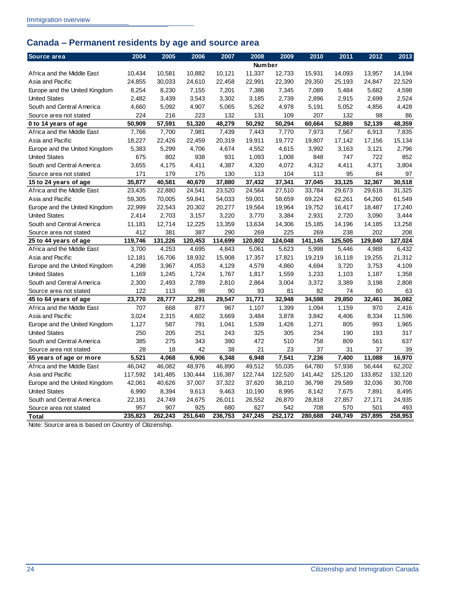## <span id="page-27-0"></span>**Canada – Permanent residents by age and source area**

| Source area                   | 2004    | 2005    | 2006    | 2007    | 2008          | 2009    | 2010    | 2011    | 2012    | 2013    |
|-------------------------------|---------|---------|---------|---------|---------------|---------|---------|---------|---------|---------|
|                               |         |         |         |         | <b>Number</b> |         |         |         |         |         |
| Africa and the Middle East    | 10.434  | 10,581  | 10,882  | 10,121  | 11,337        | 12,733  | 15,931  | 14,093  | 13,957  | 14,194  |
| Asia and Pacific              | 24,855  | 30,033  | 24,610  | 22,458  | 22,991        | 22,390  | 29,350  | 25,193  | 24,847  | 22,529  |
| Europe and the United Kingdom | 8,254   | 8,230   | 7,155   | 7,201   | 7,386         | 7,345   | 7,089   | 5,484   | 5,682   | 4,598   |
| <b>United States</b>          | 2,482   | 3,439   | 3,543   | 3,302   | 3,185         | 2,739   | 2,896   | 2,915   | 2,699   | 2,524   |
| South and Central America     | 4,660   | 5,092   | 4,907   | 5,065   | 5,262         | 4,978   | 5,191   | 5,052   | 4,856   | 4,428   |
| Source area not stated        | 224     | 216     | 223     | 132     | 131           | 109     | 207     | 132     | 98      | 86      |
| 0 to 14 years of age          | 50,909  | 57,591  | 51,320  | 48,279  | 50,292        | 50,294  | 60,664  | 52,869  | 52,139  | 48,359  |
| Africa and the Middle East    | 7,766   | 7,700   | 7,981   | 7,439   | 7,443         | 7,770   | 7,973   | 7,567   | 6,913   | 7,835   |
| Asia and Pacific              | 18,227  | 22,426  | 22,459  | 20,319  | 19,911        | 19,772  | 19,807  | 17,142  | 17,156  | 15,134  |
| Europe and the United Kingdom | 5,383   | 5,299   | 4,706   | 4,674   | 4,552         | 4,615   | 3,992   | 3,163   | 3,121   | 2.796   |
| <b>United States</b>          | 675     | 802     | 938     | 931     | 1,093         | 1,008   | 848     | 747     | 722     | 852     |
| South and Central America     | 3,655   | 4,175   | 4,411   | 4,387   | 4,320         | 4,072   | 4,312   | 4,411   | 4,371   | 3.804   |
| Source area not stated        | 171     | 179     | 175     | 130     | 113           | 104     | 113     | 95      | 84      | 97      |
| 15 to 24 years of age         | 35,877  | 40,581  | 40,670  | 37,880  | 37,432        | 37,341  | 37,045  | 33,125  | 32,367  | 30,518  |
| Africa and the Middle East    | 23,435  | 22,880  | 24,541  | 23,520  | 24,564        | 27,510  | 33,784  | 29,673  | 29,616  | 31,325  |
| Asia and Pacific              | 59,305  | 70,005  | 59,841  | 54,033  | 59,001        | 58,659  | 69,224  | 62,261  | 64,260  | 61,549  |
| Europe and the United Kingdom | 22,999  | 22,543  | 20,302  | 20,277  | 19,564        | 19,964  | 19,752  | 16,417  | 18,487  | 17,240  |
| <b>United States</b>          | 2,414   | 2,703   | 3,157   | 3,220   | 3,770         | 3,384   | 2,931   | 2,720   | 3,090   | 3,444   |
| South and Central America     | 11,181  | 12,714  | 12,225  | 13,359  | 13,634        | 14,306  | 15,185  | 14,196  | 14,185  | 13,258  |
| Source area not stated        | 412     | 381     | 387     | 290     | 269           | 225     | 269     | 238     | 202     | 208     |
| 25 to 44 years of age         | 119,746 | 131,226 | 120,453 | 114.699 | 120,802       | 124,048 | 141.145 | 125,505 | 129,840 | 127.024 |
| Africa and the Middle East    | 3,700   | 4,253   | 4,695   | 4,843   | 5,061         | 5,623   | 5,998   | 5,446   | 4,988   | 6,432   |
| Asia and Pacific              | 12,181  | 16,706  | 18,932  | 15,908  | 17,357        | 17,821  | 19,219  | 16,118  | 19,255  | 21,312  |
| Europe and the United Kingdom | 4,298   | 3,967   | 4,053   | 4,129   | 4,579         | 4,860   | 4,694   | 3,720   | 3,753   | 4,109   |
| <b>United States</b>          | 1,169   | 1,245   | 1,724   | 1,767   | 1,817         | 1,559   | 1,233   | 1,103   | 1,187   | 1,358   |
| South and Central America     | 2,300   | 2,493   | 2,789   | 2,810   | 2,864         | 3,004   | 3,372   | 3,389   | 3,198   | 2,808   |
| Source area not stated        | 122     | 113     | 98      | 90      | 93            | 81      | 82      | 74      | 80      | 63      |
| 45 to 64 years of age         | 23,770  | 28,777  | 32,291  | 29,547  | 31,771        | 32,948  | 34,598  | 29,850  | 32,461  | 36,082  |
| Africa and the Middle East    | 707     | 668     | 877     | 967     | 1,107         | 1,399   | 1,094   | 1,159   | 970     | 2,416   |
| Asia and Pacific              | 3,024   | 2,315   | 4,602   | 3,669   | 3,484         | 3,878   | 3,842   | 4,406   | 8,334   | 11,596  |
| Europe and the United Kingdom | 1.127   | 587     | 791     | 1,041   | 1,539         | 1,426   | 1,271   | 805     | 993     | 1,965   |
| <b>United States</b>          | 250     | 205     | 251     | 243     | 325           | 305     | 234     | 190     | 193     | 317     |
| South and Central America     | 385     | 275     | 343     | 390     | 472           | 510     | 758     | 809     | 561     | 637     |
| Source area not stated        | 28      | 18      | 42      | 38      | 21            | 23      | 37      | 31      | 37      | 39      |
| 65 years of age or more       | 5,521   | 4,068   | 6,906   | 6,348   | 6,948         | 7,541   | 7,236   | 7,400   | 11,088  | 16,970  |
| Africa and the Middle East    | 46.042  | 46,082  | 48,976  | 46,890  | 49,512        | 55,035  | 64,780  | 57,938  | 56,444  | 62,202  |
| Asia and Pacific              | 117,592 | 141,485 | 130,444 | 116,387 | 122,744       | 122,520 | 141,442 | 125,120 | 133,852 | 132,120 |
| Europe and the United Kingdom | 42,061  | 40,626  | 37,007  | 37,322  | 37,620        | 38,210  | 36,798  | 29,589  | 32,036  | 30,708  |
| <b>United States</b>          | 6,990   | 8,394   | 9,613   | 9,463   | 10,190        | 8,995   | 8,142   | 7,675   | 7,891   | 8,495   |
| South and Central America     | 22,181  | 24,749  | 24,675  | 26,011  | 26,552        | 26,870  | 28,818  | 27,857  | 27,171  | 24,935  |
| Source area not stated        | 957     | 907     | 925     | 680     | 627           | 542     | 708     | 570     | 501     | 493     |
| <b>Total</b>                  | 235.823 | 262.243 | 251.640 | 236.753 | 247.245       | 252.172 | 280.688 | 248.749 | 257.895 | 258.953 |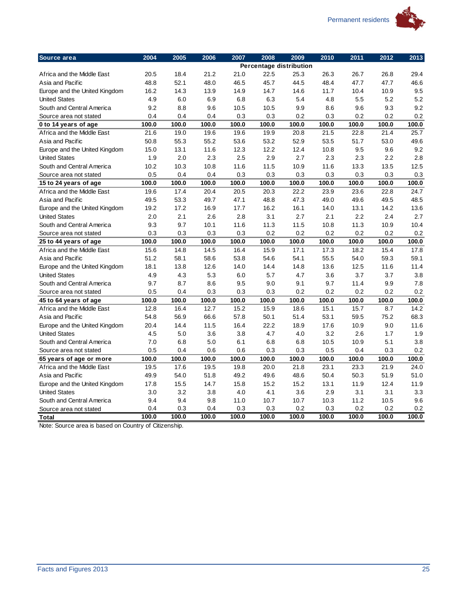

| Source area                   | 2004  | 2005  | 2006  | 2007  | 2008  | 2009                    | 2010  | 2011  | 2012  | 2013  |
|-------------------------------|-------|-------|-------|-------|-------|-------------------------|-------|-------|-------|-------|
|                               |       |       |       |       |       | Percentage distribution |       |       |       |       |
| Africa and the Middle East    | 20.5  | 18.4  | 21.2  | 21.0  | 22.5  | 25.3                    | 26.3  | 26.7  | 26.8  | 29.4  |
| Asia and Pacific              | 48.8  | 52.1  | 48.0  | 46.5  | 45.7  | 44.5                    | 48.4  | 47.7  | 47.7  | 46.6  |
| Europe and the United Kingdom | 16.2  | 14.3  | 13.9  | 14.9  | 14.7  | 14.6                    | 11.7  | 10.4  | 10.9  | 9.5   |
| <b>United States</b>          | 4.9   | 6.0   | 6.9   | 6.8   | 6.3   | 5.4                     | 4.8   | 5.5   | 5.2   | 5.2   |
| South and Central America     | 9.2   | 8.8   | 9.6   | 10.5  | 10.5  | 9.9                     | 8.6   | 9.6   | 9.3   | 9.2   |
| Source area not stated        | 0.4   | 0.4   | 0.4   | 0.3   | 0.3   | 0.2                     | 0.3   | 0.2   | 0.2   | 0.2   |
| 0 to 14 years of age          | 100.0 | 100.0 | 100.0 | 100.0 | 100.0 | 100.0                   | 100.0 | 100.0 | 100.0 | 100.0 |
| Africa and the Middle East    | 21.6  | 19.0  | 19.6  | 19.6  | 19.9  | 20.8                    | 21.5  | 22.8  | 21.4  | 25.7  |
| Asia and Pacific              | 50.8  | 55.3  | 55.2  | 53.6  | 53.2  | 52.9                    | 53.5  | 51.7  | 53.0  | 49.6  |
| Europe and the United Kingdom | 15.0  | 13.1  | 11.6  | 12.3  | 12.2  | 12.4                    | 10.8  | 9.5   | 9.6   | 9.2   |
| <b>United States</b>          | 1.9   | 2.0   | 2.3   | 2.5   | 2.9   | 2.7                     | 2.3   | 2.3   | 2.2   | 2.8   |
| South and Central America     | 10.2  | 10.3  | 10.8  | 11.6  | 11.5  | 10.9                    | 11.6  | 13.3  | 13.5  | 12.5  |
| Source area not stated        | 0.5   | 0.4   | 0.4   | 0.3   | 0.3   | 0.3                     | 0.3   | 0.3   | 0.3   | 0.3   |
| 15 to 24 years of age         | 100.0 | 100.0 | 100.0 | 100.0 | 100.0 | 100.0                   | 100.0 | 100.0 | 100.0 | 100.0 |
| Africa and the Middle East    | 19.6  | 17.4  | 20.4  | 20.5  | 20.3  | 22.2                    | 23.9  | 23.6  | 22.8  | 24.7  |
| Asia and Pacific              | 49.5  | 53.3  | 49.7  | 47.1  | 48.8  | 47.3                    | 49.0  | 49.6  | 49.5  | 48.5  |
| Europe and the United Kingdom | 19.2  | 17.2  | 16.9  | 17.7  | 16.2  | 16.1                    | 14.0  | 13.1  | 14.2  | 13.6  |
| <b>United States</b>          | 2.0   | 2.1   | 2.6   | 2.8   | 3.1   | 2.7                     | 2.1   | 2.2   | 2.4   | 2.7   |
| South and Central America     | 9.3   | 9.7   | 10.1  | 11.6  | 11.3  | 11.5                    | 10.8  | 11.3  | 10.9  | 10.4  |
| Source area not stated        | 0.3   | 0.3   | 0.3   | 0.3   | 0.2   | 0.2                     | 0.2   | 0.2   | 0.2   | 0.2   |
| 25 to 44 years of age         | 100.0 | 100.0 | 100.0 | 100.0 | 100.0 | 100.0                   | 100.0 | 100.0 | 100.0 | 100.0 |
| Africa and the Middle East    | 15.6  | 14.8  | 14.5  | 16.4  | 15.9  | 17.1                    | 17.3  | 18.2  | 15.4  | 17.8  |
| Asia and Pacific              | 51.2  | 58.1  | 58.6  | 53.8  | 54.6  | 54.1                    | 55.5  | 54.0  | 59.3  | 59.1  |
| Europe and the United Kingdom | 18.1  | 13.8  | 12.6  | 14.0  | 14.4  | 14.8                    | 13.6  | 12.5  | 11.6  | 11.4  |
| <b>United States</b>          | 4.9   | 4.3   | 5.3   | 6.0   | 5.7   | 4.7                     | 3.6   | 3.7   | 3.7   | 3.8   |
| South and Central America     | 9.7   | 8.7   | 8.6   | 9.5   | 9.0   | 9.1                     | 9.7   | 11.4  | 9.9   | 7.8   |
| Source area not stated        | 0.5   | 0.4   | 0.3   | 0.3   | 0.3   | 0.2                     | 0.2   | 0.2   | 0.2   | 0.2   |
| 45 to 64 years of age         | 100.0 | 100.0 | 100.0 | 100.0 | 100.0 | 100.0                   | 100.0 | 100.0 | 100.0 | 100.0 |
| Africa and the Middle East    | 12.8  | 16.4  | 12.7  | 15.2  | 15.9  | 18.6                    | 15.1  | 15.7  | 8.7   | 14.2  |
| Asia and Pacific              | 54.8  | 56.9  | 66.6  | 57.8  | 50.1  | 51.4                    | 53.1  | 59.5  | 75.2  | 68.3  |
| Europe and the United Kingdom | 20.4  | 14.4  | 11.5  | 16.4  | 22.2  | 18.9                    | 17.6  | 10.9  | 9.0   | 11.6  |
| <b>United States</b>          | 4.5   | 5.0   | 3.6   | 3.8   | 4.7   | 4.0                     | 3.2   | 2.6   | 1.7   | 1.9   |
| South and Central America     | 7.0   | 6.8   | 5.0   | 6.1   | 6.8   | 6.8                     | 10.5  | 10.9  | 5.1   | 3.8   |
| Source area not stated        | 0.5   | 0.4   | 0.6   | 0.6   | 0.3   | 0.3                     | 0.5   | 0.4   | 0.3   | 0.2   |
| 65 years of age or more       | 100.0 | 100.0 | 100.0 | 100.0 | 100.0 | 100.0                   | 100.0 | 100.0 | 100.0 | 100.0 |
| Africa and the Middle East    | 19.5  | 17.6  | 19.5  | 19.8  | 20.0  | 21.8                    | 23.1  | 23.3  | 21.9  | 24.0  |
| Asia and Pacific              | 49.9  | 54.0  | 51.8  | 49.2  | 49.6  | 48.6                    | 50.4  | 50.3  | 51.9  | 51.0  |
| Europe and the United Kingdom | 17.8  | 15.5  | 14.7  | 15.8  | 15.2  | 15.2                    | 13.1  | 11.9  | 12.4  | 11.9  |
| <b>United States</b>          | 3.0   | 3.2   | 3.8   | 4.0   | 4.1   | 3.6                     | 2.9   | 3.1   | 3.1   | 3.3   |
| South and Central America     | 9.4   | 9.4   | 9.8   | 11.0  | 10.7  | 10.7                    | 10.3  | 11.2  | 10.5  | 9.6   |
| Source area not stated        | 0.4   | 0.3   | 0.4   | 0.3   | 0.3   | 0.2                     | 0.3   | 0.2   | 0.2   | 0.2   |
| <b>Total</b>                  | 100.0 | 100.0 | 100.0 | 100.0 | 100.0 | 100.0                   | 100.0 | 100.0 | 100.0 | 100.0 |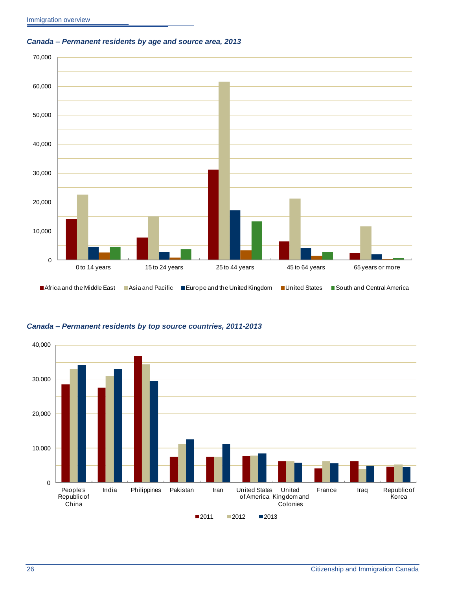<span id="page-29-0"></span>





#### <span id="page-29-1"></span>*Canada – Permanent residents by top source countries, 2011-2013*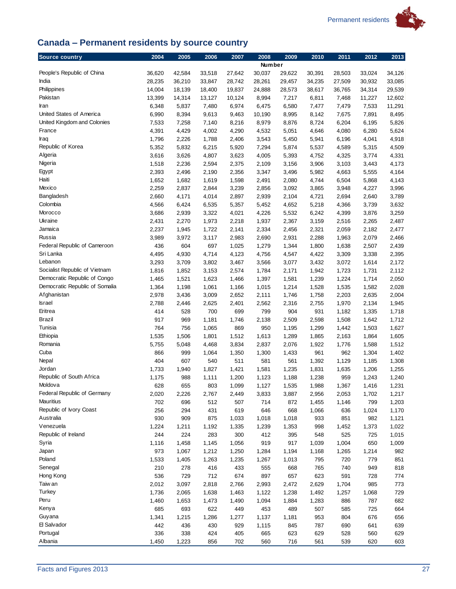

## <span id="page-30-0"></span>**Canada – Permanent residents by source country**

| <b>Source country</b>          | 2004         | 2005         | 2006         | 2007           | 2008           | 2009           | 2010           | 2011           | 2012           | 2013           |
|--------------------------------|--------------|--------------|--------------|----------------|----------------|----------------|----------------|----------------|----------------|----------------|
|                                |              |              |              |                | <b>Number</b>  |                |                |                |                |                |
| People's Republic of China     | 36,620       | 42,584       | 33,518       | 27,642         | 30,037         | 29,622         | 30,391         | 28,503         | 33,024         | 34,126         |
| India                          | 28,235       | 36,210       | 33,847       | 28,742         | 28,261         | 29,457         | 34,235         | 27,509         | 30,932         | 33,085         |
| Philippines                    | 14,004       | 18,139       | 18,400       | 19,837         | 24,888         | 28,573         | 38,617         | 36,765         | 34,314         | 29,539         |
| Pakistan                       | 13,399       | 14,314       | 13,127       | 10,124         | 8,994          | 7,217          | 6,811          | 7,468          | 11,227         | 12,602         |
| Iran                           | 6,348        | 5,837        | 7,480        | 6,974          | 6,475          | 6,580          | 7,477          | 7,479          | 7,533          | 11,291         |
| United States of America       | 6,990        | 8,394        | 9,613        | 9,463          | 10,190         | 8,995          | 8,142          | 7,675          | 7,891          | 8,495          |
| United Kingdom and Colonies    | 7,533        | 7,258        | 7,140        | 8,216          | 8,979          | 8,876          | 8,724          | 6,204          | 6,195          | 5,826          |
| France                         | 4,391        | 4,429        | 4,002        | 4,290          | 4,532          | 5,051          | 4,646          | 4,080          | 6,280          | 5,624          |
| Iraq                           | 1,796        | 2,226        | 1,788        | 2,406          | 3,543          | 5,450          | 5,941          | 6,196          | 4,041          | 4,918          |
| Republic of Korea              | 5,352        | 5,832        | 6,215        | 5,920          | 7,294          | 5,874          | 5,537          | 4,589          | 5,315          | 4,509          |
| Algeria                        | 3,616        | 3,626        | 4,807        | 3,623          | 4,005          | 5,393          | 4,752          | 4,325          | 3,774          | 4,331          |
| Nigeria                        | 1,518        | 2,236        | 2,594        | 2,375          | 2,109          | 3,156          | 3,906          | 3,103          | 3,443          | 4,173          |
| Egypt                          | 2,393        | 2,496        | 2,190        | 2,356          | 3,347          | 3,496          | 5,982          | 4,663          | 5,555          | 4,164          |
| Haiti                          | 1,652        | 1,682        | 1,619        | 1,598          | 2,491          | 2,080          | 4,744          | 6,504          | 5,868          | 4,143          |
| Mexico                         | 2,259        | 2,837        | 2,844        | 3,239          | 2,856          | 3,092          | 3,865          | 3,948          | 4,227          | 3,996          |
| Bangladesh                     | 2,660        | 4,171        | 4,014        | 2,897          | 2,939          | 2,104          | 4,721          | 2,694          | 2,640          | 3,789          |
| Colombia<br>Morocco            | 4,566        | 6,424        | 6,535        | 5,357          | 5,452          | 4,652          | 5,218          | 4,366          | 3,739          | 3,632          |
|                                | 3,686        | 2,939        | 3,322        | 4,021          | 4,226          | 5,532          | 6,242          | 4,399          | 3,876          | 3,259          |
| Ukraine<br>Jamaica             | 2,431        | 2,270        | 1,973        | 2,218          | 1,937          | 2,367          | 3,159          | 2,516          | 2,265          | 2,487          |
| Russia                         | 2,237        | 1,945        | 1,722        | 2,141          | 2,334          | 2,456          | 2,321          | 2,059          | 2,182          | 2,477          |
| Federal Republic of Cameroon   | 3,989<br>436 | 3,972<br>604 | 3,117<br>697 | 2,983          | 2,690          | 2,931          | 2,288          | 1,963          | 2,079          | 2,466          |
| Sri Lanka                      | 4,495        | 4,930        | 4,714        | 1,025<br>4,123 | 1,279<br>4,756 | 1,344<br>4,547 | 1,800<br>4,422 | 1,638<br>3,309 | 2,507<br>3,338 | 2,439<br>2,395 |
| Lebanon                        | 3,293        | 3,709        | 3,802        | 3,467          | 3,566          | 3,077          | 3,432          | 3,072          | 1,614          | 2,172          |
| Socialist Republic of Vietnam  | 1,816        | 1,852        | 3,153        | 2,574          | 1,784          | 2,171          | 1,942          | 1,723          | 1,731          | 2,112          |
| Democratic Republic of Congo   | 1,465        | 1,521        | 1,623        | 1,466          | 1,397          | 1,581          | 1,239          | 1,224          | 1,714          | 2,050          |
| Democratic Republic of Somalia | 1,364        | 1,198        | 1,061        | 1,166          | 1,015          | 1,214          | 1,528          | 1,535          | 1,582          | 2,028          |
| Afghanistan                    | 2,978        | 3,436        | 3,009        | 2,652          | 2,111          | 1,746          | 1,758          | 2,203          | 2,635          | 2,004          |
| <b>Israel</b>                  | 2,788        | 2,446        | 2,625        | 2,401          | 2,562          | 2,316          | 2,755          | 1,970          | 2,134          | 1,945          |
| Eritrea                        | 414          | 528          | 700          | 699            | 799            | 904            | 931            | 1,182          | 1,335          | 1,718          |
| Brazil                         | 917          | 969          | 1,181        | 1,746          | 2,138          | 2,509          | 2,598          | 1,508          | 1,642          | 1,712          |
| Tunisia                        | 764          | 756          | 1,065        | 869            | 950            | 1,195          | 1,299          | 1,442          | 1,503          | 1,627          |
| Ethiopia                       | 1,535        | 1,506        | 1,801        | 1,512          | 1,613          | 1,289          | 1,865          | 2,163          | 1,864          | 1,605          |
| Romania                        | 5,755        | 5,048        | 4,468        | 3,834          | 2,837          | 2,076          | 1,922          | 1,776          | 1,588          | 1,512          |
| Cuba                           | 866          | 999          | 1,064        | 1,350          | 1,300          | 1,433          | 961            | 962            | 1,304          | 1,402          |
| Nepal                          | 404          | 607          | 540          | 511            | 581            | 561            | 1,392          | 1,129          | 1,185          | 1,308          |
| Jordan                         | 1,733        | 1,940        | 1,827        | 1,421          | 1,581          | 1,235          | 1,831          | 1,635          | 1,206          | 1,255          |
| Republic of South Africa       | 1,175        | 988          | 1,111        | 1,200          | 1,123          | 1,188          | 1,238          | 959            | 1,243          | 1,240          |
| Moldova                        | 628          | 655          | 803          | 1,099          | 1,127          | 1,535          | 1,988          | 1,367          | 1,416          | 1,231          |
| Federal Republic of Germany    | 2,020        | 2,226        | 2,767        | 2,449          | 3,833          | 3,887          | 2,956          | 2,053          | 1,702          | 1,217          |
| Mauritius                      | 702          | 696          | 512          | 507            | 714            | 872            | 1,455          | 1,146          | 799            | 1,203          |
| Republic of Ivory Coast        | 256          | 294          | 431          | 619            | 646            | 668            | 1,066          | 636            | 1,024          | 1,170          |
| Australia                      | 930          | 909          | 875          | 1,033          | 1,018          | 1,018          | 933            | 851            | 982            | 1,121          |
| Venezuela                      | 1,224        | 1,211        | 1,192        | 1,335          | 1,239          | 1,353          | 998            | 1,452          | 1,373          | 1,022          |
| Republic of Ireland            | 244          | 224          | 283          | 300            | 412            | 395            | 548            | 525            | 725            | 1,015          |
| Syria                          | 1,116        | 1,458        | 1,145        | 1,056          | 919            | 917            | 1,039          | 1,004          | 650            | 1,009          |
| Japan                          | 973          | 1,067        | 1,212        | 1,250          | 1,284          | 1,194          | 1,168          | 1,265          | 1,214          | 982            |
| Poland                         | 1,533        | 1,405        | 1,263        | 1,235          | 1,267          | 1,013          | 795            | 720            | 779            | 851            |
| Senegal                        | 210          | 278          | 416          | 433            | 555            | 668            | 765            | 740            | 949            | 818            |
| Hong Kong                      | 536          | 729          | 712          | 674            | 897            | 657            | 623            | 591            | 728            | 774            |
| Taiw an                        | 2,012        | 3,097        | 2,818        | 2,766          | 2,993          | 2,472          | 2,629          | 1,704          | 985            | 773            |
| Turkey                         | 1,736        | 2,065        | 1,638        | 1,463          | 1,122          | 1,238          | 1,492          | 1,257          | 1,068          | 729            |
| Peru                           | 1,460        | 1,653        | 1,473        | 1,490          | 1,094          | 1,884          | 1,283          | 886            | 787            | 682            |
| Kenya                          | 685          | 693          | 622          | 449            | 453            | 489            | 507            | 585            | 725            | 664            |
| Guyana                         | 1,341        | 1,215        | 1,286        | 1,277          | 1,137          | 1,181          | 953            | 804            | 676            | 656            |
| 日 Salvador                     | 442          | 436          | 430          | 929            | 1,115          | 845            | 787            | 690            | 641            | 639            |
| Portugal                       | 336          | 338          | 424          | 405            | 665            | 623            | 629            | 528            | 560            | 629            |
| Albania                        | 1,450        | 1,223        | 856          | 702            | 560            | 716            | 561            | 539            | 620            | 603            |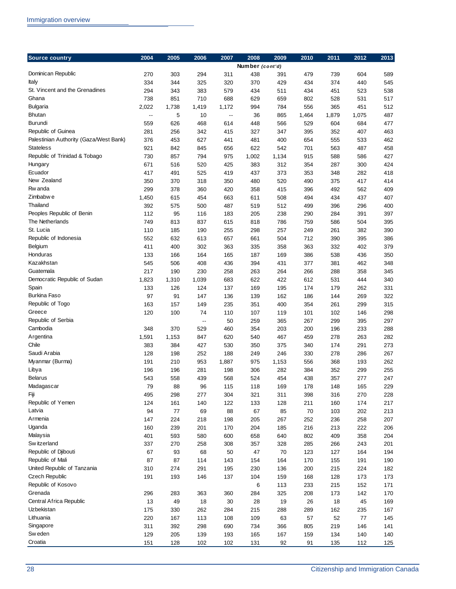| <b>Source country</b>                  | 2004         | 2005         | 2006                     | 2007                       | 2008            | 2009       | 2010       | 2011       | 2012       | 2013       |
|----------------------------------------|--------------|--------------|--------------------------|----------------------------|-----------------|------------|------------|------------|------------|------------|
|                                        |              |              |                          |                            | Number (cont'd) |            |            |            |            |            |
| Dominican Republic                     | 270          | 303          | 294                      | 311                        | 438             | 391        | 479        | 739        | 604        | 589        |
| Italy                                  | 334          | 344          | 325                      | 320                        | 370             | 429        | 434        | 374        | 440        | 545        |
| St. Vincent and the Grenadines         | 294          | 343          | 383                      | 579                        | 434             | 511        | 434        | 451        | 523        | 538        |
| Ghana                                  | 738          | 851          | 710                      | 688                        | 629             | 659        | 802        | 528        | 531        | 517        |
| Bulgaria                               | 2,022        | 1,738        | 1,419                    | 1,172                      | 994             | 784        | 556        | 365        | 451        | 512        |
| <b>Bhutan</b>                          | --           | 5            | 10                       | $\overline{\phantom{a}}$ . | 36              | 865        | 1,464      | 1,879      | 1,075      | 487        |
| Burundi                                | 559          | 626          | 468                      | 614                        | 448             | 566        | 529        | 604        | 684        | 477        |
| Republic of Guinea                     | 281          | 256          | 342                      | 415                        | 327             | 347        | 395        | 352        | 407        | 463        |
| Palestinian Authority (Gaza/West Bank) | 376          | 453          | 627                      | 441                        | 481             | 400        | 654        | 555        | 533        | 462        |
| <b>Stateless</b>                       | 921          | 842          | 845                      | 656                        | 622             | 542        | 701        | 563        | 487        | 458        |
| Republic of Trinidad & Tobago          | 730          | 857          | 794                      | 975                        | 1,002           | 1,134      | 915        | 588        | 586        | 427        |
| Hungary                                | 671          | 516          | 520                      | 425                        | 383             | 312        | 354        | 287        | 300        | 424        |
| Ecuador                                | 417          | 491          | 525                      | 419                        | 437             | 373        | 353        | 348        | 282        | 418        |
| New Zealand                            | 350          | 370          | 318                      | 350                        | 480             | 520        | 490        | 375        | 417        | 414        |
| Rw anda                                | 299          | 378          | 360                      | 420                        | 358             | 415        | 396        | 492        | 562        | 409        |
| Zimbabw e                              | 1,450        | 615          | 454                      | 663                        | 611             | 508        | 494        | 434        | 437        | 407        |
| Thailand                               | 392          | 575          | 500                      | 487                        | 519             | 512        | 499        | 396        | 296        | 400        |
| Peoples Republic of Benin              | 112          | 95           | 116                      | 183                        | 205             | 238        | 290        | 284        | 391        | 397        |
| The Netherlands                        | 749          | 813          | 837                      | 615                        | 818             | 786        | 759        | 586        | 504        | 395        |
| St. Lucia                              | 110          | 185          | 190                      | 255                        | 298             | 257        | 249        | 261        | 382        | 390        |
| Republic of Indonesia                  | 552          | 632          | 613                      | 657                        | 661             | 504        | 712        | 390        | 395        | 386        |
| Belgium                                | 411          | 400          | 302                      | 363                        | 335             | 358        | 363        | 332        | 402        | 379        |
| Honduras                               | 133          | 166          | 164                      | 165                        | 187             | 169        | 386        | 538        | 436        | 350        |
| Kazakhstan                             | 545          | 506          | 408                      | 436                        | 394             | 431        | 377        | 381        | 462        | 348        |
| Guatemala                              | 217          | 190          | 230                      | 258                        | 263             | 264        | 266        | 288        | 358        | 345        |
| Democratic Republic of Sudan           | 1,823        | 1,310        | 1,039                    | 683                        | 622             | 422        | 612        | 531        | 444        | 340        |
| Spain                                  | 133          | 126          | 124                      | 137                        | 169             | 195        | 174        | 179        | 262        | 331        |
| <b>Burkina Faso</b>                    | 97           | 91           | 147                      | 136                        | 139             | 162        | 186        | 144        | 269        | 322        |
| Republic of Togo                       | 163          | 157          | 149                      | 235                        | 351             | 400        | 354        | 261        | 299        | 315        |
| Greece                                 | 120          | 100          | 74                       | 110                        | 107             | 119        | 101        | 102        | 146        | 298        |
| Republic of Serbia<br>Cambodia         |              |              | $\overline{\phantom{a}}$ | 50                         | 259             | 365        | 267        | 299        | 395        | 297        |
| Argentina                              | 348          | 370          | 529<br>847               | 460<br>620                 | 354             | 203        | 200<br>459 | 196        | 233<br>263 | 288<br>282 |
| Chile                                  | 1,591<br>383 | 1,153<br>384 | 427                      | 530                        | 540<br>350      | 467<br>375 | 340        | 278<br>174 | 291        | 273        |
| Saudi Arabia                           | 128          | 198          | 252                      | 188                        | 249             | 246        | 330        | 278        | 286        | 267        |
| Myanmar (Burma)                        | 191          | 210          | 953                      | 1,887                      | 975             | 1,153      | 556        | 368        | 193        | 262        |
| Libya                                  | 196          | 196          | 281                      | 198                        | 306             | 282        | 384        | 352        | 299        | 255        |
| <b>Belarus</b>                         | 543          | 558          | 439                      | 568                        | 524             | 454        | 438        | 357        | 277        | 247        |
| Madagascar                             | 79           | 88           | 96                       | 115                        | 118             | 169        | 178        | 148        | 165        | 229        |
| Fiji                                   | 495          | 298          | 277                      | 304                        | 321             | 311        | 398        | 316        | 270        | 228        |
| Republic of Yemen                      | 124          | 161          | 140                      | 122                        | 133             | 128        | 211        | 160        | 174        | 217        |
| Latvia                                 | 94           | 77           | 69                       | 88                         | 67              | 85         | 70         | 103        | 202        | 213        |
| Armenia                                | 147          | 224          | 218                      | 198                        | 205             | 267        | 252        | 236        | 258        | 207        |
| Uganda                                 | 160          | 239          | 201                      | 170                        | 204             | 185        | 216        | 213        | 222        | 206        |
| Malaysia                               | 401          | 593          | 580                      | 600                        | 658             | 640        | 802        | 409        | 358        | 204        |
| Sw itzerland                           | 337          | 270          | 258                      | 308                        | 357             | 328        | 285        | 266        | 243        | 201        |
| Republic of Djibouti                   | 67           | 93           | 68                       | 50                         | 47              | 70         | 123        | 127        | 164        | 194        |
| Republic of Mali                       | 87           | 87           | 114                      | 143                        | 154             | 164        | 170        | 155        | 191        | 190        |
| United Republic of Tanzania            | 310          | 274          | 291                      | 195                        | 230             | 136        | 200        | 215        | 224        | 182        |
| <b>Czech Republic</b>                  | 191          | 193          | 146                      | 137                        | 104             | 159        | 168        | 128        | 173        | 173        |
| Republic of Kosovo                     |              |              |                          |                            | 6               | 113        | 233        | 215        | 152        | 171        |
| Grenada                                | 296          | 283          | 363                      | 360                        | 284             | 325        | 208        | 173        | 142        | 170        |
| Central Africa Republic                | 13           | 49           | 18                       | 30                         | 28              | 19         | 26         | 18         | 45         | 169        |
| Uzbekistan                             | 175          | 330          | 262                      | 284                        | 215             | 288        | 289        | 162        | 235        | 167        |
| Lithuania                              | 220          | 167          | 113                      | 108                        | 109             | 63         | 57         | 52         | 77         | 145        |
| Singapore                              | 311          | 392          | 298                      | 690                        | 734             | 366        | 805        | 219        | 146        | 141        |
| Sw eden                                | 129          | 205          | 139                      | 193                        | 165             | 167        | 159        | 134        | 140        | 140        |
| Croatia                                | 151          | 128          | 102                      | 102                        | 131             | 92         | 91         | 135        | 112        | 125        |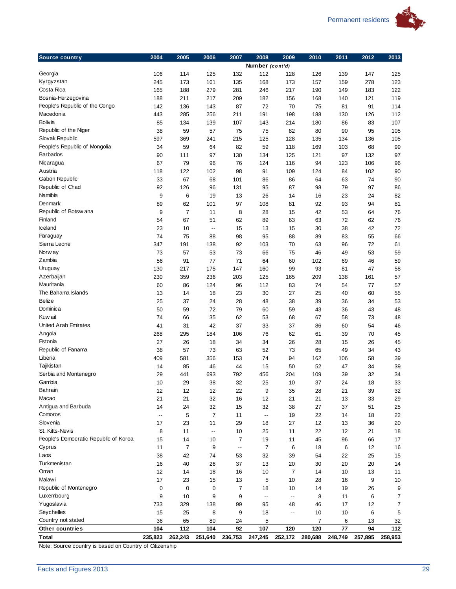

| <b>Source country</b><br>2004<br>2005<br>2006<br>2007<br>2008<br>2009<br>2010<br>2011<br>2012<br>2013<br>Number (cont'd)<br>Georgia<br>106<br>114<br>125<br>132<br>112<br>128<br>139<br>125<br>126<br>147<br>161<br>278<br>Kyrgyzstan<br>245<br>173<br>135<br>168<br>173<br>157<br>159<br>123<br>Costa Rica<br>279<br>217<br>183<br>165<br>188<br>281<br>246<br>190<br>149<br>122<br>Bosnia-Herzegovina<br>121<br>188<br>211<br>217<br>209<br>182<br>156<br>140<br>119<br>168<br>People's Republic of the Congo<br>142<br>143<br>72<br>70<br>114<br>136<br>87<br>75<br>81<br>91<br>Macedonia<br>443<br>285<br>256<br>198<br>130<br>126<br>112<br>211<br>191<br>188<br><b>Bolivia</b><br>85<br>134<br>139<br>107<br>214<br>86<br>83<br>107<br>143<br>180<br>Republic of the Niger<br>38<br>57<br>95<br>105<br>59<br>75<br>75<br>82<br>80<br>90<br>Slovak Republic<br>597<br>369<br>241<br>215<br>125<br>128<br>135<br>134<br>136<br>105<br>People's Republic of Mongolia<br>59<br>82<br>59<br>118<br>68<br>99<br>34<br>64<br>169<br>103<br><b>Barbados</b><br>90<br>97<br>125<br>111<br>130<br>134<br>121<br>97<br>132<br>97<br>Nicaragua<br>67<br>79<br>96<br>76<br>124<br>116<br>94<br>123<br>106<br>96<br>Austria<br>122<br>109<br>102<br>118<br>102<br>98<br>91<br>124<br>84<br>90<br>Gabon Republic<br>67<br>68<br>86<br>74<br>33<br>101<br>86<br>64<br>63<br>90<br>Republic of Chad<br>92<br>126<br>96<br>87<br>79<br>97<br>131<br>95<br>98<br>86<br>Namibia<br>9<br>6<br>19<br>13<br>26<br>14<br>16<br>23<br>24<br>82<br>Denmark<br>89<br>62<br>101<br>97<br>108<br>81<br>92<br>93<br>94<br>81<br>Republic of Botsw ana<br>9<br>7<br>11<br>28<br>42<br>53<br>76<br>8<br>15<br>64<br>Finland<br>51<br>72<br>76<br>54<br>67<br>62<br>89<br>63<br>63<br>62<br>Iceland<br>15<br>15<br>30<br>38<br>42<br>72<br>23<br>10<br>13<br>$\overline{\phantom{a}}$<br>Paraguay<br>75<br>98<br>95<br>88<br>66<br>74<br>88<br>89<br>83<br>55<br>Sierra Leone<br>70<br>72<br>347<br>191<br>138<br>92<br>103<br>63<br>96<br>61<br>Norw ay<br>73<br>57<br>53<br>73<br>66<br>75<br>46<br>49<br>53<br>59<br>Zambia<br>56<br>91<br>77<br>71<br>64<br>60<br>102<br>69<br>46<br>59<br>Uruguay<br>130<br>217<br>175<br>147<br>160<br>99<br>93<br>81<br>47<br>58<br>Azerbaijan<br>209<br>230<br>359<br>236<br>203<br>125<br>165<br>138<br>161<br>57<br>Mauritania<br>124<br>83<br>60<br>86<br>96<br>112<br>74<br>54<br>77<br>57<br>The Bahama Islands<br>18<br>23<br>30<br>27<br>25<br>40<br>60<br>13<br>14<br>55<br>Belize<br>25<br>24<br>53<br>37<br>28<br>48<br>38<br>39<br>36<br>34<br>Dominica<br>50<br>72<br>79<br>59<br>60<br>59<br>43<br>36<br>43<br>48<br>Kuw ait<br>62<br>48<br>74<br>66<br>35<br>53<br>68<br>67<br>58<br>73<br><b>United Arab Emirates</b><br>42<br>37<br>33<br>37<br>54<br>46<br>41<br>31<br>86<br>60<br>70<br>268<br>295<br>184<br>106<br>76<br>62<br>61<br>39<br>45<br>Estonia<br>27<br>26<br>18<br>34<br>34<br>26<br>28<br>15<br>26<br>45<br>Republic of Panama<br>38<br>73<br>63<br>52<br>57<br>73<br>65<br>49<br>34<br>43<br>Liberia<br>356<br>58<br>409<br>581<br>153<br>74<br>94<br>162<br>106<br>39<br>Tajikistan<br>85<br>46<br>15<br>50<br>52<br>47<br>14<br>44<br>34<br>39<br>Serbia and Montenegro<br>29<br>441<br>693<br>792<br>456<br>204<br>109<br>39<br>32<br>34<br>Gambia<br>38<br>37<br>24<br>10<br>29<br>32<br>25<br>10<br>18<br>33<br>Bahrain<br>12<br>12<br>22<br>9<br>32<br>12<br>35<br>28<br>21<br>39<br>Macao<br>21<br>21<br>32<br>16<br>12<br>21<br>21<br>13<br>33<br>29<br>Antigua and Barbuda<br>14<br>24<br>32<br>32<br>27<br>37<br>15<br>38<br>51<br>25<br>Comoros<br>5<br>$\overline{7}$<br>22<br>11<br>19<br>14<br>18<br>22<br>$\overline{\phantom{a}}$<br>--<br>Slovenia<br>12<br>17<br>23<br>11<br>29<br>18<br>27<br>13<br>36<br>20<br>St. Kitts-Nevis<br>8<br>11<br>22<br>12<br>21<br>18<br>11<br>10<br>25<br>$\overline{\phantom{a}}$<br>People's Democratic Republic of Korea<br>19<br>45<br>15<br>14<br>10<br>7<br>11<br>96<br>66<br>17<br>Cyprus<br>11<br>$\overline{7}$<br>9<br>$\overline{7}$<br>6<br>12<br>6<br>18<br>16<br>$\overline{\phantom{a}}$ .<br>Laos<br>38<br>42<br>74<br>53<br>32<br>39<br>54<br>22<br>25<br>15<br>Turkmenistan<br>16<br>37<br>30<br>20<br>40<br>26<br>13<br>20<br>20<br>14<br>Oman<br>12<br>18<br>10<br>10<br>14<br>16<br>7<br>14<br>13<br>11<br>Malaw i<br>17<br>23<br>15<br>13<br>5<br>10<br>28<br>16<br>9<br>10<br>Republic of Montenegro<br>7<br>9<br>0<br>0<br>0<br>18<br>10<br>14<br>19<br>26<br>Luxembourg<br>9<br>7<br>9<br>10<br>9<br>8<br>11<br>6<br>--<br>--<br>Yugoslavia<br>17<br>12<br>7<br>733<br>329<br>138<br>99<br>95<br>48<br>46<br>Seychelles<br>15<br>8<br>10<br>5<br>25<br>9<br>18<br>10<br>6<br>--<br>Country not stated<br>36<br>65<br>80<br>24<br>5<br>7<br>6<br>13<br>32<br>104<br>112<br>104<br>92<br>107<br>120<br>120<br>77<br>94<br>112<br>Other countries<br>235,823<br>262,243<br>251,640<br>236,753<br>247,245<br>252,172<br>280,688<br>248,749<br>257,895<br>258,953 |              |  |  |  |  |  |
|-------------------------------------------------------------------------------------------------------------------------------------------------------------------------------------------------------------------------------------------------------------------------------------------------------------------------------------------------------------------------------------------------------------------------------------------------------------------------------------------------------------------------------------------------------------------------------------------------------------------------------------------------------------------------------------------------------------------------------------------------------------------------------------------------------------------------------------------------------------------------------------------------------------------------------------------------------------------------------------------------------------------------------------------------------------------------------------------------------------------------------------------------------------------------------------------------------------------------------------------------------------------------------------------------------------------------------------------------------------------------------------------------------------------------------------------------------------------------------------------------------------------------------------------------------------------------------------------------------------------------------------------------------------------------------------------------------------------------------------------------------------------------------------------------------------------------------------------------------------------------------------------------------------------------------------------------------------------------------------------------------------------------------------------------------------------------------------------------------------------------------------------------------------------------------------------------------------------------------------------------------------------------------------------------------------------------------------------------------------------------------------------------------------------------------------------------------------------------------------------------------------------------------------------------------------------------------------------------------------------------------------------------------------------------------------------------------------------------------------------------------------------------------------------------------------------------------------------------------------------------------------------------------------------------------------------------------------------------------------------------------------------------------------------------------------------------------------------------------------------------------------------------------------------------------------------------------------------------------------------------------------------------------------------------------------------------------------------------------------------------------------------------------------------------------------------------------------------------------------------------------------------------------------------------------------------------------------------------------------------------------------------------------------------------------------------------------------------------------------------------------------------------------------------------------------------------------------------------------------------------------------------------------------------------------------------------------------------------------------------------------------------------------------------------------------------------------------------------------------------------------------------------------------------------------------------------------------------------------------------------------------------------------------------------------------------------------------------------------------------------------------------------------------------------------------------------------------------------------------------------------------------------------------------------------------------------------------------------------------------------------------------------------------------------------------------------------------------------------------------------------------------------------------------------------------------------------------------------------------------------------------------------------------------------------------------------------------------------------------|--------------|--|--|--|--|--|
|                                                                                                                                                                                                                                                                                                                                                                                                                                                                                                                                                                                                                                                                                                                                                                                                                                                                                                                                                                                                                                                                                                                                                                                                                                                                                                                                                                                                                                                                                                                                                                                                                                                                                                                                                                                                                                                                                                                                                                                                                                                                                                                                                                                                                                                                                                                                                                                                                                                                                                                                                                                                                                                                                                                                                                                                                                                                                                                                                                                                                                                                                                                                                                                                                                                                                                                                                                                                                                                                                                                                                                                                                                                                                                                                                                                                                                                                                                                                                                                                                                                                                                                                                                                                                                                                                                                                                                                                                                                                                                                                                                                                                                                                                                                                                                                                                                                                                                                                                                                     |              |  |  |  |  |  |
|                                                                                                                                                                                                                                                                                                                                                                                                                                                                                                                                                                                                                                                                                                                                                                                                                                                                                                                                                                                                                                                                                                                                                                                                                                                                                                                                                                                                                                                                                                                                                                                                                                                                                                                                                                                                                                                                                                                                                                                                                                                                                                                                                                                                                                                                                                                                                                                                                                                                                                                                                                                                                                                                                                                                                                                                                                                                                                                                                                                                                                                                                                                                                                                                                                                                                                                                                                                                                                                                                                                                                                                                                                                                                                                                                                                                                                                                                                                                                                                                                                                                                                                                                                                                                                                                                                                                                                                                                                                                                                                                                                                                                                                                                                                                                                                                                                                                                                                                                                                     |              |  |  |  |  |  |
|                                                                                                                                                                                                                                                                                                                                                                                                                                                                                                                                                                                                                                                                                                                                                                                                                                                                                                                                                                                                                                                                                                                                                                                                                                                                                                                                                                                                                                                                                                                                                                                                                                                                                                                                                                                                                                                                                                                                                                                                                                                                                                                                                                                                                                                                                                                                                                                                                                                                                                                                                                                                                                                                                                                                                                                                                                                                                                                                                                                                                                                                                                                                                                                                                                                                                                                                                                                                                                                                                                                                                                                                                                                                                                                                                                                                                                                                                                                                                                                                                                                                                                                                                                                                                                                                                                                                                                                                                                                                                                                                                                                                                                                                                                                                                                                                                                                                                                                                                                                     |              |  |  |  |  |  |
|                                                                                                                                                                                                                                                                                                                                                                                                                                                                                                                                                                                                                                                                                                                                                                                                                                                                                                                                                                                                                                                                                                                                                                                                                                                                                                                                                                                                                                                                                                                                                                                                                                                                                                                                                                                                                                                                                                                                                                                                                                                                                                                                                                                                                                                                                                                                                                                                                                                                                                                                                                                                                                                                                                                                                                                                                                                                                                                                                                                                                                                                                                                                                                                                                                                                                                                                                                                                                                                                                                                                                                                                                                                                                                                                                                                                                                                                                                                                                                                                                                                                                                                                                                                                                                                                                                                                                                                                                                                                                                                                                                                                                                                                                                                                                                                                                                                                                                                                                                                     |              |  |  |  |  |  |
|                                                                                                                                                                                                                                                                                                                                                                                                                                                                                                                                                                                                                                                                                                                                                                                                                                                                                                                                                                                                                                                                                                                                                                                                                                                                                                                                                                                                                                                                                                                                                                                                                                                                                                                                                                                                                                                                                                                                                                                                                                                                                                                                                                                                                                                                                                                                                                                                                                                                                                                                                                                                                                                                                                                                                                                                                                                                                                                                                                                                                                                                                                                                                                                                                                                                                                                                                                                                                                                                                                                                                                                                                                                                                                                                                                                                                                                                                                                                                                                                                                                                                                                                                                                                                                                                                                                                                                                                                                                                                                                                                                                                                                                                                                                                                                                                                                                                                                                                                                                     |              |  |  |  |  |  |
|                                                                                                                                                                                                                                                                                                                                                                                                                                                                                                                                                                                                                                                                                                                                                                                                                                                                                                                                                                                                                                                                                                                                                                                                                                                                                                                                                                                                                                                                                                                                                                                                                                                                                                                                                                                                                                                                                                                                                                                                                                                                                                                                                                                                                                                                                                                                                                                                                                                                                                                                                                                                                                                                                                                                                                                                                                                                                                                                                                                                                                                                                                                                                                                                                                                                                                                                                                                                                                                                                                                                                                                                                                                                                                                                                                                                                                                                                                                                                                                                                                                                                                                                                                                                                                                                                                                                                                                                                                                                                                                                                                                                                                                                                                                                                                                                                                                                                                                                                                                     |              |  |  |  |  |  |
|                                                                                                                                                                                                                                                                                                                                                                                                                                                                                                                                                                                                                                                                                                                                                                                                                                                                                                                                                                                                                                                                                                                                                                                                                                                                                                                                                                                                                                                                                                                                                                                                                                                                                                                                                                                                                                                                                                                                                                                                                                                                                                                                                                                                                                                                                                                                                                                                                                                                                                                                                                                                                                                                                                                                                                                                                                                                                                                                                                                                                                                                                                                                                                                                                                                                                                                                                                                                                                                                                                                                                                                                                                                                                                                                                                                                                                                                                                                                                                                                                                                                                                                                                                                                                                                                                                                                                                                                                                                                                                                                                                                                                                                                                                                                                                                                                                                                                                                                                                                     |              |  |  |  |  |  |
|                                                                                                                                                                                                                                                                                                                                                                                                                                                                                                                                                                                                                                                                                                                                                                                                                                                                                                                                                                                                                                                                                                                                                                                                                                                                                                                                                                                                                                                                                                                                                                                                                                                                                                                                                                                                                                                                                                                                                                                                                                                                                                                                                                                                                                                                                                                                                                                                                                                                                                                                                                                                                                                                                                                                                                                                                                                                                                                                                                                                                                                                                                                                                                                                                                                                                                                                                                                                                                                                                                                                                                                                                                                                                                                                                                                                                                                                                                                                                                                                                                                                                                                                                                                                                                                                                                                                                                                                                                                                                                                                                                                                                                                                                                                                                                                                                                                                                                                                                                                     |              |  |  |  |  |  |
|                                                                                                                                                                                                                                                                                                                                                                                                                                                                                                                                                                                                                                                                                                                                                                                                                                                                                                                                                                                                                                                                                                                                                                                                                                                                                                                                                                                                                                                                                                                                                                                                                                                                                                                                                                                                                                                                                                                                                                                                                                                                                                                                                                                                                                                                                                                                                                                                                                                                                                                                                                                                                                                                                                                                                                                                                                                                                                                                                                                                                                                                                                                                                                                                                                                                                                                                                                                                                                                                                                                                                                                                                                                                                                                                                                                                                                                                                                                                                                                                                                                                                                                                                                                                                                                                                                                                                                                                                                                                                                                                                                                                                                                                                                                                                                                                                                                                                                                                                                                     |              |  |  |  |  |  |
|                                                                                                                                                                                                                                                                                                                                                                                                                                                                                                                                                                                                                                                                                                                                                                                                                                                                                                                                                                                                                                                                                                                                                                                                                                                                                                                                                                                                                                                                                                                                                                                                                                                                                                                                                                                                                                                                                                                                                                                                                                                                                                                                                                                                                                                                                                                                                                                                                                                                                                                                                                                                                                                                                                                                                                                                                                                                                                                                                                                                                                                                                                                                                                                                                                                                                                                                                                                                                                                                                                                                                                                                                                                                                                                                                                                                                                                                                                                                                                                                                                                                                                                                                                                                                                                                                                                                                                                                                                                                                                                                                                                                                                                                                                                                                                                                                                                                                                                                                                                     |              |  |  |  |  |  |
|                                                                                                                                                                                                                                                                                                                                                                                                                                                                                                                                                                                                                                                                                                                                                                                                                                                                                                                                                                                                                                                                                                                                                                                                                                                                                                                                                                                                                                                                                                                                                                                                                                                                                                                                                                                                                                                                                                                                                                                                                                                                                                                                                                                                                                                                                                                                                                                                                                                                                                                                                                                                                                                                                                                                                                                                                                                                                                                                                                                                                                                                                                                                                                                                                                                                                                                                                                                                                                                                                                                                                                                                                                                                                                                                                                                                                                                                                                                                                                                                                                                                                                                                                                                                                                                                                                                                                                                                                                                                                                                                                                                                                                                                                                                                                                                                                                                                                                                                                                                     |              |  |  |  |  |  |
|                                                                                                                                                                                                                                                                                                                                                                                                                                                                                                                                                                                                                                                                                                                                                                                                                                                                                                                                                                                                                                                                                                                                                                                                                                                                                                                                                                                                                                                                                                                                                                                                                                                                                                                                                                                                                                                                                                                                                                                                                                                                                                                                                                                                                                                                                                                                                                                                                                                                                                                                                                                                                                                                                                                                                                                                                                                                                                                                                                                                                                                                                                                                                                                                                                                                                                                                                                                                                                                                                                                                                                                                                                                                                                                                                                                                                                                                                                                                                                                                                                                                                                                                                                                                                                                                                                                                                                                                                                                                                                                                                                                                                                                                                                                                                                                                                                                                                                                                                                                     |              |  |  |  |  |  |
|                                                                                                                                                                                                                                                                                                                                                                                                                                                                                                                                                                                                                                                                                                                                                                                                                                                                                                                                                                                                                                                                                                                                                                                                                                                                                                                                                                                                                                                                                                                                                                                                                                                                                                                                                                                                                                                                                                                                                                                                                                                                                                                                                                                                                                                                                                                                                                                                                                                                                                                                                                                                                                                                                                                                                                                                                                                                                                                                                                                                                                                                                                                                                                                                                                                                                                                                                                                                                                                                                                                                                                                                                                                                                                                                                                                                                                                                                                                                                                                                                                                                                                                                                                                                                                                                                                                                                                                                                                                                                                                                                                                                                                                                                                                                                                                                                                                                                                                                                                                     |              |  |  |  |  |  |
|                                                                                                                                                                                                                                                                                                                                                                                                                                                                                                                                                                                                                                                                                                                                                                                                                                                                                                                                                                                                                                                                                                                                                                                                                                                                                                                                                                                                                                                                                                                                                                                                                                                                                                                                                                                                                                                                                                                                                                                                                                                                                                                                                                                                                                                                                                                                                                                                                                                                                                                                                                                                                                                                                                                                                                                                                                                                                                                                                                                                                                                                                                                                                                                                                                                                                                                                                                                                                                                                                                                                                                                                                                                                                                                                                                                                                                                                                                                                                                                                                                                                                                                                                                                                                                                                                                                                                                                                                                                                                                                                                                                                                                                                                                                                                                                                                                                                                                                                                                                     |              |  |  |  |  |  |
|                                                                                                                                                                                                                                                                                                                                                                                                                                                                                                                                                                                                                                                                                                                                                                                                                                                                                                                                                                                                                                                                                                                                                                                                                                                                                                                                                                                                                                                                                                                                                                                                                                                                                                                                                                                                                                                                                                                                                                                                                                                                                                                                                                                                                                                                                                                                                                                                                                                                                                                                                                                                                                                                                                                                                                                                                                                                                                                                                                                                                                                                                                                                                                                                                                                                                                                                                                                                                                                                                                                                                                                                                                                                                                                                                                                                                                                                                                                                                                                                                                                                                                                                                                                                                                                                                                                                                                                                                                                                                                                                                                                                                                                                                                                                                                                                                                                                                                                                                                                     |              |  |  |  |  |  |
|                                                                                                                                                                                                                                                                                                                                                                                                                                                                                                                                                                                                                                                                                                                                                                                                                                                                                                                                                                                                                                                                                                                                                                                                                                                                                                                                                                                                                                                                                                                                                                                                                                                                                                                                                                                                                                                                                                                                                                                                                                                                                                                                                                                                                                                                                                                                                                                                                                                                                                                                                                                                                                                                                                                                                                                                                                                                                                                                                                                                                                                                                                                                                                                                                                                                                                                                                                                                                                                                                                                                                                                                                                                                                                                                                                                                                                                                                                                                                                                                                                                                                                                                                                                                                                                                                                                                                                                                                                                                                                                                                                                                                                                                                                                                                                                                                                                                                                                                                                                     |              |  |  |  |  |  |
|                                                                                                                                                                                                                                                                                                                                                                                                                                                                                                                                                                                                                                                                                                                                                                                                                                                                                                                                                                                                                                                                                                                                                                                                                                                                                                                                                                                                                                                                                                                                                                                                                                                                                                                                                                                                                                                                                                                                                                                                                                                                                                                                                                                                                                                                                                                                                                                                                                                                                                                                                                                                                                                                                                                                                                                                                                                                                                                                                                                                                                                                                                                                                                                                                                                                                                                                                                                                                                                                                                                                                                                                                                                                                                                                                                                                                                                                                                                                                                                                                                                                                                                                                                                                                                                                                                                                                                                                                                                                                                                                                                                                                                                                                                                                                                                                                                                                                                                                                                                     |              |  |  |  |  |  |
|                                                                                                                                                                                                                                                                                                                                                                                                                                                                                                                                                                                                                                                                                                                                                                                                                                                                                                                                                                                                                                                                                                                                                                                                                                                                                                                                                                                                                                                                                                                                                                                                                                                                                                                                                                                                                                                                                                                                                                                                                                                                                                                                                                                                                                                                                                                                                                                                                                                                                                                                                                                                                                                                                                                                                                                                                                                                                                                                                                                                                                                                                                                                                                                                                                                                                                                                                                                                                                                                                                                                                                                                                                                                                                                                                                                                                                                                                                                                                                                                                                                                                                                                                                                                                                                                                                                                                                                                                                                                                                                                                                                                                                                                                                                                                                                                                                                                                                                                                                                     |              |  |  |  |  |  |
|                                                                                                                                                                                                                                                                                                                                                                                                                                                                                                                                                                                                                                                                                                                                                                                                                                                                                                                                                                                                                                                                                                                                                                                                                                                                                                                                                                                                                                                                                                                                                                                                                                                                                                                                                                                                                                                                                                                                                                                                                                                                                                                                                                                                                                                                                                                                                                                                                                                                                                                                                                                                                                                                                                                                                                                                                                                                                                                                                                                                                                                                                                                                                                                                                                                                                                                                                                                                                                                                                                                                                                                                                                                                                                                                                                                                                                                                                                                                                                                                                                                                                                                                                                                                                                                                                                                                                                                                                                                                                                                                                                                                                                                                                                                                                                                                                                                                                                                                                                                     |              |  |  |  |  |  |
|                                                                                                                                                                                                                                                                                                                                                                                                                                                                                                                                                                                                                                                                                                                                                                                                                                                                                                                                                                                                                                                                                                                                                                                                                                                                                                                                                                                                                                                                                                                                                                                                                                                                                                                                                                                                                                                                                                                                                                                                                                                                                                                                                                                                                                                                                                                                                                                                                                                                                                                                                                                                                                                                                                                                                                                                                                                                                                                                                                                                                                                                                                                                                                                                                                                                                                                                                                                                                                                                                                                                                                                                                                                                                                                                                                                                                                                                                                                                                                                                                                                                                                                                                                                                                                                                                                                                                                                                                                                                                                                                                                                                                                                                                                                                                                                                                                                                                                                                                                                     |              |  |  |  |  |  |
|                                                                                                                                                                                                                                                                                                                                                                                                                                                                                                                                                                                                                                                                                                                                                                                                                                                                                                                                                                                                                                                                                                                                                                                                                                                                                                                                                                                                                                                                                                                                                                                                                                                                                                                                                                                                                                                                                                                                                                                                                                                                                                                                                                                                                                                                                                                                                                                                                                                                                                                                                                                                                                                                                                                                                                                                                                                                                                                                                                                                                                                                                                                                                                                                                                                                                                                                                                                                                                                                                                                                                                                                                                                                                                                                                                                                                                                                                                                                                                                                                                                                                                                                                                                                                                                                                                                                                                                                                                                                                                                                                                                                                                                                                                                                                                                                                                                                                                                                                                                     |              |  |  |  |  |  |
|                                                                                                                                                                                                                                                                                                                                                                                                                                                                                                                                                                                                                                                                                                                                                                                                                                                                                                                                                                                                                                                                                                                                                                                                                                                                                                                                                                                                                                                                                                                                                                                                                                                                                                                                                                                                                                                                                                                                                                                                                                                                                                                                                                                                                                                                                                                                                                                                                                                                                                                                                                                                                                                                                                                                                                                                                                                                                                                                                                                                                                                                                                                                                                                                                                                                                                                                                                                                                                                                                                                                                                                                                                                                                                                                                                                                                                                                                                                                                                                                                                                                                                                                                                                                                                                                                                                                                                                                                                                                                                                                                                                                                                                                                                                                                                                                                                                                                                                                                                                     |              |  |  |  |  |  |
|                                                                                                                                                                                                                                                                                                                                                                                                                                                                                                                                                                                                                                                                                                                                                                                                                                                                                                                                                                                                                                                                                                                                                                                                                                                                                                                                                                                                                                                                                                                                                                                                                                                                                                                                                                                                                                                                                                                                                                                                                                                                                                                                                                                                                                                                                                                                                                                                                                                                                                                                                                                                                                                                                                                                                                                                                                                                                                                                                                                                                                                                                                                                                                                                                                                                                                                                                                                                                                                                                                                                                                                                                                                                                                                                                                                                                                                                                                                                                                                                                                                                                                                                                                                                                                                                                                                                                                                                                                                                                                                                                                                                                                                                                                                                                                                                                                                                                                                                                                                     |              |  |  |  |  |  |
|                                                                                                                                                                                                                                                                                                                                                                                                                                                                                                                                                                                                                                                                                                                                                                                                                                                                                                                                                                                                                                                                                                                                                                                                                                                                                                                                                                                                                                                                                                                                                                                                                                                                                                                                                                                                                                                                                                                                                                                                                                                                                                                                                                                                                                                                                                                                                                                                                                                                                                                                                                                                                                                                                                                                                                                                                                                                                                                                                                                                                                                                                                                                                                                                                                                                                                                                                                                                                                                                                                                                                                                                                                                                                                                                                                                                                                                                                                                                                                                                                                                                                                                                                                                                                                                                                                                                                                                                                                                                                                                                                                                                                                                                                                                                                                                                                                                                                                                                                                                     |              |  |  |  |  |  |
|                                                                                                                                                                                                                                                                                                                                                                                                                                                                                                                                                                                                                                                                                                                                                                                                                                                                                                                                                                                                                                                                                                                                                                                                                                                                                                                                                                                                                                                                                                                                                                                                                                                                                                                                                                                                                                                                                                                                                                                                                                                                                                                                                                                                                                                                                                                                                                                                                                                                                                                                                                                                                                                                                                                                                                                                                                                                                                                                                                                                                                                                                                                                                                                                                                                                                                                                                                                                                                                                                                                                                                                                                                                                                                                                                                                                                                                                                                                                                                                                                                                                                                                                                                                                                                                                                                                                                                                                                                                                                                                                                                                                                                                                                                                                                                                                                                                                                                                                                                                     |              |  |  |  |  |  |
|                                                                                                                                                                                                                                                                                                                                                                                                                                                                                                                                                                                                                                                                                                                                                                                                                                                                                                                                                                                                                                                                                                                                                                                                                                                                                                                                                                                                                                                                                                                                                                                                                                                                                                                                                                                                                                                                                                                                                                                                                                                                                                                                                                                                                                                                                                                                                                                                                                                                                                                                                                                                                                                                                                                                                                                                                                                                                                                                                                                                                                                                                                                                                                                                                                                                                                                                                                                                                                                                                                                                                                                                                                                                                                                                                                                                                                                                                                                                                                                                                                                                                                                                                                                                                                                                                                                                                                                                                                                                                                                                                                                                                                                                                                                                                                                                                                                                                                                                                                                     |              |  |  |  |  |  |
|                                                                                                                                                                                                                                                                                                                                                                                                                                                                                                                                                                                                                                                                                                                                                                                                                                                                                                                                                                                                                                                                                                                                                                                                                                                                                                                                                                                                                                                                                                                                                                                                                                                                                                                                                                                                                                                                                                                                                                                                                                                                                                                                                                                                                                                                                                                                                                                                                                                                                                                                                                                                                                                                                                                                                                                                                                                                                                                                                                                                                                                                                                                                                                                                                                                                                                                                                                                                                                                                                                                                                                                                                                                                                                                                                                                                                                                                                                                                                                                                                                                                                                                                                                                                                                                                                                                                                                                                                                                                                                                                                                                                                                                                                                                                                                                                                                                                                                                                                                                     |              |  |  |  |  |  |
|                                                                                                                                                                                                                                                                                                                                                                                                                                                                                                                                                                                                                                                                                                                                                                                                                                                                                                                                                                                                                                                                                                                                                                                                                                                                                                                                                                                                                                                                                                                                                                                                                                                                                                                                                                                                                                                                                                                                                                                                                                                                                                                                                                                                                                                                                                                                                                                                                                                                                                                                                                                                                                                                                                                                                                                                                                                                                                                                                                                                                                                                                                                                                                                                                                                                                                                                                                                                                                                                                                                                                                                                                                                                                                                                                                                                                                                                                                                                                                                                                                                                                                                                                                                                                                                                                                                                                                                                                                                                                                                                                                                                                                                                                                                                                                                                                                                                                                                                                                                     |              |  |  |  |  |  |
|                                                                                                                                                                                                                                                                                                                                                                                                                                                                                                                                                                                                                                                                                                                                                                                                                                                                                                                                                                                                                                                                                                                                                                                                                                                                                                                                                                                                                                                                                                                                                                                                                                                                                                                                                                                                                                                                                                                                                                                                                                                                                                                                                                                                                                                                                                                                                                                                                                                                                                                                                                                                                                                                                                                                                                                                                                                                                                                                                                                                                                                                                                                                                                                                                                                                                                                                                                                                                                                                                                                                                                                                                                                                                                                                                                                                                                                                                                                                                                                                                                                                                                                                                                                                                                                                                                                                                                                                                                                                                                                                                                                                                                                                                                                                                                                                                                                                                                                                                                                     |              |  |  |  |  |  |
|                                                                                                                                                                                                                                                                                                                                                                                                                                                                                                                                                                                                                                                                                                                                                                                                                                                                                                                                                                                                                                                                                                                                                                                                                                                                                                                                                                                                                                                                                                                                                                                                                                                                                                                                                                                                                                                                                                                                                                                                                                                                                                                                                                                                                                                                                                                                                                                                                                                                                                                                                                                                                                                                                                                                                                                                                                                                                                                                                                                                                                                                                                                                                                                                                                                                                                                                                                                                                                                                                                                                                                                                                                                                                                                                                                                                                                                                                                                                                                                                                                                                                                                                                                                                                                                                                                                                                                                                                                                                                                                                                                                                                                                                                                                                                                                                                                                                                                                                                                                     |              |  |  |  |  |  |
|                                                                                                                                                                                                                                                                                                                                                                                                                                                                                                                                                                                                                                                                                                                                                                                                                                                                                                                                                                                                                                                                                                                                                                                                                                                                                                                                                                                                                                                                                                                                                                                                                                                                                                                                                                                                                                                                                                                                                                                                                                                                                                                                                                                                                                                                                                                                                                                                                                                                                                                                                                                                                                                                                                                                                                                                                                                                                                                                                                                                                                                                                                                                                                                                                                                                                                                                                                                                                                                                                                                                                                                                                                                                                                                                                                                                                                                                                                                                                                                                                                                                                                                                                                                                                                                                                                                                                                                                                                                                                                                                                                                                                                                                                                                                                                                                                                                                                                                                                                                     |              |  |  |  |  |  |
|                                                                                                                                                                                                                                                                                                                                                                                                                                                                                                                                                                                                                                                                                                                                                                                                                                                                                                                                                                                                                                                                                                                                                                                                                                                                                                                                                                                                                                                                                                                                                                                                                                                                                                                                                                                                                                                                                                                                                                                                                                                                                                                                                                                                                                                                                                                                                                                                                                                                                                                                                                                                                                                                                                                                                                                                                                                                                                                                                                                                                                                                                                                                                                                                                                                                                                                                                                                                                                                                                                                                                                                                                                                                                                                                                                                                                                                                                                                                                                                                                                                                                                                                                                                                                                                                                                                                                                                                                                                                                                                                                                                                                                                                                                                                                                                                                                                                                                                                                                                     |              |  |  |  |  |  |
|                                                                                                                                                                                                                                                                                                                                                                                                                                                                                                                                                                                                                                                                                                                                                                                                                                                                                                                                                                                                                                                                                                                                                                                                                                                                                                                                                                                                                                                                                                                                                                                                                                                                                                                                                                                                                                                                                                                                                                                                                                                                                                                                                                                                                                                                                                                                                                                                                                                                                                                                                                                                                                                                                                                                                                                                                                                                                                                                                                                                                                                                                                                                                                                                                                                                                                                                                                                                                                                                                                                                                                                                                                                                                                                                                                                                                                                                                                                                                                                                                                                                                                                                                                                                                                                                                                                                                                                                                                                                                                                                                                                                                                                                                                                                                                                                                                                                                                                                                                                     |              |  |  |  |  |  |
|                                                                                                                                                                                                                                                                                                                                                                                                                                                                                                                                                                                                                                                                                                                                                                                                                                                                                                                                                                                                                                                                                                                                                                                                                                                                                                                                                                                                                                                                                                                                                                                                                                                                                                                                                                                                                                                                                                                                                                                                                                                                                                                                                                                                                                                                                                                                                                                                                                                                                                                                                                                                                                                                                                                                                                                                                                                                                                                                                                                                                                                                                                                                                                                                                                                                                                                                                                                                                                                                                                                                                                                                                                                                                                                                                                                                                                                                                                                                                                                                                                                                                                                                                                                                                                                                                                                                                                                                                                                                                                                                                                                                                                                                                                                                                                                                                                                                                                                                                                                     | Angola       |  |  |  |  |  |
|                                                                                                                                                                                                                                                                                                                                                                                                                                                                                                                                                                                                                                                                                                                                                                                                                                                                                                                                                                                                                                                                                                                                                                                                                                                                                                                                                                                                                                                                                                                                                                                                                                                                                                                                                                                                                                                                                                                                                                                                                                                                                                                                                                                                                                                                                                                                                                                                                                                                                                                                                                                                                                                                                                                                                                                                                                                                                                                                                                                                                                                                                                                                                                                                                                                                                                                                                                                                                                                                                                                                                                                                                                                                                                                                                                                                                                                                                                                                                                                                                                                                                                                                                                                                                                                                                                                                                                                                                                                                                                                                                                                                                                                                                                                                                                                                                                                                                                                                                                                     |              |  |  |  |  |  |
|                                                                                                                                                                                                                                                                                                                                                                                                                                                                                                                                                                                                                                                                                                                                                                                                                                                                                                                                                                                                                                                                                                                                                                                                                                                                                                                                                                                                                                                                                                                                                                                                                                                                                                                                                                                                                                                                                                                                                                                                                                                                                                                                                                                                                                                                                                                                                                                                                                                                                                                                                                                                                                                                                                                                                                                                                                                                                                                                                                                                                                                                                                                                                                                                                                                                                                                                                                                                                                                                                                                                                                                                                                                                                                                                                                                                                                                                                                                                                                                                                                                                                                                                                                                                                                                                                                                                                                                                                                                                                                                                                                                                                                                                                                                                                                                                                                                                                                                                                                                     |              |  |  |  |  |  |
|                                                                                                                                                                                                                                                                                                                                                                                                                                                                                                                                                                                                                                                                                                                                                                                                                                                                                                                                                                                                                                                                                                                                                                                                                                                                                                                                                                                                                                                                                                                                                                                                                                                                                                                                                                                                                                                                                                                                                                                                                                                                                                                                                                                                                                                                                                                                                                                                                                                                                                                                                                                                                                                                                                                                                                                                                                                                                                                                                                                                                                                                                                                                                                                                                                                                                                                                                                                                                                                                                                                                                                                                                                                                                                                                                                                                                                                                                                                                                                                                                                                                                                                                                                                                                                                                                                                                                                                                                                                                                                                                                                                                                                                                                                                                                                                                                                                                                                                                                                                     |              |  |  |  |  |  |
|                                                                                                                                                                                                                                                                                                                                                                                                                                                                                                                                                                                                                                                                                                                                                                                                                                                                                                                                                                                                                                                                                                                                                                                                                                                                                                                                                                                                                                                                                                                                                                                                                                                                                                                                                                                                                                                                                                                                                                                                                                                                                                                                                                                                                                                                                                                                                                                                                                                                                                                                                                                                                                                                                                                                                                                                                                                                                                                                                                                                                                                                                                                                                                                                                                                                                                                                                                                                                                                                                                                                                                                                                                                                                                                                                                                                                                                                                                                                                                                                                                                                                                                                                                                                                                                                                                                                                                                                                                                                                                                                                                                                                                                                                                                                                                                                                                                                                                                                                                                     |              |  |  |  |  |  |
|                                                                                                                                                                                                                                                                                                                                                                                                                                                                                                                                                                                                                                                                                                                                                                                                                                                                                                                                                                                                                                                                                                                                                                                                                                                                                                                                                                                                                                                                                                                                                                                                                                                                                                                                                                                                                                                                                                                                                                                                                                                                                                                                                                                                                                                                                                                                                                                                                                                                                                                                                                                                                                                                                                                                                                                                                                                                                                                                                                                                                                                                                                                                                                                                                                                                                                                                                                                                                                                                                                                                                                                                                                                                                                                                                                                                                                                                                                                                                                                                                                                                                                                                                                                                                                                                                                                                                                                                                                                                                                                                                                                                                                                                                                                                                                                                                                                                                                                                                                                     |              |  |  |  |  |  |
|                                                                                                                                                                                                                                                                                                                                                                                                                                                                                                                                                                                                                                                                                                                                                                                                                                                                                                                                                                                                                                                                                                                                                                                                                                                                                                                                                                                                                                                                                                                                                                                                                                                                                                                                                                                                                                                                                                                                                                                                                                                                                                                                                                                                                                                                                                                                                                                                                                                                                                                                                                                                                                                                                                                                                                                                                                                                                                                                                                                                                                                                                                                                                                                                                                                                                                                                                                                                                                                                                                                                                                                                                                                                                                                                                                                                                                                                                                                                                                                                                                                                                                                                                                                                                                                                                                                                                                                                                                                                                                                                                                                                                                                                                                                                                                                                                                                                                                                                                                                     |              |  |  |  |  |  |
|                                                                                                                                                                                                                                                                                                                                                                                                                                                                                                                                                                                                                                                                                                                                                                                                                                                                                                                                                                                                                                                                                                                                                                                                                                                                                                                                                                                                                                                                                                                                                                                                                                                                                                                                                                                                                                                                                                                                                                                                                                                                                                                                                                                                                                                                                                                                                                                                                                                                                                                                                                                                                                                                                                                                                                                                                                                                                                                                                                                                                                                                                                                                                                                                                                                                                                                                                                                                                                                                                                                                                                                                                                                                                                                                                                                                                                                                                                                                                                                                                                                                                                                                                                                                                                                                                                                                                                                                                                                                                                                                                                                                                                                                                                                                                                                                                                                                                                                                                                                     |              |  |  |  |  |  |
|                                                                                                                                                                                                                                                                                                                                                                                                                                                                                                                                                                                                                                                                                                                                                                                                                                                                                                                                                                                                                                                                                                                                                                                                                                                                                                                                                                                                                                                                                                                                                                                                                                                                                                                                                                                                                                                                                                                                                                                                                                                                                                                                                                                                                                                                                                                                                                                                                                                                                                                                                                                                                                                                                                                                                                                                                                                                                                                                                                                                                                                                                                                                                                                                                                                                                                                                                                                                                                                                                                                                                                                                                                                                                                                                                                                                                                                                                                                                                                                                                                                                                                                                                                                                                                                                                                                                                                                                                                                                                                                                                                                                                                                                                                                                                                                                                                                                                                                                                                                     |              |  |  |  |  |  |
|                                                                                                                                                                                                                                                                                                                                                                                                                                                                                                                                                                                                                                                                                                                                                                                                                                                                                                                                                                                                                                                                                                                                                                                                                                                                                                                                                                                                                                                                                                                                                                                                                                                                                                                                                                                                                                                                                                                                                                                                                                                                                                                                                                                                                                                                                                                                                                                                                                                                                                                                                                                                                                                                                                                                                                                                                                                                                                                                                                                                                                                                                                                                                                                                                                                                                                                                                                                                                                                                                                                                                                                                                                                                                                                                                                                                                                                                                                                                                                                                                                                                                                                                                                                                                                                                                                                                                                                                                                                                                                                                                                                                                                                                                                                                                                                                                                                                                                                                                                                     |              |  |  |  |  |  |
|                                                                                                                                                                                                                                                                                                                                                                                                                                                                                                                                                                                                                                                                                                                                                                                                                                                                                                                                                                                                                                                                                                                                                                                                                                                                                                                                                                                                                                                                                                                                                                                                                                                                                                                                                                                                                                                                                                                                                                                                                                                                                                                                                                                                                                                                                                                                                                                                                                                                                                                                                                                                                                                                                                                                                                                                                                                                                                                                                                                                                                                                                                                                                                                                                                                                                                                                                                                                                                                                                                                                                                                                                                                                                                                                                                                                                                                                                                                                                                                                                                                                                                                                                                                                                                                                                                                                                                                                                                                                                                                                                                                                                                                                                                                                                                                                                                                                                                                                                                                     |              |  |  |  |  |  |
|                                                                                                                                                                                                                                                                                                                                                                                                                                                                                                                                                                                                                                                                                                                                                                                                                                                                                                                                                                                                                                                                                                                                                                                                                                                                                                                                                                                                                                                                                                                                                                                                                                                                                                                                                                                                                                                                                                                                                                                                                                                                                                                                                                                                                                                                                                                                                                                                                                                                                                                                                                                                                                                                                                                                                                                                                                                                                                                                                                                                                                                                                                                                                                                                                                                                                                                                                                                                                                                                                                                                                                                                                                                                                                                                                                                                                                                                                                                                                                                                                                                                                                                                                                                                                                                                                                                                                                                                                                                                                                                                                                                                                                                                                                                                                                                                                                                                                                                                                                                     |              |  |  |  |  |  |
|                                                                                                                                                                                                                                                                                                                                                                                                                                                                                                                                                                                                                                                                                                                                                                                                                                                                                                                                                                                                                                                                                                                                                                                                                                                                                                                                                                                                                                                                                                                                                                                                                                                                                                                                                                                                                                                                                                                                                                                                                                                                                                                                                                                                                                                                                                                                                                                                                                                                                                                                                                                                                                                                                                                                                                                                                                                                                                                                                                                                                                                                                                                                                                                                                                                                                                                                                                                                                                                                                                                                                                                                                                                                                                                                                                                                                                                                                                                                                                                                                                                                                                                                                                                                                                                                                                                                                                                                                                                                                                                                                                                                                                                                                                                                                                                                                                                                                                                                                                                     |              |  |  |  |  |  |
|                                                                                                                                                                                                                                                                                                                                                                                                                                                                                                                                                                                                                                                                                                                                                                                                                                                                                                                                                                                                                                                                                                                                                                                                                                                                                                                                                                                                                                                                                                                                                                                                                                                                                                                                                                                                                                                                                                                                                                                                                                                                                                                                                                                                                                                                                                                                                                                                                                                                                                                                                                                                                                                                                                                                                                                                                                                                                                                                                                                                                                                                                                                                                                                                                                                                                                                                                                                                                                                                                                                                                                                                                                                                                                                                                                                                                                                                                                                                                                                                                                                                                                                                                                                                                                                                                                                                                                                                                                                                                                                                                                                                                                                                                                                                                                                                                                                                                                                                                                                     |              |  |  |  |  |  |
|                                                                                                                                                                                                                                                                                                                                                                                                                                                                                                                                                                                                                                                                                                                                                                                                                                                                                                                                                                                                                                                                                                                                                                                                                                                                                                                                                                                                                                                                                                                                                                                                                                                                                                                                                                                                                                                                                                                                                                                                                                                                                                                                                                                                                                                                                                                                                                                                                                                                                                                                                                                                                                                                                                                                                                                                                                                                                                                                                                                                                                                                                                                                                                                                                                                                                                                                                                                                                                                                                                                                                                                                                                                                                                                                                                                                                                                                                                                                                                                                                                                                                                                                                                                                                                                                                                                                                                                                                                                                                                                                                                                                                                                                                                                                                                                                                                                                                                                                                                                     |              |  |  |  |  |  |
|                                                                                                                                                                                                                                                                                                                                                                                                                                                                                                                                                                                                                                                                                                                                                                                                                                                                                                                                                                                                                                                                                                                                                                                                                                                                                                                                                                                                                                                                                                                                                                                                                                                                                                                                                                                                                                                                                                                                                                                                                                                                                                                                                                                                                                                                                                                                                                                                                                                                                                                                                                                                                                                                                                                                                                                                                                                                                                                                                                                                                                                                                                                                                                                                                                                                                                                                                                                                                                                                                                                                                                                                                                                                                                                                                                                                                                                                                                                                                                                                                                                                                                                                                                                                                                                                                                                                                                                                                                                                                                                                                                                                                                                                                                                                                                                                                                                                                                                                                                                     |              |  |  |  |  |  |
|                                                                                                                                                                                                                                                                                                                                                                                                                                                                                                                                                                                                                                                                                                                                                                                                                                                                                                                                                                                                                                                                                                                                                                                                                                                                                                                                                                                                                                                                                                                                                                                                                                                                                                                                                                                                                                                                                                                                                                                                                                                                                                                                                                                                                                                                                                                                                                                                                                                                                                                                                                                                                                                                                                                                                                                                                                                                                                                                                                                                                                                                                                                                                                                                                                                                                                                                                                                                                                                                                                                                                                                                                                                                                                                                                                                                                                                                                                                                                                                                                                                                                                                                                                                                                                                                                                                                                                                                                                                                                                                                                                                                                                                                                                                                                                                                                                                                                                                                                                                     |              |  |  |  |  |  |
|                                                                                                                                                                                                                                                                                                                                                                                                                                                                                                                                                                                                                                                                                                                                                                                                                                                                                                                                                                                                                                                                                                                                                                                                                                                                                                                                                                                                                                                                                                                                                                                                                                                                                                                                                                                                                                                                                                                                                                                                                                                                                                                                                                                                                                                                                                                                                                                                                                                                                                                                                                                                                                                                                                                                                                                                                                                                                                                                                                                                                                                                                                                                                                                                                                                                                                                                                                                                                                                                                                                                                                                                                                                                                                                                                                                                                                                                                                                                                                                                                                                                                                                                                                                                                                                                                                                                                                                                                                                                                                                                                                                                                                                                                                                                                                                                                                                                                                                                                                                     |              |  |  |  |  |  |
|                                                                                                                                                                                                                                                                                                                                                                                                                                                                                                                                                                                                                                                                                                                                                                                                                                                                                                                                                                                                                                                                                                                                                                                                                                                                                                                                                                                                                                                                                                                                                                                                                                                                                                                                                                                                                                                                                                                                                                                                                                                                                                                                                                                                                                                                                                                                                                                                                                                                                                                                                                                                                                                                                                                                                                                                                                                                                                                                                                                                                                                                                                                                                                                                                                                                                                                                                                                                                                                                                                                                                                                                                                                                                                                                                                                                                                                                                                                                                                                                                                                                                                                                                                                                                                                                                                                                                                                                                                                                                                                                                                                                                                                                                                                                                                                                                                                                                                                                                                                     |              |  |  |  |  |  |
|                                                                                                                                                                                                                                                                                                                                                                                                                                                                                                                                                                                                                                                                                                                                                                                                                                                                                                                                                                                                                                                                                                                                                                                                                                                                                                                                                                                                                                                                                                                                                                                                                                                                                                                                                                                                                                                                                                                                                                                                                                                                                                                                                                                                                                                                                                                                                                                                                                                                                                                                                                                                                                                                                                                                                                                                                                                                                                                                                                                                                                                                                                                                                                                                                                                                                                                                                                                                                                                                                                                                                                                                                                                                                                                                                                                                                                                                                                                                                                                                                                                                                                                                                                                                                                                                                                                                                                                                                                                                                                                                                                                                                                                                                                                                                                                                                                                                                                                                                                                     |              |  |  |  |  |  |
|                                                                                                                                                                                                                                                                                                                                                                                                                                                                                                                                                                                                                                                                                                                                                                                                                                                                                                                                                                                                                                                                                                                                                                                                                                                                                                                                                                                                                                                                                                                                                                                                                                                                                                                                                                                                                                                                                                                                                                                                                                                                                                                                                                                                                                                                                                                                                                                                                                                                                                                                                                                                                                                                                                                                                                                                                                                                                                                                                                                                                                                                                                                                                                                                                                                                                                                                                                                                                                                                                                                                                                                                                                                                                                                                                                                                                                                                                                                                                                                                                                                                                                                                                                                                                                                                                                                                                                                                                                                                                                                                                                                                                                                                                                                                                                                                                                                                                                                                                                                     |              |  |  |  |  |  |
|                                                                                                                                                                                                                                                                                                                                                                                                                                                                                                                                                                                                                                                                                                                                                                                                                                                                                                                                                                                                                                                                                                                                                                                                                                                                                                                                                                                                                                                                                                                                                                                                                                                                                                                                                                                                                                                                                                                                                                                                                                                                                                                                                                                                                                                                                                                                                                                                                                                                                                                                                                                                                                                                                                                                                                                                                                                                                                                                                                                                                                                                                                                                                                                                                                                                                                                                                                                                                                                                                                                                                                                                                                                                                                                                                                                                                                                                                                                                                                                                                                                                                                                                                                                                                                                                                                                                                                                                                                                                                                                                                                                                                                                                                                                                                                                                                                                                                                                                                                                     |              |  |  |  |  |  |
|                                                                                                                                                                                                                                                                                                                                                                                                                                                                                                                                                                                                                                                                                                                                                                                                                                                                                                                                                                                                                                                                                                                                                                                                                                                                                                                                                                                                                                                                                                                                                                                                                                                                                                                                                                                                                                                                                                                                                                                                                                                                                                                                                                                                                                                                                                                                                                                                                                                                                                                                                                                                                                                                                                                                                                                                                                                                                                                                                                                                                                                                                                                                                                                                                                                                                                                                                                                                                                                                                                                                                                                                                                                                                                                                                                                                                                                                                                                                                                                                                                                                                                                                                                                                                                                                                                                                                                                                                                                                                                                                                                                                                                                                                                                                                                                                                                                                                                                                                                                     |              |  |  |  |  |  |
|                                                                                                                                                                                                                                                                                                                                                                                                                                                                                                                                                                                                                                                                                                                                                                                                                                                                                                                                                                                                                                                                                                                                                                                                                                                                                                                                                                                                                                                                                                                                                                                                                                                                                                                                                                                                                                                                                                                                                                                                                                                                                                                                                                                                                                                                                                                                                                                                                                                                                                                                                                                                                                                                                                                                                                                                                                                                                                                                                                                                                                                                                                                                                                                                                                                                                                                                                                                                                                                                                                                                                                                                                                                                                                                                                                                                                                                                                                                                                                                                                                                                                                                                                                                                                                                                                                                                                                                                                                                                                                                                                                                                                                                                                                                                                                                                                                                                                                                                                                                     |              |  |  |  |  |  |
|                                                                                                                                                                                                                                                                                                                                                                                                                                                                                                                                                                                                                                                                                                                                                                                                                                                                                                                                                                                                                                                                                                                                                                                                                                                                                                                                                                                                                                                                                                                                                                                                                                                                                                                                                                                                                                                                                                                                                                                                                                                                                                                                                                                                                                                                                                                                                                                                                                                                                                                                                                                                                                                                                                                                                                                                                                                                                                                                                                                                                                                                                                                                                                                                                                                                                                                                                                                                                                                                                                                                                                                                                                                                                                                                                                                                                                                                                                                                                                                                                                                                                                                                                                                                                                                                                                                                                                                                                                                                                                                                                                                                                                                                                                                                                                                                                                                                                                                                                                                     | <b>Total</b> |  |  |  |  |  |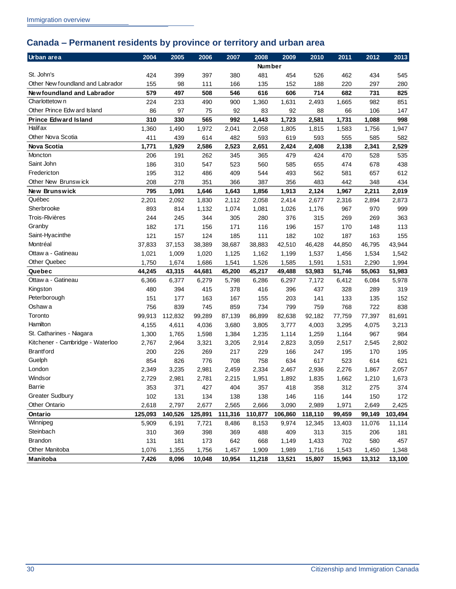## <span id="page-33-0"></span>**Canada – Permanent residents by province or territory and urban area**

| Urban area                       | 2004    | 2005    | 2006    | 2007    | 2008          | 2009    | 2010    | 2011   | 2012   | 2013    |
|----------------------------------|---------|---------|---------|---------|---------------|---------|---------|--------|--------|---------|
|                                  |         |         |         |         | <b>Number</b> |         |         |        |        |         |
| St. John's                       | 424     | 399     | 397     | 380     | 481           | 454     | 526     | 462    | 434    | 545     |
| Other New foundland and Labrador | 155     | 98      | 111     | 166     | 135           | 152     | 188     | 220    | 297    | 280     |
| Newfoundland and Labrador        | 579     | 497     | 508     | 546     | 616           | 606     | 714     | 682    | 731    | 825     |
| Charlottetow n                   | 224     | 233     | 490     | 900     | 1,360         | 1,631   | 2,493   | 1,665  | 982    | 851     |
| Other Prince Edw ard Island      | 86      | 97      | 75      | 92      | 83            | 92      | 88      | 66     | 106    | 147     |
| <b>Prince Edward Island</b>      | 310     | 330     | 565     | 992     | 1,443         | 1,723   | 2,581   | 1,731  | 1,088  | 998     |
| <b>Halif ax</b>                  | 1,360   | 1,490   | 1,972   | 2,041   | 2,058         | 1,805   | 1,815   | 1,583  | 1,756  | 1,947   |
| Other Nova Scotia                | 411     | 439     | 614     | 482     | 593           | 619     | 593     | 555    | 585    | 582     |
| <b>Nova Scotia</b>               | 1,771   | 1,929   | 2,586   | 2,523   | 2,651         | 2,424   | 2,408   | 2,138  | 2,341  | 2,529   |
| Moncton                          | 206     | 191     | 262     | 345     | 365           | 479     | 424     | 470    | 528    | 535     |
| Saint John                       | 186     | 310     | 547     | 523     | 560           | 585     | 655     | 474    | 678    | 438     |
| Fredericton                      | 195     | 312     | 486     | 409     | 544           | 493     | 562     | 581    | 657    | 612     |
| Other New Brunswick              | 208     | 278     | 351     | 366     | 387           | 356     | 483     | 442    | 348    | 434     |
| New Brunswick                    | 795     | 1,091   | 1,646   | 1,643   | 1,856         | 1,913   | 2,124   | 1,967  | 2,211  | 2,019   |
| Québec                           | 2,201   | 2,092   | 1,830   | 2,112   | 2,058         | 2,414   | 2,677   | 2,316  | 2,894  | 2,873   |
| Sherbrooke                       | 893     | 814     | 1,132   | 1,074   | 1,081         | 1,026   | 1,176   | 967    | 970    | 999     |
| Trois-Rivières                   | 244     | 245     | 344     | 305     | 280           | 376     | 315     | 269    | 269    | 363     |
| Granby                           | 182     | 171     | 156     | 171     | 116           | 196     | 157     | 170    | 148    | 113     |
| Saint-Hyacinthe                  | 121     | 157     | 124     | 185     | 111           | 182     | 102     | 187    | 163    | 155     |
| Montréal                         | 37,833  | 37,153  | 38,389  | 38,687  | 38,883        | 42,510  | 46,428  | 44,850 | 46,795 | 43,944  |
| Ottaw a - Gatineau               | 1,021   | 1,009   | 1,020   | 1,125   | 1,162         | 1,199   | 1,537   | 1,456  | 1,534  | 1,542   |
| <b>Other Quebec</b>              | 1,750   | 1,674   | 1,686   | 1,541   | 1,526         | 1,585   | 1,591   | 1,531  | 2,290  | 1,994   |
| Quebec                           | 44,245  | 43,315  | 44,681  | 45,200  | 45,217        | 49,488  | 53,983  | 51,746 | 55,063 | 51,983  |
| Ottaw a - Gatineau               | 6,366   | 6,377   | 6,279   | 5,798   | 6,286         | 6,297   | 7,172   | 6,412  | 6,084  | 5,978   |
| Kingston                         | 480     | 394     | 415     | 378     | 416           | 396     | 437     | 328    | 289    | 319     |
| Peterborough                     | 151     | 177     | 163     | 167     | 155           | 203     | 141     | 133    | 135    | 152     |
| Oshaw a                          | 756     | 839     | 745     | 859     | 734           | 799     | 759     | 768    | 722    | 838     |
| Toronto                          | 99,913  | 112,832 | 99,289  | 87,139  | 86,899        | 82,638  | 92,182  | 77,759 | 77,397 | 81,691  |
| Hamilton                         | 4,155   | 4,611   | 4,036   | 3,680   | 3,805         | 3,777   | 4,003   | 3,295  | 4,075  | 3,213   |
| St. Catharines - Niagara         | 1,300   | 1,765   | 1,598   | 1,384   | 1,235         | 1,114   | 1,259   | 1,164  | 967    | 984     |
| Kitchener - Cambridge - Waterloo | 2,767   | 2,964   | 3,321   | 3,205   | 2,914         | 2,823   | 3,059   | 2,517  | 2,545  | 2,802   |
| <b>Brantford</b>                 | 200     | 226     | 269     | 217     | 229           | 166     | 247     | 195    | 170    | 195     |
| Guelph                           | 854     | 826     | 776     | 708     | 758           | 634     | 617     | 523    | 614    | 621     |
| London                           | 2,349   | 3,235   | 2,981   | 2,459   | 2,334         | 2,467   | 2,936   | 2,276  | 1,867  | 2,057   |
| Windsor                          | 2,729   | 2,981   | 2,781   | 2,215   | 1,951         | 1,892   | 1,835   | 1,662  | 1,210  | 1,673   |
| <b>Barrie</b>                    | 353     | 371     | 427     | 404     | 357           | 418     | 358     | 312    | 275    | 374     |
| <b>Greater Sudbury</b>           | 102     | 131     | 134     | 138     | 138           | 146     | 116     | 144    | 150    | 172     |
| <b>Other Ontario</b>             | 2,618   | 2,797   | 2,677   | 2,565   | 2,666         | 3,090   | 2,989   | 1,971  | 2,649  | 2,425   |
| Ontario                          | 125,093 | 140,526 | 125,891 | 111,316 | 110,877       | 106,860 | 118,110 | 99,459 | 99,149 | 103,494 |
| Winnipeg                         | 5,909   | 6,191   | 7,721   | 8,486   | 8,153         | 9,974   | 12,345  | 13,403 | 11,076 | 11,114  |
| Steinbach                        | 310     | 369     | 398     | 369     | 488           | 409     | 313     | 315    | 206    | 181     |
| Brandon                          | 131     | 181     | 173     | 642     | 668           | 1,149   | 1,433   | 702    | 580    | 457     |
| Other Manitoba                   | 1,076   | 1,355   | 1,756   | 1,457   | 1,909         | 1,989   | 1,716   | 1,543  | 1,450  | 1,348   |
| Manitoba                         | 7,426   | 8,096   | 10,048  | 10,954  | 11,218        | 13,521  | 15,807  | 15,963 | 13,312 | 13,100  |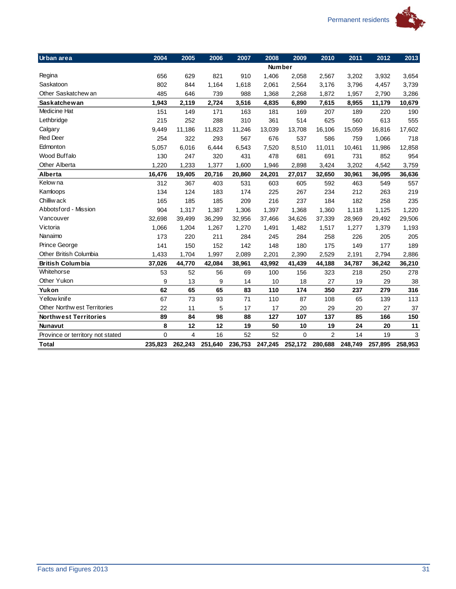

| Urban area                       | 2004    | 2005    | 2006    | 2007    | 2008    | 2009        | 2010           | 2011    | 2012    | 2013    |
|----------------------------------|---------|---------|---------|---------|---------|-------------|----------------|---------|---------|---------|
|                                  |         |         |         |         | Number  |             |                |         |         |         |
| Regina                           | 656     | 629     | 821     | 910     | 1,406   | 2,058       | 2,567          | 3,202   | 3,932   | 3,654   |
| Saskatoon                        | 802     | 844     | 1,164   | 1,618   | 2,061   | 2,564       | 3,176          | 3,796   | 4,457   | 3,739   |
| Other Saskatchew an              | 485     | 646     | 739     | 988     | 1,368   | 2,268       | 1,872          | 1,957   | 2,790   | 3,286   |
| <b>Saskatchewan</b>              | 1,943   | 2,119   | 2,724   | 3,516   | 4,835   | 6,890       | 7,615          | 8,955   | 11,179  | 10,679  |
| Medicine Hat                     | 151     | 149     | 171     | 163     | 181     | 169         | 207            | 189     | 220     | 190     |
| Lethbridge                       | 215     | 252     | 288     | 310     | 361     | 514         | 625            | 560     | 613     | 555     |
| Calgary                          | 9,449   | 11,186  | 11,823  | 11,246  | 13,039  | 13,708      | 16,106         | 15,059  | 16,816  | 17,602  |
| <b>Red Deer</b>                  | 254     | 322     | 293     | 567     | 676     | 537         | 586            | 759     | 1,066   | 718     |
| Edmonton                         | 5,057   | 6,016   | 6,444   | 6,543   | 7,520   | 8,510       | 11,011         | 10,461  | 11,986  | 12,858  |
| Wood Buffalo                     | 130     | 247     | 320     | 431     | 478     | 681         | 691            | 731     | 852     | 954     |
| <b>Other Alberta</b>             | 1,220   | 1,233   | 1,377   | 1,600   | 1,946   | 2,898       | 3,424          | 3,202   | 4,542   | 3,759   |
| Alberta                          | 16,476  | 19,405  | 20,716  | 20,860  | 24,201  | 27,017      | 32,650         | 30,961  | 36,095  | 36,636  |
| Kelow na                         | 312     | 367     | 403     | 531     | 603     | 605         | 592            | 463     | 549     | 557     |
| Kamloops                         | 134     | 124     | 183     | 174     | 225     | 267         | 234            | 212     | 263     | 219     |
| Chilliw ack                      | 165     | 185     | 185     | 209     | 216     | 237         | 184            | 182     | 258     | 235     |
| Abbotsford - Mission             | 904     | 1,317   | 1,387   | 1,306   | 1,397   | 1,368       | 1,360          | 1,118   | 1,125   | 1,220   |
| Vancouver                        | 32,698  | 39,499  | 36,299  | 32,956  | 37,466  | 34,626      | 37,339         | 28,969  | 29,492  | 29,506  |
| Victoria                         | 1,066   | 1,204   | 1,267   | 1,270   | 1,491   | 1,482       | 1,517          | 1,277   | 1,379   | 1,193   |
| Nanaimo                          | 173     | 220     | 211     | 284     | 245     | 284         | 258            | 226     | 205     | 205     |
| Prince George                    | 141     | 150     | 152     | 142     | 148     | 180         | 175            | 149     | 177     | 189     |
| Other British Columbia           | 1,433   | 1,704   | 1,997   | 2,089   | 2,201   | 2,390       | 2,529          | 2,191   | 2,794   | 2,886   |
| <b>British Columbia</b>          | 37,026  | 44,770  | 42,084  | 38,961  | 43,992  | 41,439      | 44,188         | 34,787  | 36,242  | 36,210  |
| Whitehorse                       | 53      | 52      | 56      | 69      | 100     | 156         | 323            | 218     | 250     | 278     |
| Other Yukon                      | 9       | 13      | 9       | 14      | 10      | 18          | 27             | 19      | 29      | 38      |
| Yukon                            | 62      | 65      | 65      | 83      | 110     | 174         | 350            | 237     | 279     | 316     |
| Yellow knife                     | 67      | 73      | 93      | 71      | 110     | 87          | 108            | 65      | 139     | 113     |
| Other Northw est Territories     | 22      | 11      | 5       | 17      | 17      | 20          | 29             | 20      | 27      | 37      |
| <b>Northwest Territories</b>     | 89      | 84      | 98      | 88      | 127     | 107         | 137            | 85      | 166     | 150     |
| <b>Nunavut</b>                   | 8       | 12      | 12      | 19      | 50      | 10          | 19             | 24      | 20      | 11      |
| Province or territory not stated | 0       | 4       | 16      | 52      | 52      | $\mathbf 0$ | $\overline{2}$ | 14      | 19      | 3       |
| <b>Total</b>                     | 235,823 | 262,243 | 251,640 | 236,753 | 247,245 | 252,172     | 280,688        | 248,749 | 257,895 | 258,953 |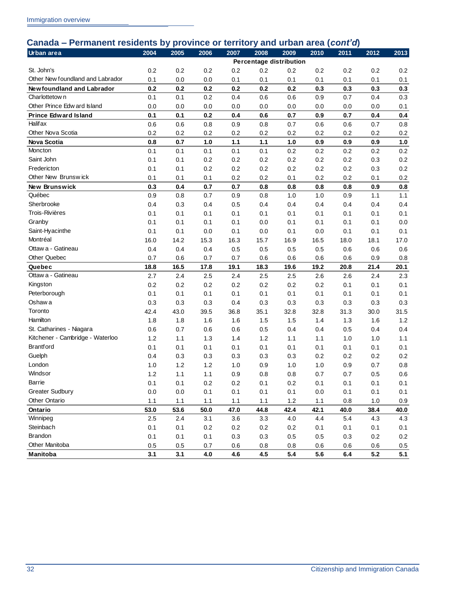### **Canada – Permanent residents by province or territory and urban area (***cont'd***)**

| Urban area                       | 2004 | 2005    | 2006    | 2007    | 2008 | 2009                    | 2010    | 2011    | 2012 | 2013    |
|----------------------------------|------|---------|---------|---------|------|-------------------------|---------|---------|------|---------|
|                                  |      |         |         |         |      | Percentage distribution |         |         |      |         |
| St. John's                       | 0.2  | 0.2     | 0.2     | 0.2     | 0.2  | 0.2                     | 0.2     | 0.2     | 0.2  | 0.2     |
| Other New foundland and Labrador | 0.1  | 0.0     | 0.0     | 0.1     | 0.1  | 0.1                     | 0.1     | 0.1     | 0.1  | 0.1     |
| Newfoundland and Labrador        | 0.2  | 0.2     | 0.2     | 0.2     | 0.2  | 0.2                     | 0.3     | 0.3     | 0.3  | 0.3     |
| Charlottetow n                   | 0.1  | 0.1     | 0.2     | 0.4     | 0.6  | 0.6                     | 0.9     | 0.7     | 0.4  | 0.3     |
| Other Prince Edw ard Island      | 0.0  | 0.0     | 0.0     | 0.0     | 0.0  | 0.0                     | 0.0     | 0.0     | 0.0  | 0.1     |
| <b>Prince Edward Island</b>      | 0.1  | 0.1     | 0.2     | 0.4     | 0.6  | 0.7                     | 0.9     | 0.7     | 0.4  | 0.4     |
| <b>Halif ax</b>                  | 0.6  | 0.6     | 0.8     | 0.9     | 0.8  | 0.7                     | 0.6     | 0.6     | 0.7  | 0.8     |
| Other Nova Scotia                | 0.2  | 0.2     | 0.2     | 0.2     | 0.2  | 0.2                     | 0.2     | 0.2     | 0.2  | 0.2     |
| <b>Nova Scotia</b>               | 0.8  | 0.7     | 1.0     | 1.1     | 1.1  | 1.0                     | 0.9     | 0.9     | 0.9  | 1.0     |
| Moncton                          | 0.1  | 0.1     | 0.1     | 0.1     | 0.1  | 0.2                     | 0.2     | 0.2     | 0.2  | 0.2     |
| Saint John                       | 0.1  | 0.1     | 0.2     | 0.2     | 0.2  | 0.2                     | 0.2     | 0.2     | 0.3  | 0.2     |
| Fredericton                      | 0.1  | 0.1     | 0.2     | 0.2     | 0.2  | 0.2                     | 0.2     | 0.2     | 0.3  | 0.2     |
| Other New Brunswick              | 0.1  | 0.1     | 0.1     | 0.2     | 0.2  | 0.1                     | 0.2     | 0.2     | 0.1  | 0.2     |
| New Brunswick                    | 0.3  | 0.4     | 0.7     | 0.7     | 0.8  | 0.8                     | 0.8     | 0.8     | 0.9  | 0.8     |
| Québec                           | 0.9  | 0.8     | 0.7     | 0.9     | 0.8  | 1.0                     | 1.0     | 0.9     | 1.1  | 1.1     |
| Sherbrooke                       | 0.4  | 0.3     | 0.4     | 0.5     | 0.4  | 0.4                     | 0.4     | 0.4     | 0.4  | 0.4     |
| <b>Trois-Rivières</b>            | 0.1  | 0.1     | 0.1     | 0.1     | 0.1  | 0.1                     | 0.1     | 0.1     | 0.1  | 0.1     |
| Granby                           | 0.1  | 0.1     | 0.1     | 0.1     | 0.0  | 0.1                     | 0.1     | 0.1     | 0.1  | 0.0     |
| Saint-Hyacinthe                  | 0.1  | 0.1     | 0.0     | 0.1     | 0.0  | 0.1                     | 0.0     | 0.1     | 0.1  | 0.1     |
| Montréal                         | 16.0 | 14.2    | 15.3    | 16.3    | 15.7 | 16.9                    | 16.5    | 18.0    | 18.1 | 17.0    |
| Ottaw a - Gatineau               | 0.4  | 0.4     | 0.4     | 0.5     | 0.5  | 0.5                     | 0.5     | 0.6     | 0.6  | 0.6     |
| Other Quebec                     | 0.7  | 0.6     | 0.7     | 0.7     | 0.6  | 0.6                     | 0.6     | 0.6     | 0.9  | 0.8     |
| Quebec                           | 18.8 | 16.5    | 17.8    | 19.1    | 18.3 | 19.6                    | 19.2    | 20.8    | 21.4 | 20.1    |
| Ottaw a - Gatineau               | 2.7  | 2.4     | 2.5     | 2.4     | 2.5  | 2.5                     | 2.6     | 2.6     | 2.4  | 2.3     |
| Kingston                         | 0.2  | 0.2     | 0.2     | 0.2     | 0.2  | 0.2                     | 0.2     | 0.1     | 0.1  | 0.1     |
| Peterborough                     | 0.1  | 0.1     | 0.1     | 0.1     | 0.1  | 0.1                     | 0.1     | 0.1     | 0.1  | 0.1     |
| Oshaw a                          | 0.3  | 0.3     | 0.3     | 0.4     | 0.3  | 0.3                     | 0.3     | 0.3     | 0.3  | 0.3     |
| Toronto                          | 42.4 | 43.0    | 39.5    | 36.8    | 35.1 | 32.8                    | 32.8    | 31.3    | 30.0 | 31.5    |
| Hamilton                         | 1.8  | 1.8     | 1.6     | 1.6     | 1.5  | 1.5                     | 1.4     | 1.3     | 1.6  | 1.2     |
| St. Catharines - Niagara         | 0.6  | 0.7     | 0.6     | 0.6     | 0.5  | 0.4                     | 0.4     | $0.5\,$ | 0.4  | 0.4     |
| Kitchener - Cambridge - Waterloo | 1.2  | 1.1     | 1.3     | 1.4     | 1.2  | 1.1                     | 1.1     | 1.0     | 1.0  | 1.1     |
| <b>Brantford</b>                 | 0.1  | 0.1     | 0.1     | 0.1     | 0.1  | 0.1                     | 0.1     | 0.1     | 0.1  | 0.1     |
| Guelph                           | 0.4  | 0.3     | 0.3     | 0.3     | 0.3  | 0.3                     | 0.2     | 0.2     | 0.2  | 0.2     |
| London                           | 1.0  | 1.2     | 1.2     | 1.0     | 0.9  | 1.0                     | 1.0     | 0.9     | 0.7  | 0.8     |
| Windsor                          | 1.2  | 1.1     | 1.1     | 0.9     | 0.8  | 0.8                     | 0.7     | 0.7     | 0.5  | 0.6     |
| Barrie                           | 0.1  | 0.1     | $0.2\,$ | $0.2\,$ | 0.1  | $0.2\,$                 | 0.1     | 0.1     | 0.1  | 0.1     |
| <b>Greater Sudbury</b>           | 0.0  | $0.0\,$ | 0.1     | 0.1     | 0.1  | 0.1                     | $0.0\,$ | 0.1     | 0.1  | 0.1     |
| <b>Other Ontario</b>             | 1.1  | 1.1     | 1.1     | 1.1     | 1.1  | 1.2                     | 1.1     | 0.8     | 1.0  | 0.9     |
| Ontario                          | 53.0 | 53.6    | 50.0    | 47.0    | 44.8 | 42.4                    | 42.1    | 40.0    | 38.4 | 40.0    |
| Winnipeg                         | 2.5  | 2.4     | 3.1     | 3.6     | 3.3  | 4.0                     | 4.4     | 5.4     | 4.3  | 4.3     |
| Steinbach                        | 0.1  | 0.1     | 0.2     | 0.2     | 0.2  | 0.2                     | 0.1     | 0.1     | 0.1  | 0.1     |
| <b>Brandon</b>                   | 0.1  | 0.1     | 0.1     | 0.3     | 0.3  | 0.5                     | 0.5     | 0.3     | 0.2  | 0.2     |
| Other Manitoba                   | 0.5  | 0.5     | 0.7     | 0.6     | 0.8  | 0.8                     | 0.6     | 0.6     | 0.6  | $0.5\,$ |
| Manitoba                         | 3.1  | 3.1     | 4.0     | 4.6     | 4.5  | 5.4                     | 5.6     | 6.4     | 5.2  | 5.1     |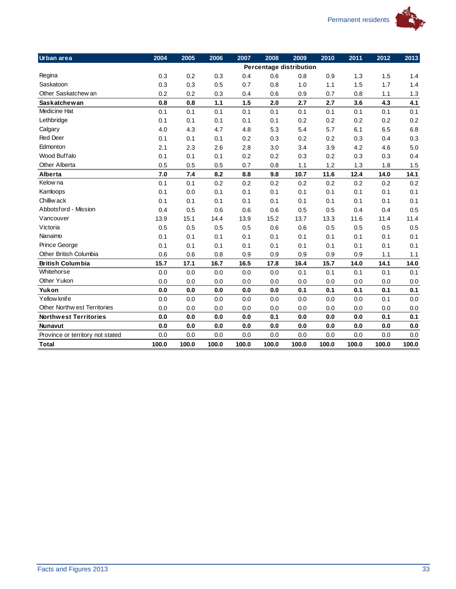

| Urban area                       | 2004  | 2005  | 2006  | 2007  | 2008  | 2009                    | 2010  | 2011  | 2012  | 2013  |
|----------------------------------|-------|-------|-------|-------|-------|-------------------------|-------|-------|-------|-------|
|                                  |       |       |       |       |       | Percentage distribution |       |       |       |       |
| Regina                           | 0.3   | 0.2   | 0.3   | 0.4   | 0.6   | 0.8                     | 0.9   | 1.3   | 1.5   | 1.4   |
| Saskatoon                        | 0.3   | 0.3   | 0.5   | 0.7   | 0.8   | 1.0                     | 1.1   | 1.5   | 1.7   | 1.4   |
| Other Saskatchew an              | 0.2   | 0.2   | 0.3   | 0.4   | 0.6   | 0.9                     | 0.7   | 0.8   | 1.1   | 1.3   |
| <b>Saskatchewan</b>              | 0.8   | 0.8   | 1.1   | 1.5   | 2.0   | 2.7                     | 2.7   | 3.6   | 4.3   | 4.1   |
| Medicine Hat                     | 0.1   | 0.1   | 0.1   | 0.1   | 0.1   | 0.1                     | 0.1   | 0.1   | 0.1   | 0.1   |
| Lethbridge                       | 0.1   | 0.1   | 0.1   | 0.1   | 0.1   | 0.2                     | 0.2   | 0.2   | 0.2   | 0.2   |
| Calgary                          | 4.0   | 4.3   | 4.7   | 4.8   | 5.3   | 5.4                     | 5.7   | 6.1   | 6.5   | 6.8   |
| <b>Red Deer</b>                  | 0.1   | 0.1   | 0.1   | 0.2   | 0.3   | 0.2                     | 0.2   | 0.3   | 0.4   | 0.3   |
| Edmonton                         | 2.1   | 2.3   | 2.6   | 2.8   | 3.0   | 3.4                     | 3.9   | 4.2   | 4.6   | 5.0   |
| Wood Buffalo                     | 0.1   | 0.1   | 0.1   | 0.2   | 0.2   | 0.3                     | 0.2   | 0.3   | 0.3   | 0.4   |
| <b>Other Alberta</b>             | 0.5   | 0.5   | 0.5   | 0.7   | 0.8   | 1.1                     | 1.2   | 1.3   | 1.8   | 1.5   |
| Alberta                          | 7.0   | 7.4   | 8.2   | 8.8   | 9.8   | 10.7                    | 11.6  | 12.4  | 14.0  | 14.1  |
| Kelow na                         | 0.1   | 0.1   | 0.2   | 0.2   | 0.2   | 0.2                     | 0.2   | 0.2   | 0.2   | 0.2   |
| Kamloops                         | 0.1   | 0.0   | 0.1   | 0.1   | 0.1   | 0.1                     | 0.1   | 0.1   | 0.1   | 0.1   |
| Chilliw ack                      | 0.1   | 0.1   | 0.1   | 0.1   | 0.1   | 0.1                     | 0.1   | 0.1   | 0.1   | 0.1   |
| Abbotsford - Mission             | 0.4   | 0.5   | 0.6   | 0.6   | 0.6   | 0.5                     | 0.5   | 0.4   | 0.4   | 0.5   |
| Vancouver                        | 13.9  | 15.1  | 14.4  | 13.9  | 15.2  | 13.7                    | 13.3  | 11.6  | 11.4  | 11.4  |
| Victoria                         | 0.5   | 0.5   | 0.5   | 0.5   | 0.6   | 0.6                     | 0.5   | 0.5   | 0.5   | 0.5   |
| Nanaimo                          | 0.1   | 0.1   | 0.1   | 0.1   | 0.1   | 0.1                     | 0.1   | 0.1   | 0.1   | 0.1   |
| Prince George                    | 0.1   | 0.1   | 0.1   | 0.1   | 0.1   | 0.1                     | 0.1   | 0.1   | 0.1   | 0.1   |
| Other British Columbia           | 0.6   | 0.6   | 0.8   | 0.9   | 0.9   | 0.9                     | 0.9   | 0.9   | 1.1   | 1.1   |
| <b>British Columbia</b>          | 15.7  | 17.1  | 16.7  | 16.5  | 17.8  | 16.4                    | 15.7  | 14.0  | 14.1  | 14.0  |
| Whitehorse                       | 0.0   | 0.0   | 0.0   | 0.0   | 0.0   | 0.1                     | 0.1   | 0.1   | 0.1   | 0.1   |
| Other Yukon                      | 0.0   | 0.0   | 0.0   | 0.0   | 0.0   | 0.0                     | 0.0   | 0.0   | 0.0   | 0.0   |
| Yukon                            | 0.0   | 0.0   | 0.0   | 0.0   | 0.0   | 0.1                     | 0.1   | 0.1   | 0.1   | 0.1   |
| Yellow knife                     | 0.0   | 0.0   | 0.0   | 0.0   | 0.0   | 0.0                     | 0.0   | 0.0   | 0.1   | 0.0   |
| Other Northw est Territories     | 0.0   | 0.0   | 0.0   | 0.0   | 0.0   | 0.0                     | 0.0   | 0.0   | 0.0   | 0.0   |
| <b>Northwest Territories</b>     | 0.0   | 0.0   | 0.0   | 0.0   | 0.1   | 0.0                     | 0.0   | 0.0   | 0.1   | 0.1   |
| <b>Nunavut</b>                   | 0.0   | 0.0   | 0.0   | 0.0   | 0.0   | 0.0                     | 0.0   | 0.0   | 0.0   | 0.0   |
| Province or territory not stated | 0.0   | 0.0   | 0.0   | 0.0   | 0.0   | 0.0                     | 0.0   | 0.0   | 0.0   | 0.0   |
| <b>Total</b>                     | 100.0 | 100.0 | 100.0 | 100.0 | 100.0 | 100.0                   | 100.0 | 100.0 | 100.0 | 100.0 |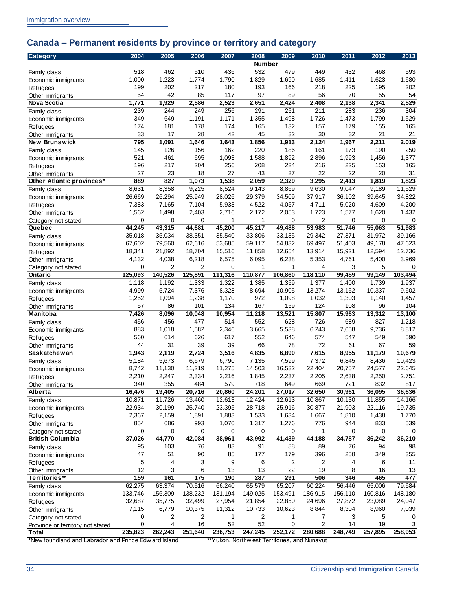## <span id="page-37-0"></span>**Canada – Permanent residents by province or territory and category**

| <b>Category</b>                                       | 2004        | 2005           | 2006           | 2007    | 2008          | 2009                                         | 2010    | 2011        | 2012    | 2013    |
|-------------------------------------------------------|-------------|----------------|----------------|---------|---------------|----------------------------------------------|---------|-------------|---------|---------|
|                                                       |             |                |                |         | <b>Number</b> |                                              |         |             |         |         |
| Family class                                          | 518         | 462            | 510            | 436     | 532           | 479                                          | 449     | 432         | 468     | 593     |
| Economic immigrants                                   | 1,000       | 1,223          | 1,774          | 1,790   | 1,829         | 1,690                                        | 1,685   | 1,411       | 1,623   | 1,680   |
| Refugees                                              | 199         | 202            | 217            | 180     | 193           | 166                                          | 218     | 225         | 195     | 202     |
| Other immigrants                                      | 54          | 42             | 85             | 117     | 97            | 89                                           | 56      | 70          | 55      | 54      |
| Nova Scotia                                           | 1,771       | 1,929          | 2,586          | 2,523   | 2,651         | 2,424                                        | 2,408   | 2,138       | 2,341   | 2,529   |
| Family class                                          | 239         | 244            | 249            | 256     | 291           | 251                                          | 211     | 283         | 236     | 304     |
| Economic immigrants                                   | 349         | 649            | 1,191          | 1,171   | 1,355         | 1,498                                        | 1,726   | 1,473       | 1,799   | 1,529   |
| <b>Refugees</b>                                       | 174         | 181            | 178            | 174     | 165           | 132                                          | 157     | 179         | 155     | 165     |
| Other immigrants                                      | 33          | 17             | 28             | 42      | 45            | 32                                           | 30      | 32          | 21      | 21      |
| New Brunswick                                         | 795         | 1,091          | 1,646          | 1,643   | 1,856         | 1,913                                        | 2,124   | 1,967       | 2,211   | 2,019   |
| Family class                                          | 145         | 126            | 156            | 162     | 220           | 186                                          | 161     | 173         | 190     | 250     |
| Economic immigrants                                   | 521         | 461            | 695            | 1,093   | 1,588         | 1,892                                        | 2,896   | 1,993       | 1,456   | 1,377   |
| Refugees                                              | 196         | 217            | 204            | 256     | 208           | 224                                          | 216     | 225         | 153     | 165     |
| Other immigrants                                      | 27          | 23             | 18             | 27      | 43            | 27                                           | 22      | 22          | 20      | 31      |
| Other Atlantic provinces*                             | 889         | 827            | 1,073          | 1,538   | 2,059         | 2,329                                        | 3,295   | 2,413       | 1,819   | 1,823   |
| Family class                                          | 8,631       | 8,358          | 9,225          | 8,524   | 9,143         | 8,869                                        | 9,630   | 9,047       | 9,189   | 11,529  |
| Economic immigrants                                   | 26,669      | 26,294         | 25,949         | 28,026  | 29,379        | 34,509                                       | 37,917  | 36,102      | 39,645  | 34,822  |
| <b>Refugees</b>                                       | 7,383       | 7,165          | 7,104          | 5,933   | 4,522         | 4,057                                        | 4,711   | 5,020       | 4,609   | 4,200   |
| Other immigrants                                      | 1,562       | 1,498          | 2,403          | 2,716   | 2,172         | 2,053                                        | 1,723   | 1,577       | 1,620   | 1,432   |
| Category not stated                                   | $\mathbf 0$ | $\mathbf 0$    | $\mathbf 0$    | 1       | 1             | 0                                            | 2       | $\mathbf 0$ | 0       | 0       |
| Quebec                                                | 44,245      | 43,315         | 44,681         | 45,200  | 45,217        | 49,488                                       | 53,983  | 51,746      | 55,063  | 51,983  |
| Family class                                          | 35,018      | 35,034         | 38,351         | 35,540  | 33,806        | 33,135                                       | 29,342  | 27,371      | 31,972  | 39,166  |
| Economic immigrants                                   | 67,602      | 79,560         | 62,616         | 53,685  | 59,117        | 54,832                                       | 69,497  | 51,403      | 49,178  | 47,623  |
| <b>Refugees</b>                                       | 18,341      | 21,892         | 18,704         | 15,516  | 11,858        | 12,654                                       | 13,914  | 15,921      | 12,594  | 12,736  |
| Other immigrants                                      | 4,132       | 4,038          | 6,218          | 6,575   | 6,095         | 6,238                                        | 5,353   | 4,761       | 5,400   | 3,969   |
| Category not stated                                   | $\mathbf 0$ | $\overline{2}$ | $\overline{2}$ | 0       | 1             | 1                                            | 4       | 3           | 5       | 0       |
| Ontario                                               | 125,093     | 140,526        | 125,891        | 111,316 | 110,877       | 106,860                                      | 118,110 | 99,459      | 99,149  | 103,494 |
| Family class                                          | 1,118       | 1,192          | 1,333          | 1,322   | 1,385         | 1,359                                        | 1,377   | 1,400       | 1,739   | 1,937   |
| Economic immigrants                                   | 4,999       | 5,724          | 7,376          | 8,328   | 8,694         | 10,905                                       | 13,274  | 13,152      | 10,337  | 9,602   |
| Refugees                                              | 1,252       | 1,094          | 1,238          | 1,170   | 972           | 1,098                                        | 1,032   | 1,303       | 1,140   | 1,457   |
| Other immigrants                                      | 57          | 86             | 101            | 134     | 167           | 159                                          | 124     | 108         | 96      | 104     |
| <b>Manitoba</b>                                       | 7,426       | 8,096          | 10,048         | 10,954  | 11,218        | 13,521                                       | 15,807  | 15,963      | 13,312  | 13,100  |
| Family class                                          | 456         | 456            | 477            | 514     | 552           | 628                                          | 726     | 689         | 827     | 1,218   |
| Economic immigrants                                   | 883         | 1,018          | 1,582          | 2,346   | 3,665         | 5,538                                        | 6,243   | 7,658       | 9,736   | 8,812   |
| Refugees                                              | 560         | 614            | 626            | 617     | 552           | 646                                          | 574     | 547         | 549     | 590     |
| Other immigrants                                      | 44          | 31             | 39             | 39      | 66            | 78                                           | 72      | 61          | 67      | 59      |
| <b>Saskatchewan</b>                                   | 1,943       | 2,119          | 2,724          | 3,516   | 4,835         | 6,890                                        | 7,615   | 8,955       | 11,179  | 10,679  |
| Family class                                          | 5,184       | 5,673          | 6,679          | 6,790   | 7,135         | 7,599                                        | 7,372   | 6,845       | 8,436   | 10,423  |
| Economic immigrants                                   | 8,742       | 11,130         | 11,219         | 11,275  | 14,503        | 16,532                                       | 22,404  | 20,757      | 24,577  | 22,645  |
| <b>Refugees</b>                                       | 2,210       | 2,247          | 2,334          | 2,216   | 1,845         | 2,237                                        | 2,205   | 2,638       | 2,250   | 2,751   |
| Other immigrants                                      | 340         | 355            | 484            | 579     | 718           | 649                                          | 669     | 721         | 832     | 817     |
| Alberta                                               | 16,476      | 19,405         | 20,716         | 20,860  | 24,201        | 27,017                                       | 32,650  | 30,961      | 36,095  | 36,636  |
| Family class                                          | 10,871      | 11,726         | 13,460         | 12,613  | 12,424        | 12,613                                       | 10,867  | 10,130      | 11,855  | 14,166  |
| Economic immigrants                                   | 22,934      | 30,199         | 25,740         | 23,395  | 28,718        | 25,916                                       | 30,877  | 21,903      | 22,116  | 19,735  |
| Refugees                                              | 2,367       | 2,159          | 1,891          | 1,883   | 1,533         | 1,634                                        | 1,667   | 1,810       | 1,438   | 1,770   |
| Other immigrants                                      | 854         | 686            | 993            | 1,070   | 1,317         | 1,276                                        | 776     | 944         | 833     | 539     |
| Category not stated                                   | 0           | 0              | 0              | 0       | 0             | 0                                            | 1       | 0           | 0       | 0       |
| <b>British Columbia</b>                               | 37,026      | 44,770         | 42,084         | 38,961  | 43,992        | 41,439                                       | 44,188  | 34,787      | 36,242  | 36,210  |
| Family class                                          | 95          | 103            | 76             | 83      | 91            | 88                                           | 89      | 76          | 94      | 98      |
| Economic immigrants                                   | 47          | 51             | 90             | 85      | 177           | 179                                          | 396     | 258         | 349     | 355     |
| Refugees                                              | 5           | 4              | 3              | 9       | 6             | 2                                            | 2       | 4           | 6       | 11      |
| Other immigrants                                      | 12          | 3              | 6              | 13      | 13            | 22                                           | 19      | 8           | 16      | 13      |
| Territories**                                         | 159         | 161            | 175            | 190     | 287           | 291                                          | 506     | 346         | 465     | 477     |
| Family class                                          | 62,275      | 63,374         | 70,516         | 66,240  | 65,579        | 65,207                                       | 60,224  | 56,446      | 65,006  | 79,684  |
| Economic immigrants                                   | 133,746     | 156,309        | 138,232        | 131,194 | 149,025       | 153,491                                      | 186,915 | 156,110     | 160,816 | 148,180 |
| <b>Refugees</b>                                       | 32,687      | 35,775         | 32,499         | 27,954  | 21,854        | 22,850                                       | 24,696  | 27,872      | 23,089  | 24,047  |
| Other immigrants                                      | 7,115       | 6,779          | 10,375         | 11,312  | 10,733        | 10,623                                       | 8,844   | 8,304       | 8,960   | 7,039   |
| Category not stated                                   | 0           | 2              | 2              | 1       | 2             | 1                                            | 7       | 3           | 5       |         |
| Province or territory not stated                      | 0           | 4              | 16             | 52      | 52            | 0                                            | 2       | 14          | 19      | 3       |
| Total                                                 | 235,823     | 262,243        | 251,640        | 236,753 | 247,245       | 252,172                                      | 280,688 | 248,749     | 257,895 | 258,953 |
| *New foundland and Labrador and Prince Edw ard Island |             |                |                |         |               | **Yukon, Northw est Territories, and Nunavut |         |             |         |         |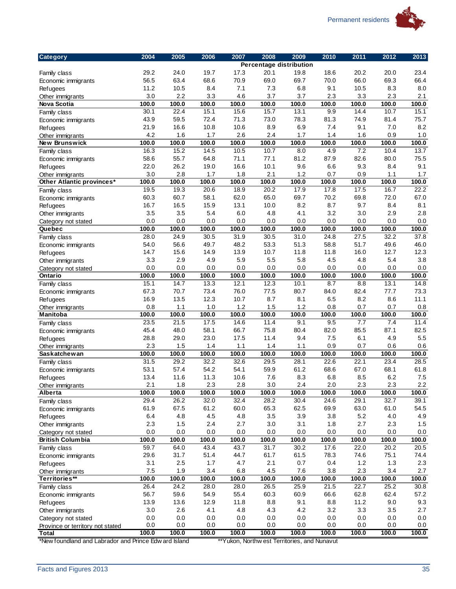

| Category                                              | 2004         | 2005         | 2006          | 2007          | 2008         | 2009                                         | 2010        | 2011        | 2012        | 2013        |
|-------------------------------------------------------|--------------|--------------|---------------|---------------|--------------|----------------------------------------------|-------------|-------------|-------------|-------------|
|                                                       |              |              |               |               |              | <b>Percentage distribution</b>               |             |             |             |             |
| Family class                                          | 29.2         | 24.0         | 19.7          | 17.3          | 20.1         | 19.8                                         | 18.6        | 20.2        | 20.0        | 23.4        |
| Economic immigrants                                   | 56.5         | 63.4         | 68.6          | 70.9          | 69.0         | 69.7                                         | 70.0        | 66.0        | 69.3        | 66.4        |
| <b>Refugees</b>                                       | 11.2         | 10.5         | 8.4           | 7.1           | 7.3          | 6.8                                          | 9.1         | 10.5        | 8.3         | 8.0         |
| Other immigrants                                      | 3.0          | 2.2          | 3.3           | 4.6           | 3.7          | 3.7                                          | 2.3         | 3.3         | 2.3         | 2.1         |
| Nova Scotia                                           | 100.0        | 100.0        | 100.0         | 100.0         | 100.0        | 100.0                                        | 100.0       | 100.0       | 100.0       | 100.0       |
| Family class                                          | 30.1         | 22.4         | 15.1          | 15.6          | 15.7         | 13.1                                         | 9.9         | 14.4        | 10.7        | 15.1        |
| Economic immigrants                                   | 43.9         | 59.5         | 72.4          | 71.3          | 73.0         | 78.3                                         | 81.3        | 74.9        | 81.4        | 75.7        |
| <b>Refugees</b>                                       | 21.9         | 16.6         | 10.8          | 10.6          | 8.9          | 6.9                                          | 7.4         | 9.1         | 7.0         | 8.2         |
| Other immigrants                                      | 4.2          | 1.6          | 1.7           | 2.6           | 2.4          | 1.7                                          | 1.4         | 1.6         | 0.9         | 1.0         |
| New Brunswick                                         | 100.0        | 100.0        | 100.0         | 100.0         | 100.0        | 100.0                                        | 100.0       | 100.0       | 100.0       | 100.0       |
| Family class                                          | 16.3         | 15.2         | 14.5          | 10.5          | 10.7         | 8.0                                          | 4.9         | 7.2         | 10.4        | 13.7        |
| Economic immigrants                                   | 58.6         | 55.7         | 64.8          | 71.1          | 77.1         | 81.2                                         | 87.9        | 82.6        | 80.0        | 75.5        |
| Refugees                                              | 22.0         | 26.2         | 19.0          | 16.6          | 10.1         | 9.6                                          | 6.6         | 9.3         | 8.4         | 9.1         |
| Other immigrants                                      | 3.0          | 2.8          | 1.7           | 1.8           | 2.1          | 1.2                                          | 0.7         | 0.9         | 1.1         | 1.7         |
| Other Atlantic provinces*                             | 100.0        | 100.0        | 100.0         | 100.0         | 100.0        | 100.0                                        | 100.0       | 100.0       | 100.0       | 100.0       |
| Family class                                          | 19.5         | 19.3         | 20.6          | 18.9          | 20.2         | 17.9                                         | 17.8        | 17.5        | 16.7        | 22.2        |
| Economic immigrants                                   | 60.3<br>16.7 | 60.7<br>16.5 | 58.1<br>15.9  | 62.0<br>13.1  | 65.0<br>10.0 | 69.7<br>8.2                                  | 70.2        | 69.8<br>9.7 | 72.0<br>8.4 | 67.0        |
| <b>Refugees</b>                                       | 3.5          | 3.5          | 5.4           | 6.0           | 4.8          | 4.1                                          | 8.7<br>3.2  | 3.0         | 2.9         | 8.1<br>2.8  |
| Other immigrants                                      | 0.0          | 0.0          | 0.0           | 0.0           | 0.0          | 0.0                                          | 0.0         | 0.0         | 0.0         | 0.0         |
| Category not stated<br>Quebec                         | 100.0        | 100.0        | 100.0         | 100.0         | 100.0        | 100.0                                        | 100.0       | 100.0       | 100.0       | 100.0       |
| Family class                                          | 28.0         | 24.9         | 30.5          | 31.9          | 30.5         | 31.0                                         | 24.8        | 27.5        | 32.2        | 37.8        |
| Economic immigrants                                   | 54.0         | 56.6         | 49.7          | 48.2          | 53.3         | 51.3                                         | 58.8        | 51.7        | 49.6        | 46.0        |
| <b>Refugees</b>                                       | 14.7         | 15.6         | 14.9          | 13.9          | 10.7         | 11.8                                         | 11.8        | 16.0        | 12.7        | 12.3        |
| Other immigrants                                      | 3.3          | 2.9          | 4.9           | 5.9           | 5.5          | 5.8                                          | 4.5         | 4.8         | 5.4         | 3.8         |
| Category not stated                                   | 0.0          | 0.0          | 0.0           | 0.0           | 0.0          | 0.0                                          | 0.0         | 0.0         | 0.0         | 0.0         |
| Ontario                                               | 100.0        | 100.0        | 100.0         | 100.0         | 100.0        | 100.0                                        | 100.0       | 100.0       | 100.0       | 100.0       |
| Family class                                          | 15.1         | 14.7         | 13.3          | 12.1          | 12.3         | 10.1                                         | 8.7         | 8.8         | 13.1        | 14.8        |
| Economic immigrants                                   | 67.3         | 70.7         | 73.4          | 76.0          | 77.5         | 80.7                                         | 84.0        | 82.4        | 77.7        | 73.3        |
| <b>Refugees</b>                                       | 16.9         | 13.5         | 12.3          | 10.7          | 8.7          | 8.1                                          | 6.5         | 8.2         | 8.6         | 11.1        |
| Other immigrants                                      | 0.8          | 1.1          | 1.0           | 1.2           | 1.5          | 1.2                                          | 0.8         | 0.7         | 0.7         | 0.8         |
| <b>Manitoba</b>                                       | 100.0        | 100.0        | 100.0         | 100.0         | 100.0        | 100.0                                        | 100.0       | 100.0       | 100.0       | 100.0       |
| Family class                                          | 23.5         | 21.5         | 17.5          | 14.6          | 11.4         | 9.1                                          | 9.5         | 7.7         | 7.4         | 11.4        |
| Economic immigrants                                   | 45.4         | 48.0         | 58.1          | 66.7          | 75.8         | 80.4                                         | 82.0        | 85.5        | 87.1        | 82.5        |
| <b>Refugees</b>                                       | 28.8         | 29.0         | 23.0          | 17.5          | 11.4         | 9.4                                          | 7.5         | 6.1         | 4.9         | 5.5         |
| Other immigrants                                      | 2.3          | 1.5          | 1.4           | 1.1           | 1.4          | 1.1                                          | 0.9         | 0.7         | 0.6         | 0.6         |
| Saskatchewan                                          | 100.0        | 100.0        | 100.0         | 100.0         | 100.0        | 100.0                                        | 100.0       | 100.0       | 100.0       | 100.0       |
| Family class                                          | 31.5         | 29.2         | 32.2          | 32.6          | 29.5         | 28.1                                         | 22.6        | 22.1        | 23.4        | 28.5        |
| Economic immigrants                                   | 53.1         | 57.4         | 54.2          | 54.1          | 59.9         | 61.2                                         | 68.6        | 67.0        | 68.1        | 61.8        |
| Refugees                                              | 13.4         | 11.6         | 11.3          | 10.6          | 7.6          | 8.3                                          | 6.8         | 8.5         | 6.2         | 7.5         |
| Other immigrants                                      | 2.1          | 1.8          | 2.3           | 2.8           | 3.0          | 2.4                                          | 2.0         | 2.3         | 2.3         | $2.2\,$     |
| Alberta                                               | 100.0        | 100.0        | 100.0         | 100.0         | 100.0        | 100.0                                        | 100.0       | 100.0       | 100.0       | 100.0       |
| Family class                                          | 29.4         | 26.2         | 32.0          | 32.4          | 28.2         | 30.4                                         | 24.6        | 29.1        | 32.7        | 39.1        |
| Economic immigrants                                   | 61.9         | 67.5         | 61.2          | 60.0          | 65.3         | 62.5                                         | 69.9        | 63.0        | 61.0        | 54.5        |
| Refugees                                              | 6.4          | 4.8          | 4.5           | 4.8           | 3.5          | 3.9                                          | 3.8         | 5.2         | 4.0         | 4.9         |
| Other immigrants                                      | 2.3          | 1.5          | 2.4           | 2.7           | 3.0          | 3.1                                          | 1.8         | 2.7         | 2.3         | 1.5         |
| Category not stated                                   | 0.0          | 0.0          | 0.0           | 0.0           | 0.0          | 0.0                                          | 0.0         | 0.0         | 0.0         | 0.0         |
| <b>British Columbia</b>                               | 100.0        | 100.0        | 100.0<br>43.4 | 100.0<br>43.7 | 100.0        | 100.0                                        | 100.0       | 100.0       | 100.0       | 100.0       |
| Family class                                          | 59.7         | 64.0         |               |               | 31.7<br>61.7 | 30.2                                         | 17.6        | 22.0        | 20.2        | 20.5        |
| Economic immigrants                                   | 29.6<br>3.1  | 31.7<br>2.5  | 51.4<br>1.7   | 44.7<br>4.7   | 2.1          | 61.5<br>0.7                                  | 78.3<br>0.4 | 74.6<br>1.2 | 75.1<br>1.3 | 74.4<br>2.3 |
| Refugees                                              | 7.5          | 1.9          | 3.4           | 6.8           | 4.5          | 7.6                                          | 3.8         | 2.3         | 3.4         | 2.7         |
| Other immigrants<br>Territories**                     | 100.0        | 100.0        | 100.0         | 100.0         | 100.0        | 100.0                                        | 100.0       | 100.0       | 100.0       | 100.0       |
| Family class                                          | 26.4         | 24.2         | 28.0          | 28.0          | 26.5         | 25.9                                         | 21.5        | 22.7        | 25.2        | 30.8        |
| Economic immigrants                                   | 56.7         | 59.6         | 54.9          | 55.4          | 60.3         | 60.9                                         | 66.6        | 62.8        | 62.4        | 57.2        |
| Refugees                                              | 13.9         | 13.6         | 12.9          | 11.8          | 8.8          | 9.1                                          | 8.8         | 11.2        | 9.0         | 9.3         |
| Other immigrants                                      | 3.0          | 2.6          | 4.1           | 4.8           | 4.3          | 4.2                                          | 3.2         | 3.3         | 3.5         | 2.7         |
| Category not stated                                   | 0.0          | 0.0          | 0.0           | 0.0           | 0.0          | 0.0                                          | 0.0         | 0.0         | 0.0         | 0.0         |
| Province or territory not stated                      | 0.0          | 0.0          | 0.0           | 0.0           | 0.0          | 0.0                                          | 0.0         | 0.0         | 0.0         | 0.0         |
| Total                                                 | 100.0        | 100.0        | 100.0         | 100.0         | 100.0        | 100.0                                        | 100.0       | 100.0       | 100.0       | 100.0       |
| *New foundland and Labrador and Prince Edw ard Island |              |              |               |               |              | **Yukon, Northw est Territories, and Nunavut |             |             |             |             |
|                                                       |              |              |               |               |              |                                              |             |             |             |             |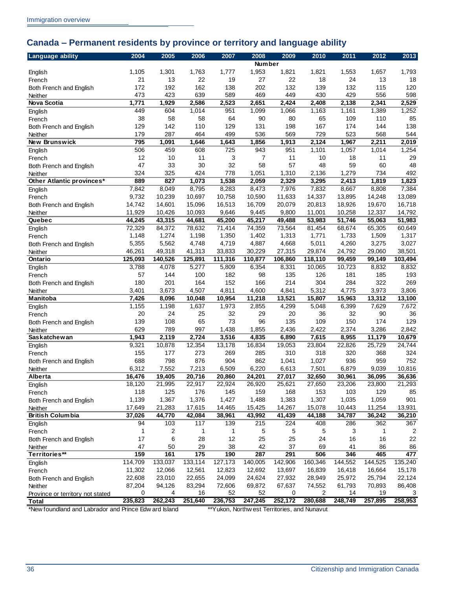## <span id="page-39-0"></span>**Canada – Permanent residents by province or territory and language ability**

| <b>Language ability</b>                               | 2004    | 2005    | 2006    | 2007                                         | 2008           | 2009    | 2010              | 2011    | 2012    | 2013    |
|-------------------------------------------------------|---------|---------|---------|----------------------------------------------|----------------|---------|-------------------|---------|---------|---------|
|                                                       |         |         |         |                                              | Number         |         |                   |         |         |         |
| English                                               | 1,105   | 1,301   | 1,763   | 1,777                                        | 1,953          | 1,821   | 1,821             | 1,553   | 1,657   | 1,793   |
| French                                                | 21      | 13      | 22      | 19                                           | 27             | 22      | 18                | 24      | 13      | 18      |
| Both French and English                               | 172     | 192     | 162     | 138                                          | 202            | 132     | 139               | 132     | 115     | 120     |
| Neither                                               | 473     | 423     | 639     | 589                                          | 469            | 449     | 430               | 429     | 556     | 598     |
| Nova Scotia                                           | 1,771   | 1,929   | 2,586   | 2,523                                        | 2,651          | 2,424   | 2,408             | 2,138   | 2,341   | 2,529   |
| English                                               | 449     | 604     | 1,014   | 951                                          | 1,099          | 1,066   | 1,163             | 1,161   | 1,389   | 1,252   |
| French                                                | 38      | 58      | 58      | 64                                           | 90             | 80      | 65                | 109     | 110     | 85      |
| Both French and English                               | 129     | 142     | 110     | 129                                          | 131            | 198     | 167               | 174     | 144     | 138     |
| Neither                                               | 179     | 287     | 464     | 499                                          | 536            | 569     | 729               | 523     | 568     | 544     |
| New Brunswick                                         | 795     | 1,091   | 1,646   | 1,643                                        | 1,856          | 1,913   | 2,124             | 1,967   | 2,211   | 2,019   |
| English                                               | 506     | 459     | 608     | 725                                          | 943            | 951     | 1,101             | 1,057   | 1,014   | 1,254   |
| French                                                | 12      | 10      | 11      | 3                                            | $\overline{7}$ | 11      | 10                | 18      | 11      | 29      |
| Both French and English                               | 47      | 33      | 30      | 32                                           | 58             | 57      | 48                | 59      | 60      | 48      |
| Neither                                               | 324     | 325     | 424     | 778                                          | 1,051          | 1,310   | 2,136             | 1,279   | 734     | 492     |
| Other Atlantic provinces*                             | 889     | 827     | 1,073   | 1,538                                        | 2,059          | 2,329   | 3,295             | 2,413   | 1,819   | 1,823   |
|                                                       | 7,842   | 8,049   | 8,795   | 8,283                                        | 8,473          | 7,976   | 7,832             | 8,667   | 8,808   | 7,384   |
| English                                               |         |         |         |                                              |                |         |                   | 13,895  |         |         |
| French                                                | 9,732   | 10,239  | 10,697  | 10,758                                       | 10,590         | 11,633  | 14,337            |         | 14,248  | 13,089  |
| Both French and English                               | 14,742  | 14,601  | 15,096  | 16,513                                       | 16,709         | 20,079  | 20,813            | 18,926  | 19,670  | 16,718  |
| Neither                                               | 11,929  | 10,426  | 10,093  | 9,646                                        | 9,445          | 9,800   | 11,001            | 10,258  | 12,337  | 14,792  |
| Quebec                                                | 44,245  | 43,315  | 44,681  | 45,200                                       | 45,217         | 49,488  | 53,983            | 51,746  | 55,063  | 51,983  |
| English                                               | 72,329  | 84,372  | 78,632  | 71,414                                       | 74,359         | 73,564  | 81,454            | 68,674  | 65,305  | 60,649  |
| French                                                | 1,148   | 1,274   | 1,198   | 1,350                                        | 1,402          | 1,313   | 1,771             | 1,733   | 1,509   | 1,317   |
| Both French and English                               | 5,355   | 5,562   | 4,748   | 4,719                                        | 4,887          | 4,668   | 5,011             | 4,260   | 3,275   | 3,027   |
| Neither                                               | 46,261  | 49,318  | 41,313  | 33,833                                       | 30,229         | 27,315  | 29,874            | 24,792  | 29,060  | 38,501  |
| Ontario                                               | 125,093 | 140,526 | 125,891 | 111,316                                      | 110,877        | 106,860 | 118,110           | 99,459  | 99,149  | 103,494 |
| English                                               | 3,788   | 4,078   | 5,277   | 5,809                                        | 6,354          | 8,331   | 10,065            | 10,723  | 8,832   | 8,832   |
| French                                                | 57      | 144     | 100     | 182                                          | 98             | 135     | 126               | 181     | 185     | 193     |
| Both French and English                               | 180     | 201     | 164     | 152                                          | 166            | 214     | 304               | 284     | 322     | 269     |
| Neither                                               | 3,401   | 3,673   | 4,507   | 4,811                                        | 4,600          | 4,841   | 5,312             | 4,775   | 3,973   | 3,806   |
| Manitoba                                              | 7,426   | 8,096   | 10,048  | 10,954                                       | 11,218         | 13,521  | 15,807            | 15,963  | 13,312  | 13,100  |
| English                                               | 1,155   | 1,198   | 1,637   | 1,973                                        | 2,855          | 4,299   | 5,048             | 6,399   | 7,629   | 7,672   |
| French                                                | 20      | 24      | 25      | 32                                           | 29             | 20      | 36                | 32      | 90      | 36      |
| Both French and English                               | 139     | 108     | 65      | 73                                           | 96             | 135     | 109               | 150     | 174     | 129     |
| Neither                                               | 629     | 789     | 997     | 1,438                                        | 1,855          | 2,436   | 2,422             | 2,374   | 3,286   | 2,842   |
| <b>Saskatchewan</b>                                   | 1,943   | 2,119   | 2,724   | 3,516                                        | 4,835          | 6,890   | 7,615             | 8,955   | 11,179  | 10,679  |
| English                                               | 9,321   | 10,878  | 12,354  | 13,178                                       | 16,834         | 19,053  | 23,804            | 22,826  | 25,729  | 24,744  |
| French                                                | 155     | 177     | 273     | 269                                          | 285            | 310     | 318               | 320     | 368     | 324     |
| Both French and English                               | 688     | 798     | 876     | 904                                          | 862            | 1,041   | 1,027             | 936     | 959     | 752     |
| Neither                                               | 6,312   | 7,552   | 7,213   | 6,509                                        | 6,220          | 6,613   | 7,501             | 6,879   | 9,039   | 10,816  |
| Alberta                                               | 16,476  | 19,405  | 20,716  | 20,860                                       | 24,201         | 27,017  | 32,650            | 30,961  | 36,095  | 36,636  |
| English                                               | 18,120  | 21,995  | 22,917  | 22,924                                       | 26,920         | 25,621  | 27,650            | 23,206  | 23,800  | 21,293  |
| French                                                | 118     | 125     | 176     | 145                                          | 159            | 168     | 153               | 103     | 129     | 85      |
| Both French and English                               | 1,139   | 1,367   | 1,376   | 1,427                                        | 1,488          | 1,383   | 1,307             | 1,035   | 1,059   | 901     |
| Neither                                               | 17,649  | 21,283  | 17,615  | 14,465                                       | 15,425         | 14,267  | 15,078            | 10,443  | 11,254  | 13,931  |
| <b>British Columbia</b>                               | 37,026  | 44,770  | 42,084  | 38,961                                       | 43,992         | 41,439  | 44,188            | 34,787  | 36,242  | 36,210  |
| English                                               | 94      | 103     | 117     | 139                                          | 215            | 224     | 408               | 286     | 362     | 367     |
| French                                                | 1       | 2       | 1       | 1                                            | 5              | 5       | 5                 | 3       | 1       | 2       |
| Both French and English                               | 17      | 6       | 28      | 12                                           | 25             | 25      | 24                | 16      | 16      | 22      |
| Neither                                               | 47      | 50      | 29      | 38                                           | 42             | 37      | 69                | 41      | 86      | 86      |
| Territories**                                         | 159     | 161     | 175     | 190                                          | 287            | 291     | 506               | 346     | 465     | 477     |
|                                                       | 114,709 | 133,037 |         |                                              | 140,005        | 142,906 |                   | 144,552 | 144,525 |         |
| English                                               |         |         | 133,114 | 127,173                                      |                |         | 160,346<br>16,839 |         |         | 135,240 |
| French                                                | 11,302  | 12,066  | 12,561  | 12,823                                       | 12,692         | 13,697  |                   | 16,418  | 16,664  | 15,178  |
| Both French and English                               | 22,608  | 23,010  | 22,655  | 24,099                                       | 24,624         | 27,932  | 28,949            | 25,972  | 25,794  | 22,124  |
| Neither                                               | 87,204  | 94,126  | 83,294  | 72,606                                       | 69,872         | 67,637  | 74,552            | 61,793  | 70,893  | 86,408  |
| Province or territory not stated                      | 0       | 4       | 16      | 52                                           | 52             | 0       | 2                 | 14      | 19      | 3       |
| Total                                                 | 235,823 | 262,243 | 251,640 | 236,753                                      | 247,245        | 252,172 | 280,688           | 248,749 | 257,895 | 258,953 |
| *New foundland and Labrador and Prince Edw ard Island |         |         |         | **Yukon, Northw est Territories, and Nunavut |                |         |                   |         |         |         |
|                                                       |         |         |         |                                              |                |         |                   |         |         |         |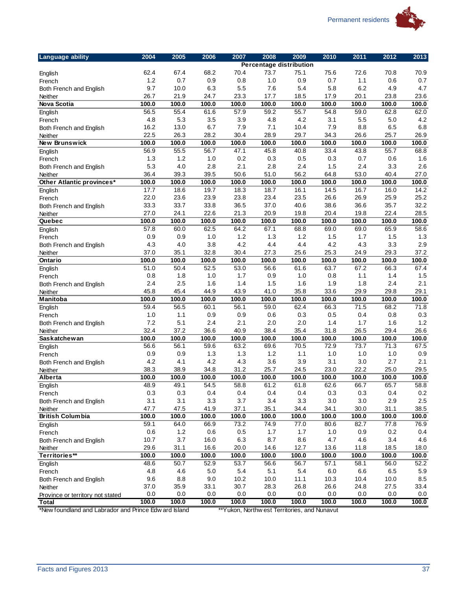

| <b>Percentage distribution</b><br>62.4<br>68.2<br>73.7<br>75.1<br>75.6<br>72.6<br>70.9<br>67.4<br>70.4<br>70.8<br>English<br>1.2<br>0.7<br>0.7<br>0.9<br>0.8<br>1.0<br>0.9<br>0.7<br>1.1<br>0.6<br>French<br>9.7<br>10.0<br>6.3<br>5.5<br>5.4<br>5.8<br>6.2<br>4.7<br>7.6<br>4.9<br>Both French and English<br>26.7<br>23.6<br>21.9<br>24.7<br>23.3<br>17.7<br>18.5<br>20.1<br>23.8<br>17.9<br>Neither<br>Nova Scotia<br>100.0<br>100.0<br>100.0<br>100.0<br>100.0<br>100.0<br>100.0<br>100.0<br>100.0<br>100.0<br>56.5<br>55.4<br>55.7<br>61.6<br>57.9<br>59.2<br>54.8<br>59.0<br>62.8<br>62.0<br>English<br>4.8<br>4.2<br>5.3<br>3.5<br>3.9<br>4.8<br>4.2<br>3.1<br>5.5<br>5.0<br>French<br>16.2<br>13.0<br>6.7<br>7.9<br>7.1<br>10.4<br>7.9<br>8.8<br>6.5<br>6.8<br>Both French and English<br>22.5<br>26.3<br>28.2<br>26.9<br>30.4<br>28.9<br>29.7<br>34.3<br>26.6<br>25.7<br>Neither<br>100.0<br>100.0<br>100.0<br>New Brunswick<br>100.0<br>100.0<br>100.0<br>100.0<br>100.0<br>100.0<br>100.0<br>56.9<br>55.5<br>56.7<br>55.7<br>68.8<br>47.1<br>45.8<br>40.8<br>33.4<br>43.8<br>English<br>1.3<br>1.2<br>1.0<br>0.2<br>0.3<br>0.5<br>0.3<br>0.6<br>1.6<br>0.7<br>French<br>5.3<br>$4.0$<br>2.1<br>2.6<br>2.8<br>2.8<br>2.4<br>1.5<br>2.4<br>3.3<br>Both French and English<br>36.4<br>56.2<br>39.3<br>39.5<br>50.6<br>51.0<br>64.8<br>53.0<br>40.4<br>27.0<br>Neither<br>100.0<br>100.0<br>100.0<br>100.0<br>100.0<br>100.0<br>100.0<br>100.0<br>100.0<br>100.0<br>Other Atlantic provinces*<br>17.7<br>18.6<br>19.7<br>18.3<br>18.7<br>16.1<br>14.5<br>16.7<br>16.0<br>14.2<br>English<br>25.2<br>22.0<br>23.6<br>23.9<br>23.8<br>23.4<br>23.5<br>26.6<br>26.9<br>25.9<br>French<br>33.3<br>33.7<br>33.8<br>35.7<br>32.2<br>36.5<br>37.0<br>40.6<br>38.6<br>36.6<br>Both French and English<br>27.0<br>24.1<br>22.6<br>22.4<br>28.5<br>21.3<br>20.9<br>19.8<br>20.4<br>19.8<br>Neither<br>Quebec<br>100.0<br>100.0<br>100.0<br>100.0<br>100.0<br>100.0<br>100.0<br>100.0<br>100.0<br>100.0<br>57.8<br>62.5<br>64.2<br>67.1<br>68.8<br>65.9<br>58.6<br>60.0<br>69.0<br>69.0<br>English<br>0.9<br>1.0<br>1.2<br>1.3<br>1.2<br>1.5<br>1.3<br>0.9<br>1.5<br>1.7<br>French<br>2.9<br>4.3<br>4.0<br>3.8<br>4.2<br>4.4<br>4.3<br>3.3<br>4.4<br>4.2<br>Both French and English<br>37.2<br>37.0<br>35.1<br>32.8<br>30.4<br>27.3<br>25.6<br>25.3<br>29.3<br>24.9<br>Neither<br>100.0<br>100.0<br>Ontario<br>100.0<br>100.0<br>100.0<br>100.0<br>100.0<br>100.0<br>100.0<br>100.0<br>51.0<br>50.4<br>52.5<br>53.0<br>56.6<br>61.6<br>63.7<br>67.2<br>66.3<br>67.4<br>English<br>0.8<br>1.8<br>1.5<br>1.0<br>1.7<br>0.9<br>1.0<br>0.8<br>1.1<br>1.4<br>French<br>2.4<br>2.1<br>2.5<br>1.6<br>1.4<br>1.5<br>1.6<br>1.9<br>1.8<br>2.4<br>Both French and English<br>45.8<br>45.4<br>35.8<br>29.8<br>29.1<br>44.9<br>43.9<br>41.0<br>33.6<br>29.9<br>Neither<br>100.0<br>Manitoba<br>100.0<br>100.0<br>100.0<br>100.0<br>100.0<br>100.0<br>100.0<br>100.0<br>100.0<br>59.4<br>62.4<br>71.8<br>56.5<br>60.1<br>56.1<br>59.0<br>66.3<br>71.5<br>68.2<br>English<br>1.0<br>1.1<br>0.9<br>0.3<br>0.5<br>0.8<br>0.3<br>0.9<br>0.6<br>0.4<br>French<br>7.2<br>5.1<br>1.2<br>2.4<br>2.1<br>2.0<br>2.0<br>1.4<br>1.7<br>1.6<br>Both French and English<br>32.4<br>37.2<br>36.6<br>29.4<br>26.6<br>40.9<br>38.4<br>35.4<br>31.8<br>26.5<br>Neither<br>100.0<br>100.0<br>100.0<br>Saskatchewan<br>100.0<br>100.0<br>100.0<br>100.0<br>100.0<br>100.0<br>100.0<br>56.6<br>56.1<br>67.5<br>59.6<br>63.2<br>69.6<br>72.9<br>73.7<br>71.3<br>70.5<br>English<br>1.3<br>0.9<br>0.9<br>0.9<br>1.3<br>1.2<br>1.1<br>1.0<br>1.0<br>1.0<br>French<br>4.2<br>4.2<br>2.1<br>4.1<br>4.3<br>3.6<br>3.9<br>3.1<br>3.0<br>2.7<br>Both French and English<br>38.3<br>25.0<br>29.5<br>38.9<br>34.8<br>31.2<br>25.7<br>22.2<br>24.5<br>23.0<br>Neither<br>100.0<br>100.0<br>100.0<br>Alberta<br>100.0<br>100.0<br>100.0<br>100.0<br>100.0<br>100.0<br>100.0<br>48.9<br>54.5<br>58.8<br>61.2<br>62.6<br>66.7<br>65.7<br>58.8<br>49.1<br>61.8<br>English<br>0.3<br>0.4<br>0.4<br>0.4<br>0.3<br>0.3<br>0.4<br>0.3<br>0.4<br>0.2<br>French<br>3.1<br>3.1<br>3.3<br>3.7<br>3.4<br>3.3<br>3.0<br>3.0<br>2.9<br>2.5<br>Both French and English<br>47.7<br>38.5<br>47.5<br>41.9<br>37.1<br>35.1<br>34.4<br>34.1<br>30.0<br>31.1<br>Neither<br><b>British Columbia</b><br>100.0<br>100.0<br>100.0<br>100.0<br>100.0<br>100.0<br>100.0<br>100.0<br>100.0<br>100.0<br>59.1<br>64.0<br>73.2<br>74.9<br>77.0<br>77.8<br>76.9<br>66.9<br>80.6<br>82.7<br>English<br>0.6<br>$1.2$<br>0.6<br>0.5<br>1.7<br>0.9<br>0.2<br>0.4<br>1.7<br>1.0<br>French<br>10.7<br>$3.7\,$<br>6.3<br>4.6<br>16.0<br>8.7<br>8.6<br>4.7<br>4.6<br>3.4<br>Both French and English<br>29.6<br>31.1<br>16.6<br>20.0<br>14.6<br>12.7<br>13.6<br>18.5<br>11.8<br>18.0<br>Neither<br>Territories**<br>100.0<br>100.0<br>100.0<br>100.0<br>100.0<br>100.0<br>100.0<br>100.0<br>100.0<br>100.0<br>48.6<br>50.7<br>52.9<br>53.7<br>56.6<br>56.7<br>56.0<br>52.2<br>57.1<br>58.1<br>English<br>4.6<br>5.9<br>4.8<br>5.0<br>5.4<br>5.1<br>5.4<br>6.0<br>6.6<br>6.5<br>French<br>9.6<br>$8.8\,$<br>9.0<br>10.2<br>10.0<br>11.1<br>10.3<br>10.4<br>10.0<br>8.5<br>Both French and English<br>37.0<br>35.9<br>33.1<br>30.7<br>28.3<br>26.8<br>26.6<br>24.8<br>27.5<br>33.4<br>Neither<br>0.0<br>0.0<br>0.0<br>0.0<br>0.0<br>0.0<br>0.0<br>0.0<br>0.0<br>0.0<br>Province or territory not stated<br>100.0<br>100.0<br>100.0<br>100.0<br>100.0<br>100.0<br>100.0<br>100.0<br>100.0<br>100.0<br>Total<br>*New foundland and Labrador and Prince Edw ard Island<br>**Yukon, Northw est Territories, and Nunavut | <b>Language ability</b> | 2004 | 2005 | 2006 | 2007 | 2008 | 2009 | 2010 | 2011 | 2012 | 2013 |
|------------------------------------------------------------------------------------------------------------------------------------------------------------------------------------------------------------------------------------------------------------------------------------------------------------------------------------------------------------------------------------------------------------------------------------------------------------------------------------------------------------------------------------------------------------------------------------------------------------------------------------------------------------------------------------------------------------------------------------------------------------------------------------------------------------------------------------------------------------------------------------------------------------------------------------------------------------------------------------------------------------------------------------------------------------------------------------------------------------------------------------------------------------------------------------------------------------------------------------------------------------------------------------------------------------------------------------------------------------------------------------------------------------------------------------------------------------------------------------------------------------------------------------------------------------------------------------------------------------------------------------------------------------------------------------------------------------------------------------------------------------------------------------------------------------------------------------------------------------------------------------------------------------------------------------------------------------------------------------------------------------------------------------------------------------------------------------------------------------------------------------------------------------------------------------------------------------------------------------------------------------------------------------------------------------------------------------------------------------------------------------------------------------------------------------------------------------------------------------------------------------------------------------------------------------------------------------------------------------------------------------------------------------------------------------------------------------------------------------------------------------------------------------------------------------------------------------------------------------------------------------------------------------------------------------------------------------------------------------------------------------------------------------------------------------------------------------------------------------------------------------------------------------------------------------------------------------------------------------------------------------------------------------------------------------------------------------------------------------------------------------------------------------------------------------------------------------------------------------------------------------------------------------------------------------------------------------------------------------------------------------------------------------------------------------------------------------------------------------------------------------------------------------------------------------------------------------------------------------------------------------------------------------------------------------------------------------------------------------------------------------------------------------------------------------------------------------------------------------------------------------------------------------------------------------------------------------------------------------------------------------------------------------------------------------------------------------------------------------------------------------------------------------------------------------------------------------------------------------------------------------------------------------------------------------------------------------------------------------------------------------------------------------------------------------------------------------------------------------------------------------------------------------------------------------------------------------------------------------------------------------------------------------------------------------------------------------------------------------------------------------------------------------------------------------------------------------------------------------------------------------------------------------------------------------------------------------------------------------------------------------------------------------------------------------------------------------------------------------------------------------------------------------------------------------------------------------------------------------------------------------------------------------------------------------------------------------------------------------------------|-------------------------|------|------|------|------|------|------|------|------|------|------|
|                                                                                                                                                                                                                                                                                                                                                                                                                                                                                                                                                                                                                                                                                                                                                                                                                                                                                                                                                                                                                                                                                                                                                                                                                                                                                                                                                                                                                                                                                                                                                                                                                                                                                                                                                                                                                                                                                                                                                                                                                                                                                                                                                                                                                                                                                                                                                                                                                                                                                                                                                                                                                                                                                                                                                                                                                                                                                                                                                                                                                                                                                                                                                                                                                                                                                                                                                                                                                                                                                                                                                                                                                                                                                                                                                                                                                                                                                                                                                                                                                                                                                                                                                                                                                                                                                                                                                                                                                                                                                                                                                                                                                                                                                                                                                                                                                                                                                                                                                                                                                                                                                                                                                                                                                                                                                                                                                                                                                                                                                                                                                                                                                        |                         |      |      |      |      |      |      |      |      |      |      |
|                                                                                                                                                                                                                                                                                                                                                                                                                                                                                                                                                                                                                                                                                                                                                                                                                                                                                                                                                                                                                                                                                                                                                                                                                                                                                                                                                                                                                                                                                                                                                                                                                                                                                                                                                                                                                                                                                                                                                                                                                                                                                                                                                                                                                                                                                                                                                                                                                                                                                                                                                                                                                                                                                                                                                                                                                                                                                                                                                                                                                                                                                                                                                                                                                                                                                                                                                                                                                                                                                                                                                                                                                                                                                                                                                                                                                                                                                                                                                                                                                                                                                                                                                                                                                                                                                                                                                                                                                                                                                                                                                                                                                                                                                                                                                                                                                                                                                                                                                                                                                                                                                                                                                                                                                                                                                                                                                                                                                                                                                                                                                                                                                        |                         |      |      |      |      |      |      |      |      |      |      |
|                                                                                                                                                                                                                                                                                                                                                                                                                                                                                                                                                                                                                                                                                                                                                                                                                                                                                                                                                                                                                                                                                                                                                                                                                                                                                                                                                                                                                                                                                                                                                                                                                                                                                                                                                                                                                                                                                                                                                                                                                                                                                                                                                                                                                                                                                                                                                                                                                                                                                                                                                                                                                                                                                                                                                                                                                                                                                                                                                                                                                                                                                                                                                                                                                                                                                                                                                                                                                                                                                                                                                                                                                                                                                                                                                                                                                                                                                                                                                                                                                                                                                                                                                                                                                                                                                                                                                                                                                                                                                                                                                                                                                                                                                                                                                                                                                                                                                                                                                                                                                                                                                                                                                                                                                                                                                                                                                                                                                                                                                                                                                                                                                        |                         |      |      |      |      |      |      |      |      |      |      |
|                                                                                                                                                                                                                                                                                                                                                                                                                                                                                                                                                                                                                                                                                                                                                                                                                                                                                                                                                                                                                                                                                                                                                                                                                                                                                                                                                                                                                                                                                                                                                                                                                                                                                                                                                                                                                                                                                                                                                                                                                                                                                                                                                                                                                                                                                                                                                                                                                                                                                                                                                                                                                                                                                                                                                                                                                                                                                                                                                                                                                                                                                                                                                                                                                                                                                                                                                                                                                                                                                                                                                                                                                                                                                                                                                                                                                                                                                                                                                                                                                                                                                                                                                                                                                                                                                                                                                                                                                                                                                                                                                                                                                                                                                                                                                                                                                                                                                                                                                                                                                                                                                                                                                                                                                                                                                                                                                                                                                                                                                                                                                                                                                        |                         |      |      |      |      |      |      |      |      |      |      |
|                                                                                                                                                                                                                                                                                                                                                                                                                                                                                                                                                                                                                                                                                                                                                                                                                                                                                                                                                                                                                                                                                                                                                                                                                                                                                                                                                                                                                                                                                                                                                                                                                                                                                                                                                                                                                                                                                                                                                                                                                                                                                                                                                                                                                                                                                                                                                                                                                                                                                                                                                                                                                                                                                                                                                                                                                                                                                                                                                                                                                                                                                                                                                                                                                                                                                                                                                                                                                                                                                                                                                                                                                                                                                                                                                                                                                                                                                                                                                                                                                                                                                                                                                                                                                                                                                                                                                                                                                                                                                                                                                                                                                                                                                                                                                                                                                                                                                                                                                                                                                                                                                                                                                                                                                                                                                                                                                                                                                                                                                                                                                                                                                        |                         |      |      |      |      |      |      |      |      |      |      |
|                                                                                                                                                                                                                                                                                                                                                                                                                                                                                                                                                                                                                                                                                                                                                                                                                                                                                                                                                                                                                                                                                                                                                                                                                                                                                                                                                                                                                                                                                                                                                                                                                                                                                                                                                                                                                                                                                                                                                                                                                                                                                                                                                                                                                                                                                                                                                                                                                                                                                                                                                                                                                                                                                                                                                                                                                                                                                                                                                                                                                                                                                                                                                                                                                                                                                                                                                                                                                                                                                                                                                                                                                                                                                                                                                                                                                                                                                                                                                                                                                                                                                                                                                                                                                                                                                                                                                                                                                                                                                                                                                                                                                                                                                                                                                                                                                                                                                                                                                                                                                                                                                                                                                                                                                                                                                                                                                                                                                                                                                                                                                                                                                        |                         |      |      |      |      |      |      |      |      |      |      |
|                                                                                                                                                                                                                                                                                                                                                                                                                                                                                                                                                                                                                                                                                                                                                                                                                                                                                                                                                                                                                                                                                                                                                                                                                                                                                                                                                                                                                                                                                                                                                                                                                                                                                                                                                                                                                                                                                                                                                                                                                                                                                                                                                                                                                                                                                                                                                                                                                                                                                                                                                                                                                                                                                                                                                                                                                                                                                                                                                                                                                                                                                                                                                                                                                                                                                                                                                                                                                                                                                                                                                                                                                                                                                                                                                                                                                                                                                                                                                                                                                                                                                                                                                                                                                                                                                                                                                                                                                                                                                                                                                                                                                                                                                                                                                                                                                                                                                                                                                                                                                                                                                                                                                                                                                                                                                                                                                                                                                                                                                                                                                                                                                        |                         |      |      |      |      |      |      |      |      |      |      |
|                                                                                                                                                                                                                                                                                                                                                                                                                                                                                                                                                                                                                                                                                                                                                                                                                                                                                                                                                                                                                                                                                                                                                                                                                                                                                                                                                                                                                                                                                                                                                                                                                                                                                                                                                                                                                                                                                                                                                                                                                                                                                                                                                                                                                                                                                                                                                                                                                                                                                                                                                                                                                                                                                                                                                                                                                                                                                                                                                                                                                                                                                                                                                                                                                                                                                                                                                                                                                                                                                                                                                                                                                                                                                                                                                                                                                                                                                                                                                                                                                                                                                                                                                                                                                                                                                                                                                                                                                                                                                                                                                                                                                                                                                                                                                                                                                                                                                                                                                                                                                                                                                                                                                                                                                                                                                                                                                                                                                                                                                                                                                                                                                        |                         |      |      |      |      |      |      |      |      |      |      |
|                                                                                                                                                                                                                                                                                                                                                                                                                                                                                                                                                                                                                                                                                                                                                                                                                                                                                                                                                                                                                                                                                                                                                                                                                                                                                                                                                                                                                                                                                                                                                                                                                                                                                                                                                                                                                                                                                                                                                                                                                                                                                                                                                                                                                                                                                                                                                                                                                                                                                                                                                                                                                                                                                                                                                                                                                                                                                                                                                                                                                                                                                                                                                                                                                                                                                                                                                                                                                                                                                                                                                                                                                                                                                                                                                                                                                                                                                                                                                                                                                                                                                                                                                                                                                                                                                                                                                                                                                                                                                                                                                                                                                                                                                                                                                                                                                                                                                                                                                                                                                                                                                                                                                                                                                                                                                                                                                                                                                                                                                                                                                                                                                        |                         |      |      |      |      |      |      |      |      |      |      |
|                                                                                                                                                                                                                                                                                                                                                                                                                                                                                                                                                                                                                                                                                                                                                                                                                                                                                                                                                                                                                                                                                                                                                                                                                                                                                                                                                                                                                                                                                                                                                                                                                                                                                                                                                                                                                                                                                                                                                                                                                                                                                                                                                                                                                                                                                                                                                                                                                                                                                                                                                                                                                                                                                                                                                                                                                                                                                                                                                                                                                                                                                                                                                                                                                                                                                                                                                                                                                                                                                                                                                                                                                                                                                                                                                                                                                                                                                                                                                                                                                                                                                                                                                                                                                                                                                                                                                                                                                                                                                                                                                                                                                                                                                                                                                                                                                                                                                                                                                                                                                                                                                                                                                                                                                                                                                                                                                                                                                                                                                                                                                                                                                        |                         |      |      |      |      |      |      |      |      |      |      |
|                                                                                                                                                                                                                                                                                                                                                                                                                                                                                                                                                                                                                                                                                                                                                                                                                                                                                                                                                                                                                                                                                                                                                                                                                                                                                                                                                                                                                                                                                                                                                                                                                                                                                                                                                                                                                                                                                                                                                                                                                                                                                                                                                                                                                                                                                                                                                                                                                                                                                                                                                                                                                                                                                                                                                                                                                                                                                                                                                                                                                                                                                                                                                                                                                                                                                                                                                                                                                                                                                                                                                                                                                                                                                                                                                                                                                                                                                                                                                                                                                                                                                                                                                                                                                                                                                                                                                                                                                                                                                                                                                                                                                                                                                                                                                                                                                                                                                                                                                                                                                                                                                                                                                                                                                                                                                                                                                                                                                                                                                                                                                                                                                        |                         |      |      |      |      |      |      |      |      |      |      |
|                                                                                                                                                                                                                                                                                                                                                                                                                                                                                                                                                                                                                                                                                                                                                                                                                                                                                                                                                                                                                                                                                                                                                                                                                                                                                                                                                                                                                                                                                                                                                                                                                                                                                                                                                                                                                                                                                                                                                                                                                                                                                                                                                                                                                                                                                                                                                                                                                                                                                                                                                                                                                                                                                                                                                                                                                                                                                                                                                                                                                                                                                                                                                                                                                                                                                                                                                                                                                                                                                                                                                                                                                                                                                                                                                                                                                                                                                                                                                                                                                                                                                                                                                                                                                                                                                                                                                                                                                                                                                                                                                                                                                                                                                                                                                                                                                                                                                                                                                                                                                                                                                                                                                                                                                                                                                                                                                                                                                                                                                                                                                                                                                        |                         |      |      |      |      |      |      |      |      |      |      |
|                                                                                                                                                                                                                                                                                                                                                                                                                                                                                                                                                                                                                                                                                                                                                                                                                                                                                                                                                                                                                                                                                                                                                                                                                                                                                                                                                                                                                                                                                                                                                                                                                                                                                                                                                                                                                                                                                                                                                                                                                                                                                                                                                                                                                                                                                                                                                                                                                                                                                                                                                                                                                                                                                                                                                                                                                                                                                                                                                                                                                                                                                                                                                                                                                                                                                                                                                                                                                                                                                                                                                                                                                                                                                                                                                                                                                                                                                                                                                                                                                                                                                                                                                                                                                                                                                                                                                                                                                                                                                                                                                                                                                                                                                                                                                                                                                                                                                                                                                                                                                                                                                                                                                                                                                                                                                                                                                                                                                                                                                                                                                                                                                        |                         |      |      |      |      |      |      |      |      |      |      |
|                                                                                                                                                                                                                                                                                                                                                                                                                                                                                                                                                                                                                                                                                                                                                                                                                                                                                                                                                                                                                                                                                                                                                                                                                                                                                                                                                                                                                                                                                                                                                                                                                                                                                                                                                                                                                                                                                                                                                                                                                                                                                                                                                                                                                                                                                                                                                                                                                                                                                                                                                                                                                                                                                                                                                                                                                                                                                                                                                                                                                                                                                                                                                                                                                                                                                                                                                                                                                                                                                                                                                                                                                                                                                                                                                                                                                                                                                                                                                                                                                                                                                                                                                                                                                                                                                                                                                                                                                                                                                                                                                                                                                                                                                                                                                                                                                                                                                                                                                                                                                                                                                                                                                                                                                                                                                                                                                                                                                                                                                                                                                                                                                        |                         |      |      |      |      |      |      |      |      |      |      |
|                                                                                                                                                                                                                                                                                                                                                                                                                                                                                                                                                                                                                                                                                                                                                                                                                                                                                                                                                                                                                                                                                                                                                                                                                                                                                                                                                                                                                                                                                                                                                                                                                                                                                                                                                                                                                                                                                                                                                                                                                                                                                                                                                                                                                                                                                                                                                                                                                                                                                                                                                                                                                                                                                                                                                                                                                                                                                                                                                                                                                                                                                                                                                                                                                                                                                                                                                                                                                                                                                                                                                                                                                                                                                                                                                                                                                                                                                                                                                                                                                                                                                                                                                                                                                                                                                                                                                                                                                                                                                                                                                                                                                                                                                                                                                                                                                                                                                                                                                                                                                                                                                                                                                                                                                                                                                                                                                                                                                                                                                                                                                                                                                        |                         |      |      |      |      |      |      |      |      |      |      |
|                                                                                                                                                                                                                                                                                                                                                                                                                                                                                                                                                                                                                                                                                                                                                                                                                                                                                                                                                                                                                                                                                                                                                                                                                                                                                                                                                                                                                                                                                                                                                                                                                                                                                                                                                                                                                                                                                                                                                                                                                                                                                                                                                                                                                                                                                                                                                                                                                                                                                                                                                                                                                                                                                                                                                                                                                                                                                                                                                                                                                                                                                                                                                                                                                                                                                                                                                                                                                                                                                                                                                                                                                                                                                                                                                                                                                                                                                                                                                                                                                                                                                                                                                                                                                                                                                                                                                                                                                                                                                                                                                                                                                                                                                                                                                                                                                                                                                                                                                                                                                                                                                                                                                                                                                                                                                                                                                                                                                                                                                                                                                                                                                        |                         |      |      |      |      |      |      |      |      |      |      |
|                                                                                                                                                                                                                                                                                                                                                                                                                                                                                                                                                                                                                                                                                                                                                                                                                                                                                                                                                                                                                                                                                                                                                                                                                                                                                                                                                                                                                                                                                                                                                                                                                                                                                                                                                                                                                                                                                                                                                                                                                                                                                                                                                                                                                                                                                                                                                                                                                                                                                                                                                                                                                                                                                                                                                                                                                                                                                                                                                                                                                                                                                                                                                                                                                                                                                                                                                                                                                                                                                                                                                                                                                                                                                                                                                                                                                                                                                                                                                                                                                                                                                                                                                                                                                                                                                                                                                                                                                                                                                                                                                                                                                                                                                                                                                                                                                                                                                                                                                                                                                                                                                                                                                                                                                                                                                                                                                                                                                                                                                                                                                                                                                        |                         |      |      |      |      |      |      |      |      |      |      |
|                                                                                                                                                                                                                                                                                                                                                                                                                                                                                                                                                                                                                                                                                                                                                                                                                                                                                                                                                                                                                                                                                                                                                                                                                                                                                                                                                                                                                                                                                                                                                                                                                                                                                                                                                                                                                                                                                                                                                                                                                                                                                                                                                                                                                                                                                                                                                                                                                                                                                                                                                                                                                                                                                                                                                                                                                                                                                                                                                                                                                                                                                                                                                                                                                                                                                                                                                                                                                                                                                                                                                                                                                                                                                                                                                                                                                                                                                                                                                                                                                                                                                                                                                                                                                                                                                                                                                                                                                                                                                                                                                                                                                                                                                                                                                                                                                                                                                                                                                                                                                                                                                                                                                                                                                                                                                                                                                                                                                                                                                                                                                                                                                        |                         |      |      |      |      |      |      |      |      |      |      |
|                                                                                                                                                                                                                                                                                                                                                                                                                                                                                                                                                                                                                                                                                                                                                                                                                                                                                                                                                                                                                                                                                                                                                                                                                                                                                                                                                                                                                                                                                                                                                                                                                                                                                                                                                                                                                                                                                                                                                                                                                                                                                                                                                                                                                                                                                                                                                                                                                                                                                                                                                                                                                                                                                                                                                                                                                                                                                                                                                                                                                                                                                                                                                                                                                                                                                                                                                                                                                                                                                                                                                                                                                                                                                                                                                                                                                                                                                                                                                                                                                                                                                                                                                                                                                                                                                                                                                                                                                                                                                                                                                                                                                                                                                                                                                                                                                                                                                                                                                                                                                                                                                                                                                                                                                                                                                                                                                                                                                                                                                                                                                                                                                        |                         |      |      |      |      |      |      |      |      |      |      |
|                                                                                                                                                                                                                                                                                                                                                                                                                                                                                                                                                                                                                                                                                                                                                                                                                                                                                                                                                                                                                                                                                                                                                                                                                                                                                                                                                                                                                                                                                                                                                                                                                                                                                                                                                                                                                                                                                                                                                                                                                                                                                                                                                                                                                                                                                                                                                                                                                                                                                                                                                                                                                                                                                                                                                                                                                                                                                                                                                                                                                                                                                                                                                                                                                                                                                                                                                                                                                                                                                                                                                                                                                                                                                                                                                                                                                                                                                                                                                                                                                                                                                                                                                                                                                                                                                                                                                                                                                                                                                                                                                                                                                                                                                                                                                                                                                                                                                                                                                                                                                                                                                                                                                                                                                                                                                                                                                                                                                                                                                                                                                                                                                        |                         |      |      |      |      |      |      |      |      |      |      |
|                                                                                                                                                                                                                                                                                                                                                                                                                                                                                                                                                                                                                                                                                                                                                                                                                                                                                                                                                                                                                                                                                                                                                                                                                                                                                                                                                                                                                                                                                                                                                                                                                                                                                                                                                                                                                                                                                                                                                                                                                                                                                                                                                                                                                                                                                                                                                                                                                                                                                                                                                                                                                                                                                                                                                                                                                                                                                                                                                                                                                                                                                                                                                                                                                                                                                                                                                                                                                                                                                                                                                                                                                                                                                                                                                                                                                                                                                                                                                                                                                                                                                                                                                                                                                                                                                                                                                                                                                                                                                                                                                                                                                                                                                                                                                                                                                                                                                                                                                                                                                                                                                                                                                                                                                                                                                                                                                                                                                                                                                                                                                                                                                        |                         |      |      |      |      |      |      |      |      |      |      |
|                                                                                                                                                                                                                                                                                                                                                                                                                                                                                                                                                                                                                                                                                                                                                                                                                                                                                                                                                                                                                                                                                                                                                                                                                                                                                                                                                                                                                                                                                                                                                                                                                                                                                                                                                                                                                                                                                                                                                                                                                                                                                                                                                                                                                                                                                                                                                                                                                                                                                                                                                                                                                                                                                                                                                                                                                                                                                                                                                                                                                                                                                                                                                                                                                                                                                                                                                                                                                                                                                                                                                                                                                                                                                                                                                                                                                                                                                                                                                                                                                                                                                                                                                                                                                                                                                                                                                                                                                                                                                                                                                                                                                                                                                                                                                                                                                                                                                                                                                                                                                                                                                                                                                                                                                                                                                                                                                                                                                                                                                                                                                                                                                        |                         |      |      |      |      |      |      |      |      |      |      |
|                                                                                                                                                                                                                                                                                                                                                                                                                                                                                                                                                                                                                                                                                                                                                                                                                                                                                                                                                                                                                                                                                                                                                                                                                                                                                                                                                                                                                                                                                                                                                                                                                                                                                                                                                                                                                                                                                                                                                                                                                                                                                                                                                                                                                                                                                                                                                                                                                                                                                                                                                                                                                                                                                                                                                                                                                                                                                                                                                                                                                                                                                                                                                                                                                                                                                                                                                                                                                                                                                                                                                                                                                                                                                                                                                                                                                                                                                                                                                                                                                                                                                                                                                                                                                                                                                                                                                                                                                                                                                                                                                                                                                                                                                                                                                                                                                                                                                                                                                                                                                                                                                                                                                                                                                                                                                                                                                                                                                                                                                                                                                                                                                        |                         |      |      |      |      |      |      |      |      |      |      |
|                                                                                                                                                                                                                                                                                                                                                                                                                                                                                                                                                                                                                                                                                                                                                                                                                                                                                                                                                                                                                                                                                                                                                                                                                                                                                                                                                                                                                                                                                                                                                                                                                                                                                                                                                                                                                                                                                                                                                                                                                                                                                                                                                                                                                                                                                                                                                                                                                                                                                                                                                                                                                                                                                                                                                                                                                                                                                                                                                                                                                                                                                                                                                                                                                                                                                                                                                                                                                                                                                                                                                                                                                                                                                                                                                                                                                                                                                                                                                                                                                                                                                                                                                                                                                                                                                                                                                                                                                                                                                                                                                                                                                                                                                                                                                                                                                                                                                                                                                                                                                                                                                                                                                                                                                                                                                                                                                                                                                                                                                                                                                                                                                        |                         |      |      |      |      |      |      |      |      |      |      |
|                                                                                                                                                                                                                                                                                                                                                                                                                                                                                                                                                                                                                                                                                                                                                                                                                                                                                                                                                                                                                                                                                                                                                                                                                                                                                                                                                                                                                                                                                                                                                                                                                                                                                                                                                                                                                                                                                                                                                                                                                                                                                                                                                                                                                                                                                                                                                                                                                                                                                                                                                                                                                                                                                                                                                                                                                                                                                                                                                                                                                                                                                                                                                                                                                                                                                                                                                                                                                                                                                                                                                                                                                                                                                                                                                                                                                                                                                                                                                                                                                                                                                                                                                                                                                                                                                                                                                                                                                                                                                                                                                                                                                                                                                                                                                                                                                                                                                                                                                                                                                                                                                                                                                                                                                                                                                                                                                                                                                                                                                                                                                                                                                        |                         |      |      |      |      |      |      |      |      |      |      |
|                                                                                                                                                                                                                                                                                                                                                                                                                                                                                                                                                                                                                                                                                                                                                                                                                                                                                                                                                                                                                                                                                                                                                                                                                                                                                                                                                                                                                                                                                                                                                                                                                                                                                                                                                                                                                                                                                                                                                                                                                                                                                                                                                                                                                                                                                                                                                                                                                                                                                                                                                                                                                                                                                                                                                                                                                                                                                                                                                                                                                                                                                                                                                                                                                                                                                                                                                                                                                                                                                                                                                                                                                                                                                                                                                                                                                                                                                                                                                                                                                                                                                                                                                                                                                                                                                                                                                                                                                                                                                                                                                                                                                                                                                                                                                                                                                                                                                                                                                                                                                                                                                                                                                                                                                                                                                                                                                                                                                                                                                                                                                                                                                        |                         |      |      |      |      |      |      |      |      |      |      |
|                                                                                                                                                                                                                                                                                                                                                                                                                                                                                                                                                                                                                                                                                                                                                                                                                                                                                                                                                                                                                                                                                                                                                                                                                                                                                                                                                                                                                                                                                                                                                                                                                                                                                                                                                                                                                                                                                                                                                                                                                                                                                                                                                                                                                                                                                                                                                                                                                                                                                                                                                                                                                                                                                                                                                                                                                                                                                                                                                                                                                                                                                                                                                                                                                                                                                                                                                                                                                                                                                                                                                                                                                                                                                                                                                                                                                                                                                                                                                                                                                                                                                                                                                                                                                                                                                                                                                                                                                                                                                                                                                                                                                                                                                                                                                                                                                                                                                                                                                                                                                                                                                                                                                                                                                                                                                                                                                                                                                                                                                                                                                                                                                        |                         |      |      |      |      |      |      |      |      |      |      |
|                                                                                                                                                                                                                                                                                                                                                                                                                                                                                                                                                                                                                                                                                                                                                                                                                                                                                                                                                                                                                                                                                                                                                                                                                                                                                                                                                                                                                                                                                                                                                                                                                                                                                                                                                                                                                                                                                                                                                                                                                                                                                                                                                                                                                                                                                                                                                                                                                                                                                                                                                                                                                                                                                                                                                                                                                                                                                                                                                                                                                                                                                                                                                                                                                                                                                                                                                                                                                                                                                                                                                                                                                                                                                                                                                                                                                                                                                                                                                                                                                                                                                                                                                                                                                                                                                                                                                                                                                                                                                                                                                                                                                                                                                                                                                                                                                                                                                                                                                                                                                                                                                                                                                                                                                                                                                                                                                                                                                                                                                                                                                                                                                        |                         |      |      |      |      |      |      |      |      |      |      |
|                                                                                                                                                                                                                                                                                                                                                                                                                                                                                                                                                                                                                                                                                                                                                                                                                                                                                                                                                                                                                                                                                                                                                                                                                                                                                                                                                                                                                                                                                                                                                                                                                                                                                                                                                                                                                                                                                                                                                                                                                                                                                                                                                                                                                                                                                                                                                                                                                                                                                                                                                                                                                                                                                                                                                                                                                                                                                                                                                                                                                                                                                                                                                                                                                                                                                                                                                                                                                                                                                                                                                                                                                                                                                                                                                                                                                                                                                                                                                                                                                                                                                                                                                                                                                                                                                                                                                                                                                                                                                                                                                                                                                                                                                                                                                                                                                                                                                                                                                                                                                                                                                                                                                                                                                                                                                                                                                                                                                                                                                                                                                                                                                        |                         |      |      |      |      |      |      |      |      |      |      |
|                                                                                                                                                                                                                                                                                                                                                                                                                                                                                                                                                                                                                                                                                                                                                                                                                                                                                                                                                                                                                                                                                                                                                                                                                                                                                                                                                                                                                                                                                                                                                                                                                                                                                                                                                                                                                                                                                                                                                                                                                                                                                                                                                                                                                                                                                                                                                                                                                                                                                                                                                                                                                                                                                                                                                                                                                                                                                                                                                                                                                                                                                                                                                                                                                                                                                                                                                                                                                                                                                                                                                                                                                                                                                                                                                                                                                                                                                                                                                                                                                                                                                                                                                                                                                                                                                                                                                                                                                                                                                                                                                                                                                                                                                                                                                                                                                                                                                                                                                                                                                                                                                                                                                                                                                                                                                                                                                                                                                                                                                                                                                                                                                        |                         |      |      |      |      |      |      |      |      |      |      |
|                                                                                                                                                                                                                                                                                                                                                                                                                                                                                                                                                                                                                                                                                                                                                                                                                                                                                                                                                                                                                                                                                                                                                                                                                                                                                                                                                                                                                                                                                                                                                                                                                                                                                                                                                                                                                                                                                                                                                                                                                                                                                                                                                                                                                                                                                                                                                                                                                                                                                                                                                                                                                                                                                                                                                                                                                                                                                                                                                                                                                                                                                                                                                                                                                                                                                                                                                                                                                                                                                                                                                                                                                                                                                                                                                                                                                                                                                                                                                                                                                                                                                                                                                                                                                                                                                                                                                                                                                                                                                                                                                                                                                                                                                                                                                                                                                                                                                                                                                                                                                                                                                                                                                                                                                                                                                                                                                                                                                                                                                                                                                                                                                        |                         |      |      |      |      |      |      |      |      |      |      |
|                                                                                                                                                                                                                                                                                                                                                                                                                                                                                                                                                                                                                                                                                                                                                                                                                                                                                                                                                                                                                                                                                                                                                                                                                                                                                                                                                                                                                                                                                                                                                                                                                                                                                                                                                                                                                                                                                                                                                                                                                                                                                                                                                                                                                                                                                                                                                                                                                                                                                                                                                                                                                                                                                                                                                                                                                                                                                                                                                                                                                                                                                                                                                                                                                                                                                                                                                                                                                                                                                                                                                                                                                                                                                                                                                                                                                                                                                                                                                                                                                                                                                                                                                                                                                                                                                                                                                                                                                                                                                                                                                                                                                                                                                                                                                                                                                                                                                                                                                                                                                                                                                                                                                                                                                                                                                                                                                                                                                                                                                                                                                                                                                        |                         |      |      |      |      |      |      |      |      |      |      |
|                                                                                                                                                                                                                                                                                                                                                                                                                                                                                                                                                                                                                                                                                                                                                                                                                                                                                                                                                                                                                                                                                                                                                                                                                                                                                                                                                                                                                                                                                                                                                                                                                                                                                                                                                                                                                                                                                                                                                                                                                                                                                                                                                                                                                                                                                                                                                                                                                                                                                                                                                                                                                                                                                                                                                                                                                                                                                                                                                                                                                                                                                                                                                                                                                                                                                                                                                                                                                                                                                                                                                                                                                                                                                                                                                                                                                                                                                                                                                                                                                                                                                                                                                                                                                                                                                                                                                                                                                                                                                                                                                                                                                                                                                                                                                                                                                                                                                                                                                                                                                                                                                                                                                                                                                                                                                                                                                                                                                                                                                                                                                                                                                        |                         |      |      |      |      |      |      |      |      |      |      |
|                                                                                                                                                                                                                                                                                                                                                                                                                                                                                                                                                                                                                                                                                                                                                                                                                                                                                                                                                                                                                                                                                                                                                                                                                                                                                                                                                                                                                                                                                                                                                                                                                                                                                                                                                                                                                                                                                                                                                                                                                                                                                                                                                                                                                                                                                                                                                                                                                                                                                                                                                                                                                                                                                                                                                                                                                                                                                                                                                                                                                                                                                                                                                                                                                                                                                                                                                                                                                                                                                                                                                                                                                                                                                                                                                                                                                                                                                                                                                                                                                                                                                                                                                                                                                                                                                                                                                                                                                                                                                                                                                                                                                                                                                                                                                                                                                                                                                                                                                                                                                                                                                                                                                                                                                                                                                                                                                                                                                                                                                                                                                                                                                        |                         |      |      |      |      |      |      |      |      |      |      |
|                                                                                                                                                                                                                                                                                                                                                                                                                                                                                                                                                                                                                                                                                                                                                                                                                                                                                                                                                                                                                                                                                                                                                                                                                                                                                                                                                                                                                                                                                                                                                                                                                                                                                                                                                                                                                                                                                                                                                                                                                                                                                                                                                                                                                                                                                                                                                                                                                                                                                                                                                                                                                                                                                                                                                                                                                                                                                                                                                                                                                                                                                                                                                                                                                                                                                                                                                                                                                                                                                                                                                                                                                                                                                                                                                                                                                                                                                                                                                                                                                                                                                                                                                                                                                                                                                                                                                                                                                                                                                                                                                                                                                                                                                                                                                                                                                                                                                                                                                                                                                                                                                                                                                                                                                                                                                                                                                                                                                                                                                                                                                                                                                        |                         |      |      |      |      |      |      |      |      |      |      |
|                                                                                                                                                                                                                                                                                                                                                                                                                                                                                                                                                                                                                                                                                                                                                                                                                                                                                                                                                                                                                                                                                                                                                                                                                                                                                                                                                                                                                                                                                                                                                                                                                                                                                                                                                                                                                                                                                                                                                                                                                                                                                                                                                                                                                                                                                                                                                                                                                                                                                                                                                                                                                                                                                                                                                                                                                                                                                                                                                                                                                                                                                                                                                                                                                                                                                                                                                                                                                                                                                                                                                                                                                                                                                                                                                                                                                                                                                                                                                                                                                                                                                                                                                                                                                                                                                                                                                                                                                                                                                                                                                                                                                                                                                                                                                                                                                                                                                                                                                                                                                                                                                                                                                                                                                                                                                                                                                                                                                                                                                                                                                                                                                        |                         |      |      |      |      |      |      |      |      |      |      |
|                                                                                                                                                                                                                                                                                                                                                                                                                                                                                                                                                                                                                                                                                                                                                                                                                                                                                                                                                                                                                                                                                                                                                                                                                                                                                                                                                                                                                                                                                                                                                                                                                                                                                                                                                                                                                                                                                                                                                                                                                                                                                                                                                                                                                                                                                                                                                                                                                                                                                                                                                                                                                                                                                                                                                                                                                                                                                                                                                                                                                                                                                                                                                                                                                                                                                                                                                                                                                                                                                                                                                                                                                                                                                                                                                                                                                                                                                                                                                                                                                                                                                                                                                                                                                                                                                                                                                                                                                                                                                                                                                                                                                                                                                                                                                                                                                                                                                                                                                                                                                                                                                                                                                                                                                                                                                                                                                                                                                                                                                                                                                                                                                        |                         |      |      |      |      |      |      |      |      |      |      |
|                                                                                                                                                                                                                                                                                                                                                                                                                                                                                                                                                                                                                                                                                                                                                                                                                                                                                                                                                                                                                                                                                                                                                                                                                                                                                                                                                                                                                                                                                                                                                                                                                                                                                                                                                                                                                                                                                                                                                                                                                                                                                                                                                                                                                                                                                                                                                                                                                                                                                                                                                                                                                                                                                                                                                                                                                                                                                                                                                                                                                                                                                                                                                                                                                                                                                                                                                                                                                                                                                                                                                                                                                                                                                                                                                                                                                                                                                                                                                                                                                                                                                                                                                                                                                                                                                                                                                                                                                                                                                                                                                                                                                                                                                                                                                                                                                                                                                                                                                                                                                                                                                                                                                                                                                                                                                                                                                                                                                                                                                                                                                                                                                        |                         |      |      |      |      |      |      |      |      |      |      |
|                                                                                                                                                                                                                                                                                                                                                                                                                                                                                                                                                                                                                                                                                                                                                                                                                                                                                                                                                                                                                                                                                                                                                                                                                                                                                                                                                                                                                                                                                                                                                                                                                                                                                                                                                                                                                                                                                                                                                                                                                                                                                                                                                                                                                                                                                                                                                                                                                                                                                                                                                                                                                                                                                                                                                                                                                                                                                                                                                                                                                                                                                                                                                                                                                                                                                                                                                                                                                                                                                                                                                                                                                                                                                                                                                                                                                                                                                                                                                                                                                                                                                                                                                                                                                                                                                                                                                                                                                                                                                                                                                                                                                                                                                                                                                                                                                                                                                                                                                                                                                                                                                                                                                                                                                                                                                                                                                                                                                                                                                                                                                                                                                        |                         |      |      |      |      |      |      |      |      |      |      |
|                                                                                                                                                                                                                                                                                                                                                                                                                                                                                                                                                                                                                                                                                                                                                                                                                                                                                                                                                                                                                                                                                                                                                                                                                                                                                                                                                                                                                                                                                                                                                                                                                                                                                                                                                                                                                                                                                                                                                                                                                                                                                                                                                                                                                                                                                                                                                                                                                                                                                                                                                                                                                                                                                                                                                                                                                                                                                                                                                                                                                                                                                                                                                                                                                                                                                                                                                                                                                                                                                                                                                                                                                                                                                                                                                                                                                                                                                                                                                                                                                                                                                                                                                                                                                                                                                                                                                                                                                                                                                                                                                                                                                                                                                                                                                                                                                                                                                                                                                                                                                                                                                                                                                                                                                                                                                                                                                                                                                                                                                                                                                                                                                        |                         |      |      |      |      |      |      |      |      |      |      |
|                                                                                                                                                                                                                                                                                                                                                                                                                                                                                                                                                                                                                                                                                                                                                                                                                                                                                                                                                                                                                                                                                                                                                                                                                                                                                                                                                                                                                                                                                                                                                                                                                                                                                                                                                                                                                                                                                                                                                                                                                                                                                                                                                                                                                                                                                                                                                                                                                                                                                                                                                                                                                                                                                                                                                                                                                                                                                                                                                                                                                                                                                                                                                                                                                                                                                                                                                                                                                                                                                                                                                                                                                                                                                                                                                                                                                                                                                                                                                                                                                                                                                                                                                                                                                                                                                                                                                                                                                                                                                                                                                                                                                                                                                                                                                                                                                                                                                                                                                                                                                                                                                                                                                                                                                                                                                                                                                                                                                                                                                                                                                                                                                        |                         |      |      |      |      |      |      |      |      |      |      |
|                                                                                                                                                                                                                                                                                                                                                                                                                                                                                                                                                                                                                                                                                                                                                                                                                                                                                                                                                                                                                                                                                                                                                                                                                                                                                                                                                                                                                                                                                                                                                                                                                                                                                                                                                                                                                                                                                                                                                                                                                                                                                                                                                                                                                                                                                                                                                                                                                                                                                                                                                                                                                                                                                                                                                                                                                                                                                                                                                                                                                                                                                                                                                                                                                                                                                                                                                                                                                                                                                                                                                                                                                                                                                                                                                                                                                                                                                                                                                                                                                                                                                                                                                                                                                                                                                                                                                                                                                                                                                                                                                                                                                                                                                                                                                                                                                                                                                                                                                                                                                                                                                                                                                                                                                                                                                                                                                                                                                                                                                                                                                                                                                        |                         |      |      |      |      |      |      |      |      |      |      |
|                                                                                                                                                                                                                                                                                                                                                                                                                                                                                                                                                                                                                                                                                                                                                                                                                                                                                                                                                                                                                                                                                                                                                                                                                                                                                                                                                                                                                                                                                                                                                                                                                                                                                                                                                                                                                                                                                                                                                                                                                                                                                                                                                                                                                                                                                                                                                                                                                                                                                                                                                                                                                                                                                                                                                                                                                                                                                                                                                                                                                                                                                                                                                                                                                                                                                                                                                                                                                                                                                                                                                                                                                                                                                                                                                                                                                                                                                                                                                                                                                                                                                                                                                                                                                                                                                                                                                                                                                                                                                                                                                                                                                                                                                                                                                                                                                                                                                                                                                                                                                                                                                                                                                                                                                                                                                                                                                                                                                                                                                                                                                                                                                        |                         |      |      |      |      |      |      |      |      |      |      |
|                                                                                                                                                                                                                                                                                                                                                                                                                                                                                                                                                                                                                                                                                                                                                                                                                                                                                                                                                                                                                                                                                                                                                                                                                                                                                                                                                                                                                                                                                                                                                                                                                                                                                                                                                                                                                                                                                                                                                                                                                                                                                                                                                                                                                                                                                                                                                                                                                                                                                                                                                                                                                                                                                                                                                                                                                                                                                                                                                                                                                                                                                                                                                                                                                                                                                                                                                                                                                                                                                                                                                                                                                                                                                                                                                                                                                                                                                                                                                                                                                                                                                                                                                                                                                                                                                                                                                                                                                                                                                                                                                                                                                                                                                                                                                                                                                                                                                                                                                                                                                                                                                                                                                                                                                                                                                                                                                                                                                                                                                                                                                                                                                        |                         |      |      |      |      |      |      |      |      |      |      |
|                                                                                                                                                                                                                                                                                                                                                                                                                                                                                                                                                                                                                                                                                                                                                                                                                                                                                                                                                                                                                                                                                                                                                                                                                                                                                                                                                                                                                                                                                                                                                                                                                                                                                                                                                                                                                                                                                                                                                                                                                                                                                                                                                                                                                                                                                                                                                                                                                                                                                                                                                                                                                                                                                                                                                                                                                                                                                                                                                                                                                                                                                                                                                                                                                                                                                                                                                                                                                                                                                                                                                                                                                                                                                                                                                                                                                                                                                                                                                                                                                                                                                                                                                                                                                                                                                                                                                                                                                                                                                                                                                                                                                                                                                                                                                                                                                                                                                                                                                                                                                                                                                                                                                                                                                                                                                                                                                                                                                                                                                                                                                                                                                        |                         |      |      |      |      |      |      |      |      |      |      |
|                                                                                                                                                                                                                                                                                                                                                                                                                                                                                                                                                                                                                                                                                                                                                                                                                                                                                                                                                                                                                                                                                                                                                                                                                                                                                                                                                                                                                                                                                                                                                                                                                                                                                                                                                                                                                                                                                                                                                                                                                                                                                                                                                                                                                                                                                                                                                                                                                                                                                                                                                                                                                                                                                                                                                                                                                                                                                                                                                                                                                                                                                                                                                                                                                                                                                                                                                                                                                                                                                                                                                                                                                                                                                                                                                                                                                                                                                                                                                                                                                                                                                                                                                                                                                                                                                                                                                                                                                                                                                                                                                                                                                                                                                                                                                                                                                                                                                                                                                                                                                                                                                                                                                                                                                                                                                                                                                                                                                                                                                                                                                                                                                        |                         |      |      |      |      |      |      |      |      |      |      |
|                                                                                                                                                                                                                                                                                                                                                                                                                                                                                                                                                                                                                                                                                                                                                                                                                                                                                                                                                                                                                                                                                                                                                                                                                                                                                                                                                                                                                                                                                                                                                                                                                                                                                                                                                                                                                                                                                                                                                                                                                                                                                                                                                                                                                                                                                                                                                                                                                                                                                                                                                                                                                                                                                                                                                                                                                                                                                                                                                                                                                                                                                                                                                                                                                                                                                                                                                                                                                                                                                                                                                                                                                                                                                                                                                                                                                                                                                                                                                                                                                                                                                                                                                                                                                                                                                                                                                                                                                                                                                                                                                                                                                                                                                                                                                                                                                                                                                                                                                                                                                                                                                                                                                                                                                                                                                                                                                                                                                                                                                                                                                                                                                        |                         |      |      |      |      |      |      |      |      |      |      |
|                                                                                                                                                                                                                                                                                                                                                                                                                                                                                                                                                                                                                                                                                                                                                                                                                                                                                                                                                                                                                                                                                                                                                                                                                                                                                                                                                                                                                                                                                                                                                                                                                                                                                                                                                                                                                                                                                                                                                                                                                                                                                                                                                                                                                                                                                                                                                                                                                                                                                                                                                                                                                                                                                                                                                                                                                                                                                                                                                                                                                                                                                                                                                                                                                                                                                                                                                                                                                                                                                                                                                                                                                                                                                                                                                                                                                                                                                                                                                                                                                                                                                                                                                                                                                                                                                                                                                                                                                                                                                                                                                                                                                                                                                                                                                                                                                                                                                                                                                                                                                                                                                                                                                                                                                                                                                                                                                                                                                                                                                                                                                                                                                        |                         |      |      |      |      |      |      |      |      |      |      |
|                                                                                                                                                                                                                                                                                                                                                                                                                                                                                                                                                                                                                                                                                                                                                                                                                                                                                                                                                                                                                                                                                                                                                                                                                                                                                                                                                                                                                                                                                                                                                                                                                                                                                                                                                                                                                                                                                                                                                                                                                                                                                                                                                                                                                                                                                                                                                                                                                                                                                                                                                                                                                                                                                                                                                                                                                                                                                                                                                                                                                                                                                                                                                                                                                                                                                                                                                                                                                                                                                                                                                                                                                                                                                                                                                                                                                                                                                                                                                                                                                                                                                                                                                                                                                                                                                                                                                                                                                                                                                                                                                                                                                                                                                                                                                                                                                                                                                                                                                                                                                                                                                                                                                                                                                                                                                                                                                                                                                                                                                                                                                                                                                        |                         |      |      |      |      |      |      |      |      |      |      |
|                                                                                                                                                                                                                                                                                                                                                                                                                                                                                                                                                                                                                                                                                                                                                                                                                                                                                                                                                                                                                                                                                                                                                                                                                                                                                                                                                                                                                                                                                                                                                                                                                                                                                                                                                                                                                                                                                                                                                                                                                                                                                                                                                                                                                                                                                                                                                                                                                                                                                                                                                                                                                                                                                                                                                                                                                                                                                                                                                                                                                                                                                                                                                                                                                                                                                                                                                                                                                                                                                                                                                                                                                                                                                                                                                                                                                                                                                                                                                                                                                                                                                                                                                                                                                                                                                                                                                                                                                                                                                                                                                                                                                                                                                                                                                                                                                                                                                                                                                                                                                                                                                                                                                                                                                                                                                                                                                                                                                                                                                                                                                                                                                        |                         |      |      |      |      |      |      |      |      |      |      |
|                                                                                                                                                                                                                                                                                                                                                                                                                                                                                                                                                                                                                                                                                                                                                                                                                                                                                                                                                                                                                                                                                                                                                                                                                                                                                                                                                                                                                                                                                                                                                                                                                                                                                                                                                                                                                                                                                                                                                                                                                                                                                                                                                                                                                                                                                                                                                                                                                                                                                                                                                                                                                                                                                                                                                                                                                                                                                                                                                                                                                                                                                                                                                                                                                                                                                                                                                                                                                                                                                                                                                                                                                                                                                                                                                                                                                                                                                                                                                                                                                                                                                                                                                                                                                                                                                                                                                                                                                                                                                                                                                                                                                                                                                                                                                                                                                                                                                                                                                                                                                                                                                                                                                                                                                                                                                                                                                                                                                                                                                                                                                                                                                        |                         |      |      |      |      |      |      |      |      |      |      |
|                                                                                                                                                                                                                                                                                                                                                                                                                                                                                                                                                                                                                                                                                                                                                                                                                                                                                                                                                                                                                                                                                                                                                                                                                                                                                                                                                                                                                                                                                                                                                                                                                                                                                                                                                                                                                                                                                                                                                                                                                                                                                                                                                                                                                                                                                                                                                                                                                                                                                                                                                                                                                                                                                                                                                                                                                                                                                                                                                                                                                                                                                                                                                                                                                                                                                                                                                                                                                                                                                                                                                                                                                                                                                                                                                                                                                                                                                                                                                                                                                                                                                                                                                                                                                                                                                                                                                                                                                                                                                                                                                                                                                                                                                                                                                                                                                                                                                                                                                                                                                                                                                                                                                                                                                                                                                                                                                                                                                                                                                                                                                                                                                        |                         |      |      |      |      |      |      |      |      |      |      |
|                                                                                                                                                                                                                                                                                                                                                                                                                                                                                                                                                                                                                                                                                                                                                                                                                                                                                                                                                                                                                                                                                                                                                                                                                                                                                                                                                                                                                                                                                                                                                                                                                                                                                                                                                                                                                                                                                                                                                                                                                                                                                                                                                                                                                                                                                                                                                                                                                                                                                                                                                                                                                                                                                                                                                                                                                                                                                                                                                                                                                                                                                                                                                                                                                                                                                                                                                                                                                                                                                                                                                                                                                                                                                                                                                                                                                                                                                                                                                                                                                                                                                                                                                                                                                                                                                                                                                                                                                                                                                                                                                                                                                                                                                                                                                                                                                                                                                                                                                                                                                                                                                                                                                                                                                                                                                                                                                                                                                                                                                                                                                                                                                        |                         |      |      |      |      |      |      |      |      |      |      |
|                                                                                                                                                                                                                                                                                                                                                                                                                                                                                                                                                                                                                                                                                                                                                                                                                                                                                                                                                                                                                                                                                                                                                                                                                                                                                                                                                                                                                                                                                                                                                                                                                                                                                                                                                                                                                                                                                                                                                                                                                                                                                                                                                                                                                                                                                                                                                                                                                                                                                                                                                                                                                                                                                                                                                                                                                                                                                                                                                                                                                                                                                                                                                                                                                                                                                                                                                                                                                                                                                                                                                                                                                                                                                                                                                                                                                                                                                                                                                                                                                                                                                                                                                                                                                                                                                                                                                                                                                                                                                                                                                                                                                                                                                                                                                                                                                                                                                                                                                                                                                                                                                                                                                                                                                                                                                                                                                                                                                                                                                                                                                                                                                        |                         |      |      |      |      |      |      |      |      |      |      |
|                                                                                                                                                                                                                                                                                                                                                                                                                                                                                                                                                                                                                                                                                                                                                                                                                                                                                                                                                                                                                                                                                                                                                                                                                                                                                                                                                                                                                                                                                                                                                                                                                                                                                                                                                                                                                                                                                                                                                                                                                                                                                                                                                                                                                                                                                                                                                                                                                                                                                                                                                                                                                                                                                                                                                                                                                                                                                                                                                                                                                                                                                                                                                                                                                                                                                                                                                                                                                                                                                                                                                                                                                                                                                                                                                                                                                                                                                                                                                                                                                                                                                                                                                                                                                                                                                                                                                                                                                                                                                                                                                                                                                                                                                                                                                                                                                                                                                                                                                                                                                                                                                                                                                                                                                                                                                                                                                                                                                                                                                                                                                                                                                        |                         |      |      |      |      |      |      |      |      |      |      |
|                                                                                                                                                                                                                                                                                                                                                                                                                                                                                                                                                                                                                                                                                                                                                                                                                                                                                                                                                                                                                                                                                                                                                                                                                                                                                                                                                                                                                                                                                                                                                                                                                                                                                                                                                                                                                                                                                                                                                                                                                                                                                                                                                                                                                                                                                                                                                                                                                                                                                                                                                                                                                                                                                                                                                                                                                                                                                                                                                                                                                                                                                                                                                                                                                                                                                                                                                                                                                                                                                                                                                                                                                                                                                                                                                                                                                                                                                                                                                                                                                                                                                                                                                                                                                                                                                                                                                                                                                                                                                                                                                                                                                                                                                                                                                                                                                                                                                                                                                                                                                                                                                                                                                                                                                                                                                                                                                                                                                                                                                                                                                                                                                        |                         |      |      |      |      |      |      |      |      |      |      |
|                                                                                                                                                                                                                                                                                                                                                                                                                                                                                                                                                                                                                                                                                                                                                                                                                                                                                                                                                                                                                                                                                                                                                                                                                                                                                                                                                                                                                                                                                                                                                                                                                                                                                                                                                                                                                                                                                                                                                                                                                                                                                                                                                                                                                                                                                                                                                                                                                                                                                                                                                                                                                                                                                                                                                                                                                                                                                                                                                                                                                                                                                                                                                                                                                                                                                                                                                                                                                                                                                                                                                                                                                                                                                                                                                                                                                                                                                                                                                                                                                                                                                                                                                                                                                                                                                                                                                                                                                                                                                                                                                                                                                                                                                                                                                                                                                                                                                                                                                                                                                                                                                                                                                                                                                                                                                                                                                                                                                                                                                                                                                                                                                        |                         |      |      |      |      |      |      |      |      |      |      |
|                                                                                                                                                                                                                                                                                                                                                                                                                                                                                                                                                                                                                                                                                                                                                                                                                                                                                                                                                                                                                                                                                                                                                                                                                                                                                                                                                                                                                                                                                                                                                                                                                                                                                                                                                                                                                                                                                                                                                                                                                                                                                                                                                                                                                                                                                                                                                                                                                                                                                                                                                                                                                                                                                                                                                                                                                                                                                                                                                                                                                                                                                                                                                                                                                                                                                                                                                                                                                                                                                                                                                                                                                                                                                                                                                                                                                                                                                                                                                                                                                                                                                                                                                                                                                                                                                                                                                                                                                                                                                                                                                                                                                                                                                                                                                                                                                                                                                                                                                                                                                                                                                                                                                                                                                                                                                                                                                                                                                                                                                                                                                                                                                        |                         |      |      |      |      |      |      |      |      |      |      |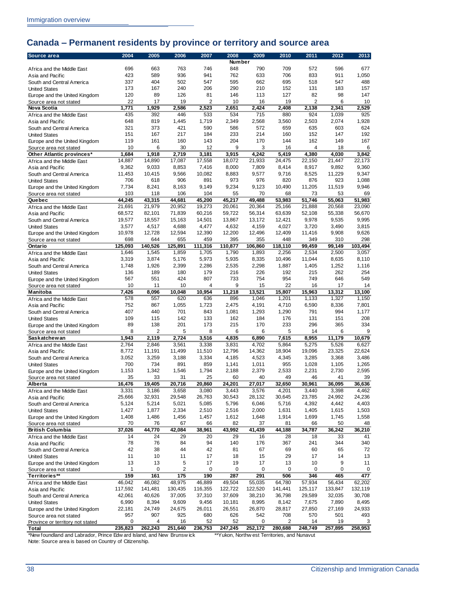## <span id="page-41-0"></span>**Canada – Permanent residents by province or territory and source area**

| Source area                                                           | 2004            | 2005            | 2006                    | 2007            | 2008            | 2009            | 2010                                         | 2011            | 2012            | 2013            |
|-----------------------------------------------------------------------|-----------------|-----------------|-------------------------|-----------------|-----------------|-----------------|----------------------------------------------|-----------------|-----------------|-----------------|
|                                                                       |                 |                 |                         |                 | Number          |                 |                                              |                 |                 |                 |
| Africa and the Middle East                                            | 696             | 663             | 763                     | 746             | 848             | 790             | 709                                          | 572             | 596             | 677             |
| Asia and Pacific                                                      | 423             | 589             | 936                     | 941             | 762             | 633             | 706                                          | 833             | 911             | 1,050           |
| South and Central America                                             | 337             | 404             | 502                     | 547             | 595             | 662             | 695                                          | 518             | 547             | 488             |
| <b>United States</b>                                                  | 173             | 167             | 240                     | 206             | 290             | 210             | 152                                          | 131             | 183             | 157             |
| Europe and the United Kingdom                                         | 120             | 89              | 126                     | 81              | 146             | 113             | 127                                          | 82              | 98              | 147             |
| Source area not stated                                                | 22              | 17              | 19                      | 2               | 10              | 16              | 19                                           | 2               | 6               | 10              |
| Nova Scotia                                                           | 1,771           | 1,929           | 2,586                   | 2,523           | 2,651           | 2,424           | 2,408                                        | 2,138           | 2,341           | 2,529           |
| Africa and the Middle East                                            | 435             | 392             | 446                     | 533             | 534             | 715             | 880                                          | 924             | 1,039           | 925             |
| Asia and Pacific                                                      | 648             | 819             | 1,445                   | 1,719           | 2,349           | 2,568           | 3,560                                        | 2,503           | 2,074           | 1,928           |
| South and Central America                                             | 321             | 373             | 421                     | 590             | 586             | 572             | 659                                          | 635             | 603             | 624             |
| <b>United States</b>                                                  | 151             | 167             | 217                     | 184             | 233<br>204      | 214             | 160                                          | 152             | 147             | 192             |
| Europe and the United Kingdom                                         | 119             | 161             | 160                     | 143             |                 | 170             | 144                                          | 162             | 149             | 167             |
| Source area not stated                                                | 10              | 6               | 30<br>2.719             | 12              | 9               | 3               | 16                                           | 4               | 18<br>4.030     | 6               |
| Other Atlantic provinces*                                             | 1,684           | 1,918<br>14,890 | 17,087                  | 3,181           | 3,915           | 4,242           | 5,419                                        | 4,380           |                 | 3,842           |
| Africa and the Middle East                                            | 14,887<br>9,362 | 9,033           | 8,853                   | 17,558<br>7,416 | 18,072<br>8,000 | 21,933          | 24,475                                       | 22,150          | 21,447<br>9,892 | 22,173<br>9,360 |
| Asia and Pacific                                                      |                 |                 |                         |                 |                 | 7,809           | 8,414                                        | 8,917           |                 |                 |
| South and Central America                                             | 11,453<br>706   | 10,415<br>618   | 9,566<br>906            | 10,082<br>891   | 8,883<br>973    | 9,577<br>976    | 9,716<br>820                                 | 8,525<br>876    | 11,229<br>923   | 9,347           |
| <b>United States</b>                                                  |                 |                 |                         |                 |                 |                 |                                              |                 |                 | 1,088<br>9,946  |
| Europe and the United Kingdom                                         | 7,734<br>103    | 8,241<br>118    | 8,163<br>106            | 9,149<br>104    | 9,234<br>55     | 9,123<br>70     | 10,490<br>68                                 | 11,205<br>73    | 11,519<br>53    | 69              |
| Source area not stated<br>Quebec                                      | 44,245          | 43,315          | 44,681                  | 45.200          | 45.217          | 49,488          |                                              | 51.746          |                 |                 |
|                                                                       |                 |                 |                         |                 |                 |                 | 53,983                                       |                 | 55,063          | 51,983          |
| Africa and the Middle East                                            | 21,691          | 21,979          | 20,952                  | 19,273          | 20,061          | 20,364          | 25,166                                       | 21,888          | 20,568          | 23,090          |
| Asia and Pacific                                                      | 68,572          | 82,101          | 71,839                  | 60,216          | 59,722          | 56,314          | 63,639                                       | 52,108          | 55,338          | 56,670          |
| South and Central America                                             | 19,577          | 18,557          | 15,163                  | 14,501          | 13,867          | 13,172          | 12,421                                       | 9,978           | 9,535           | 9,995           |
| <b>United States</b>                                                  | 3,577           | 4,517           | 4,688                   | 4,477           | 4,632           | 4,159           | 4,027                                        | 3,720           | 3,490           | 3,815           |
| Europe and the United Kingdom                                         | 10,978          | 12,728<br>644   | 12,594                  | 12,390          | 12,200          | 12,496          | 12,409                                       | 11,416<br>349   | 9,908<br>310    | 9,626<br>298    |
| Source area not stated                                                | 698             | 140,526         | 655<br>125.891          | 459             | 395<br>110,877  | 355             | 448                                          |                 | 99.149          | 103,494         |
| Ontario                                                               | 125,093         |                 |                         | 111,316         |                 | 106,860         | 118,110                                      | 99,459          |                 |                 |
| Africa and the Middle East                                            | 1,646           | 1,545           | 1,859                   | 1,705           | 1,790           | 1,893           | 2,256<br>10.496                              | 2,534           | 2,500           | 3,057           |
| Asia and Pacific                                                      | 3,319           | 3,874           | 5,176                   | 5,973           | 5,935           | 8,335           |                                              | 11,044          | 8,635           | 8,110           |
| South and Central America                                             | 1,748           | 1,926           | 2,399                   | 2,286           | 2,535           | 2,298           | 1,887                                        | 1,405           | 1,252           | 1,116           |
| <b>United States</b>                                                  | 136<br>567      | 189<br>551      | 180<br>424              | 179<br>807      | 216<br>733      | 226<br>754      | 192                                          | 215<br>749      | 262<br>646      | 254<br>549      |
| Europe and the United Kingdom                                         |                 |                 |                         | 4               | 9               |                 | 954<br>22                                    |                 | 17              |                 |
| Source area not stated                                                | 10              | 11              | 10                      | 10,954          |                 | 15              | 15,807                                       | 16              | 13,312          | 14              |
| Manitoba                                                              | 7,426<br>578    | 8,096<br>557    | 10,048<br>620           | 636             | 11,218<br>896   | 13,521<br>1,046 |                                              | 15,963<br>1,133 | 1,327           | 13,100          |
| Africa and the Middle East                                            | 752             | 867             | 1,055                   | 1,723           | 2,475           | 4,191           | 1,201                                        |                 |                 | 1,150<br>7,801  |
| Asia and Pacific                                                      | 407             | 440             | 701                     | 843             |                 |                 | 4,710                                        | 6,590<br>791    | 8,336<br>994    |                 |
| South and Central America                                             | 109             | 115             | 142                     | 133             | 1,081<br>162    | 1,293<br>184    | 1,290<br>176                                 | 131             | 151             | 1,177<br>208    |
| <b>United States</b>                                                  | 89              | 138             | 201                     | 173             | 215             | 170             | 233                                          | 296             | 365             | 334             |
| Europe and the United Kingdom                                         | 8               | 2               | 5                       | 8               | 6               | 6               | 5                                            | 14              | 6               | 9               |
| Source area not stated<br>Sas katche w an                             | 1,943           | 2,119           | 2,724                   | 3,516           | 4,835           | 6,890           | 7,615                                        | 8,955           | 11,179          | 10,679          |
|                                                                       | 2,764           | 2,846           | 3,561                   | 3,338           | 3,831           | 4,702           | 5,864                                        | 5,275           | 5,526           | 6,627           |
| Africa and the Middle East<br>Asia and Pacific                        | 8,772           | 11,191          | 11,499                  | 11,510          | 12,796          | 14,362          | 18,904                                       | 19,096          | 23,325          | 22,624          |
| South and Central America                                             | 3,052           | 3,259           | 3,188                   | 3,334           | 4,185           | 4,523           | 4,345                                        | 3,285           | 3,368           | 3,486           |
| <b>United States</b>                                                  | 700             | 734             | 891                     | 859             | 1,141           | 1,011           | 955                                          | 1,028           | 1,105           | 1,265           |
| Europe and the United Kingdom                                         | 1,153           | 1,342           | 1,546                   | 1,794           | 2,188           | 2,379           | 2,533                                        | 2,231           | 2,730           | 2,595           |
| Source area not stated                                                | 35              | 33              | 31                      | 25              | 60              | 40              | 49                                           | 46              | 41              | 39              |
| Alberta                                                               | 16,476          | 19,405          | 20,716                  | 20,860          | 24,201          | 27,017          | 32,650                                       | 30,961          | 36,095          | 36,636          |
| Africa and the Middle East                                            | 3,331           | 3,186           | 3,658                   | 3,080           | 3,443           | 3,576           | 4,201                                        | 3,440           | 3,398           | 4,462           |
| Asia and Pacific                                                      | 25,666          | 32,931          | 29,548                  | 26,763          | 30,543          | 28,132          | 30,645                                       | 23,785          | 24,992          | 24,236          |
| South and Central America                                             | 5,124           | 5,214           | 5,021                   | 5,085           | 5,796           | 6,046           | 5,716                                        | 4,392           | 4,442           | 4,403           |
| <b>United States</b>                                                  | 1,427           | 1,877           | 2,334                   | 2,510           | 2,516           | 2,000           | 1,631                                        | 1,405           | 1,615           | 1,503           |
| Europe and the United Kingdom                                         | 1,408           | 1,486           | 1,456                   | 1,457           | 1,612           | 1,648           | 1,914                                        | 1,699           | 1,745           | 1,558           |
| Source area not stated                                                | 70              | 76              | 67                      | 66              | 82              | 37              | 81                                           | 66              | 50              | 48              |
| <b>British Columbia</b>                                               | 37,026          | 44,770          | 42,084                  | 38,961          | 43,992          | 41,439          | 44,188                                       | 34,787          | 36,242          | 36,210          |
| Africa and the Middle East                                            | 14              | 24              | 29                      | 20              | 29              | 16              | 28                                           | 18              | 33              | 41              |
| Asia and Pacific                                                      | 78              | 76              | 84                      | 94              | 140             | 176             | 367                                          | 241             | 344             | 340             |
| South and Central America                                             | 42              | 38              | 44                      | 42              | 81              | 67              | 69                                           | 60              | 65              | 72              |
| <b>United States</b>                                                  | 11              | 10              | 11                      | 17              | 18              | 15              | 29                                           | 17              | 14              | 13              |
| Europe and the United Kingdom                                         | 13              | 13              | 5                       | 17              | 19              | 17              | 13                                           | 10              | 9               | 11              |
| Source area not stated                                                | 1               | 0               | $\overline{\mathbf{c}}$ | 0               | 0               | 0               | 0                                            | 0               | 0               | 0               |
| Territories**                                                         | 159             | 161             | 175                     | 190             | 287             | 291             | 506                                          | 346             | 465             | 477             |
| Africa and the Middle East                                            | 46,042          | 46,082          | 48,975                  | 46,889          | 49,504          | 55,035          | 64,780                                       | 57,934          | 56,434          | 62,202          |
| Asia and Pacific                                                      | 117,592         | 141,481         | 130,435                 | 116,355         | 122,722         | 122,520         | 141,441                                      | 125,117         | 133,847         | 132,119         |
| South and Central America                                             | 42,061          | 40,626          | 37,005                  | 37,310          | 37,609          | 38,210          | 36,798                                       | 29,589          | 32,035          | 30,708          |
| <b>United States</b>                                                  | 6,990           | 8,394           | 9,609                   | 9,456           | 10,181          | 8,995           | 8,142                                        | 7,675           | 7,890           | 8,495           |
| Europe and the United Kingdom                                         | 22,181          | 24,749          | 24,675                  | 26,011          | 26,551          | 26,870          | 28,817                                       | 27,850          | 27,169          | 24,933          |
| Source area not stated                                                | 957             | 907             | 925                     | 680             | 626             | 542             | 708                                          | 570             | 501             | 493             |
| Province or territory not stated                                      | 0               | 4               | 16                      | 52              | 52              | 0               | 2                                            | 14              | 19              | 3               |
| Total                                                                 | 235,823         | 262,243         | 251,640                 | 236,753         | 247,245         | 252,172         | 280,688                                      | 248,749         | 257,895         | 258,953         |
| *New foundland and Labrador, Prince Edw ard Island, and New Brunswick |                 |                 |                         |                 |                 |                 | **Yukon, Northw est Territories, and Nunavut |                 |                 |                 |
| Note: Source area is based on Country of Citizenship.                 |                 |                 |                         |                 |                 |                 |                                              |                 |                 |                 |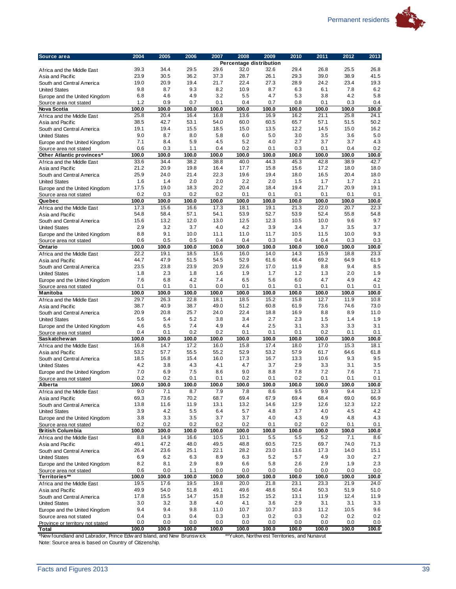

| Source area                                                           | 2004         | 2005         | 2006         | 2007         | 2008<br>Percentage distribution | 2009                                         | 2010         | 2011         | 2012         | 2013         |
|-----------------------------------------------------------------------|--------------|--------------|--------------|--------------|---------------------------------|----------------------------------------------|--------------|--------------|--------------|--------------|
| Africa and the Middle East                                            | 39.3         | 34.4         | 29.5         | 29.6         | 32.0                            | 32.6                                         | 29.4         | 26.8         | 25.5         | 26.8         |
| Asia and Pacific                                                      | 23.9         | 30.5         | 36.2         | 37.3         | 28.7                            | 26.1                                         | 29.3         | 39.0         | 38.9         | 41.5         |
| South and Central America                                             | 19.0         | 20.9         | 19.4         | 21.7         | 22.4                            | 27.3                                         | 28.9         | 24.2         | 23.4         | 19.3         |
| <b>United States</b>                                                  | 9.8          | 8.7          | 9.3          | 8.2          | 10.9                            | 8.7                                          | 6.3          | 6.1          | 7.8          | 6.2          |
| Europe and the United Kingdom                                         | 6.8          | 4.6          | 4.9          | 3.2          | 5.5                             | 4.7                                          | 5.3          | 3.8          | 4.2          | 5.8          |
| Source area not stated                                                | 1.2          | 0.9          | 0.7          | 0.1          | 0.4                             | 0.7                                          | 0.8          | 0.1          | 0.3          | 0.4          |
| Nova Scotia                                                           | 100.0        | 100.0        | 100.0        | 100.0        | 100.0                           | 100.0                                        | 100.0        | 100.0        | 100.0        | 100.0        |
| Africa and the Middle East                                            | 25.8         | 20.4         | 16.4         | 16.8         | 13.6                            | 16.9                                         | 16.2         | 21.1         | 25.8         | 24.1         |
| Asia and Pacific                                                      | 38.5<br>19.1 | 42.7<br>19.4 | 53.1<br>15.5 | 54.0<br>18.5 | 60.0<br>15.0                    | 60.5<br>13.5                                 | 65.7<br>12.2 | 57.1<br>14.5 | 51.5<br>15.0 | 50.2<br>16.2 |
| South and Central America<br><b>United States</b>                     | 9.0          | 8.7          | 8.0          | 5.8          | 6.0                             | 5.0                                          | 3.0          | 3.5          | 3.6          | 5.0          |
| Europe and the United Kingdom                                         | 7.1          | 8.4          | 5.9          | 4.5          | 5.2                             | 4.0                                          | 2.7          | 3.7          | 3.7          | 4.3          |
| Source area not stated                                                | 0.6          | 0.3          | 1.1          | 0.4          | 0.2                             | 0.1                                          | 0.3          | 0.1          | 0.4          | 0.2          |
| Other Atlantic provinces*                                             | 100.0        | 100.0        | 100.0        | 100.0        | 100.0                           | 100.0                                        | 100.0        | 100.0        | 100.0        | 100.0        |
| Africa and the Middle East                                            | 33.6         | 34.4         | 38.2         | 38.8         | 40.0                            | 44.3                                         | 45.3         | 42.8         | 38.9         | 42.7         |
| Asia and Pacific                                                      | 21.2         | 20.9         | 19.8         | 16.4         | 17.7                            | 15.8                                         | 15.6         | 17.2         | 18.0         | 18.0         |
| South and Central America                                             | 25.9         | 24.0         | 21.4         | 22.3         | 19.6                            | 19.4                                         | 18.0         | 16.5         | 20.4         | 18.0         |
| <b>United States</b>                                                  | 1.6          | 1.4          | 2.0          | 2.0          | 2.2                             | 2.0                                          | 1.5          | 1.7          | 1.7          | 2.1          |
| Europe and the United Kingdom                                         | 17.5         | 19.0         | 18.3         | 20.2         | 20.4                            | 18.4                                         | 19.4         | 21.7         | 20.9         | 19.1         |
| Source area not stated<br>Quebec                                      | 0.2<br>100.0 | 0.3<br>100.0 | 0.2<br>100.0 | 0.2<br>100.0 | 0.1<br>100.0                    | 0.1<br>100.0                                 | 0.1<br>100.0 | 0.1<br>100.0 | 0.1<br>100.0 | 0.1<br>100.0 |
| Africa and the Middle East                                            | 17.3         | 15.6         | 16.6         | 17.3         | 18.1                            | 19.1                                         | 21.3         | 22.0         | 20.7         | 22.3         |
| Asia and Pacific                                                      | 54.8         | 58.4         | 57.1         | 54.1         | 53.9                            | 52.7                                         | 53.9         | 52.4         | 55.8         | 54.8         |
| South and Central America                                             | 15.6         | 13.2         | 12.0         | 13.0         | 12.5                            | 12.3                                         | 10.5         | 10.0         | 9.6          | 9.7          |
| <b>United States</b>                                                  | 2.9          | 3.2          | 3.7          | 4.0          | 4.2                             | 3.9                                          | 3.4          | 3.7          | 3.5          | 3.7          |
| Europe and the United Kingdom                                         | 8.8          | 9.1          | 10.0         | 11.1         | 11.0                            | 11.7                                         | 10.5         | 11.5         | 10.0         | 9.3          |
| Source area not stated                                                | 0.6          | 0.5          | 0.5          | 0.4          | 0.4                             | 0.3                                          | 0.4          | 0.4          | 0.3          | 0.3          |
| Ontario                                                               | 100.0        | 100.0        | 100.0        | 100.0        | 100.0                           | 100.0                                        | 100.0        | 100.0        | 100.0        | 100.0        |
| Africa and the Middle East                                            | 22.2         | 19.1         | 18.5         | 15.6         | 16.0                            | 14.0                                         | 14.3         | 15.9         | 18.8         | 23.3         |
| Asia and Pacific<br>South and Central America                         | 44.7<br>23.5 | 47.9<br>23.8 | 51.5<br>23.9 | 54.5<br>20.9 | 52.9<br>22.6                    | 61.6<br>17.0                                 | 66.4<br>11.9 | 69.2<br>8.8  | 64.9<br>9.4  | 61.9<br>8.5  |
| <b>United States</b>                                                  | 1.8          | 2.3          | 1.8          | 1.6          | 1.9                             | 1.7                                          | 1.2          | 1.3          | 2.0          | 1.9          |
| Europe and the United Kingdom                                         | 7.6          | 6.8          | 4.2          | 7.4          | 6.5                             | 5.6                                          | 6.0          | 4.7          | 4.9          | 4.2          |
| Source area not stated                                                | 0.1          | 0.1          | 0.1          | 0.0          | 0.1                             | 0.1                                          | 0.1          | 0.1          | 0.1          | 0.1          |
| Manitoba                                                              | 100.0        | 100.0        | 100.0        | 100.0        | 100.0                           | 100.0                                        | 100.0        | 100.0        | 100.0        | 100.0        |
| Africa and the Middle East                                            | 29.7         | 26.3         | 22.8         | 18.1         | 18.5                            | 15.2                                         | 15.8         | 12.7         | 11.9         | 10.8         |
| Asia and Pacific                                                      | 38.7         | 40.9         | 38.7         | 49.0         | 51.2                            | 60.8                                         | 61.9         | 73.6         | 74.6         | 73.0         |
| South and Central America                                             | 20.9         | 20.8         | 25.7         | 24.0         | 22.4                            | 18.8                                         | 16.9         | 8.8          | 8.9          | 11.0         |
| <b>United States</b><br>Europe and the United Kingdom                 | 5.6<br>4.6   | 5.4<br>6.5   | 5.2<br>7.4   | 3.8<br>4.9   | 3.4<br>4.4                      | 2.7<br>2.5                                   | 2.3<br>3.1   | 1.5<br>3.3   | 1.4<br>3.3   | 1.9<br>3.1   |
| Source area not stated                                                | 0.4          | 0.1          | 0.2          | 0.2          | 0.1                             | 0.1                                          | 0.1          | 0.2          | 0.1          | 0.1          |
| Saskatchewan                                                          | 100.0        | 100.0        | 100.0        | 100.0        | 100.0                           | 100.0                                        | 100.0        | 100.0        | 100.0        | 100.0        |
| Africa and the Middle East                                            | 16.8         | 14.7         | 17.2         | 16.0         | 15.8                            | 17.4                                         | 18.0         | 17.0         | 15.3         | 18.1         |
| Asia and Pacific                                                      | 53.2         | 57.7         | 55.5         | 55.2         | 52.9                            | 53.2                                         | 57.9         | 61.7         | 64.6         | 61.8         |
| South and Central America                                             | 18.5         | 16.8         | 15.4         | 16.0         | 17.3                            | 16.7                                         | 13.3         | 10.6         | 9.3          | 9.5          |
| <b>United States</b>                                                  | 4.2          | 3.8          | 4.3          | 4.1          | 4.7                             | 3.7                                          | 2.9          | 3.3          | 3.1          | 3.5          |
| Europe and the United Kingdom                                         | 7.0          | 6.9<br>0.2   | 7.5          | 8.6          | 9.0<br>0.2                      | 8.8                                          | 7.8          | 7.2          | 7.6          | 7.1          |
| Source area not stated<br>Alberta                                     | 0.2<br>100.0 | 100.0        | 0.1<br>100.0 | 0.1<br>100.0 | 100.0                           | 0.1<br>100.0                                 | 0.2<br>100.0 | 0.1<br>100.0 | 0.1<br>100.0 | 0.1<br>100.0 |
| Africa and the Middle East                                            | 9.0          | 7.1          | 8.7          | 7.9          | 7.8                             | 8.6                                          | 9.5          | 9.9          | 9.4          | 12.3         |
| Asia and Pacific                                                      | 69.3         | 73.6         | 70.2         | 68.7         | 69.4                            | 67.9                                         | 69.4         | 68.4         | 69.0         | 66.9         |
| South and Central America                                             | 13.8         | 11.6         | 11.9         | 13.1         | 13.2                            | 14.6                                         | 12.9         | 12.6         | 12.3         | 12.2         |
| <b>United States</b>                                                  | 3.9          | 4.2          | 5.5          | 6.4          | 5.7                             | 4.8                                          | 3.7          | 4.0          | 4.5          | 4.2          |
| Europe and the United Kingdom                                         | 3.8          | 3.3          | 3.5          | 3.7          | 3.7                             | 4.0                                          | 4.3          | 4.9          | 4.8          | 4.3          |
| Source area not stated                                                | 0.2          | 0.2          | 0.2          | 0.2          | 0.2                             | 0.1                                          | 0.2          | 0.2          | 0.1          | 0.1          |
| <b>British Columbia</b>                                               | 100.0        | 100.0        | 100.0        | 100.0        | 100.0                           | 100.0                                        | 100.0        | 100.0        | 100.0        | 100.0        |
| Africa and the Middle East<br>Asia and Pacific                        | 8.8<br>49.1  | 14.9<br>47.2 | 16.6<br>48.0 | 10.5<br>49.5 | 10.1<br>48.8                    | 5.5<br>60.5                                  | 5.5<br>72.5  | 5.2<br>69.7  | 7.1<br>74.0  | 8.6<br>71.3  |
| South and Central America                                             | 26.4         | 23.6         | 25.1         | 22.1         | 28.2                            | 23.0                                         | 13.6         | 17.3         | 14.0         | 15.1         |
| <b>United States</b>                                                  | 6.9          | 6.2          | 6.3          | 8.9          | 6.3                             | 5.2                                          | 5.7          | 4.9          | 3.0          | 2.7          |
| Europe and the United Kingdom                                         | 8.2          | 8.1          | 2.9          | 8.9          | 6.6                             | 5.8                                          | 2.6          | 2.9          | 1.9          | 2.3          |
| Source area not stated                                                | 0.6          | 0.0          | 1.1          | 0.0          | 0.0                             | 0.0                                          | 0.0          | 0.0          | 0.0          | 0.0          |
| Territories**                                                         | 100.0        | 100.0        | 100.0        | 100.0        | 100.0                           | 100.0                                        | 100.0        | 100.0        | 100.0        | 100.0        |
| Africa and the Middle East                                            | 19.5         | 17.6         | 19.5         | 19.8         | 20.0                            | 21.8                                         | 23.1         | 23.3         | 21.9         | 24.0         |
| Asia and Pacific                                                      | 49.9         | 54.0         | 51.8         | 49.1         | 49.6                            | 48.6                                         | 50.4         | 50.3         | 51.9         | 51.0         |
| South and Central America                                             | 17.8         | 15.5         | 14.7         | 15.8         | 15.2                            | 15.2                                         | 13.1         | 11.9         | 12.4         | 11.9         |
| <b>United States</b>                                                  | 3.0<br>9.4   | 3.2<br>9.4   | 3.8<br>9.8   | 4.0<br>11.0  | 4.1<br>10.7                     | 3.6<br>10.7                                  | 2.9<br>10.3  | 3.1<br>11.2  | 3.1<br>10.5  | 3.3<br>9.6   |
| Europe and the United Kingdom<br>Source area not stated               | 0.4          | 0.3          | 0.4          | 0.3          | 0.3                             | 0.2                                          | 0.3          | 0.2          | 0.2          | 0.2          |
| Province or territory not stated                                      | 0.0          | 0.0          | 0.0          | 0.0          | 0.0                             | 0.0                                          | 0.0          | 0.0          | 0.0          | 0.0          |
| Total                                                                 | 100.0        | 100.0        | 100.0        | 100.0        | 100.0                           | 100.0                                        | 100.0        | 100.0        | 100.0        | 100.0        |
| *New foundland and Labrador, Prince Edw ard Island, and New Brunswick |              |              |              |              |                                 | **Yukon, Northw est Territories, and Nunavut |              |              |              |              |
| Note: Source area is based on Country of Citizenship.                 |              |              |              |              |                                 |                                              |              |              |              |              |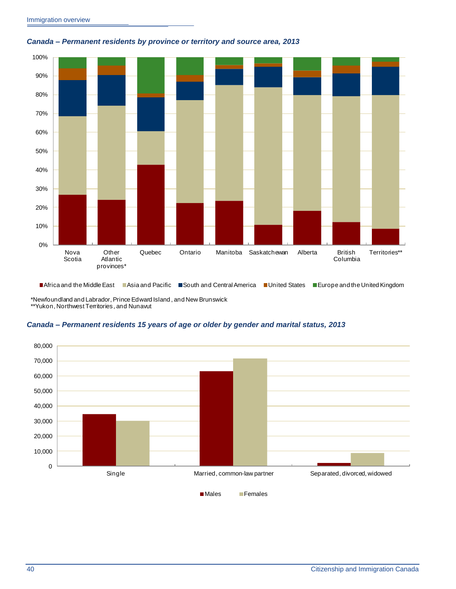

#### <span id="page-43-0"></span>*Canada – Permanent residents by province or territory and source area, 2013*

■Africa and the Middle East ■Asia and Pacific ■South and Central America ■United States ■Europe and the United Kingdom

\*Newfoundland and Labrador, Prince Edward Island , and New Brunswick \*\*Yukon, Northwest Territories , and Nunavut

#### <span id="page-43-1"></span>*Canada – Permanent residents 15 years of age or older by gender and marital status, 2013*

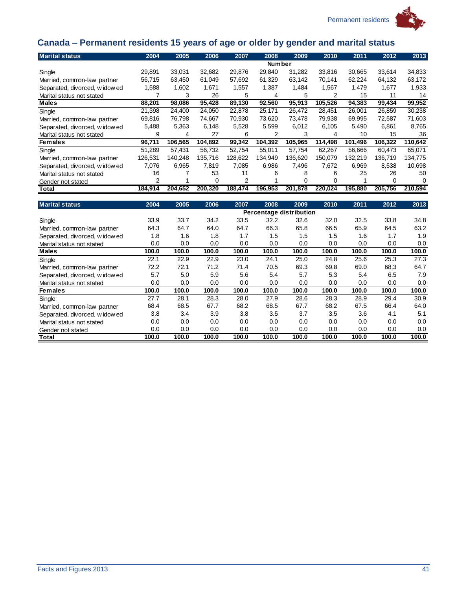

## Permanent residents

## <span id="page-44-0"></span>**Canada – Permanent residents 15 years of age or older by gender and marital status**

|                               |         | ັ       |         |         |               |         |         |         |         |         |
|-------------------------------|---------|---------|---------|---------|---------------|---------|---------|---------|---------|---------|
| <b>Marital status</b>         | 2004    | 2005    | 2006    | 2007    | 2008          | 2009    | 2010    | 2011    | 2012    | 2013    |
|                               |         |         |         |         | <b>Number</b> |         |         |         |         |         |
| Single                        | 29,891  | 33,031  | 32,682  | 29,876  | 29,840        | 31,282  | 33,816  | 30,665  | 33,614  | 34,833  |
| Married, common-law partner   | 56,715  | 63,450  | 61,049  | 57,692  | 61,329        | 63,142  | 70,141  | 62,224  | 64,132  | 63,172  |
| Separated, divorced, widow ed | 1,588   | 1,602   | 1,671   | 1,557   | 1,387         | 1,484   | 1,567   | 1,479   | 1,677   | 1,933   |
| Marital status not stated     |         | 3       | 26      | 5       | 4             | 5       | 2       | 15      | 11      | 14      |
| Males                         | 88,201  | 98,086  | 95,428  | 89,130  | 92,560        | 95,913  | 105,526 | 94,383  | 99,434  | 99,952  |
| Single                        | 21,398  | 24,400  | 24,050  | 22,878  | 25,171        | 26,472  | 28,451  | 26,001  | 26,859  | 30,238  |
| Married, common-law partner   | 69,816  | 76,798  | 74,667  | 70,930  | 73,620        | 73,478  | 79,938  | 69,995  | 72,587  | 71,603  |
| Separated, divorced, widow ed | 5,488   | 5,363   | 6,148   | 5,528   | 5,599         | 6,012   | 6,105   | 5,490   | 6,861   | 8,765   |
| Marital status not stated     | 9       | 4       | 27      | 6       | 2             | 3       | 4       | 10      | 15      | 36      |
| <b>Females</b>                | 96,711  | 106,565 | 104,892 | 99,342  | 104,392       | 105,965 | 114,498 | 101,496 | 106,322 | 110,642 |
| Single                        | 51,289  | 57,431  | 56,732  | 52,754  | 55,011        | 57,754  | 62,267  | 56,666  | 60,473  | 65,071  |
| Married, common-law partner   | 126,531 | 140,248 | 135,716 | 128,622 | 134,949       | 136,620 | 150,079 | 132,219 | 136,719 | 134,775 |
| Separated, divorced, widow ed | 7,076   | 6,965   | 7,819   | 7,085   | 6,986         | 7,496   | 7,672   | 6,969   | 8,538   | 10,698  |
| Marital status not stated     | 16      |         | 53      | 11      | 6             | 8       | 6       | 25      | 26      | 50      |
| Gender not stated             | 2       |         | 0       | 2       |               | 0       |         |         | 0       | 0       |
| Total                         | 184.914 | 204.652 | 200.320 | 188.474 | 196,953       | 201,878 | 220.024 | 195,880 | 205.756 | 210.594 |

| <b>Marital status</b>         | 2004  | 2005  | 2006  | 2007  | 2008  | 2009                    | 2010  | 2011  | 2012  | 2013  |
|-------------------------------|-------|-------|-------|-------|-------|-------------------------|-------|-------|-------|-------|
|                               |       |       |       |       |       | Percentage distribution |       |       |       |       |
| Single                        | 33.9  | 33.7  | 34.2  | 33.5  | 32.2  | 32.6                    | 32.0  | 32.5  | 33.8  | 34.8  |
| Married, common-law partner   | 64.3  | 64.7  | 64.0  | 64.7  | 66.3  | 65.8                    | 66.5  | 65.9  | 64.5  | 63.2  |
| Separated, divorced, widow ed | 1.8   | 1.6   | 1.8   | 1.7   | 1.5   | 1.5                     | 1.5   | 1.6   | 1.7   | 1.9   |
| Marital status not stated     | 0.0   | 0.0   | 0.0   | 0.0   | 0.0   | 0.0                     | 0.0   | 0.0   | 0.0   | 0.0   |
| <b>Males</b>                  | 100.0 | 100.0 | 100.0 | 100.0 | 100.0 | 100.0                   | 100.0 | 100.0 | 100.0 | 100.0 |
| Single                        | 22.1  | 22.9  | 22.9  | 23.0  | 24.1  | 25.0                    | 24.8  | 25.6  | 25.3  | 27.3  |
| Married, common-law partner   | 72.2  | 72.1  | 71.2  | 71.4  | 70.5  | 69.3                    | 69.8  | 69.0  | 68.3  | 64.7  |
| Separated, divorced, widow ed | 5.7   | 5.0   | 5.9   | 5.6   | 5.4   | 5.7                     | 5.3   | 5.4   | 6.5   | 7.9   |
| Marital status not stated     | 0.0   | 0.0   | 0.0   | 0.0   | 0.0   | 0.0                     | 0.0   | 0.0   | 0.0   | 0.0   |
| <b>Females</b>                | 100.0 | 100.0 | 100.0 | 100.0 | 100.0 | 100.0                   | 100.0 | 100.0 | 100.0 | 100.0 |
| Single                        | 27.7  | 28.1  | 28.3  | 28.0  | 27.9  | 28.6                    | 28.3  | 28.9  | 29.4  | 30.9  |
| Married, common-law partner   | 68.4  | 68.5  | 67.7  | 68.2  | 68.5  | 67.7                    | 68.2  | 67.5  | 66.4  | 64.0  |
| Separated, divorced, widow ed | 3.8   | 3.4   | 3.9   | 3.8   | 3.5   | 3.7                     | 3.5   | 3.6   | 4.1   | 5.1   |
| Marital status not stated     | 0.0   | 0.0   | 0.0   | 0.0   | 0.0   | 0.0                     | 0.0   | 0.0   | 0.0   | 0.0   |
| Gender not stated             | 0.0   | 0.0   | 0.0   | 0.0   | 0.0   | 0.0                     | 0.0   | 0.0   | 0.0   | 0.0   |
| Total                         | 100.0 | 100.0 | 100.0 | 100.0 | 100.0 | 100.0                   | 100.0 | 100.0 | 100.0 | 100.0 |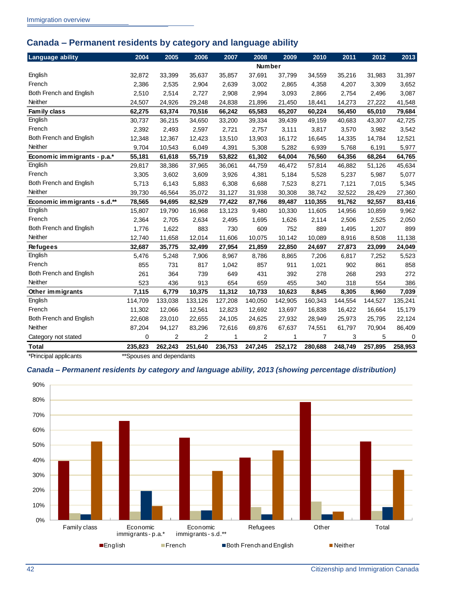## <span id="page-45-0"></span>**Canada – Permanent residents by category and language ability**

| <b>Language ability</b>      | 2004    | 2005           | 2006           | 2007    | 2008    | 2009    | 2010           | 2011    | 2012    | 2013    |
|------------------------------|---------|----------------|----------------|---------|---------|---------|----------------|---------|---------|---------|
|                              |         |                |                |         | Number  |         |                |         |         |         |
| English                      | 32,872  | 33,399         | 35,637         | 35,857  | 37,691  | 37,799  | 34,559         | 35,216  | 31,983  | 31,397  |
| French                       | 2,386   | 2,535          | 2,904          | 2,639   | 3,002   | 2,865   | 4,358          | 4,207   | 3,309   | 3,652   |
| Both French and English      | 2,510   | 2,514          | 2,727          | 2,908   | 2,994   | 3,093   | 2,866          | 2,754   | 2,496   | 3,087   |
| Neither                      | 24,507  | 24,926         | 29,248         | 24,838  | 21,896  | 21,450  | 18,441         | 14,273  | 27,222  | 41,548  |
| Family class                 | 62,275  | 63,374         | 70,516         | 66,242  | 65,583  | 65,207  | 60,224         | 56,450  | 65,010  | 79,684  |
| English                      | 30,737  | 36,215         | 34,650         | 33,200  | 39,334  | 39,439  | 49,159         | 40,683  | 43,307  | 42,725  |
| French                       | 2,392   | 2,493          | 2,597          | 2,721   | 2,757   | 3,111   | 3,817          | 3,570   | 3,982   | 3,542   |
| Both French and English      | 12,348  | 12,367         | 12,423         | 13,510  | 13,903  | 16,172  | 16,645         | 14,335  | 14,784  | 12,521  |
| <b>Neither</b>               | 9,704   | 10,543         | 6,049          | 4,391   | 5,308   | 5,282   | 6,939          | 5,768   | 6,191   | 5,977   |
| Economic immigrants - p.a.*  | 55,181  | 61,618         | 55,719         | 53,822  | 61,302  | 64,004  | 76,560         | 64,356  | 68,264  | 64,765  |
| English                      | 29,817  | 38,386         | 37,965         | 36,061  | 44,759  | 46,472  | 57,814         | 46,882  | 51,126  | 45,634  |
| French                       | 3,305   | 3,602          | 3,609          | 3,926   | 4,381   | 5,184   | 5,528          | 5,237   | 5,987   | 5,077   |
| Both French and English      | 5,713   | 6,143          | 5,883          | 6,308   | 6,688   | 7,523   | 8,271          | 7,121   | 7,015   | 5,345   |
| Neither                      | 39,730  | 46,564         | 35,072         | 31,127  | 31,938  | 30,308  | 38,742         | 32,522  | 28,429  | 27,360  |
| Economic immigrants - s.d.** | 78,565  | 94,695         | 82,529         | 77,422  | 87,766  | 89,487  | 110,355        | 91,762  | 92,557  | 83,416  |
| English                      | 15,807  | 19,790         | 16,968         | 13,123  | 9,480   | 10,330  | 11,605         | 14,956  | 10,859  | 9,962   |
| French                       | 2.364   | 2.705          | 2,634          | 2,495   | 1,695   | 1,626   | 2,114          | 2,506   | 2,525   | 2,050   |
| Both French and English      | 1,776   | 1,622          | 883            | 730     | 609     | 752     | 889            | 1,495   | 1,207   | 899     |
| Neither                      | 12,740  | 11,658         | 12,014         | 11,606  | 10,075  | 10,142  | 10,089         | 8,916   | 8,508   | 11,138  |
| <b>Refugees</b>              | 32,687  | 35,775         | 32,499         | 27,954  | 21,859  | 22,850  | 24,697         | 27,873  | 23,099  | 24,049  |
| English                      | 5,476   | 5,248          | 7,906          | 8,967   | 8,786   | 8,865   | 7,206          | 6,817   | 7,252   | 5,523   |
| French                       | 855     | 731            | 817            | 1,042   | 857     | 911     | 1,021          | 902     | 861     | 858     |
| Both French and English      | 261     | 364            | 739            | 649     | 431     | 392     | 278            | 268     | 293     | 272     |
| <b>Neither</b>               | 523     | 436            | 913            | 654     | 659     | 455     | 340            | 318     | 554     | 386     |
| Other immigrants             | 7,115   | 6,779          | 10,375         | 11,312  | 10,733  | 10,623  | 8,845          | 8,305   | 8,960   | 7,039   |
| English                      | 114,709 | 133,038        | 133,126        | 127,208 | 140,050 | 142,905 | 160,343        | 144,554 | 144,527 | 135,241 |
| French                       | 11,302  | 12,066         | 12,561         | 12,823  | 12,692  | 13,697  | 16,838         | 16,422  | 16,664  | 15,179  |
| Both French and English      | 22,608  | 23,010         | 22,655         | 24,105  | 24,625  | 27,932  | 28,949         | 25,973  | 25,795  | 22,124  |
| Neither                      | 87,204  | 94,127         | 83,296         | 72,616  | 69,876  | 67,637  | 74,551         | 61,797  | 70,904  | 86,409  |
| Category not stated          | 0       | $\overline{2}$ | $\overline{2}$ | 1       | 2       | 1       | $\overline{7}$ | 3       | 5       | 0       |
| <b>Total</b>                 | 235,823 | 262,243        | 251,640        | 236,753 | 247,245 | 252,172 | 280,688        | 248,749 | 257,895 | 258,953 |

\*Principal applicants \*\*Spouses and dependants

#### <span id="page-45-1"></span>*Canada – Permanent residents by category and language ability, 2013 (showing percentage distribution)*

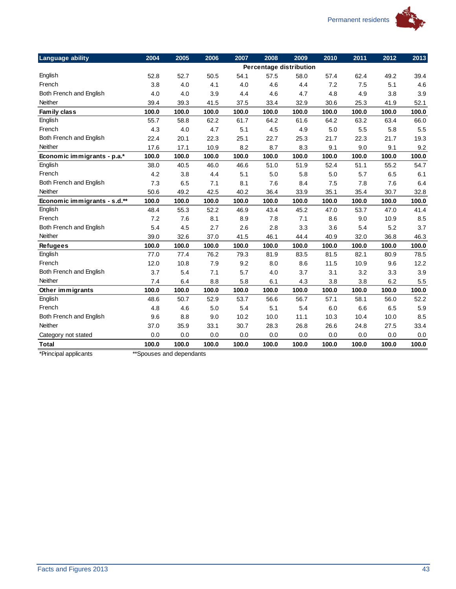

| English                      | 52.8  |       |       |       |         |                         |       |       |       |       |
|------------------------------|-------|-------|-------|-------|---------|-------------------------|-------|-------|-------|-------|
|                              |       |       |       |       |         | Percentage distribution |       |       |       |       |
|                              |       | 52.7  | 50.5  | 54.1  | 57.5    | 58.0                    | 57.4  | 62.4  | 49.2  | 39.4  |
| French                       | 3.8   | 4.0   | 4.1   | 4.0   | 4.6     | 4.4                     | 7.2   | 7.5   | 5.1   | 4.6   |
| Both French and English      | 4.0   | 4.0   | 3.9   | 4.4   | 4.6     | 4.7                     | 4.8   | 4.9   | 3.8   | 3.9   |
| Neither                      | 39.4  | 39.3  | 41.5  | 37.5  | 33.4    | 32.9                    | 30.6  | 25.3  | 41.9  | 52.1  |
| Family class                 | 100.0 | 100.0 | 100.0 | 100.0 | 100.0   | 100.0                   | 100.0 | 100.0 | 100.0 | 100.0 |
| English                      | 55.7  | 58.8  | 62.2  | 61.7  | 64.2    | 61.6                    | 64.2  | 63.2  | 63.4  | 66.0  |
| French                       | 4.3   | 4.0   | 4.7   | 5.1   | 4.5     | 4.9                     | 5.0   | 5.5   | 5.8   | 5.5   |
| Both French and English      | 22.4  | 20.1  | 22.3  | 25.1  | 22.7    | 25.3                    | 21.7  | 22.3  | 21.7  | 19.3  |
| <b>Neither</b>               | 17.6  | 17.1  | 10.9  | 8.2   | 8.7     | 8.3                     | 9.1   | 9.0   | 9.1   | 9.2   |
| Economic immigrants - p.a.*  | 100.0 | 100.0 | 100.0 | 100.0 | 100.0   | 100.0                   | 100.0 | 100.0 | 100.0 | 100.0 |
| English                      | 38.0  | 40.5  | 46.0  | 46.6  | 51.0    | 51.9                    | 52.4  | 51.1  | 55.2  | 54.7  |
| French                       | 4.2   | 3.8   | 4.4   | 5.1   | $5.0\,$ | 5.8                     | 5.0   | 5.7   | 6.5   | 6.1   |
| Both French and English      | 7.3   | 6.5   | 7.1   | 8.1   | 7.6     | 8.4                     | 7.5   | 7.8   | 7.6   | 6.4   |
| Neither                      | 50.6  | 49.2  | 42.5  | 40.2  | 36.4    | 33.9                    | 35.1  | 35.4  | 30.7  | 32.8  |
| Economic immigrants - s.d.** | 100.0 | 100.0 | 100.0 | 100.0 | 100.0   | 100.0                   | 100.0 | 100.0 | 100.0 | 100.0 |
| English                      | 48.4  | 55.3  | 52.2  | 46.9  | 43.4    | 45.2                    | 47.0  | 53.7  | 47.0  | 41.4  |
| French                       | 7.2   | 7.6   | 8.1   | 8.9   | 7.8     | 7.1                     | 8.6   | 9.0   | 10.9  | 8.5   |
| Both French and English      | 5.4   | 4.5   | 2.7   | 2.6   | 2.8     | 3.3                     | 3.6   | 5.4   | 5.2   | 3.7   |
| Neither                      | 39.0  | 32.6  | 37.0  | 41.5  | 46.1    | 44.4                    | 40.9  | 32.0  | 36.8  | 46.3  |
| <b>Refugees</b>              | 100.0 | 100.0 | 100.0 | 100.0 | 100.0   | 100.0                   | 100.0 | 100.0 | 100.0 | 100.0 |
| English                      | 77.0  | 77.4  | 76.2  | 79.3  | 81.9    | 83.5                    | 81.5  | 82.1  | 80.9  | 78.5  |
| French                       | 12.0  | 10.8  | 7.9   | 9.2   | 8.0     | 8.6                     | 11.5  | 10.9  | 9.6   | 12.2  |
| Both French and English      | 3.7   | 5.4   | 7.1   | 5.7   | 4.0     | 3.7                     | 3.1   | 3.2   | 3.3   | 3.9   |
| <b>Neither</b>               | 7.4   | 6.4   | 8.8   | 5.8   | 6.1     | 4.3                     | 3.8   | 3.8   | 6.2   | 5.5   |
| Other immigrants             | 100.0 | 100.0 | 100.0 | 100.0 | 100.0   | 100.0                   | 100.0 | 100.0 | 100.0 | 100.0 |
| English                      | 48.6  | 50.7  | 52.9  | 53.7  | 56.6    | 56.7                    | 57.1  | 58.1  | 56.0  | 52.2  |
| French                       | 4.8   | 4.6   | 5.0   | 5.4   | 5.1     | 5.4                     | 6.0   | 6.6   | 6.5   | 5.9   |
| Both French and English      | 9.6   | 8.8   | 9.0   | 10.2  | 10.0    | 11.1                    | 10.3  | 10.4  | 10.0  | 8.5   |
| Neither                      | 37.0  | 35.9  | 33.1  | 30.7  | 28.3    | 26.8                    | 26.6  | 24.8  | 27.5  | 33.4  |
| Category not stated          | 0.0   | 0.0   | 0.0   | 0.0   | 0.0     | 0.0                     | 0.0   | 0.0   | 0.0   | 0.0   |
| <b>Total</b>                 | 100.0 | 100.0 | 100.0 | 100.0 | 100.0   | 100.0                   | 100.0 | 100.0 | 100.0 | 100.0 |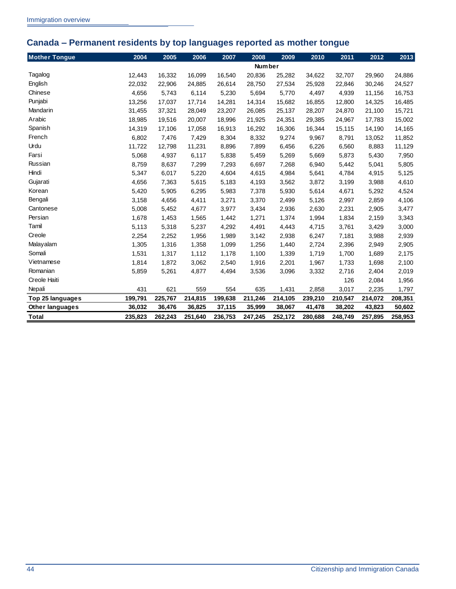## <span id="page-47-0"></span>**Canada – Permanent residents by top languages reported as mother tongue**

| <b>Mother Tongue</b> | 2004    | 2005    | 2006    | 2007    | 2008          | 2009    | 2010    | 2011    | 2012    | 2013    |
|----------------------|---------|---------|---------|---------|---------------|---------|---------|---------|---------|---------|
|                      |         |         |         |         | <b>Number</b> |         |         |         |         |         |
| Tagalog              | 12,443  | 16,332  | 16,099  | 16,540  | 20,836        | 25,282  | 34,622  | 32,707  | 29,960  | 24,886  |
| English              | 22,032  | 22,906  | 24,885  | 26,614  | 28,750        | 27,534  | 25,928  | 22,846  | 30,246  | 24,527  |
| Chinese              | 4,656   | 5,743   | 6,114   | 5,230   | 5,694         | 5,770   | 4,497   | 4,939   | 11,156  | 16,753  |
| Punjabi              | 13,256  | 17,037  | 17,714  | 14,281  | 14,314        | 15,682  | 16,855  | 12,800  | 14,325  | 16,485  |
| Mandarin             | 31,455  | 37,321  | 28,049  | 23,207  | 26,085        | 25,137  | 28,207  | 24,870  | 21,100  | 15,721  |
| Arabic               | 18,985  | 19,516  | 20,007  | 18,996  | 21,925        | 24,351  | 29,385  | 24,967  | 17,783  | 15,002  |
| Spanish              | 14,319  | 17,106  | 17,058  | 16,913  | 16,292        | 16,306  | 16,344  | 15,115  | 14,190  | 14,165  |
| French               | 6,802   | 7,476   | 7,429   | 8,304   | 8,332         | 9,274   | 9,967   | 8,791   | 13,052  | 11,852  |
| Urdu                 | 11,722  | 12,798  | 11,231  | 8,896   | 7,899         | 6,456   | 6,226   | 6,560   | 8,883   | 11,129  |
| Farsi                | 5,068   | 4,937   | 6,117   | 5,838   | 5,459         | 5,269   | 5,669   | 5,873   | 5,430   | 7,950   |
| Russian              | 8,759   | 8,637   | 7,299   | 7,293   | 6,697         | 7,268   | 6,940   | 5,442   | 5,041   | 5,805   |
| Hindi                | 5,347   | 6,017   | 5,220   | 4,604   | 4,615         | 4,984   | 5,641   | 4,784   | 4,915   | 5,125   |
| Gujarati             | 4,656   | 7,363   | 5,615   | 5,183   | 4,193         | 3,562   | 3,872   | 3,199   | 3,988   | 4,610   |
| Korean               | 5,420   | 5,905   | 6,295   | 5,983   | 7,378         | 5,930   | 5,614   | 4,671   | 5,292   | 4,524   |
| Bengali              | 3,158   | 4,656   | 4,411   | 3,271   | 3,370         | 2,499   | 5,126   | 2,997   | 2,859   | 4,106   |
| Cantonese            | 5,008   | 5,452   | 4,677   | 3,977   | 3,434         | 2,936   | 2,630   | 2,231   | 2,905   | 3,477   |
| Persian              | 1,678   | 1,453   | 1,565   | 1,442   | 1,271         | 1,374   | 1,994   | 1,834   | 2,159   | 3,343   |
| Tamil                | 5,113   | 5,318   | 5,237   | 4,292   | 4,491         | 4,443   | 4,715   | 3,761   | 3,429   | 3,000   |
| Creole               | 2,254   | 2,252   | 1,956   | 1,989   | 3,142         | 2,938   | 6,247   | 7,181   | 3,988   | 2,939   |
| Malayalam            | 1,305   | 1,316   | 1,358   | 1,099   | 1,256         | 1,440   | 2,724   | 2,396   | 2,949   | 2,905   |
| Somali               | 1,531   | 1,317   | 1,112   | 1,178   | 1,100         | 1,339   | 1,719   | 1,700   | 1,689   | 2,175   |
| Vietnamese           | 1,814   | 1,872   | 3,062   | 2,540   | 1,916         | 2,201   | 1,967   | 1,733   | 1,698   | 2,100   |
| Romanian             | 5,859   | 5,261   | 4,877   | 4,494   | 3,536         | 3,096   | 3,332   | 2,716   | 2,404   | 2,019   |
| Creole Haiti         |         |         |         |         |               |         |         | 126     | 2,084   | 1,956   |
| Nepali               | 431     | 621     | 559     | 554     | 635           | 1,431   | 2,858   | 3,017   | 2,235   | 1,797   |
| Top 25 languages     | 199,791 | 225,767 | 214,815 | 199,638 | 211,246       | 214,105 | 239,210 | 210,547 | 214,072 | 208,351 |
| Other languages      | 36,032  | 36,476  | 36,825  | 37,115  | 35,999        | 38,067  | 41,478  | 38,202  | 43,823  | 50,602  |
| <b>Total</b>         | 235,823 | 262,243 | 251,640 | 236,753 | 247,245       | 252,172 | 280,688 | 248,749 | 257,895 | 258,953 |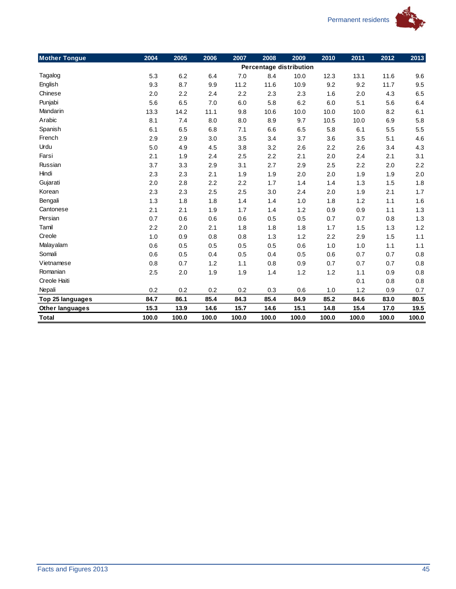

| <b>Mother Tongue</b>   | 2004  | 2005  | 2006  | 2007  | 2008                    | 2009  | 2010  | 2011  | 2012  | 2013  |
|------------------------|-------|-------|-------|-------|-------------------------|-------|-------|-------|-------|-------|
|                        |       |       |       |       | Percentage distribution |       |       |       |       |       |
| Tagalog                | 5.3   | 6.2   | 6.4   | 7.0   | 8.4                     | 10.0  | 12.3  | 13.1  | 11.6  | 9.6   |
| English                | 9.3   | 8.7   | 9.9   | 11.2  | 11.6                    | 10.9  | 9.2   | 9.2   | 11.7  | 9.5   |
| Chinese                | 2.0   | 2.2   | 2.4   | 2.2   | 2.3                     | 2.3   | 1.6   | 2.0   | 4.3   | 6.5   |
| Punjabi                | 5.6   | 6.5   | 7.0   | 6.0   | 5.8                     | 6.2   | 6.0   | 5.1   | 5.6   | 6.4   |
| Mandarin               | 13.3  | 14.2  | 11.1  | 9.8   | 10.6                    | 10.0  | 10.0  | 10.0  | 8.2   | 6.1   |
| Arabic                 | 8.1   | 7.4   | 8.0   | 8.0   | 8.9                     | 9.7   | 10.5  | 10.0  | 6.9   | 5.8   |
| Spanish                | 6.1   | 6.5   | 6.8   | 7.1   | 6.6                     | 6.5   | 5.8   | 6.1   | 5.5   | 5.5   |
| French                 | 2.9   | 2.9   | 3.0   | 3.5   | 3.4                     | 3.7   | 3.6   | 3.5   | 5.1   | 4.6   |
| Urdu                   | 5.0   | 4.9   | 4.5   | 3.8   | 3.2                     | 2.6   | 2.2   | 2.6   | 3.4   | 4.3   |
| Farsi                  | 2.1   | 1.9   | 2.4   | 2.5   | 2.2                     | 2.1   | 2.0   | 2.4   | 2.1   | 3.1   |
| Russian                | 3.7   | 3.3   | 2.9   | 3.1   | 2.7                     | 2.9   | 2.5   | 2.2   | 2.0   | 2.2   |
| Hindi                  | 2.3   | 2.3   | 2.1   | 1.9   | 1.9                     | 2.0   | 2.0   | 1.9   | 1.9   | 2.0   |
| Gujarati               | 2.0   | 2.8   | 2.2   | 2.2   | 1.7                     | 1.4   | 1.4   | 1.3   | 1.5   | 1.8   |
| Korean                 | 2.3   | 2.3   | 2.5   | 2.5   | 3.0                     | 2.4   | 2.0   | 1.9   | 2.1   | 1.7   |
| Bengali                | 1.3   | 1.8   | 1.8   | 1.4   | 1.4                     | 1.0   | 1.8   | 1.2   | 1.1   | 1.6   |
| Cantonese              | 2.1   | 2.1   | 1.9   | 1.7   | 1.4                     | 1.2   | 0.9   | 0.9   | 1.1   | 1.3   |
| Persian                | 0.7   | 0.6   | 0.6   | 0.6   | 0.5                     | 0.5   | 0.7   | 0.7   | 0.8   | 1.3   |
| Tamil                  | 2.2   | 2.0   | 2.1   | 1.8   | 1.8                     | 1.8   | 1.7   | 1.5   | 1.3   | 1.2   |
| Creole                 | 1.0   | 0.9   | 0.8   | 0.8   | 1.3                     | 1.2   | 2.2   | 2.9   | 1.5   | 1.1   |
| Malayalam              | 0.6   | 0.5   | 0.5   | 0.5   | 0.5                     | 0.6   | 1.0   | 1.0   | 1.1   | 1.1   |
| Somali                 | 0.6   | 0.5   | 0.4   | 0.5   | 0.4                     | 0.5   | 0.6   | 0.7   | 0.7   | 0.8   |
| Vietnamese             | 0.8   | 0.7   | 1.2   | 1.1   | 0.8                     | 0.9   | 0.7   | 0.7   | 0.7   | 0.8   |
| Romanian               | 2.5   | 2.0   | 1.9   | 1.9   | 1.4                     | 1.2   | 1.2   | 1.1   | 0.9   | 0.8   |
| Creole Haiti           |       |       |       |       |                         |       |       | 0.1   | 0.8   | 0.8   |
| Nepali                 | 0.2   | 0.2   | 0.2   | 0.2   | 0.3                     | 0.6   | 1.0   | 1.2   | 0.9   | 0.7   |
| Top 25 languages       | 84.7  | 86.1  | 85.4  | 84.3  | 85.4                    | 84.9  | 85.2  | 84.6  | 83.0  | 80.5  |
| <b>Other languages</b> | 15.3  | 13.9  | 14.6  | 15.7  | 14.6                    | 15.1  | 14.8  | 15.4  | 17.0  | 19.5  |
| <b>Total</b>           | 100.0 | 100.0 | 100.0 | 100.0 | 100.0                   | 100.0 | 100.0 | 100.0 | 100.0 | 100.0 |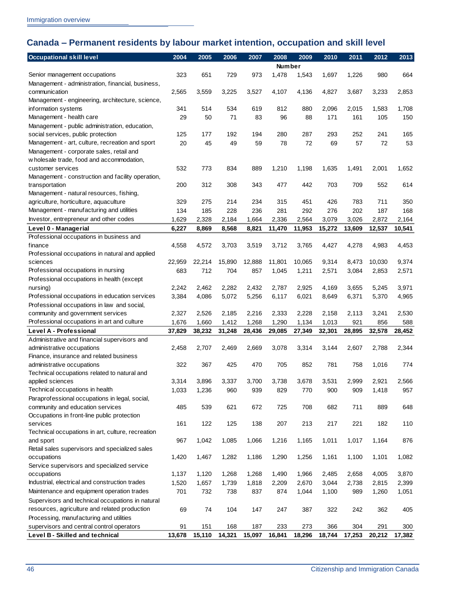## <span id="page-49-0"></span>**Canada – Permanent residents by labour market intention, occupation and skill level**

| <b>Occupational skill level</b>                   | 2004   | 2005   | 2006   | 2007   | 2008          | 2009   | 2010   | 2011   | 2012   | 2013   |
|---------------------------------------------------|--------|--------|--------|--------|---------------|--------|--------|--------|--------|--------|
|                                                   |        |        |        |        | <b>Number</b> |        |        |        |        |        |
| Senior management occupations                     | 323    | 651    | 729    | 973    | 1,478         | 1,543  | 1,697  | 1,226  | 980    | 664    |
| Management - administration, financial, business, |        |        |        |        |               |        |        |        |        |        |
| communication                                     | 2,565  | 3,559  | 3,225  | 3,527  | 4,107         | 4,136  | 4,827  | 3,687  | 3,233  | 2,853  |
| Management - engineering, architecture, science,  |        |        |        |        |               |        |        |        |        |        |
| information systems                               | 341    | 514    | 534    | 619    | 812           | 880    | 2,096  | 2,015  | 1,583  | 1,708  |
| Management - health care                          | 29     | 50     | 71     | 83     | 96            | 88     | 171    | 161    | 105    | 150    |
| Management - public administration, education,    |        |        |        |        |               |        |        |        |        |        |
| social services, public protection                | 125    | 177    | 192    | 194    | 280           | 287    | 293    | 252    | 241    | 165    |
| Management - art, culture, recreation and sport   | 20     | 45     | 49     | 59     | 78            | 72     | 69     | 57     | 72     | 53     |
| Management - corporate sales, retail and          |        |        |        |        |               |        |        |        |        |        |
| w holesale trade, food and accommodation,         |        |        |        |        |               |        |        |        |        |        |
| customer services                                 | 532    | 773    | 834    | 889    | 1,210         | 1,198  | 1,635  | 1,491  | 2,001  | 1,652  |
| Management - construction and facility operation, |        |        |        |        |               |        |        |        |        |        |
| transportation                                    | 200    | 312    | 308    | 343    | 477           | 442    | 703    | 709    | 552    | 614    |
| Management - natural resources, fishing,          |        |        |        |        |               |        |        |        |        |        |
| agriculture, horticulture, aquaculture            | 329    | 275    | 214    | 234    | 315           | 451    | 426    | 783    | 711    | 350    |
| Management - manufacturing and utilities          | 134    | 185    | 228    | 236    | 281           | 292    | 276    | 202    | 187    | 168    |
| Investor, entrepreneur and other codes            | 1,629  | 2,328  | 2,184  | 1,664  | 2,336         | 2,564  | 3,079  | 3,026  | 2,872  | 2,164  |
| Level 0 - Managerial                              | 6,227  | 8,869  | 8,568  | 8,821  | 11,470        | 11,953 | 15,272 | 13,609 | 12,537 | 10,541 |
| Professional occupations in business and          |        |        |        |        |               |        |        |        |        |        |
| finance                                           | 4,558  | 4,572  | 3,703  | 3,519  | 3,712         | 3,765  | 4,427  | 4,278  | 4,983  | 4,453  |
| Professional occupations in natural and applied   |        |        |        |        |               |        |        |        |        |        |
| sciences                                          | 22,959 | 22,214 | 15,890 | 12,888 | 11,801        | 10,065 | 9,314  | 8,473  | 10,030 | 9,374  |
| Professional occupations in nursing               | 683    | 712    | 704    | 857    | 1,045         | 1,211  | 2,571  | 3,084  | 2,853  | 2,571  |
| Professional occupations in health (except        |        |        |        |        |               |        |        |        |        |        |
| nursing)                                          | 2,242  | 2,462  | 2,282  | 2,432  | 2,787         | 2,925  | 4,169  | 3,655  | 5,245  | 3,971  |
| Professional occupations in education services    | 3,384  | 4,086  | 5,072  | 5,256  |               | 6,021  | 8,649  | 6,371  | 5,370  |        |
| Professional occupations in law and social,       |        |        |        |        | 6,117         |        |        |        |        | 4,965  |
| community and government services                 | 2,327  | 2,526  | 2,185  | 2,216  | 2,333         | 2,228  | 2,158  | 2,113  | 3,241  | 2,530  |
| Professional occupations in art and culture       | 1,676  | 1,660  | 1,412  | 1,268  | 1,290         |        | 1,013  | 921    | 856    | 588    |
| Level A - Professional                            | 37,829 | 38,232 |        |        |               | 1,134  |        | 28,895 | 32,578 | 28,452 |
| Administrative and financial supervisors and      |        |        | 31,248 | 28,436 | 29,085        | 27,349 | 32,301 |        |        |        |
| administrative occupations                        | 2,458  | 2,707  | 2,469  | 2,669  | 3,078         | 3,314  | 3,144  | 2,607  | 2,788  | 2,344  |
| Finance, insurance and related business           |        |        |        |        |               |        |        |        |        |        |
| administrative occupations                        | 322    | 367    | 425    | 470    | 705           | 852    | 781    | 758    | 1,016  | 774    |
| Technical occupations related to natural and      |        |        |        |        |               |        |        |        |        |        |
| applied sciences                                  | 3,314  | 3,896  | 3,337  | 3,700  | 3,738         | 3,678  | 3,531  | 2,999  | 2,921  | 2,566  |
| Technical occupations in health                   | 1,033  | 1,236  | 960    | 939    | 829           | 770    | 900    | 909    | 1,418  | 957    |
| Paraprofessional occupations in legal, social,    |        |        |        |        |               |        |        |        |        |        |
| community and education services                  | 485    | 539    | 621    | 672    | 725           | 708    | 682    | 711    | 889    | 648    |
| Occupations in front-line public protection       |        |        |        |        |               |        |        |        |        |        |
| services                                          | 161    | 122    | 125    | 138    | 207           | 213    | 217    | 221    | 182    | 110    |
| Technical occupations in art, culture, recreation |        |        |        |        |               |        |        |        |        |        |
| and sport                                         | 967    | 1,042  | 1,085  | 1,066  | 1,216         | 1,165  | 1,011  | 1,017  | 1,164  | 876    |
| Retail sales supervisors and specialized sales    |        |        |        |        |               |        |        |        |        |        |
| occupations                                       | 1,420  | 1,467  | 1,282  | 1,186  | 1,290         | 1,256  | 1,161  | 1,100  | 1,101  | 1,082  |
| Service supervisors and specialized service       |        |        |        |        |               |        |        |        |        |        |
| occupations                                       | 1,137  | 1,120  | 1,268  | 1,268  | 1,490         | 1,966  | 2,485  | 2,658  | 4,005  | 3,870  |
| Industrial, electrical and construction trades    | 1,520  | 1,657  | 1,739  | 1,818  | 2,209         | 2,670  | 3,044  | 2,738  | 2,815  | 2,399  |
| Maintenance and equipment operation trades        | 701    | 732    | 738    | 837    | 874           |        |        | 989    |        |        |
|                                                   |        |        |        |        |               | 1,044  | 1,100  |        | 1,260  | 1,051  |
| Supervisors and technical occupations in natural  |        |        |        |        |               |        |        |        |        |        |
| resources, agriculture and related production     | 69     | 74     | 104    | 147    | 247           | 387    | 322    | 242    | 362    | 405    |
| Processing, manufacturing and utilities           |        |        |        |        |               |        |        |        |        |        |
| supervisors and central control operators         | 91     | 151    | 168    | 187    | 233           | 273    | 366    | 304    | 291    | 300    |
| Level B - Skilled and technical                   | 13,678 | 15,110 | 14,321 | 15,097 | 16,841        | 18,296 | 18,744 | 17,253 | 20,212 | 17,382 |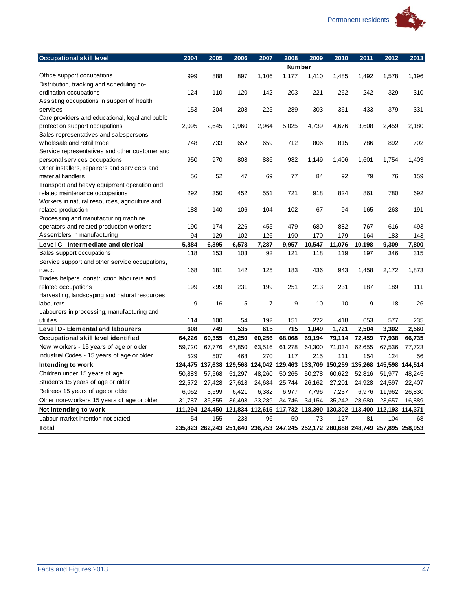

| <b>Occupational skill level</b>                  | 2004   | 2005   | 2006   | 2007           | 2008   | 2009          | 2010   | 2011                                                                            | 2012   | 2013   |
|--------------------------------------------------|--------|--------|--------|----------------|--------|---------------|--------|---------------------------------------------------------------------------------|--------|--------|
|                                                  |        |        |        |                |        | <b>Number</b> |        |                                                                                 |        |        |
| Office support occupations                       | 999    | 888    | 897    | 1,106          | 1,177  | 1,410         | 1,485  | 1,492                                                                           | 1,578  | 1,196  |
| Distribution, tracking and scheduling co-        |        |        |        |                |        |               |        |                                                                                 |        |        |
| ordination occupations                           | 124    | 110    | 120    | 142            | 203    | 221           | 262    | 242                                                                             | 329    | 310    |
| Assisting occupations in support of health       |        |        |        |                |        |               |        |                                                                                 |        |        |
| services                                         | 153    | 204    | 208    | 225            | 289    | 303           | 361    | 433                                                                             | 379    | 331    |
| Care providers and educational, legal and public |        |        |        |                |        |               |        |                                                                                 |        |        |
| protection support occupations                   | 2,095  | 2,645  | 2,960  | 2,964          | 5,025  | 4,739         | 4,676  | 3,608                                                                           | 2.459  | 2,180  |
| Sales representatives and salespersons -         |        |        |        |                |        |               |        |                                                                                 |        |        |
| w holesale and retail trade                      | 748    | 733    | 652    | 659            | 712    | 806           | 815    | 786                                                                             | 892    | 702    |
| Service representatives and other customer and   |        |        |        |                |        |               |        |                                                                                 |        |        |
| personal services occupations                    | 950    | 970    | 808    | 886            | 982    | 1,149         | 1,406  | 1,601                                                                           | 1,754  | 1,403  |
| Other installers, repairers and servicers and    |        |        |        |                |        |               |        |                                                                                 |        |        |
| material handlers                                | 56     | 52     | 47     | 69             | 77     | 84            | 92     | 79                                                                              | 76     | 159    |
| Transport and heavy equipment operation and      |        |        |        |                |        |               |        |                                                                                 |        |        |
| related maintenance occupations                  | 292    | 350    | 452    | 551            | 721    | 918           | 824    | 861                                                                             | 780    | 692    |
| Workers in natural resources, agriculture and    |        |        |        |                |        |               |        |                                                                                 |        |        |
| related production                               | 183    | 140    | 106    | 104            | 102    | 67            | 94     | 165                                                                             | 263    | 191    |
| Processing and manufacturing machine             |        |        |        |                |        |               |        |                                                                                 |        |        |
| operators and related production w orkers        | 190    | 174    | 226    | 455            | 479    | 680           | 882    | 767                                                                             | 616    | 493    |
| Assemblers in manufacturing                      | 94     | 129    | 102    | 126            | 190    | 170           | 179    | 164                                                                             | 183    | 143    |
| Level C - Intermediate and clerical              | 5,884  | 6,395  | 6,578  | 7,287          | 9,957  | 10,547        | 11,076 | 10,198                                                                          | 9,309  | 7,800  |
| Sales support occupations                        | 118    | 153    | 103    | 92             | 121    | 118           | 119    | 197                                                                             | 346    | 315    |
| Service support and other service occupations,   |        |        |        |                |        |               |        |                                                                                 |        |        |
| n.e.c.                                           | 168    | 181    | 142    | 125            | 183    | 436           | 943    | 1,458                                                                           | 2,172  | 1,873  |
| Trades helpers, construction labourers and       |        |        |        |                |        |               |        |                                                                                 |        |        |
| related occupations                              | 199    | 299    | 231    | 199            | 251    | 213           | 231    | 187                                                                             | 189    | 111    |
| Harvesting, landscaping and natural resources    |        |        |        |                |        |               |        |                                                                                 |        |        |
| labourers                                        | 9      | 16     | 5      | $\overline{7}$ | 9      | 10            | 10     | 9                                                                               | 18     | 26     |
| Labourers in processing, manufacturing and       |        |        |        |                |        |               |        |                                                                                 |        |        |
| utilities                                        | 114    | 100    | 54     | 192            | 151    | 272           | 418    | 653                                                                             | 577    | 235    |
| Level D - Elemental and labourers                | 608    | 749    | 535    | 615            | 715    | 1,049         | 1,721  | 2,504                                                                           | 3,302  | 2,560  |
| Occupational skill level identified              | 64,226 | 69,355 | 61,250 | 60,256         | 68,068 | 69,194        | 79,114 | 72,459                                                                          | 77,938 | 66,735 |
| New workers - 15 years of age or older           | 59,720 | 67,776 | 67,850 | 63,516         | 61,278 | 64,300        | 71,034 | 62,655                                                                          | 67,536 | 77,723 |
| Industrial Codes - 15 years of age or older      | 529    | 507    | 468    | 270            | 117    | 215           | 111    | 154                                                                             | 124    | 56     |
| Intending to work                                |        |        |        |                |        |               |        | 124,475 137,638 129,568 124,042 129,463 133,709 150,259 135,268 145,598 144,514 |        |        |
| Children under 15 years of age                   | 50,883 | 57,568 | 51,297 | 48,260         | 50,265 | 50,278        | 60,622 | 52,816                                                                          | 51,977 | 48,245 |
| Students 15 years of age or older                | 22,572 | 27,428 | 27,618 | 24,684         | 25,744 | 26,162        | 27,201 | 24,928                                                                          | 24,597 | 22,407 |
| Retirees 15 years of age or older                | 6,052  | 3.599  | 6.421  | 6,382          | 6,977  | 7,796         | 7,237  | 6,976                                                                           | 11,962 | 26,830 |
| Other non-workers 15 years of age or older       | 31,787 | 35,855 | 36,498 | 33,289         | 34,746 | 34,154        | 35,242 | 28,680                                                                          | 23,657 | 16,889 |
| Not intending to work                            |        |        |        |                |        |               |        | 111,294 124,450 121,834 112,615 117,732 118,390 130,302 113,400 112,193 114,371 |        |        |
| Labour market intention not stated               | 54     | 155    | 238    | 96             | 50     | 73            | 127    | 81                                                                              | 104    | 68     |
| Total                                            |        |        |        |                |        |               |        | 235,823 262,243 251,640 236,753 247,245 252,172 280,688 248,749 257,895 258,953 |        |        |
|                                                  |        |        |        |                |        |               |        |                                                                                 |        |        |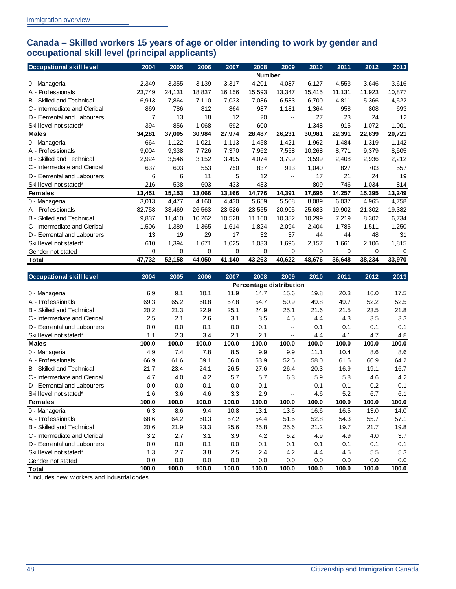#### <span id="page-51-0"></span>**Canada – Skilled workers 15 years of age or older intending to work by gender and occupational skill level (principal applicants)**

| <b>Occupational skill level</b>  | 2004   | 2005   | 2006   | 2007   | 2008          | 2009   | 2010   | 2011   | 2012   | 2013        |
|----------------------------------|--------|--------|--------|--------|---------------|--------|--------|--------|--------|-------------|
|                                  |        |        |        |        | <b>Number</b> |        |        |        |        |             |
| 0 - Managerial                   | 2,349  | 3,355  | 3,139  | 3,317  | 4,201         | 4,087  | 6,127  | 4,553  | 3,646  | 3,616       |
| A - Professionals                | 23,749 | 24,131 | 18,837 | 16,156 | 15,593        | 13,347 | 15,415 | 11,131 | 11,923 | 10,877      |
| <b>B</b> - Skilled and Technical | 6.913  | 7,864  | 7,110  | 7.033  | 7,086         | 6,583  | 6,700  | 4,811  | 5,366  | 4,522       |
| C - Intermediate and Clerical    | 869    | 786    | 812    | 864    | 987           | 1,181  | 1,364  | 958    | 808    | 693         |
| D - Elemental and Labourers      | 7      | 13     | 18     | 12     | 20            | $- -$  | 27     | 23     | 24     | 12          |
| Skill level not stated*          | 394    | 856    | 1,068  | 592    | 600           | --     | 1,348  | 915    | 1,072  | 1,001       |
| <b>Males</b>                     | 34,281 | 37,005 | 30,984 | 27,974 | 28,487        | 26,231 | 30,981 | 22,391 | 22,839 | 20,721      |
| 0 - Managerial                   | 664    | 1,122  | 1,021  | 1,113  | 1,458         | 1,421  | 1,962  | 1,484  | 1,319  | 1,142       |
| A - Professionals                | 9,004  | 9,338  | 7,726  | 7,370  | 7,962         | 7,558  | 10,268 | 8,771  | 9,379  | 8,505       |
| <b>B</b> - Skilled and Technical | 2,924  | 3,546  | 3,152  | 3,495  | 4,074         | 3,799  | 3,599  | 2,408  | 2,936  | 2,212       |
| C - Intermediate and Clerical    | 637    | 603    | 553    | 750    | 837           | 913    | 1,040  | 827    | 703    | 557         |
| D - Elemental and Labourers      | 6      | 6      | 11     | 5      | 12            | --     | 17     | 21     | 24     | 19          |
| Skill level not stated*          | 216    | 538    | 603    | 433    | 433           | $-$    | 809    | 746    | 1,034  | 814         |
| <b>Females</b>                   | 13,451 | 15,153 | 13,066 | 13,166 | 14,776        | 14,391 | 17,695 | 14,257 | 15,395 | 13,249      |
| 0 - Managerial                   | 3,013  | 4,477  | 4,160  | 4,430  | 5,659         | 5,508  | 8,089  | 6,037  | 4,965  | 4,758       |
| A - Professionals                | 32,753 | 33,469 | 26.563 | 23,526 | 23,555        | 20,905 | 25,683 | 19,902 | 21,302 | 19,382      |
| <b>B</b> - Skilled and Technical | 9,837  | 11,410 | 10,262 | 10,528 | 11,160        | 10,382 | 10,299 | 7,219  | 8,302  | 6,734       |
| C - Intermediate and Clerical    | 1.506  | 1,389  | 1,365  | 1,614  | 1.824         | 2,094  | 2,404  | 1,785  | 1.511  | 1,250       |
| D - Elemental and Labourers      | 13     | 19     | 29     | 17     | 32            | 37     | 44     | 44     | 48     | 31          |
| Skill level not stated*          | 610    | 1,394  | 1,671  | 1,025  | 1,033         | 1,696  | 2,157  | 1,661  | 2,106  | 1,815       |
| Gender not stated                | 0      | 0      | 0      | 0      | 0             | 0      | 0      | 0      | 0      | $\mathbf 0$ |
| Total                            | 47,732 | 52,158 | 44,050 | 41,140 | 43,263        | 40,622 | 48,676 | 36,648 | 38,234 | 33,970      |

| <b>Occupational skill level</b>  | 2004  | 2005  | 2006  | 2007  | 2008  | 2009                    | 2010  | 2011  | 2012  | 2013  |
|----------------------------------|-------|-------|-------|-------|-------|-------------------------|-------|-------|-------|-------|
|                                  |       |       |       |       |       | Percentage distribution |       |       |       |       |
| 0 - Managerial                   | 6.9   | 9.1   | 10.1  | 11.9  | 14.7  | 15.6                    | 19.8  | 20.3  | 16.0  | 17.5  |
| A - Professionals                | 69.3  | 65.2  | 60.8  | 57.8  | 54.7  | 50.9                    | 49.8  | 49.7  | 52.2  | 52.5  |
| <b>B</b> - Skilled and Technical | 20.2  | 21.3  | 22.9  | 25.1  | 24.9  | 25.1                    | 21.6  | 21.5  | 23.5  | 21.8  |
| C - Intermediate and Clerical    | 2.5   | 2.1   | 2.6   | 3.1   | 3.5   | 4.5                     | 4.4   | 4.3   | 3.5   | 3.3   |
| D - Elemental and Labourers      | 0.0   | 0.0   | 0.1   | 0.0   | 0.1   | $-$                     | 0.1   | 0.1   | 0.1   | 0.1   |
| Skill level not stated*          | 1.1   | 2.3   | 3.4   | 2.1   | 2.1   | --                      | 4.4   | 4.1   | 4.7   | 4.8   |
| <b>Males</b>                     | 100.0 | 100.0 | 100.0 | 100.0 | 100.0 | 100.0                   | 100.0 | 100.0 | 100.0 | 100.0 |
| 0 - Managerial                   | 4.9   | 7.4   | 7.8   | 8.5   | 9.9   | 9.9                     | 11.1  | 10.4  | 8.6   | 8.6   |
| A - Professionals                | 66.9  | 61.6  | 59.1  | 56.0  | 53.9  | 52.5                    | 58.0  | 61.5  | 60.9  | 64.2  |
| <b>B</b> - Skilled and Technical | 21.7  | 23.4  | 24.1  | 26.5  | 27.6  | 26.4                    | 20.3  | 16.9  | 19.1  | 16.7  |
| C - Intermediate and Clerical    | 4.7   | 4.0   | 4.2   | 5.7   | 5.7   | 6.3                     | 5.9   | 5.8   | 4.6   | 4.2   |
| D - Elemental and Labourers      | 0.0   | 0.0   | 0.1   | 0.0   | 0.1   | $- -$                   | 0.1   | 0.1   | 0.2   | 0.1   |
| Skill level not stated*          | 1.6   | 3.6   | 4.6   | 3.3   | 2.9   | $-$                     | 4.6   | 5.2   | 6.7   | 6.1   |
| <b>Females</b>                   | 100.0 | 100.0 | 100.0 | 100.0 | 100.0 | 100.0                   | 100.0 | 100.0 | 100.0 | 100.0 |
| 0 - Managerial                   | 6.3   | 8.6   | 9.4   | 10.8  | 13.1  | 13.6                    | 16.6  | 16.5  | 13.0  | 14.0  |
| A - Professionals                | 68.6  | 64.2  | 60.3  | 57.2  | 54.4  | 51.5                    | 52.8  | 54.3  | 55.7  | 57.1  |
| <b>B</b> - Skilled and Technical | 20.6  | 21.9  | 23.3  | 25.6  | 25.8  | 25.6                    | 21.2  | 19.7  | 21.7  | 19.8  |
| C - Intermediate and Clerical    | 3.2   | 2.7   | 3.1   | 3.9   | 4.2   | 5.2                     | 4.9   | 4.9   | 4.0   | 3.7   |
| D - Elemental and Labourers      | 0.0   | 0.0   | 0.1   | 0.0   | 0.1   | 0.1                     | 0.1   | 0.1   | 0.1   | 0.1   |
| Skill level not stated*          | 1.3   | 2.7   | 3.8   | 2.5   | 2.4   | 4.2                     | 4.4   | 4.5   | 5.5   | 5.3   |
| Gender not stated                | 0.0   | 0.0   | 0.0   | 0.0   | 0.0   | 0.0                     | 0.0   | 0.0   | 0.0   | 0.0   |
| Total                            | 100.0 | 100.0 | 100.0 | 100.0 | 100.0 | 100.0                   | 100.0 | 100.0 | 100.0 | 100.0 |

\* Includes new w orkers and industrial codes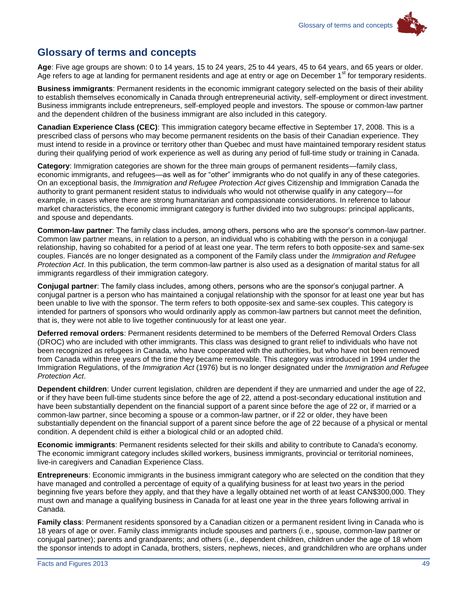

## <span id="page-52-0"></span>**Glossary of terms and concepts**

**Age**: Five age groups are shown: 0 to 14 years, 15 to 24 years, 25 to 44 years, 45 to 64 years, and 65 years or older. Age refers to age at landing for permanent residents and age at entry or age on December 1<sup>st</sup> for temporary residents.

**Business immigrants**: Permanent residents in the economic immigrant category selected on the basis of their ability to establish themselves economically in Canada through entrepreneurial activity, self-employment or direct investment. Business immigrants include entrepreneurs, self-employed people and investors. The spouse or common-law partner and the dependent children of the business immigrant are also included in this category.

**Canadian Experience Class (CEC)**: This immigration category became effective in September 17, 2008. This is a prescribed class of persons who may become permanent residents on the basis of their Canadian experience. They must intend to reside in a province or territory other than Quebec and must have maintained temporary resident status during their qualifying period of work experience as well as during any period of full-time study or training in Canada.

**Category**: Immigration categories are shown for the three main groups of permanent residents—family class, economic immigrants, and refugees—as well as for "other" immigrants who do not qualify in any of these categories. On an exceptional basis, the *Immigration and Refugee Protection Act* gives Citizenship and Immigration Canada the authority to grant permanent resident status to individuals who would not otherwise qualify in any category—for example, in cases where there are strong humanitarian and compassionate considerations. In reference to labour market characteristics, the economic immigrant category is further divided into two subgroups: principal applicants, and spouse and dependants.

**Common-law partner**: The family class includes, among others, persons who are the sponsor's common-law partner. Common law partner means, in relation to a person, an individual who is cohabiting with the person in a conjugal relationship, having so cohabited for a period of at least one year. The term refers to both opposite-sex and same-sex couples. Fiancés are no longer designated as a component of the Family class under the *Immigration and Refugee Protection Act*. In this publication, the term common-law partner is also used as a designation of marital status for all immigrants regardless of their immigration category.

**Conjugal partner**: The family class includes, among others, persons who are the sponsor's conjugal partner. A conjugal partner is a person who has maintained a conjugal relationship with the sponsor for at least one year but has been unable to live with the sponsor. The term refers to both opposite-sex and same-sex couples. This category is intended for partners of sponsors who would ordinarily apply as common-law partners but cannot meet the definition, that is, they were not able to live together continuously for at least one year.

**Deferred removal orders**: Permanent residents determined to be members of the Deferred Removal Orders Class (DROC) who are included with other immigrants. This class was designed to grant relief to individuals who have not been recognized as refugees in Canada, who have cooperated with the authorities, but who have not been removed from Canada within three years of the time they became removable. This category was introduced in 1994 under the Immigration Regulations, of the *Immigration Act* (1976) but is no longer designated under the *Immigration and Refugee Protection Act*.

**Dependent children**: Under current legislation, children are dependent if they are unmarried and under the age of 22, or if they have been full-time students since before the age of 22, attend a post-secondary educational institution and have been substantially dependent on the financial support of a parent since before the age of 22 or, if married or a common-law partner, since becoming a spouse or a common-law partner, or if 22 or older, they have been substantially dependent on the financial support of a parent since before the age of 22 because of a physical or mental condition. A dependent child is either a biological child or an adopted child.

**Economic immigrants**: Permanent residents selected for their skills and ability to contribute to Canada's economy. The economic immigrant category includes skilled workers, business immigrants, provincial or territorial nominees, live-in caregivers and Canadian Experience Class.

**Entrepreneurs**: Economic immigrants in the business immigrant category who are selected on the condition that they have managed and controlled a percentage of equity of a qualifying business for at least two years in the period beginning five years before they apply, and that they have a legally obtained net worth of at least CAN\$300,000. They must own and manage a qualifying business in Canada for at least one year in the three years following arrival in Canada.

**Family class**: Permanent residents sponsored by a Canadian citizen or a permanent resident living in Canada who is 18 years of age or over. Family class immigrants include spouses and partners (i.e., spouse, common-law partner or conjugal partner); parents and grandparents; and others (i.e., dependent children, children under the age of 18 whom the sponsor intends to adopt in Canada, brothers, sisters, nephews, nieces, and grandchildren who are orphans under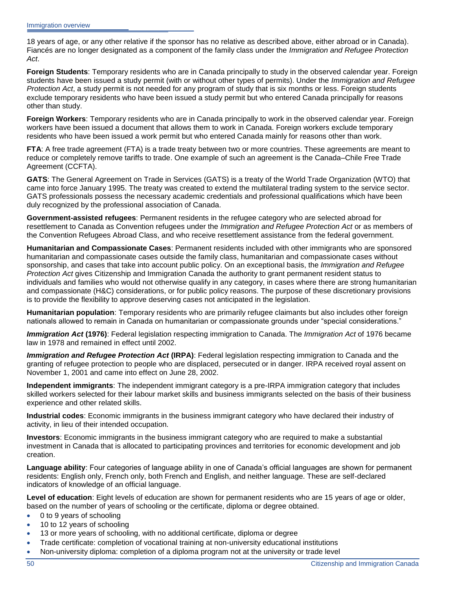18 years of age, or any other relative if the sponsor has no relative as described above, either abroad or in Canada). Fiancés are no longer designated as a component of the family class under the *Immigration and Refugee Protection Act*.

**Foreign Students**: Temporary residents who are in Canada principally to study in the observed calendar year. Foreign students have been issued a study permit (with or without other types of permits). Under the *Immigration and Refugee Protection Act*, a study permit is not needed for any program of study that is six months or less. Foreign students exclude temporary residents who have been issued a study permit but who entered Canada principally for reasons other than study.

**Foreign Workers**: Temporary residents who are in Canada principally to work in the observed calendar year. Foreign workers have been issued a document that allows them to work in Canada. Foreign workers exclude temporary residents who have been issued a work permit but who entered Canada mainly for reasons other than work.

**FTA**: A free trade agreement (FTA) is a trade treaty between two or more countries. These agreements are meant to reduce or completely remove tariffs to trade. One example of such an agreement is the Canada–Chile Free Trade Agreement (CCFTA).

**GATS**: The General Agreement on Trade in Services (GATS) is a treaty of the World Trade Organization (WTO) that came into force January 1995. The treaty was created to extend the multilateral trading system to the service sector. GATS professionals possess the necessary academic credentials and professional qualifications which have been duly recognized by the professional association of Canada.

**Government-assisted refugees**: Permanent residents in the refugee category who are selected abroad for resettlement to Canada as Convention refugees under the *Immigration and Refugee Protection Act* or as members of the Convention Refugees Abroad Class, and who receive resettlement assistance from the federal government.

**Humanitarian and Compassionate Cases**: Permanent residents included with other immigrants who are sponsored humanitarian and compassionate cases outside the family class, humanitarian and compassionate cases without sponsorship, and cases that take into account public policy. On an exceptional basis, the *Immigration and Refugee Protection Act* gives Citizenship and Immigration Canada the authority to grant permanent resident status to individuals and families who would not otherwise qualify in any category, in cases where there are strong humanitarian and compassionate (H&C) considerations, or for public policy reasons. The purpose of these discretionary provisions is to provide the flexibility to approve deserving cases not anticipated in the legislation.

**Humanitarian population**: Temporary residents who are primarily refugee claimants but also includes other foreign nationals allowed to remain in Canada on humanitarian or compassionate grounds under "special considerations."

*Immigration Act* **(1976)**: Federal legislation respecting immigration to Canada. The *Immigration Act* of 1976 became law in 1978 and remained in effect until 2002.

*Immigration and Refugee Protection Act* **(IRPA)**: Federal legislation respecting immigration to Canada and the granting of refugee protection to people who are displaced, persecuted or in danger. IRPA received royal assent on November 1, 2001 and came into effect on June 28, 2002.

**Independent immigrants**: The independent immigrant category is a pre-IRPA immigration category that includes skilled workers selected for their labour market skills and business immigrants selected on the basis of their business experience and other related skills.

**Industrial codes**: Economic immigrants in the business immigrant category who have declared their industry of activity, in lieu of their intended occupation.

**Investors**: Economic immigrants in the business immigrant category who are required to make a substantial investment in Canada that is allocated to participating provinces and territories for economic development and job creation.

**Language ability**: Four categories of language ability in one of Canada's official languages are shown for permanent residents: English only, French only, both French and English, and neither language. These are self-declared indicators of knowledge of an official language.

**Level of education**: Eight levels of education are shown for permanent residents who are 15 years of age or older, based on the number of years of schooling or the certificate, diploma or degree obtained.

- 0 to 9 years of schooling
- 10 to 12 years of schooling
- 13 or more years of schooling, with no additional certificate, diploma or degree
- Trade certificate: completion of vocational training at non-university educational institutions
- Non-university diploma: completion of a diploma program not at the university or trade level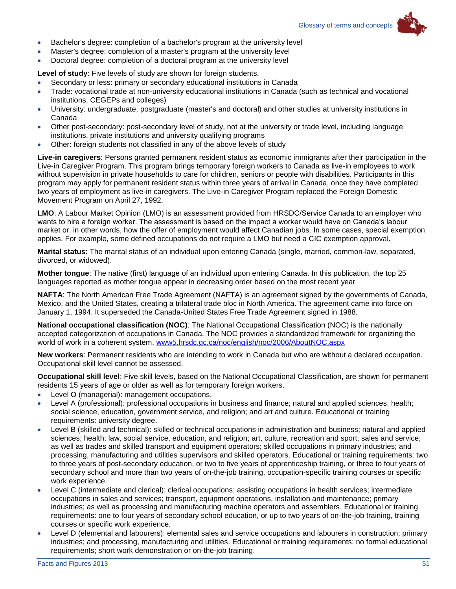

- Bachelor's degree: completion of a bachelor's program at the university level
- Master's degree: completion of a master's program at the university level
- Doctoral degree: completion of a doctoral program at the university level

**Level of study**: Five levels of study are shown for foreign students.

- Secondary or less: primary or secondary educational institutions in Canada
- Trade: vocational trade at non-university educational institutions in Canada (such as technical and vocational institutions, CEGEPs and colleges)
- University: undergraduate, postgraduate (master's and doctoral) and other studies at university institutions in Canada
- Other post-secondary: post-secondary level of study, not at the university or trade level, including language institutions, private institutions and university qualifying programs
- Other: foreign students not classified in any of the above levels of study

**Live-in caregivers**: Persons granted permanent resident status as economic immigrants after their participation in the Live-in Caregiver Program. This program brings temporary foreign workers to Canada as live-in employees to work without supervision in private households to care for children, seniors or people with disabilities. Participants in this program may apply for permanent resident status within three years of arrival in Canada, once they have completed two years of employment as live-in caregivers. The Live-in Caregiver Program replaced the Foreign Domestic Movement Program on April 27, 1992.

**LMO**: A Labour Market Opinion (LMO) is an assessment provided from HRSDC/Service Canada to an employer who wants to hire a foreign worker. The assessment is based on the impact a worker would have on Canada's labour market or, in other words, how the offer of employment would affect Canadian jobs. In some cases, special exemption applies. For example, some defined occupations do not require a LMO but need a CIC exemption approval.

**Marital status**: The marital status of an individual upon entering Canada (single, married, common-law, separated, divorced, or widowed).

**Mother tongue**: The native (first) language of an individual upon entering Canada. In this publication, the top 25 languages reported as mother tongue appear in decreasing order based on the most recent year

**NAFTA**: The North American Free Trade Agreement (NAFTA) is an agreement signed by the governments of Canada, Mexico, and the United States, creating a trilateral trade bloc in North America. The agreement came into force on January 1, 1994. It superseded the Canada-United States Free Trade Agreement signed in 1988.

**National occupational classification (NOC)**: The National Occupational Classification (NOC) is the nationally accepted categorization of occupations in Canada. The NOC provides a standardized framework for organizing the world of work in a coherent system. [www5.hrsdc.gc.ca/noc/english/noc/2006/AboutNOC.aspx](http://www5.hrsdc.gc.ca/noc/english/noc/2006/AboutNOC.aspx)

**New workers**: Permanent residents who are intending to work in Canada but who are without a declared occupation. Occupational skill level cannot be assessed.

**Occupational skill level**: Five skill levels, based on the National Occupational Classification, are shown for permanent residents 15 years of age or older as well as for temporary foreign workers.

- Level O (managerial): management occupations.
- Level A (professional): professional occupations in business and finance; natural and applied sciences; health; social science, education, government service, and religion; and art and culture. Educational or training requirements: university degree.
- Level B (skilled and technical): skilled or technical occupations in administration and business; natural and applied sciences; health; law, social service, education, and religion; art, culture, recreation and sport; sales and service; as well as trades and skilled transport and equipment operators; skilled occupations in primary industries; and processing, manufacturing and utilities supervisors and skilled operators. Educational or training requirements: two to three years of post-secondary education, or two to five years of apprenticeship training, or three to four years of secondary school and more than two years of on-the-job training, occupation-specific training courses or specific work experience.
- Level C (intermediate and clerical): clerical occupations; assisting occupations in health services; intermediate occupations in sales and services; transport, equipment operations, installation and maintenance; primary industries; as well as processing and manufacturing machine operators and assemblers. Educational or training requirements: one to four years of secondary school education, or up to two years of on-the-job training, training courses or specific work experience.
- Level D (elemental and labourers): elemental sales and service occupations and labourers in construction; primary industries; and processing, manufacturing and utilities. Educational or training requirements: no formal educational requirements; short work demonstration or on-the-job training.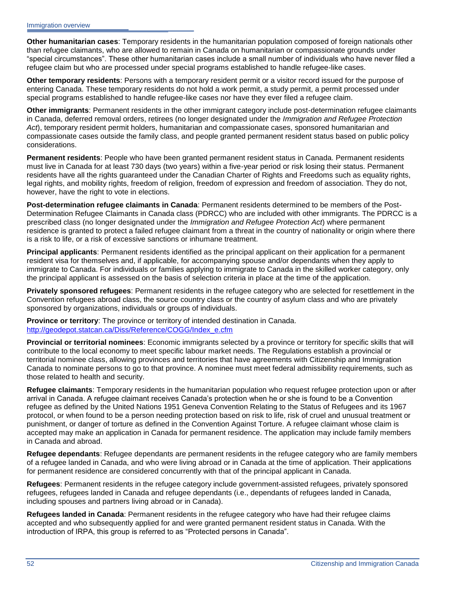**Other humanitarian cases**: Temporary residents in the humanitarian population composed of foreign nationals other than refugee claimants, who are allowed to remain in Canada on humanitarian or compassionate grounds under "special circumstances". These other humanitarian cases include a small number of individuals who have never filed a refugee claim but who are processed under special programs established to handle refugee-like cases.

**Other temporary residents**: Persons with a temporary resident permit or a visitor record issued for the purpose of entering Canada. These temporary residents do not hold a work permit, a study permit, a permit processed under special programs established to handle refugee-like cases nor have they ever filed a refugee claim.

**Other immigrants**: Permanent residents in the other immigrant category include post-determination refugee claimants in Canada, deferred removal orders, retirees (no longer designated under the *Immigration and Refugee Protection Act*), temporary resident permit holders, humanitarian and compassionate cases, sponsored humanitarian and compassionate cases outside the family class, and people granted permanent resident status based on public policy considerations.

**Permanent residents**: People who have been granted permanent resident status in Canada. Permanent residents must live in Canada for at least 730 days (two years) within a five-year period or risk losing their status. Permanent residents have all the rights guaranteed under the Canadian Charter of Rights and Freedoms such as equality rights, legal rights, and mobility rights, freedom of religion, freedom of expression and freedom of association. They do not, however, have the right to vote in elections.

**Post-determination refugee claimants in Canada**: Permanent residents determined to be members of the Post-Determination Refugee Claimants in Canada class (PDRCC) who are included with other immigrants. The PDRCC is a prescribed class (no longer designated under the *Immigration and Refugee Protection Act*) where permanent residence is granted to protect a failed refugee claimant from a threat in the country of nationality or origin where there is a risk to life, or a risk of excessive sanctions or inhumane treatment.

**Principal applicants**: Permanent residents identified as the principal applicant on their application for a permanent resident visa for themselves and, if applicable, for accompanying spouse and/or dependants when they apply to immigrate to Canada. For individuals or families applying to immigrate to Canada in the skilled worker category, only the principal applicant is assessed on the basis of selection criteria in place at the time of the application.

**Privately sponsored refugees**: Permanent residents in the refugee category who are selected for resettlement in the Convention refugees abroad class, the source country class or the country of asylum class and who are privately sponsored by organizations, individuals or groups of individuals.

**Province or territory**: The province or territory of intended destination in Canada. [http://geodepot.statcan.ca/Diss/Reference/COGG/Index\\_e.cfm](http://geodepot.statcan.ca/Diss/Reference/COGG/Index_e.cfm)

**Provincial or territorial nominees**: Economic immigrants selected by a province or territory for specific skills that will contribute to the local economy to meet specific labour market needs. The Regulations establish a provincial or territorial nominee class, allowing provinces and territories that have agreements with Citizenship and Immigration Canada to nominate persons to go to that province. A nominee must meet federal admissibility requirements, such as those related to health and security.

**Refugee claimants**: Temporary residents in the humanitarian population who request refugee protection upon or after arrival in Canada. A refugee claimant receives Canada's protection when he or she is found to be a Convention refugee as defined by the United Nations 1951 Geneva Convention Relating to the Status of Refugees and its 1967 protocol, or when found to be a person needing protection based on risk to life, risk of cruel and unusual treatment or punishment, or danger of torture as defined in the Convention Against Torture. A refugee claimant whose claim is accepted may make an application in Canada for permanent residence. The application may include family members in Canada and abroad.

**Refugee dependants**: Refugee dependants are permanent residents in the refugee category who are family members of a refugee landed in Canada, and who were living abroad or in Canada at the time of application. Their applications for permanent residence are considered concurrently with that of the principal applicant in Canada.

**Refugees**: Permanent residents in the refugee category include government-assisted refugees, privately sponsored refugees, refugees landed in Canada and refugee dependants (i.e., dependants of refugees landed in Canada, including spouses and partners living abroad or in Canada).

**Refugees landed in Canada**: Permanent residents in the refugee category who have had their refugee claims accepted and who subsequently applied for and were granted permanent resident status in Canada. With the introduction of IRPA, this group is referred to as "Protected persons in Canada".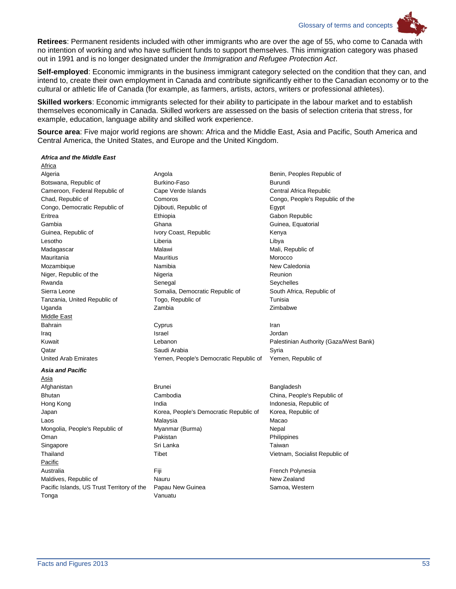Glossary of terms and concepts



**Self-employed**: Economic immigrants in the business immigrant category selected on the condition that they can, and intend to, create their own employment in Canada and contribute significantly either to the Canadian economy or to the cultural or athletic life of Canada (for example, as farmers, artists, actors, writers or professional athletes).

**Skilled workers**: Economic immigrants selected for their ability to participate in the labour market and to establish themselves economically in Canada. Skilled workers are assessed on the basis of selection criteria that stress, for example, education, language ability and skilled work experience.

**Source area**: Five major world regions are shown: Africa and the Middle East, Asia and Pacific, South America and Central America, the United States, and Europe and the United Kingdom.

#### *Africa and the Middle East*

Africa Middle East Iraq Israel Jordan *Asia and Pacific*

Asia Afghanistan Brunei Brunei Brunei Bangladesh Pacific Maldives, Republic of Nauru New Zealand Pacific Islands, US Trust Territory of the Papau New Guinea Samoa, Western Tonga Vanuatu

Algeria **Angola** Angola **Angola** Benin, Peoples Republic of Botswana, Republic of **Burkino-Faso** Burkino-Faso **Burkino-Faso** Burundi Cameroon, Federal Republic of Cape Verde Islands Central Africa Republic Chad, Republic of Comoros Congo, People's Republic of the Congo, Democratic Republic of Djibouti, Republic of Egypt Eritrea Ethiopia Gabon Republic Gambia Ghana Guinea, Equatorial Guinea, Republic of **IVory Coast, Republic** Menya Lesotho Liberia Libya Madagascar **Malawi** Malawi Malawi Malawi Malawi Mali, Republic of Mauritania Mauritius Morocco Mozambique **Namibia** Namibia **Namibia** New Caledonia Niger, Republic of the **Nigeria** Reunion Nigeria Reunion Rwanda **Senegal** Senegal Senegal Seychelles Sierra Leone **Somalia, Democratic Republic of** South Africa, Republic of South Africa, Republic of Tanzania, United Republic of Togo, Republic of Tunisia Uganda Zambia Zimbabwe Bahrain Cyprus Iran

Kuwait **Example 20 Transformation** Lebanon **Contract Palestinian Authority (Gaza/West Bank)** Qatar **Saudi Arabia** Saudi Arabia Syria Syria United Arab Emirates Yemen, People's Democratic Republic of Yemen, Republic of

Bhutan **Cambodia** Cambodia Cambodia China, People's Republic of Hong Kong **India** India **India** India Indonesia, Republic of Japan **Korea, People's Democratic Republic of** Korea, Republic of Korea, Republic of Laos Malaysia Macao Mongolia, People's Republic of Myanmar (Burma) Nepal Oman **Pakistan** Pakistan **Pakistan** Pakistan Philippines Singapore **Singapore** Sri Lanka **Taiwan** Taiwan Thailand Tibet Tibet Time The Vietnam, Socialist Republic of Antische Control of Tibet Antische Control of Tibet Australia **Film Film Community French Polynesia** French Polynesia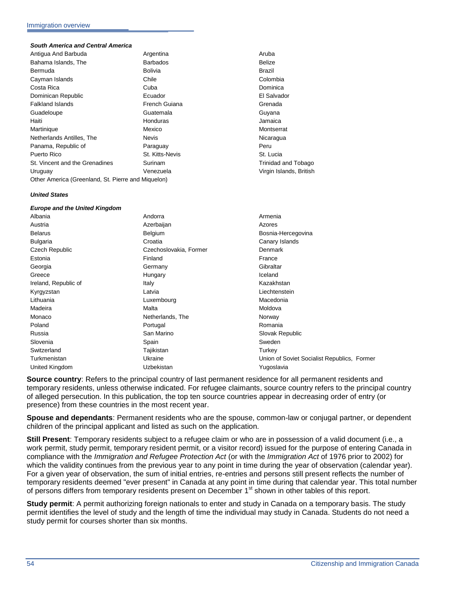#### *South America and Central America*

| Antigua And Barbuda                                | Argentina       | Aruba                   |  |
|----------------------------------------------------|-----------------|-------------------------|--|
| Bahama Islands, The                                | <b>Barbados</b> | <b>Belize</b>           |  |
| Bermuda                                            | <b>Bolivia</b>  | Brazil                  |  |
| Cayman Islands                                     | Chile           | Colombia                |  |
| Costa Rica                                         | Cuba            | Dominica                |  |
| Dominican Republic                                 | Ecuador         | El Salvador             |  |
| <b>Falkland Islands</b>                            | French Guiana   | Grenada                 |  |
| Guadeloupe                                         | Guatemala       | Guyana                  |  |
| Haiti                                              | Honduras        | Jamaica                 |  |
| Martinique                                         | Mexico          | Montserrat              |  |
| Netherlands Antilles, The                          | <b>Nevis</b>    | Nicaragua               |  |
| Panama, Republic of                                | Paraguay        | Peru                    |  |
| Puerto Rico                                        | St. Kitts-Nevis | St. Lucia               |  |
| St. Vincent and the Grenadines                     | Surinam         | Trinidad and Tobago     |  |
| Uruguay                                            | Venezuela       | Virgin Islands, British |  |
| Other America (Greenland, St. Pierre and Miquelon) |                 |                         |  |

#### *United States*

| <b>Europe and the United Kingdom</b> |                        |                                             |
|--------------------------------------|------------------------|---------------------------------------------|
| Albania                              | Andorra                | Armenia                                     |
| Austria                              | Azerbaijan             | Azores                                      |
| <b>Belarus</b>                       | Belgium                | Bosnia-Hercegovina                          |
| <b>Bulgaria</b>                      | Croatia                | Canary Islands                              |
| Czech Republic                       | Czechoslovakia, Former | <b>Denmark</b>                              |
| Estonia                              | Finland                | France                                      |
| Georgia                              | Germany                | Gibraltar                                   |
| Greece                               | Hungary                | Iceland                                     |
| Ireland, Republic of                 | Italy                  | Kazakhstan                                  |
| Kyrgyzstan                           | Latvia                 | Liechtenstein                               |
| Lithuania                            | Luxembourg             | Macedonia                                   |
| Madeira                              | Malta                  | Moldova                                     |
| Monaco                               | Netherlands, The       | Norway                                      |
| Poland                               | Portugal               | Romania                                     |
| Russia                               | San Marino             | Slovak Republic                             |
| Slovenia                             | Spain                  | Sweden                                      |
| Switzerland                          | Tajikistan             | Turkey                                      |
| Turkmenistan                         | Ukraine                | Union of Soviet Socialist Republics, Former |
| United Kingdom                       | Uzbekistan             | Yugoslavia                                  |
|                                      |                        |                                             |

**Source country**: Refers to the principal country of last permanent residence for all permanent residents and temporary residents, unless otherwise indicated. For refugee claimants, source country refers to the principal country of alleged persecution. In this publication, the top ten source countries appear in decreasing order of entry (or presence) from these countries in the most recent year.

**Spouse and dependants**: Permanent residents who are the spouse, common-law or conjugal partner, or dependent children of the principal applicant and listed as such on the application.

**Still Present**: Temporary residents subject to a refugee claim or who are in possession of a valid document (i.e., a work permit, study permit, temporary resident permit, or a visitor record) issued for the purpose of entering Canada in compliance with the *Immigration and Refugee Protection Act* (or with the *Immigration Act* of 1976 prior to 2002) for which the validity continues from the previous year to any point in time during the year of observation (calendar year). For a given year of observation, the sum of initial entries, re-entries and persons still present reflects the number of temporary residents deemed "ever present" in Canada at any point in time during that calendar year. This total number of persons differs from temporary residents present on December 1<sup>st</sup> shown in other tables of this report.

**Study permit**: A permit authorizing foreign nationals to enter and study in Canada on a temporary basis. The study permit identifies the level of study and the length of time the individual may study in Canada. Students do not need a study permit for courses shorter than six months.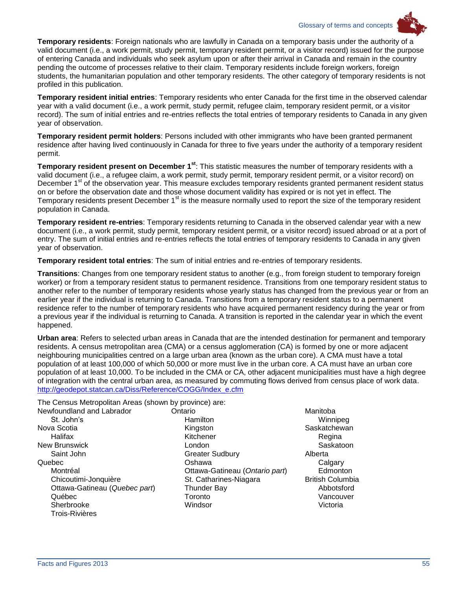Glossary of terms and concepts

![](_page_58_Picture_1.jpeg)

**Temporary residents**: Foreign nationals who are lawfully in Canada on a temporary basis under the authority of a valid document (i.e., a work permit, study permit, temporary resident permit, or a visitor record) issued for the purpose of entering Canada and individuals who seek asylum upon or after their arrival in Canada and remain in the country pending the outcome of processes relative to their claim. Temporary residents include foreign workers, foreign students, the humanitarian population and other temporary residents. The other category of temporary residents is not profiled in this publication.

**Temporary resident initial entries**: Temporary residents who enter Canada for the first time in the observed calendar year with a valid document (i.e., a work permit, study permit, refugee claim, temporary resident permit, or a visitor record). The sum of initial entries and re-entries reflects the total entries of temporary residents to Canada in any given year of observation.

**Temporary resident permit holders**: Persons included with other immigrants who have been granted permanent residence after having lived continuously in Canada for three to five years under the authority of a temporary resident permit.

**Temporary resident present on December 1st**: This statistic measures the number of temporary residents with a valid document (i.e., a refugee claim, a work permit, study permit, temporary resident permit, or a visitor record) on December 1<sup>st</sup> of the observation year. This measure excludes temporary residents granted permanent resident status on or before the observation date and those whose document validity has expired or is not yet in effect. The Temporary residents present December 1<sup>st</sup> is the measure normally used to report the size of the temporary resident population in Canada.

**Temporary resident re-entries**: Temporary residents returning to Canada in the observed calendar year with a new document (i.e., a work permit, study permit, temporary resident permit, or a visitor record) issued abroad or at a port of entry. The sum of initial entries and re-entries reflects the total entries of temporary residents to Canada in any given year of observation.

**Temporary resident total entries**: The sum of initial entries and re-entries of temporary residents.

**Transitions**: Changes from one temporary resident status to another (e.g., from foreign student to temporary foreign worker) or from a temporary resident status to permanent residence. Transitions from one temporary resident status to another refer to the number of temporary residents whose yearly status has changed from the previous year or from an earlier year if the individual is returning to Canada. Transitions from a temporary resident status to a permanent residence refer to the number of temporary residents who have acquired permanent residency during the year or from a previous year if the individual is returning to Canada. A transition is reported in the calendar year in which the event happened.

**Urban area**: Refers to selected urban areas in Canada that are the intended destination for permanent and temporary residents. A census metropolitan area (CMA) or a census agglomeration (CA) is formed by one or more adjacent neighbouring municipalities centred on a large urban area (known as the urban core). A CMA must have a total population of at least 100,000 of which 50,000 or more must live in the urban core. A CA must have an urban core population of at least 10,000. To be included in the CMA or CA, other adjacent municipalities must have a high degree of integration with the central urban area, as measured by commuting flows derived from census place of work data. [http://geodepot.statcan.ca/Diss/Reference/COGG/Index\\_e.cfm](http://geodepot.statcan.ca/Diss/Reference/COGG/Index_e.cfm)

The Census Metropolitan Areas (shown by province) are:

| Newfoundland and Labrador     | Ontario |
|-------------------------------|---------|
| St. John's                    | Har     |
| Nova Scotia                   | Kino    |
| Halifax                       | Kitc    |
| <b>New Brunswick</b>          | Lon     |
| Saint John                    | Gre     |
| Quebec                        | Osh     |
| Montréal                      | Otta    |
| Chicoutimi-Jonquière          | St. ۱   |
| Ottawa-Gatineau (Quebec part) | Thu     |
| Québec                        | Tor     |
| Sherbrooke                    | Win     |
| <b>Trois-Rivières</b>         |         |
|                               |         |

- Hamilton Kingston Kitchener London Greater Sudbury Oshawa Ottawa-Gatineau (*Ontario part*) St. Catharines-Niagara Thunder Bay Toronto Windsor
- Manitoba Winnipeg **Saskatchewan** Regina **Saskatoon** Alberta **Calgary Edmonton** British Columbia Abbotsford Vancouver Victoria